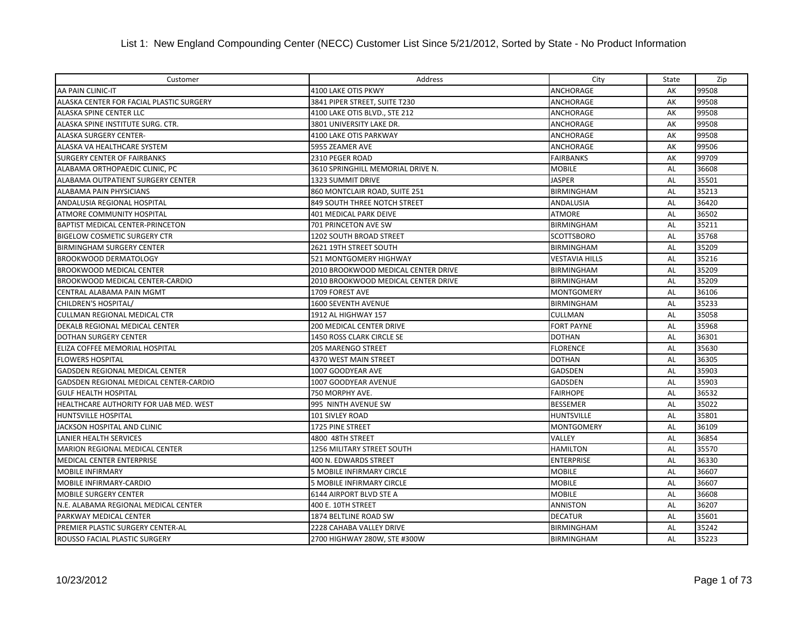| Customer                                 | Address                             | City                  | State     | Zip   |
|------------------------------------------|-------------------------------------|-----------------------|-----------|-------|
| AA PAIN CLINIC-IT                        | 4100 LAKE OTIS PKWY                 | ANCHORAGE             | AK        | 99508 |
| ALASKA CENTER FOR FACIAL PLASTIC SURGERY | 3841 PIPER STREET, SUITE T230       | ANCHORAGE             | AK        | 99508 |
| ALASKA SPINE CENTER LLC                  | 4100 LAKE OTIS BLVD., STE 212       | ANCHORAGE             | AK        | 99508 |
| ALASKA SPINE INSTITUTE SURG. CTR.        | 3801 UNIVERSITY LAKE DR.            | ANCHORAGE             | AK        | 99508 |
| ALASKA SURGERY CENTER-                   | 4100 LAKE OTIS PARKWAY              | ANCHORAGE             | AK        | 99508 |
| ALASKA VA HEALTHCARE SYSTEM              | 5955 ZEAMER AVE                     | <b>ANCHORAGE</b>      | AK        | 99506 |
| <b>SURGERY CENTER OF FAIRBANKS</b>       | 2310 PEGER ROAD                     | <b>FAIRBANKS</b>      | AK        | 99709 |
| ALABAMA ORTHOPAEDIC CLINIC, PC           | 3610 SPRINGHILL MEMORIAL DRIVE N.   | <b>MOBILE</b>         | AL        | 36608 |
| ALABAMA OUTPATIENT SURGERY CENTER        | <b>1323 SUMMIT DRIVE</b>            | <b>JASPER</b>         | <b>AL</b> | 35501 |
| ALABAMA PAIN PHYSICIANS                  | 860 MONTCLAIR ROAD, SUITE 251       | <b>BIRMINGHAM</b>     | AL        | 35213 |
| ANDALUSIA REGIONAL HOSPITAL              | 849 SOUTH THREE NOTCH STREET        | <b>ANDALUSIA</b>      | <b>AL</b> | 36420 |
| ATMORE COMMUNITY HOSPITAL                | <b>401 MEDICAL PARK DEIVE</b>       | ATMORE                | AL        | 36502 |
| BAPTIST MEDICAL CENTER-PRINCETON         | 701 PRINCETON AVE SW                | <b>BIRMINGHAM</b>     | <b>AL</b> | 35211 |
| <b>BIGELOW COSMETIC SURGERY CTR</b>      | 1202 SOUTH BROAD STREET             | <b>SCOTTSBORO</b>     | AL        | 35768 |
| <b>BIRMINGHAM SURGERY CENTER</b>         | 2621 19TH STREET SOUTH              | <b>BIRMINGHAM</b>     | AL        | 35209 |
| <b>BROOKWOOD DERMATOLOGY</b>             | 521 MONTGOMERY HIGHWAY              | <b>VESTAVIA HILLS</b> | AL        | 35216 |
| <b>BROOKWOOD MEDICAL CENTER</b>          | 2010 BROOKWOOD MEDICAL CENTER DRIVE | <b>BIRMINGHAM</b>     | AL        | 35209 |
| BROOKWOOD MEDICAL CENTER-CARDIO          | 2010 BROOKWOOD MEDICAL CENTER DRIVE | <b>BIRMINGHAM</b>     | AL        | 35209 |
| CENTRAL ALABAMA PAIN MGMT                | 1709 FOREST AVE                     | <b>MONTGOMERY</b>     | AL        | 36106 |
| CHILDREN'S HOSPITAL/                     | <b>1600 SEVENTH AVENUE</b>          | <b>BIRMINGHAM</b>     | AL        | 35233 |
| <b>CULLMAN REGIONAL MEDICAL CTR</b>      | 1912 AL HIGHWAY 157                 | <b>CULLMAN</b>        | AL        | 35058 |
| DEKALB REGIONAL MEDICAL CENTER           | 200 MEDICAL CENTER DRIVE            | <b>FORT PAYNE</b>     | AL        | 35968 |
| <b>DOTHAN SURGERY CENTER</b>             | 1450 ROSS CLARK CIRCLE SE           | <b>DOTHAN</b>         | AL        | 36301 |
| ELIZA COFFEE MEMORIAL HOSPITAL           | <b>205 MARENGO STREET</b>           | <b>FLORENCE</b>       | AL        | 35630 |
| <b>FLOWERS HOSPITAL</b>                  | 4370 WEST MAIN STREET               | <b>DOTHAN</b>         | AL        | 36305 |
| GADSDEN REGIONAL MEDICAL CENTER          | 1007 GOODYEAR AVE                   | <b>GADSDEN</b>        | AL        | 35903 |
| GADSDEN REGIONAL MEDICAL CENTER-CARDIO   | 1007 GOODYEAR AVENUE                | <b>GADSDEN</b>        | AL        | 35903 |
| <b>GULF HEALTH HOSPITAL</b>              | 750 MORPHY AVE.                     | <b>FAIRHOPE</b>       | AL        | 36532 |
| HEALTHCARE AUTHORITY FOR UAB MED. WEST   | 995 NINTH AVENUE SW                 | <b>BESSEMER</b>       | AL        | 35022 |
| <b>HUNTSVILLE HOSPITAL</b>               | 101 SIVLEY ROAD                     | <b>HUNTSVILLE</b>     | AL        | 35801 |
| JACKSON HOSPITAL AND CLINIC              | 1725 PINE STREET                    | <b>MONTGOMERY</b>     | AL        | 36109 |
| <b>LANIER HEALTH SERVICES</b>            | 4800 48TH STREET                    | VALLEY                | AL        | 36854 |
| <b>MARION REGIONAL MEDICAL CENTER</b>    | <b>1256 MILITARY STREET SOUTH</b>   | <b>HAMILTON</b>       | AL        | 35570 |
| <b>MEDICAL CENTER ENTERPRISE</b>         | 400 N. EDWARDS STREET               | <b>ENTERPRISE</b>     | <b>AL</b> | 36330 |
| <b>MOBILE INFIRMARY</b>                  | 5 MOBILE INFIRMARY CIRCLE           | <b>MOBILE</b>         | AL        | 36607 |
| MOBILE INFIRMARY-CARDIO                  | 5 MOBILE INFIRMARY CIRCLE           | <b>MOBILE</b>         | <b>AL</b> | 36607 |
| <b>MOBILE SURGERY CENTER</b>             | 6144 AIRPORT BLVD STE A             | <b>MOBILE</b>         | AL        | 36608 |
| N.E. ALABAMA REGIONAL MEDICAL CENTER     | 400 E. 10TH STREET                  | <b>ANNISTON</b>       | AL        | 36207 |
| PARKWAY MEDICAL CENTER                   | 1874 BELTLINE ROAD SW               | <b>DECATUR</b>        | AL        | 35601 |
| PREMIER PLASTIC SURGERY CENTER-AL        | 2228 CAHABA VALLEY DRIVE            | <b>BIRMINGHAM</b>     | AL        | 35242 |
| ROUSSO FACIAL PLASTIC SURGERY            | 2700 HIGHWAY 280W, STE #300W        | <b>BIRMINGHAM</b>     | AL        | 35223 |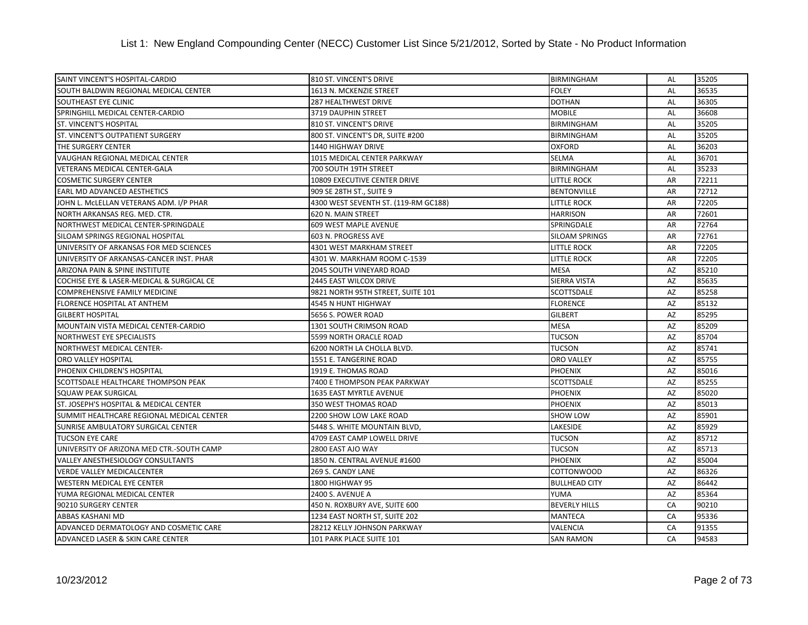| SAINT VINCENT'S HOSPITAL-CARDIO           | 810 ST. VINCENT'S DRIVE              | <b>BIRMINGHAM</b>     | AL        | 35205 |
|-------------------------------------------|--------------------------------------|-----------------------|-----------|-------|
| SOUTH BALDWIN REGIONAL MEDICAL CENTER     | 1613 N. MCKENZIE STREET              | <b>FOLEY</b>          | <b>AL</b> | 36535 |
| SOUTHEAST EYE CLINIC                      | 287 HEALTHWEST DRIVE                 | <b>DOTHAN</b>         | AL        | 36305 |
| SPRINGHILL MEDICAL CENTER-CARDIO          | 3719 DAUPHIN STREET                  | <b>MOBILE</b>         | AL        | 36608 |
| <b>ST. VINCENT'S HOSPITAL</b>             | 810 ST. VINCENT'S DRIVE              | <b>BIRMINGHAM</b>     | AL        | 35205 |
| ST. VINCENT'S OUTPATIENT SURGERY          | 800 ST. VINCENT'S DR, SUITE #200     | <b>BIRMINGHAM</b>     | <b>AL</b> | 35205 |
| THE SURGERY CENTER                        | 1440 HIGHWAY DRIVE                   | <b>OXFORD</b>         | AL        | 36203 |
| VAUGHAN REGIONAL MEDICAL CENTER           | 1015 MEDICAL CENTER PARKWAY          | <b>SELMA</b>          | AL        | 36701 |
| VETERANS MEDICAL CENTER-GALA              | 700 SOUTH 19TH STREET                | <b>BIRMINGHAM</b>     | AL        | 35233 |
| <b>COSMETIC SURGERY CENTER</b>            | 10809 EXECUTIVE CENTER DRIVE         | <b>LITTLE ROCK</b>    | AR        | 72211 |
| EARL MD ADVANCED AESTHETICS               | 909 SE 28TH ST., SUITE 9             | <b>BENTONVILLE</b>    | AR        | 72712 |
| JOHN L. MCLELLAN VETERANS ADM. I/P PHAR   | 4300 WEST SEVENTH ST. (119-RM GC188) | <b>LITTLE ROCK</b>    | AR        | 72205 |
| NORTH ARKANSAS REG. MED. CTR.             | 620 N. MAIN STREET                   | <b>HARRISON</b>       | AR        | 72601 |
| NORTHWEST MEDICAL CENTER-SPRINGDALE       | 609 WEST MAPLE AVENUE                | SPRINGDALE            | AR        | 72764 |
| SILOAM SPRINGS REGIONAL HOSPITAL          | 603 N. PROGRESS AVE                  | <b>SILOAM SPRINGS</b> | AR        | 72761 |
| UNIVERSITY OF ARKANSAS FOR MED SCIENCES   | 4301 WEST MARKHAM STREET             | <b>LITTLE ROCK</b>    | AR        | 72205 |
| UNIVERSITY OF ARKANSAS-CANCER INST. PHAR  | 4301 W. MARKHAM ROOM C-1539          | <b>LITTLE ROCK</b>    | AR        | 72205 |
| ARIZONA PAIN & SPINE INSTITUTE            | 2045 SOUTH VINEYARD ROAD             | <b>MESA</b>           | AZ        | 85210 |
| COCHISE EYE & LASER-MEDICAL & SURGICAL CE | 2445 EAST WILCOX DRIVE               | <b>SIERRA VISTA</b>   | <b>AZ</b> | 85635 |
| COMPREHENSIVE FAMILY MEDICINE             | 9821 NORTH 95TH STREET, SUITE 101    | <b>SCOTTSDALE</b>     | AZ        | 85258 |
| FLORENCE HOSPITAL AT ANTHEM               | 4545 N HUNT HIGHWAY                  | <b>FLORENCE</b>       | AZ        | 85132 |
| <b>GILBERT HOSPITAL</b>                   | 5656 S. POWER ROAD                   | <b>GILBERT</b>        | AZ        | 85295 |
| MOUNTAIN VISTA MEDICAL CENTER-CARDIO      | 1301 SOUTH CRIMSON ROAD              | <b>MESA</b>           | AZ        | 85209 |
| NORTHWEST EYE SPECIALISTS                 | 5599 NORTH ORACLE ROAD               | <b>TUCSON</b>         | AZ        | 85704 |
| <b>NORTHWEST MEDICAL CENTER-</b>          | 6200 NORTH LA CHOLLA BLVD.           | <b>TUCSON</b>         | AZ        | 85741 |
| <b>ORO VALLEY HOSPITAL</b>                | 1551 E. TANGERINE ROAD               | <b>ORO VALLEY</b>     | <b>AZ</b> | 85755 |
| PHOENIX CHILDREN'S HOSPITAL               | 1919 E. THOMAS ROAD                  | <b>PHOENIX</b>        | AZ        | 85016 |
| SCOTTSDALE HEALTHCARE THOMPSON PEAK       | 7400 E THOMPSON PEAK PARKWAY         | SCOTTSDALE            | AZ        | 85255 |
| <b>SQUAW PEAK SURGICAL</b>                | <b>1635 EAST MYRTLE AVENUE</b>       | <b>PHOENIX</b>        | AZ        | 85020 |
| ST. JOSEPH'S HOSPITAL & MEDICAL CENTER    | 350 WEST THOMAS ROAD                 | <b>PHOENIX</b>        | AZ        | 85013 |
| SUMMIT HEALTHCARE REGIONAL MEDICAL CENTER | 2200 SHOW LOW LAKE ROAD              | <b>SHOW LOW</b>       | AZ        | 85901 |
| SUNRISE AMBULATORY SURGICAL CENTER        | 5448 S. WHITE MOUNTAIN BLVD,         | <b>LAKESIDE</b>       | AZ        | 85929 |
| <b>TUCSON EYE CARE</b>                    | 4709 EAST CAMP LOWELL DRIVE          | <b>TUCSON</b>         | AZ        | 85712 |
| UNIVERSITY OF ARIZONA MED CTR.-SOUTH CAMP | 2800 EAST AJO WAY                    | <b>TUCSON</b>         | AZ        | 85713 |
| <b>VALLEY ANESTHESIOLOGY CONSULTANTS</b>  | 1850 N. CENTRAL AVENUE #1600         | <b>PHOENIX</b>        | AZ        | 85004 |
| <b>VERDE VALLEY MEDICALCENTER</b>         | 269 S. CANDY LANE                    | <b>COTTONWOOD</b>     | AZ        | 86326 |
| <b>WESTERN MEDICAL EYE CENTER</b>         | 1800 HIGHWAY 95                      | <b>BULLHEAD CITY</b>  | AZ        | 86442 |
| YUMA REGIONAL MEDICAL CENTER              | 2400 S. AVENUE A                     | YUMA                  | AZ        | 85364 |
| 90210 SURGERY CENTER                      | 450 N. ROXBURY AVE, SUITE 600        | <b>BEVERLY HILLS</b>  | CA        | 90210 |
| <b>ABBAS KASHANI MD</b>                   | 1234 EAST NORTH ST, SUITE 202        | <b>MANTECA</b>        | CA        | 95336 |
| ADVANCED DERMATOLOGY AND COSMETIC CARE    | 28212 KELLY JOHNSON PARKWAY          | VALENCIA              | CA        | 91355 |
| ADVANCED LASER & SKIN CARE CENTER         | 101 PARK PLACE SUITE 101             | <b>SAN RAMON</b>      | CA        | 94583 |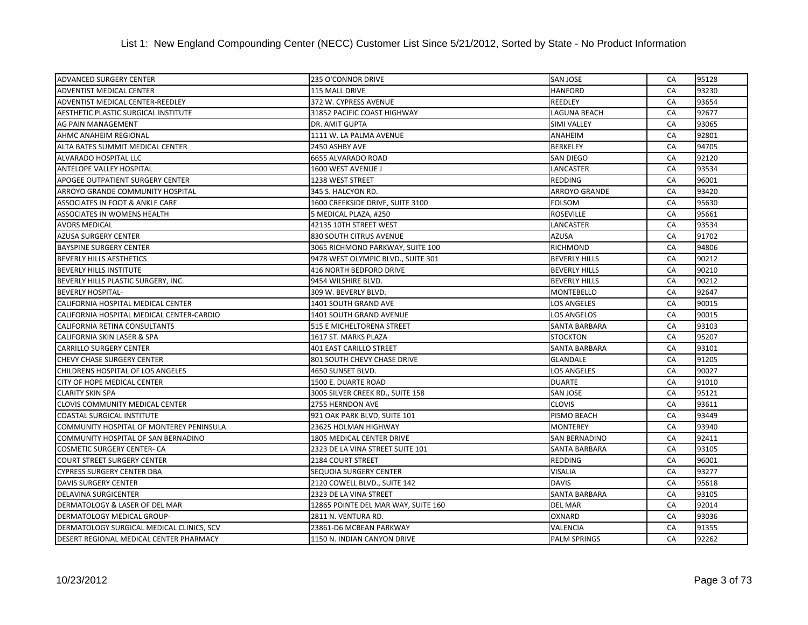| ADVANCED SURGERY CENTER                   | 235 O'CONNOR DRIVE                  | <b>SAN JOSE</b>      | CA | 95128 |
|-------------------------------------------|-------------------------------------|----------------------|----|-------|
| ADVENTIST MEDICAL CENTER                  | 115 MALL DRIVE                      | <b>HANFORD</b>       | CA | 93230 |
| ADVENTIST MEDICAL CENTER-REEDLEY          | 372 W. CYPRESS AVENUE               | <b>REEDLEY</b>       | CA | 93654 |
| AESTHETIC PLASTIC SURGICAL INSTITUTE      | 31852 PACIFIC COAST HIGHWAY         | <b>LAGUNA BEACH</b>  | CA | 92677 |
| AG PAIN MANAGEMENT                        | DR. AMIT GUPTA                      | <b>SIMI VALLEY</b>   | CA | 93065 |
| AHMC ANAHEIM REGIONAL                     | 1111 W. LA PALMA AVENUE             | ANAHEIM              | CA | 92801 |
| ALTA BATES SUMMIT MEDICAL CENTER          | 2450 ASHBY AVE                      | <b>BERKELEY</b>      | CA | 94705 |
| <b>ALVARADO HOSPITAL LLC</b>              | 6655 ALVARADO ROAD                  | <b>SAN DIEGO</b>     | CA | 92120 |
| <b>ANTELOPE VALLEY HOSPITAL</b>           | 1600 WEST AVENUE J                  | LANCASTER            | CA | 93534 |
| APOGEE OUTPATIENT SURGERY CENTER          | 1238 WEST STREET                    | <b>REDDING</b>       | CA | 96001 |
| ARROYO GRANDE COMMUNITY HOSPITAL          | 345 S. HALCYON RD.                  | <b>ARROYO GRANDE</b> | CA | 93420 |
| ASSOCIATES IN FOOT & ANKLE CARE           | 1600 CREEKSIDE DRIVE, SUITE 3100    | <b>FOLSOM</b>        | CA | 95630 |
| <b>ASSOCIATES IN WOMENS HEALTH</b>        | 5 MEDICAL PLAZA, #250               | <b>ROSEVILLE</b>     | CA | 95661 |
| <b>AVORS MEDICAL</b>                      | 42135 10TH STREET WEST              | LANCASTER            | CA | 93534 |
| <b>AZUSA SURGERY CENTER</b>               | 830 SOUTH CITRUS AVENUE             | <b>AZUSA</b>         | CA | 91702 |
| <b>BAYSPINE SURGERY CENTER</b>            | 3065 RICHMOND PARKWAY, SUITE 100    | <b>RICHMOND</b>      | CA | 94806 |
| <b>BEVERLY HILLS AESTHETICS</b>           | 9478 WEST OLYMPIC BLVD., SUITE 301  | <b>BEVERLY HILLS</b> | CA | 90212 |
| <b>BEVERLY HILLS INSTITUTE</b>            | 416 NORTH BEDFORD DRIVE             | <b>BEVERLY HILLS</b> | CA | 90210 |
| BEVERLY HILLS PLASTIC SURGERY, INC.       | 9454 WILSHIRE BLVD.                 | <b>BEVERLY HILLS</b> | CA | 90212 |
| <b>BEVERLY HOSPITAL-</b>                  | 309 W. BEVERLY BLVD.                | <b>MONTEBELLO</b>    | CA | 92647 |
| CALIFORNIA HOSPITAL MEDICAL CENTER        | 1401 SOUTH GRAND AVE                | <b>LOS ANGELES</b>   | CA | 90015 |
| CALIFORNIA HOSPITAL MEDICAL CENTER-CARDIO | 1401 SOUTH GRAND AVENUE             | LOS ANGELOS          | CA | 90015 |
| CALIFORNIA RETINA CONSULTANTS             | 515 E MICHELTORENA STREET           | SANTA BARBARA        | CA | 93103 |
| CALIFORNIA SKIN LASER & SPA               | 1617 ST. MARKS PLAZA                | <b>STOCKTON</b>      | CA | 95207 |
| <b>CARRILLO SURGERY CENTER</b>            | <b>401 EAST CARILLO STREET</b>      | <b>SANTA BARBARA</b> | CA | 93101 |
| <b>CHEVY CHASE SURGERY CENTER</b>         | 801 SOUTH CHEVY CHASE DRIVE         | <b>GLANDALE</b>      | CA | 91205 |
| CHILDRENS HOSPITAL OF LOS ANGELES         | 4650 SUNSET BLVD.                   | LOS ANGELES          | CA | 90027 |
| <b>CITY OF HOPE MEDICAL CENTER</b>        | 1500 E. DUARTE ROAD                 | <b>DUARTE</b>        | CA | 91010 |
| <b>CLARITY SKIN SPA</b>                   | 3005 SILVER CREEK RD., SUITE 158    | <b>SAN JOSE</b>      | CA | 95121 |
| CLOVIS COMMUNITY MEDICAL CENTER           | 2755 HERNDON AVE                    | <b>CLOVIS</b>        | CA | 93611 |
| <b>COASTAL SURGICAL INSTITUTE</b>         | 921 OAK PARK BLVD, SUITE 101        | PISMO BEACH          | CA | 93449 |
| COMMUNITY HOSPITAL OF MONTEREY PENINSULA  | 23625 HOLMAN HIGHWAY                | <b>MONTEREY</b>      | CA | 93940 |
| COMMUNITY HOSPITAL OF SAN BERNADINO       | 1805 MEDICAL CENTER DRIVE           | <b>SAN BERNADINO</b> | CA | 92411 |
| <b>COSMETIC SURGERY CENTER- CA</b>        | 2323 DE LA VINA STREET SUITE 101    | <b>SANTA BARBARA</b> | CA | 93105 |
| <b>COURT STREET SURGERY CENTER</b>        | 2184 COURT STREET                   | <b>REDDING</b>       | CA | 96001 |
| <b>CYPRESS SURGERY CENTER DBA</b>         | SEQUOIA SURGERY CENTER              | VISALIA              | CA | 93277 |
| <b>DAVIS SURGERY CENTER</b>               | 2120 COWELL BLVD., SUITE 142        | <b>DAVIS</b>         | CA | 95618 |
| <b>DELAVINA SURGICENTER</b>               | 2323 DE LA VINA STREET              | <b>SANTA BARBARA</b> | CA | 93105 |
| DERMATOLOGY & LASER OF DEL MAR            | 12865 POINTE DEL MAR WAY, SUITE 160 | <b>DEL MAR</b>       | CA | 92014 |
| DERMATOLOGY MEDICAL GROUP-                | 2811 N. VENTURA RD.                 | OXNARD               | CA | 93036 |
| DERMATOLOGY SURGICAL MEDICAL CLINICS, SCV | 23861-D6 MCBEAN PARKWAY             | VALENCIA             | CA | 91355 |
| DESERT REGIONAL MEDICAL CENTER PHARMACY   | 1150 N. INDIAN CANYON DRIVE         | <b>PALM SPRINGS</b>  | CA | 92262 |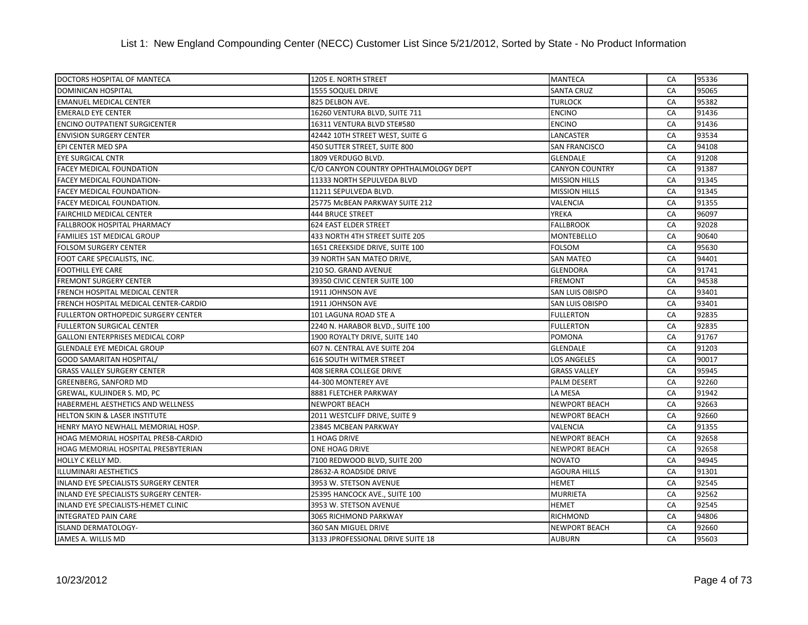| DOCTORS HOSPITAL OF MANTECA                   | 1205 E. NORTH STREET                  | <b>MANTECA</b>         | CA | 95336 |
|-----------------------------------------------|---------------------------------------|------------------------|----|-------|
| DOMINICAN HOSPITAL                            | 1555 SOQUEL DRIVE                     | <b>SANTA CRUZ</b>      | CA | 95065 |
| <b>EMANUEL MEDICAL CENTER</b>                 | 825 DELBON AVE.                       | <b>TURLOCK</b>         | CA | 95382 |
| <b>EMERALD EYE CENTER</b>                     | 16260 VENTURA BLVD, SUITE 711         | <b>ENCINO</b>          | CA | 91436 |
| <b>ENCINO OUTPATIENT SURGICENTER</b>          | 16311 VENTURA BLVD STE#580            | <b>ENCINO</b>          | CA | 91436 |
| <b>ENVISION SURGERY CENTER</b>                | 42442 10TH STREET WEST, SUITE G       | LANCASTER              | CA | 93534 |
| EPI CENTER MED SPA                            | 450 SUTTER STREET, SUITE 800          | <b>SAN FRANCISCO</b>   | CA | 94108 |
| <b>EYE SURGICAL CNTR</b>                      | 1809 VERDUGO BLVD.                    | <b>GLENDALE</b>        | CA | 91208 |
| <b>FACEY MEDICAL FOUNDATION</b>               | C/O CANYON COUNTRY OPHTHALMOLOGY DEPT | <b>CANYON COUNTRY</b>  | CA | 91387 |
| FACEY MEDICAL FOUNDATION-                     | 11333 NORTH SEPULVEDA BLVD            | <b>MISSION HILLS</b>   | CA | 91345 |
| <b>FACEY MEDICAL FOUNDATION-</b>              | 11211 SEPULVEDA BLVD.                 | <b>MISSION HILLS</b>   | CA | 91345 |
| <b>FACEY MEDICAL FOUNDATION.</b>              | 25775 McBEAN PARKWAY SUITE 212        | VALENCIA               | CA | 91355 |
| <b>FAIRCHILD MEDICAL CENTER</b>               | <b>444 BRUCE STREET</b>               | YREKA                  | CA | 96097 |
| FALLBROOK HOSPITAL PHARMACY                   | <b>624 EAST ELDER STREET</b>          | <b>FALLBROOK</b>       | CA | 92028 |
| <b>FAMILIES 1ST MEDICAL GROUP</b>             | 433 NORTH 4TH STREET SUITE 205        | <b>MONTEBELLO</b>      | CA | 90640 |
| <b>FOLSOM SURGERY CENTER</b>                  | 1651 CREEKSIDE DRIVE, SUITE 100       | <b>FOLSOM</b>          | CA | 95630 |
| FOOT CARE SPECIALISTS, INC.                   | 39 NORTH SAN MATEO DRIVE,             | <b>SAN MATEO</b>       | CA | 94401 |
| <b>FOOTHILL EYE CARE</b>                      | 210 SO. GRAND AVENUE                  | <b>GLENDORA</b>        | CA | 91741 |
| <b>FREMONT SURGERY CENTER</b>                 | 39350 CIVIC CENTER SUITE 100          | <b>FREMONT</b>         | CA | 94538 |
| FRENCH HOSPITAL MEDICAL CENTER                | 1911 JOHNSON AVE                      | <b>SAN LUIS OBISPO</b> | CA | 93401 |
| FRENCH HOSPITAL MEDICAL CENTER-CARDIO         | 1911 JOHNSON AVE                      | <b>SAN LUIS OBISPO</b> | CA | 93401 |
| <b>FULLERTON ORTHOPEDIC SURGERY CENTER</b>    | 101 LAGUNA ROAD STE A                 | <b>FULLERTON</b>       | CA | 92835 |
| <b>FULLERTON SURGICAL CENTER</b>              | 2240 N. HARABOR BLVD., SUITE 100      | <b>FULLERTON</b>       | CA | 92835 |
| <b>GALLONI ENTERPRISES MEDICAL CORP</b>       | 1900 ROYALTY DRIVE, SUITE 140         | <b>POMONA</b>          | CA | 91767 |
| <b>GLENDALE EYE MEDICAL GROUP</b>             | 607 N. CENTRAL AVE SUITE 204          | <b>GLENDALE</b>        | CA | 91203 |
| GOOD SAMARITAN HOSPITAL/                      | <b>616 SOUTH WITMER STREET</b>        | <b>LOS ANGELES</b>     | CA | 90017 |
| <b>GRASS VALLEY SURGERY CENTER</b>            | 408 SIERRA COLLEGE DRIVE              | <b>GRASS VALLEY</b>    | CA | 95945 |
| GREENBERG, SANFORD MD                         | 44-300 MONTEREY AVE                   | <b>PALM DESERT</b>     | CA | 92260 |
| GREWAL, KULJINDER S. MD, PC                   | 8881 FLETCHER PARKWAY                 | LA MESA                | CA | 91942 |
| HABERMEHL AESTHETICS AND WELLNESS             | <b>NEWPORT BEACH</b>                  | <b>NEWPORT BEACH</b>   | CA | 92663 |
| <b>HELTON SKIN &amp; LASER INSTITUTE</b>      | 2011 WESTCLIFF DRIVE, SUITE 9         | <b>NEWPORT BEACH</b>   | CA | 92660 |
| HENRY MAYO NEWHALL MEMORIAL HOSP.             | 23845 MCBEAN PARKWAY                  | <b>VALENCIA</b>        | CA | 91355 |
| HOAG MEMORIAL HOSPITAL PRESB-CARDIO           | 1 HOAG DRIVE                          | <b>NEWPORT BEACH</b>   | CA | 92658 |
| HOAG MEMORIAL HOSPITAL PRESBYTERIAN           | <b>ONE HOAG DRIVE</b>                 | <b>NEWPORT BEACH</b>   | CA | 92658 |
| HOLLY C KELLY MD.                             | 7100 REDWOOD BLVD, SUITE 200          | <b>NOVATO</b>          | CA | 94945 |
| <b>ILLUMINARI AESTHETICS</b>                  | 28632-A ROADSIDE DRIVE                | <b>AGOURA HILLS</b>    | CA | 91301 |
| INLAND EYE SPECIALISTS SURGERY CENTER         | 3953 W. STETSON AVENUE                | <b>HEMET</b>           | CA | 92545 |
| <b>INLAND EYE SPECIALISTS SURGERY CENTER-</b> | 25395 HANCOCK AVE., SUITE 100         | <b>MURRIETA</b>        | CA | 92562 |
| INLAND EYE SPECIALISTS-HEMET CLINIC           | 3953 W. STETSON AVENUE                | <b>HEMET</b>           | CA | 92545 |
| <b>INTEGRATED PAIN CARE</b>                   | 3065 RICHMOND PARKWAY                 | <b>RICHMOND</b>        | CA | 94806 |
| <b>ISLAND DERMATOLOGY-</b>                    | 360 SAN MIGUEL DRIVE                  | <b>NEWPORT BEACH</b>   | CA | 92660 |
| JAMES A. WILLIS MD                            | 3133 JPROFESSIONAL DRIVE SUITE 18     | <b>AUBURN</b>          | CA | 95603 |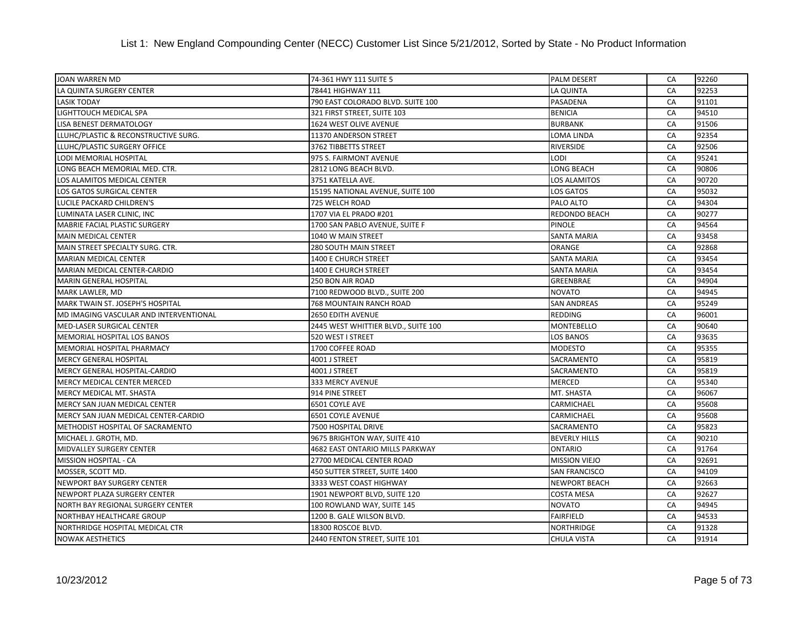| JOAN WARREN MD                         | 74-361 HWY 111 SUITE 5                 | <b>PALM DESERT</b>   | CA | 92260 |
|----------------------------------------|----------------------------------------|----------------------|----|-------|
| LA QUINTA SURGERY CENTER               | 78441 HIGHWAY 111                      | <b>LA QUINTA</b>     | CA | 92253 |
| <b>LASIK TODAY</b>                     | 790 EAST COLORADO BLVD. SUITE 100      | PASADENA             | CA | 91101 |
| LIGHTTOUCH MEDICAL SPA                 | 321 FIRST STREET, SUITE 103            | <b>BENICIA</b>       | CA | 94510 |
| LISA BENEST DERMATOLOGY                | 1624 WEST OLIVE AVENUE                 | <b>BURBANK</b>       | CA | 91506 |
| LLUHC/PLASTIC & RECONSTRUCTIVE SURG.   | 11370 ANDERSON STREET                  | <b>LOMA LINDA</b>    | CA | 92354 |
| LLUHC/PLASTIC SURGERY OFFICE           | 3762 TIBBETTS STREET                   | <b>RIVERSIDE</b>     | CA | 92506 |
| <b>LODI MEMORIAL HOSPITAL</b>          | 975 S. FAIRMONT AVENUE                 | <b>LODI</b>          | CA | 95241 |
| LONG BEACH MEMORIAL MED. CTR.          | 2812 LONG BEACH BLVD.                  | LONG BEACH           | CA | 90806 |
| LOS ALAMITOS MEDICAL CENTER            | 3751 KATELLA AVE.                      | LOS ALAMITOS         | CA | 90720 |
| LOS GATOS SURGICAL CENTER              | 15195 NATIONAL AVENUE, SUITE 100       | <b>LOS GATOS</b>     | CA | 95032 |
| LUCILE PACKARD CHILDREN'S              | 725 WELCH ROAD                         | PALO ALTO            | CA | 94304 |
| LUMINATA LASER CLINIC, INC             | 1707 VIA EL PRADO #201                 | <b>REDONDO BEACH</b> | CA | 90277 |
| MABRIE FACIAL PLASTIC SURGERY          | 1700 SAN PABLO AVENUE, SUITE F         | <b>PINOLE</b>        | CA | 94564 |
| MAIN MEDICAL CENTER                    | 1040 W MAIN STREET                     | <b>SANTA MARIA</b>   | CA | 93458 |
| MAIN STREET SPECIALTY SURG. CTR.       | 280 SOUTH MAIN STREET                  | <b>ORANGE</b>        | CA | 92868 |
| <b>MARIAN MEDICAL CENTER</b>           | 1400 E CHURCH STREET                   | <b>SANTA MARIA</b>   | CA | 93454 |
| MARIAN MEDICAL CENTER-CARDIO           | <b>1400 E CHURCH STREET</b>            | <b>SANTA MARIA</b>   | CA | 93454 |
| MARIN GENERAL HOSPITAL                 | 250 BON AIR ROAD                       | GREENBRAE            | CA | 94904 |
| MARK LAWLER, MD                        | 7100 REDWOOD BLVD., SUITE 200          | <b>NOVATO</b>        | CA | 94945 |
| MARK TWAIN ST. JOSEPH'S HOSPITAL       | <b>768 MOUNTAIN RANCH ROAD</b>         | <b>SAN ANDREAS</b>   | CA | 95249 |
| MD IMAGING VASCULAR AND INTERVENTIONAL | <b>2650 EDITH AVENUE</b>               | <b>REDDING</b>       | CA | 96001 |
| MED-LASER SURGICAL CENTER              | 2445 WEST WHITTIER BLVD., SUITE 100    | <b>MONTEBELLO</b>    | CA | 90640 |
| MEMORIAL HOSPITAL LOS BANOS            | 520 WEST I STREET                      | <b>LOS BANOS</b>     | CA | 93635 |
| MEMORIAL HOSPITAL PHARMACY             | 1700 COFFEE ROAD                       | <b>MODESTO</b>       | CA | 95355 |
| <b>MERCY GENERAL HOSPITAL</b>          | 4001 J STREET                          | SACRAMENTO           | CA | 95819 |
| MERCY GENERAL HOSPITAL-CARDIO          | 4001 J STREET                          | SACRAMENTO           | CA | 95819 |
| MERCY MEDICAL CENTER MERCED            | 333 MERCY AVENUE                       | <b>MERCED</b>        | CA | 95340 |
| MERCY MEDICAL MT. SHASTA               | 914 PINE STREET                        | MT. SHASTA           | CA | 96067 |
| MERCY SAN JUAN MEDICAL CENTER          | 6501 COYLE AVE                         | CARMICHAEL           | CA | 95608 |
| MERCY SAN JUAN MEDICAL CENTER-CARDIO   | 6501 COYLE AVENUE                      | CARMICHAEL           | CA | 95608 |
| METHODIST HOSPITAL OF SACRAMENTO       | 7500 HOSPITAL DRIVE                    | SACRAMENTO           | CA | 95823 |
| MICHAEL J. GROTH, MD.                  | 9675 BRIGHTON WAY, SUITE 410           | <b>BEVERLY HILLS</b> | CA | 90210 |
| <b>MIDVALLEY SURGERY CENTER</b>        | <b>4682 EAST ONTARIO MILLS PARKWAY</b> | <b>ONTARIO</b>       | CA | 91764 |
| MISSION HOSPITAL - CA                  | 27700 MEDICAL CENTER ROAD              | <b>MISSION VIEJO</b> | CA | 92691 |
| MOSSER, SCOTT MD.                      | 450 SUTTER STREET, SUITE 1400          | <b>SAN FRANCISCO</b> | CA | 94109 |
| NEWPORT BAY SURGERY CENTER             | 3333 WEST COAST HIGHWAY                | <b>NEWPORT BEACH</b> | CA | 92663 |
| NEWPORT PLAZA SURGERY CENTER           | 1901 NEWPORT BLVD, SUITE 120           | <b>COSTA MESA</b>    | CA | 92627 |
| NORTH BAY REGIONAL SURGERY CENTER      | 100 ROWLAND WAY, SUITE 145             | <b>NOVATO</b>        | CA | 94945 |
| NORTHBAY HEALTHCARE GROUP              | 1200 B. GALE WILSON BLVD.              | <b>FAIRFIELD</b>     | CA | 94533 |
| NORTHRIDGE HOSPITAL MEDICAL CTR        | 18300 ROSCOE BLVD.                     | <b>NORTHRIDGE</b>    | CA | 91328 |
| <b>NOWAK AESTHETICS</b>                | 2440 FENTON STREET, SUITE 101          | <b>CHULA VISTA</b>   | CA | 91914 |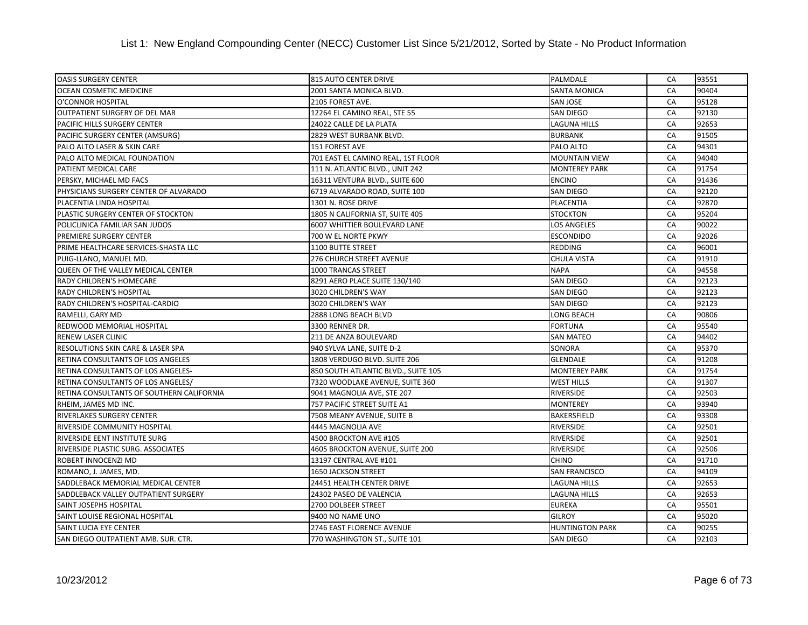| <b>OASIS SURGERY CENTER</b>               | 815 AUTO CENTER DRIVE               | PALMDALE               | CA | 93551 |
|-------------------------------------------|-------------------------------------|------------------------|----|-------|
| OCEAN COSMETIC MEDICINE                   | 2001 SANTA MONICA BLVD.             | <b>SANTA MONICA</b>    | CA | 90404 |
| O'CONNOR HOSPITAL                         | 2105 FOREST AVE.                    | <b>SAN JOSE</b>        | CA | 95128 |
| <b>OUTPATIENT SURGERY OF DEL MAR</b>      | 12264 EL CAMINO REAL, STE 55        | <b>SAN DIEGO</b>       | CA | 92130 |
| PACIFIC HILLS SURGERY CENTER              | 24022 CALLE DE LA PLATA             | LAGUNA HILLS           | CA | 92653 |
| PACIFIC SURGERY CENTER (AMSURG)           | 2829 WEST BURBANK BLVD.             | <b>BURBANK</b>         | CA | 91505 |
| PALO ALTO LASER & SKIN CARE               | 151 FOREST AVE                      | PALO ALTO              | CA | 94301 |
| PALO ALTO MEDICAL FOUNDATION              | 701 EAST EL CAMINO REAL, 1ST FLOOR  | <b>MOUNTAIN VIEW</b>   | CA | 94040 |
| PATIENT MEDICAL CARE                      | 111 N. ATLANTIC BLVD., UNIT 242     | <b>MONTEREY PARK</b>   | CA | 91754 |
| PERSKY, MICHAEL MD FACS                   | 16311 VENTURA BLVD., SUITE 600      | <b>ENCINO</b>          | CA | 91436 |
| PHYSICIANS SURGERY CENTER OF ALVARADO     | 6719 ALVARADO ROAD, SUITE 100       | <b>SAN DIEGO</b>       | CA | 92120 |
| PLACENTIA LINDA HOSPITAL                  | 1301 N. ROSE DRIVE                  | PLACENTIA              | CA | 92870 |
| PLASTIC SURGERY CENTER OF STOCKTON        | 1805 N CALIFORNIA ST, SUITE 405     | <b>STOCKTON</b>        | CA | 95204 |
| POLICLINICA FAMILIAR SAN JUDOS            | 6007 WHITTIER BOULEVARD LANE        | <b>LOS ANGELES</b>     | CA | 90022 |
| PREMIERE SURGERY CENTER                   | 700 W EL NORTE PKWY                 | <b>ESCONDIDO</b>       | CA | 92026 |
| PRIME HEALTHCARE SERVICES-SHASTA LLC      | 1100 BUTTE STREET                   | <b>REDDING</b>         | CA | 96001 |
| PUIG-LLANO, MANUEL MD.                    | 276 CHURCH STREET AVENUE            | <b>CHULA VISTA</b>     | CA | 91910 |
| <b>QUEEN OF THE VALLEY MEDICAL CENTER</b> | 1000 TRANCAS STREET                 | <b>NAPA</b>            | CA | 94558 |
| RADY CHILDREN'S HOMECARE                  | 8291 AERO PLACE SUITE 130/140       | SAN DIEGO              | CA | 92123 |
| RADY CHILDREN'S HOSPITAL                  | 3020 CHILDREN'S WAY                 | <b>SAN DIEGO</b>       | CA | 92123 |
| RADY CHILDREN'S HOSPITAL-CARDIO           | 3020 CHILDREN'S WAY                 | <b>SAN DIEGO</b>       | CA | 92123 |
| RAMELLI, GARY MD                          | 2888 LONG BEACH BLVD                | LONG BEACH             | CA | 90806 |
| REDWOOD MEMORIAL HOSPITAL                 | 3300 RENNER DR.                     | <b>FORTUNA</b>         | CA | 95540 |
| RENEW LASER CLINIC                        | 211 DE ANZA BOULEVARD               | <b>SAN MATEO</b>       | CA | 94402 |
| RESOLUTIONS SKIN CARE & LASER SPA         | 940 SYLVA LANE, SUITE D-2           | <b>SONORA</b>          | CA | 95370 |
| RETINA CONSULTANTS OF LOS ANGELES         | 1808 VERDUGO BLVD. SUITE 206        | <b>GLENDALE</b>        | CA | 91208 |
| RETINA CONSULTANTS OF LOS ANGELES-        | 850 SOUTH ATLANTIC BLVD., SUITE 105 | <b>MONTEREY PARK</b>   | CA | 91754 |
| RETINA CONSULTANTS OF LOS ANGELES/        | 7320 WOODLAKE AVENUE, SUITE 360     | <b>WEST HILLS</b>      | CA | 91307 |
| RETINA CONSULTANTS OF SOUTHERN CALIFORNIA | 9041 MAGNOLIA AVE, STE 207          | <b>RIVERSIDE</b>       | CA | 92503 |
| RHEIM, JAMES MD INC.                      | 757 PACIFIC STREET SUITE A1         | <b>MONTEREY</b>        | CA | 93940 |
| RIVERLAKES SURGERY CENTER                 | 7508 MEANY AVENUE, SUITE B          | <b>BAKERSFIELD</b>     | CA | 93308 |
| RIVERSIDE COMMUNITY HOSPITAL              | 4445 MAGNOLIA AVE                   | RIVERSIDE              | CA | 92501 |
| RIVERSIDE EENT INSTITUTE SURG             | 4500 BROCKTON AVE #105              | <b>RIVERSIDE</b>       | CA | 92501 |
| RIVERSIDE PLASTIC SURG. ASSOCIATES        | 4605 BROCKTON AVENUE, SUITE 200     | <b>RIVERSIDE</b>       | CA | 92506 |
| ROBERT INNOCENZI MD                       | 13197 CENTRAL AVE #101              | <b>CHINO</b>           | CA | 91710 |
| ROMANO, J. JAMES, MD.                     | <b>1650 JACKSON STREET</b>          | SAN FRANCISCO          | CA | 94109 |
| SADDLEBACK MEMORIAL MEDICAL CENTER        | 24451 HEALTH CENTER DRIVE           | LAGUNA HILLS           | CA | 92653 |
| SADDLEBACK VALLEY OUTPATIENT SURGERY      | 24302 PASEO DE VALENCIA             | LAGUNA HILLS           | CA | 92653 |
| SAINT JOSEPHS HOSPITAL                    | 2700 DOLBEER STREET                 | <b>EUREKA</b>          | CA | 95501 |
| SAINT LOUISE REGIONAL HOSPITAL            | 9400 NO NAME UNO                    | GILROY                 | CA | 95020 |
| SAINT LUCIA EYE CENTER                    | 2746 EAST FLORENCE AVENUE           | <b>HUNTINGTON PARK</b> | CA | 90255 |
| SAN DIEGO OUTPATIENT AMB. SUR. CTR.       | 770 WASHINGTON ST., SUITE 101       | <b>SAN DIEGO</b>       | CA | 92103 |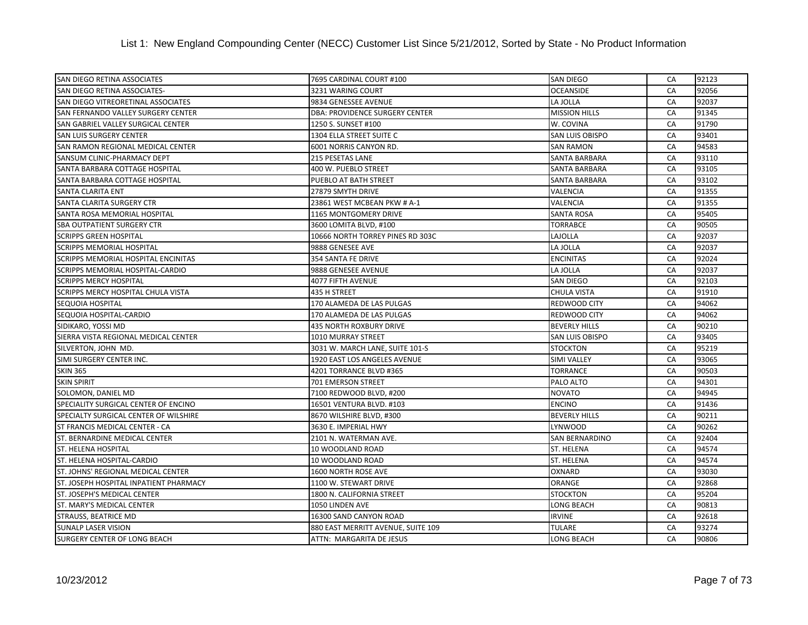| SAN DIEGO RETINA ASSOCIATES            | 7695 CARDINAL COURT #100              | <b>SAN DIEGO</b>       | CA | 92123 |
|----------------------------------------|---------------------------------------|------------------------|----|-------|
| SAN DIEGO RETINA ASSOCIATES-           | 3231 WARING COURT                     | <b>OCEANSIDE</b>       | CA | 92056 |
| SAN DIEGO VITREORETINAL ASSOCIATES     | 9834 GENESSEE AVENUE                  | LA JOLLA               | CA | 92037 |
| SAN FERNANDO VALLEY SURGERY CENTER     | <b>DBA: PROVIDENCE SURGERY CENTER</b> | <b>MISSION HILLS</b>   | CA | 91345 |
| SAN GABRIEL VALLEY SURGICAL CENTER     | 1250 S. SUNSET #100                   | W. COVINA              | CA | 91790 |
| SAN LUIS SURGERY CENTER                | 1304 ELLA STREET SUITE C              | SAN LUIS OBISPO        | CA | 93401 |
| SAN RAMON REGIONAL MEDICAL CENTER      | 6001 NORRIS CANYON RD.                | <b>SAN RAMON</b>       | CA | 94583 |
| SANSUM CLINIC-PHARMACY DEPT            | <b>215 PESETAS LANE</b>               | <b>SANTA BARBARA</b>   | CA | 93110 |
| SANTA BARBARA COTTAGE HOSPITAL         | 400 W. PUEBLO STREET                  | SANTA BARBARA          | CA | 93105 |
| SANTA BARBARA COTTAGE HOSPITAL         | PUEBLO AT BATH STREET                 | <b>SANTA BARBARA</b>   | CA | 93102 |
| <b>SANTA CLARITA ENT</b>               | 27879 SMYTH DRIVE                     | VALENCIA               | CA | 91355 |
| SANTA CLARITA SURGERY CTR              | 23861 WEST MCBEAN PKW # A-1           | <b>VALENCIA</b>        | CA | 91355 |
| SANTA ROSA MEMORIAL HOSPITAL           | <b>1165 MONTGOMERY DRIVE</b>          | <b>SANTA ROSA</b>      | CA | 95405 |
| SBA OUTPATIENT SURGERY CTR             | 3600 LOMITA BLVD, #100                | TORRABCE               | CA | 90505 |
| <b>SCRIPPS GREEN HOSPITAL</b>          | 10666 NORTH TORREY PINES RD 303C      | LAJOLLA                | CA | 92037 |
| <b>SCRIPPS MEMORIAL HOSPITAL</b>       | 9888 GENESEE AVE                      | LA JOLLA               | CA | 92037 |
| SCRIPPS MEMORIAL HOSPITAL ENCINITAS    | 354 SANTA FE DRIVE                    | <b>ENCINITAS</b>       | CA | 92024 |
| SCRIPPS MEMORIAL HOSPITAL-CARDIO       | 9888 GENESEE AVENUE                   | LA JOLLA               | CA | 92037 |
| <b>SCRIPPS MERCY HOSPITAL</b>          | 4077 FIFTH AVENUE                     | SAN DIEGO              | CA | 92103 |
| SCRIPPS MERCY HOSPITAL CHULA VISTA     | 435 H STREET                          | <b>CHULA VISTA</b>     | CA | 91910 |
| SEQUOIA HOSPITAL                       | 170 ALAMEDA DE LAS PULGAS             | <b>REDWOOD CITY</b>    | CA | 94062 |
| SEQUOIA HOSPITAL-CARDIO                | 170 ALAMEDA DE LAS PULGAS             | <b>REDWOOD CITY</b>    | CA | 94062 |
| SIDIKARO, YOSSI MD                     | <b>435 NORTH ROXBURY DRIVE</b>        | <b>BEVERLY HILLS</b>   | CA | 90210 |
| SIERRA VISTA REGIONAL MEDICAL CENTER   | 1010 MURRAY STREET                    | <b>SAN LUIS OBISPO</b> | CA | 93405 |
| SILVERTON, JOHN MD.                    | 3031 W. MARCH LANE, SUITE 101-S       | <b>STOCKTON</b>        | CA | 95219 |
| SIMI SURGERY CENTER INC.               | 1920 EAST LOS ANGELES AVENUE          | <b>SIMI VALLEY</b>     | CA | 93065 |
| <b>SKIN 365</b>                        | 4201 TORRANCE BLVD #365               | TORRANCE               | CA | 90503 |
| <b>SKIN SPIRIT</b>                     | 701 EMERSON STREET                    | PALO ALTO              | CA | 94301 |
| SOLOMON, DANIEL MD                     | 7100 REDWOOD BLVD, #200               | <b>NOVATO</b>          | CA | 94945 |
| SPECIALITY SURGICAL CENTER OF ENCINO   | 16501 VENTURA BLVD. #103              | <b>ENCINO</b>          | CA | 91436 |
| SPECIALTY SURGICAL CENTER OF WILSHIRE  | 8670 WILSHIRE BLVD, #300              | <b>BEVERLY HILLS</b>   | CA | 90211 |
| ST FRANCIS MEDICAL CENTER - CA         | 3630 E. IMPERIAL HWY                  | LYNWOOD                | CA | 90262 |
| ST. BERNARDINE MEDICAL CENTER          | 2101 N. WATERMAN AVE.                 | <b>SAN BERNARDINO</b>  | CA | 92404 |
| <b>ST. HELENA HOSPITAL</b>             | 10 WOODLAND ROAD                      | <b>ST. HELENA</b>      | CA | 94574 |
| <b>ST. HELENA HOSPITAL-CARDIO</b>      | 10 WOODLAND ROAD                      | <b>ST. HELENA</b>      | CA | 94574 |
| ST. JOHNS' REGIONAL MEDICAL CENTER     | 1600 NORTH ROSE AVE                   | OXNARD                 | CA | 93030 |
| ST. JOSEPH HOSPITAL INPATIENT PHARMACY | 1100 W. STEWART DRIVE                 | ORANGE                 | CA | 92868 |
| ST. JOSEPH'S MEDICAL CENTER            | 1800 N. CALIFORNIA STREET             | <b>STOCKTON</b>        | CA | 95204 |
| ST. MARY'S MEDICAL CENTER              | 1050 LINDEN AVE                       | LONG BEACH             | CA | 90813 |
| STRAUSS, BEATRICE MD                   | 16300 SAND CANYON ROAD                | <b>IRVINE</b>          | CA | 92618 |
| <b>SUNALP LASER VISION</b>             | 880 EAST MERRITT AVENUE, SUITE 109    | TULARE                 | CA | 93274 |
| <b>SURGERY CENTER OF LONG BEACH</b>    | ATTN: MARGARITA DE JESUS              | <b>LONG BEACH</b>      | CA | 90806 |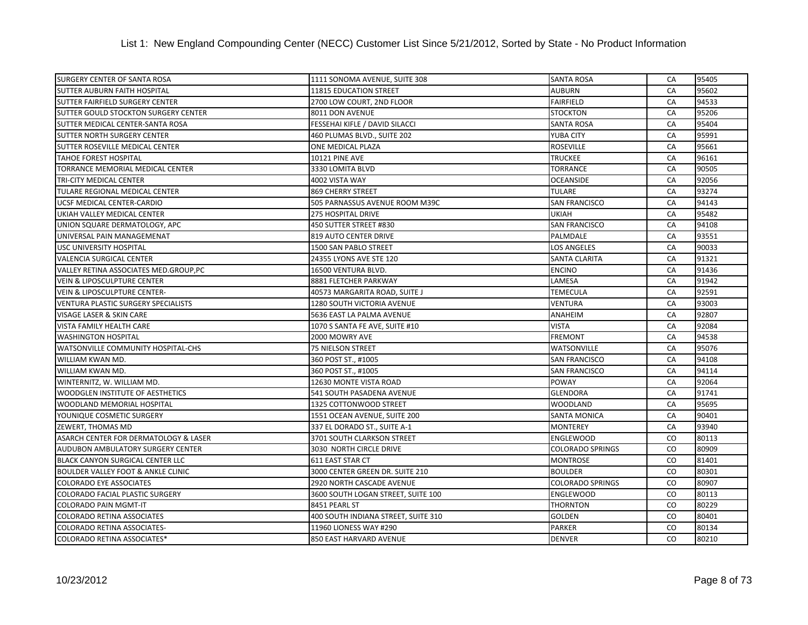| SURGERY CENTER OF SANTA ROSA            | 1111 SONOMA AVENUE, SUITE 308       | <b>SANTA ROSA</b>       | CA        | 95405 |
|-----------------------------------------|-------------------------------------|-------------------------|-----------|-------|
| SUTTER AUBURN FAITH HOSPITAL            | 11815 EDUCATION STREET              | <b>AUBURN</b>           | CA        | 95602 |
| SUTTER FAIRFIELD SURGERY CENTER         | 2700 LOW COURT, 2ND FLOOR           | <b>FAIRFIELD</b>        | CA        | 94533 |
| SUTTER GOULD STOCKTON SURGERY CENTER    | 8011 DON AVENUE                     | <b>STOCKTON</b>         | CA        | 95206 |
| SUTTER MEDICAL CENTER-SANTA ROSA        | FESSEHAI KIFLE / DAVID SILACCI      | <b>SANTA ROSA</b>       | CA        | 95404 |
| SUTTER NORTH SURGERY CENTER             | 460 PLUMAS BLVD., SUITE 202         | <b>YUBA CITY</b>        | CA        | 95991 |
| SUTTER ROSEVILLE MEDICAL CENTER         | <b>ONE MEDICAL PLAZA</b>            | <b>ROSEVILLE</b>        | CA        | 95661 |
| TAHOE FOREST HOSPITAL                   | <b>10121 PINE AVE</b>               | <b>TRUCKEE</b>          | CA        | 96161 |
| TORRANCE MEMORIAL MEDICAL CENTER        | 3330 LOMITA BLVD                    | TORRANCE                | CA        | 90505 |
| TRI-CITY MEDICAL CENTER                 | 4002 VISTA WAY                      | <b>OCEANSIDE</b>        | CA        | 92056 |
| TULARE REGIONAL MEDICAL CENTER          | 869 CHERRY STREET                   | TULARE                  | CA        | 93274 |
| UCSF MEDICAL CENTER-CARDIO              | 505 PARNASSUS AVENUE ROOM M39C      | <b>SAN FRANCISCO</b>    | CA        | 94143 |
| UKIAH VALLEY MEDICAL CENTER             | 275 HOSPITAL DRIVE                  | <b>UKIAH</b>            | CA        | 95482 |
| UNION SQUARE DERMATOLOGY, APC           | 450 SUTTER STREET #830              | <b>SAN FRANCISCO</b>    | CA        | 94108 |
| UNIVERSAL PAIN MANAGEMENAT              | 819 AUTO CENTER DRIVE               | PALMDALE                | CA        | 93551 |
| USC UNIVERSITY HOSPITAL                 | 1500 SAN PABLO STREET               | <b>LOS ANGELES</b>      | CA        | 90033 |
| <b>VALENCIA SURGICAL CENTER</b>         | 24355 LYONS AVE STE 120             | <b>SANTA CLARITA</b>    | CA        | 91321 |
| VALLEY RETINA ASSOCIATES MED.GROUP,PC   | 16500 VENTURA BLVD.                 | <b>ENCINO</b>           | CA        | 91436 |
| <b>VEIN &amp; LIPOSCULPTURE CENTER</b>  | 8881 FLETCHER PARKWAY               | LAMESA                  | CA        | 91942 |
| <b>VEIN &amp; LIPOSCULPTURE CENTER-</b> | 40573 MARGARITA ROAD, SUITE J       | <b>TEMECULA</b>         | CA        | 92591 |
| VENTURA PLASTIC SURGERY SPECIALISTS     | 1280 SOUTH VICTORIA AVENUE          | <b>VENTURA</b>          | CA        | 93003 |
| VISAGE LASER & SKIN CARE                | 5636 EAST LA PALMA AVENUE           | ANAHEIM                 | CA        | 92807 |
| VISTA FAMILY HEALTH CARE                | 1070 S SANTA FE AVE, SUITE #10      | VISTA                   | CA        | 92084 |
| <b>WASHINGTON HOSPITAL</b>              | 2000 MOWRY AVE                      | <b>FREMONT</b>          | CA        | 94538 |
| WATSONVILLE COMMUNITY HOSPITAL-CHS      | <b>75 NIELSON STREET</b>            | <b>WATSONVILLE</b>      | CA        | 95076 |
| WILLIAM KWAN MD.                        | 360 POST ST., #1005                 | <b>SAN FRANCISCO</b>    | CA        | 94108 |
| WILLIAM KWAN MD.                        | 360 POST ST., #1005                 | SAN FRANCISCO           | CA        | 94114 |
| WINTERNITZ, W. WILLIAM MD.              | 12630 MONTE VISTA ROAD              | POWAY                   | CA        | 92064 |
| WOODGLEN INSTITUTE OF AESTHETICS        | 541 SOUTH PASADENA AVENUE           | <b>GLENDORA</b>         | CA        | 91741 |
| WOODLAND MEMORIAL HOSPITAL              | 1325 COTTONWOOD STREET              | <b>WOODLAND</b>         | CA        | 95695 |
| YOUNIQUE COSMETIC SURGERY               | 1551 OCEAN AVENUE, SUITE 200        | <b>SANTA MONICA</b>     | CA        | 90401 |
| ZEWERT, THOMAS MD                       | 337 EL DORADO ST., SUITE A-1        | <b>MONTEREY</b>         | CA        | 93940 |
| ASARCH CENTER FOR DERMATOLOGY & LASER   | 3701 SOUTH CLARKSON STREET          | <b>ENGLEWOOD</b>        | CO        | 80113 |
| AUDUBON AMBULATORY SURGERY CENTER       | 3030 NORTH CIRCLE DRIVE             | <b>COLORADO SPRINGS</b> | CO.       | 80909 |
| BLACK CANYON SURGICAL CENTER LLC        | <b>611 EAST STAR CT</b>             | <b>MONTROSE</b>         | CO        | 81401 |
| BOULDER VALLEY FOOT & ANKLE CLINIC      | 3000 CENTER GREEN DR. SUITE 210     | <b>BOULDER</b>          | CO        | 80301 |
| <b>COLORADO EYE ASSOCIATES</b>          | 2920 NORTH CASCADE AVENUE           | <b>COLORADO SPRINGS</b> | CO.       | 80907 |
| COLORADO FACIAL PLASTIC SURGERY         | 3600 SOUTH LOGAN STREET, SUITE 100  | <b>ENGLEWOOD</b>        | <b>CO</b> | 80113 |
| <b>COLORADO PAIN MGMT-IT</b>            | 8451 PEARL ST                       | <b>THORNTON</b>         | CO.       | 80229 |
| <b>COLORADO RETINA ASSOCIATES</b>       | 400 SOUTH INDIANA STREET, SUITE 310 | <b>GOLDEN</b>           | CO        | 80401 |
| COLORADO RETINA ASSOCIATES-             | 11960 LIONESS WAY #290              | <b>PARKER</b>           | CO.       | 80134 |
| <b>COLORADO RETINA ASSOCIATES*</b>      | 850 EAST HARVARD AVENUE             | <b>DENVER</b>           | CO        | 80210 |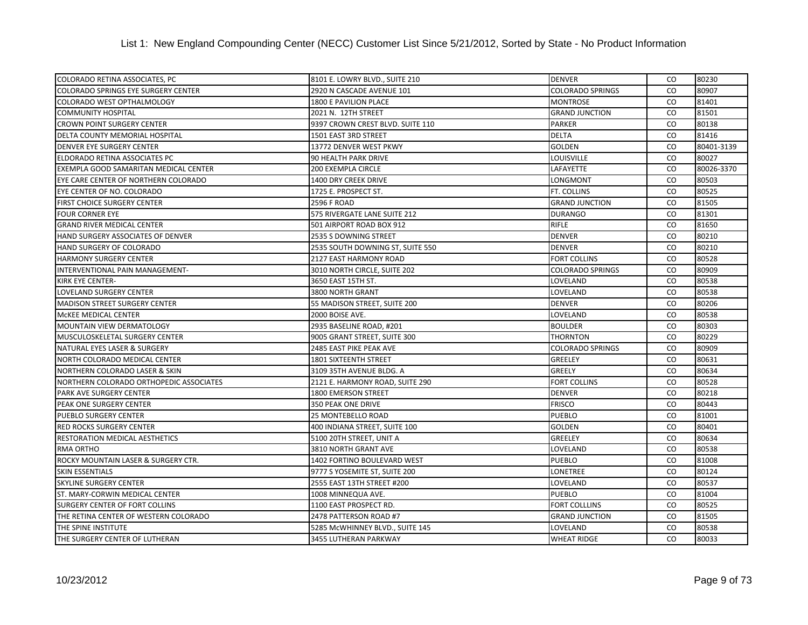| COLORADO RETINA ASSOCIATES, PC             | 8101 E. LOWRY BLVD., SUITE 210   | <b>DENVER</b>           | CO.       | 80230      |
|--------------------------------------------|----------------------------------|-------------------------|-----------|------------|
| <b>COLORADO SPRINGS EYE SURGERY CENTER</b> | 2920 N CASCADE AVENUE 101        | <b>COLORADO SPRINGS</b> | <b>CO</b> | 80907      |
| COLORADO WEST OPTHALMOLOGY                 | 1800 E PAVILION PLACE            | <b>MONTROSE</b>         | <b>CO</b> | 81401      |
| <b>COMMUNITY HOSPITAL</b>                  | 2021 N. 12TH STREET              | <b>GRAND JUNCTION</b>   | CO.       | 81501      |
| <b>CROWN POINT SURGERY CENTER</b>          | 9397 CROWN CREST BLVD. SUITE 110 | <b>PARKER</b>           | CO.       | 80138      |
| DELTA COUNTY MEMORIAL HOSPITAL             | 1501 EAST 3RD STREET             | <b>DELTA</b>            | CO        | 81416      |
| <b>DENVER EYE SURGERY CENTER</b>           | 13772 DENVER WEST PKWY           | <b>GOLDEN</b>           | CO        | 80401-3139 |
| ELDORADO RETINA ASSOCIATES PC              | 90 HEALTH PARK DRIVE             | <b>LOUISVILLE</b>       | CO.       | 80027      |
| EXEMPLA GOOD SAMARITAN MEDICAL CENTER      | 200 EXEMPLA CIRCLE               | LAFAYETTE               | <b>CO</b> | 80026-3370 |
| EYE CARE CENTER OF NORTHERN COLORADO       | 1400 DRY CREEK DRIVE             | LONGMONT                | <b>CO</b> | 80503      |
| EYE CENTER OF NO. COLORADO                 | 1725 E. PROSPECT ST.             | FT. COLLINS             | <b>CO</b> | 80525      |
| <b>FIRST CHOICE SURGERY CENTER</b>         | 2596 F ROAD                      | <b>GRAND JUNCTION</b>   | CO.       | 81505      |
| <b>FOUR CORNER EYE</b>                     | 575 RIVERGATE LANE SUITE 212     | <b>DURANGO</b>          | CO.       | 81301      |
| <b>GRAND RIVER MEDICAL CENTER</b>          | 501 AIRPORT ROAD BOX 912         | <b>RIFLE</b>            | <b>CO</b> | 81650      |
| HAND SURGERY ASSOCIATES OF DENVER          | 2535 S DOWNING STREET            | <b>DENVER</b>           | <b>CO</b> | 80210      |
| HAND SURGERY OF COLORADO                   | 2535 SOUTH DOWNING ST, SUITE 550 | <b>DENVER</b>           | CO.       | 80210      |
| <b>HARMONY SURGERY CENTER</b>              | 2127 EAST HARMONY ROAD           | <b>FORT COLLINS</b>     | <b>CO</b> | 80528      |
| INTERVENTIONAL PAIN MANAGEMENT-            | 3010 NORTH CIRCLE, SUITE 202     | <b>COLORADO SPRINGS</b> | <b>CO</b> | 80909      |
| <b>KIRK EYE CENTER-</b>                    | 3650 EAST 15TH ST.               | LOVELAND                | <b>CO</b> | 80538      |
| <b>LOVELAND SURGERY CENTER</b>             | 3800 NORTH GRANT                 | LOVELAND                | <b>CO</b> | 80538      |
| <b>MADISON STREET SURGERY CENTER</b>       | 55 MADISON STREET, SUITE 200     | <b>DENVER</b>           | <b>CO</b> | 80206      |
| <b>MCKEE MEDICAL CENTER</b>                | 2000 BOISE AVE.                  | LOVELAND                | CO        | 80538      |
| <b>MOUNTAIN VIEW DERMATOLOGY</b>           | 2935 BASELINE ROAD, #201         | <b>BOULDER</b>          | CO        | 80303      |
| MUSCULOSKELETAL SURGERY CENTER             | 9005 GRANT STREET, SUITE 300     | <b>THORNTON</b>         | CO.       | 80229      |
| NATURAL EYES LASER & SURGERY               | 2485 EAST PIKE PEAK AVE          | <b>COLORADO SPRINGS</b> | <b>CO</b> | 80909      |
| NORTH COLORADO MEDICAL CENTER              | 1801 SIXTEENTH STREET            | <b>GREELEY</b>          | CO        | 80631      |
| <b>NORTHERN COLORADO LASER &amp; SKIN</b>  | 3109 35TH AVENUE BLDG. A         | <b>GREELY</b>           | CO.       | 80634      |
| NORTHERN COLORADO ORTHOPEDIC ASSOCIATES    | 2121 E. HARMONY ROAD, SUITE 290  | <b>FORT COLLINS</b>     | CO.       | 80528      |
| PARK AVE SURGERY CENTER                    | 1800 EMERSON STREET              | <b>DENVER</b>           | <b>CO</b> | 80218      |
| PEAK ONE SURGERY CENTER                    | 350 PEAK ONE DRIVE               | <b>FRISCO</b>           | CO        | 80443      |
| <b>PUEBLO SURGERY CENTER</b>               | 25 MONTEBELLO ROAD               | PUEBLO                  | CO.       | 81001      |
| <b>RED ROCKS SURGERY CENTER</b>            | 400 INDIANA STREET, SUITE 100    | <b>GOLDEN</b>           | <b>CO</b> | 80401      |
| RESTORATION MEDICAL AESTHETICS             | 5100 20TH STREET, UNIT A         | <b>GREELEY</b>          | <b>CO</b> | 80634      |
| RMA ORTHO                                  | 3810 NORTH GRANT AVE             | LOVELAND                | <b>CO</b> | 80538      |
| ROCKY MOUNTAIN LASER & SURGERY CTR.        | 1402 FORTINO BOULEVARD WEST      | <b>PUEBLO</b>           | CO.       | 81008      |
| <b>SKIN ESSENTIALS</b>                     | 9777 S YOSEMITE ST, SUITE 200    | LONETREE                | <b>CO</b> | 80124      |
| <b>SKYLINE SURGERY CENTER</b>              | 2555 EAST 13TH STREET #200       | LOVELAND                | <b>CO</b> | 80537      |
| ST. MARY-CORWIN MEDICAL CENTER             | 1008 MINNEQUA AVE.               | <b>PUEBLO</b>           | CO.       | 81004      |
| <b>SURGERY CENTER OF FORT COLLINS</b>      | 1100 EAST PROSPECT RD.           | <b>FORT COLLLINS</b>    | <b>CO</b> | 80525      |
| THE RETINA CENTER OF WESTERN COLORADO      | 2478 PATTERSON ROAD #7           | <b>GRAND JUNCTION</b>   | <b>CO</b> | 81505      |
| THE SPINE INSTITUTE                        | 5285 McWHINNEY BLVD., SUITE 145  | LOVELAND                | CO.       | 80538      |
| THE SURGERY CENTER OF LUTHERAN             | 3455 LUTHERAN PARKWAY            | <b>WHEAT RIDGE</b>      | CO        | 80033      |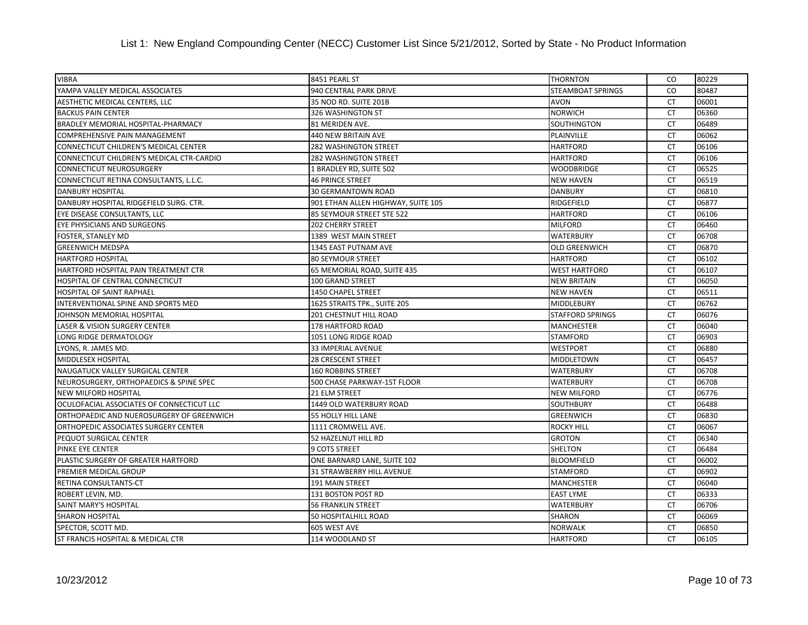## List 1: New England Compounding Center (NECC) Customer List Since 5/21/2012, Sorted by State - No Product Information

| <b>VIBRA</b>                                 | 8451 PEARL ST                      | <b>THORNTON</b>         | CO.       | 80229 |
|----------------------------------------------|------------------------------------|-------------------------|-----------|-------|
| YAMPA VALLEY MEDICAL ASSOCIATES              | 940 CENTRAL PARK DRIVE             | STEAMBOAT SPRINGS       | <b>CO</b> | 80487 |
| AESTHETIC MEDICAL CENTERS, LLC               | 35 NOD RD. SUITE 201B              | <b>AVON</b>             | <b>CT</b> | 06001 |
| <b>BACKUS PAIN CENTER</b>                    | 326 WASHINGTON ST                  | <b>NORWICH</b>          | <b>CT</b> | 06360 |
| BRADLEY MEMORIAL HOSPITAL-PHARMACY           | 81 MERIDEN AVE.                    | <b>SOUTHINGTON</b>      | <b>CT</b> | 06489 |
| <b>COMPREHENSIVE PAIN MANAGEMENT</b>         | <b>440 NEW BRITAIN AVE</b>         | PLAINVILLE              | <b>CT</b> | 06062 |
| <b>CONNECTICUT CHILDREN'S MEDICAL CENTER</b> | <b>282 WASHINGTON STREET</b>       | <b>HARTFORD</b>         | <b>CT</b> | 06106 |
| CONNECTICUT CHILDREN'S MEDICAL CTR-CARDIO    | 282 WASHINGTON STREET              | <b>HARTFORD</b>         | <b>CT</b> | 06106 |
| <b>CONNECTICUT NEUROSURGERY</b>              | 1 BRADLEY RD, SUITE 502            | <b>WOODBRIDGE</b>       | CT        | 06525 |
| CONNECTICUT RETINA CONSULTANTS, L.L.C.       | <b>46 PRINCE STREET</b>            | <b>NEW HAVEN</b>        | <b>CT</b> | 06519 |
| <b>DANBURY HOSPITAL</b>                      | <b>30 GERMANTOWN ROAD</b>          | <b>DANBURY</b>          | <b>CT</b> | 06810 |
| DANBURY HOSPITAL RIDGEFIELD SURG. CTR.       | 901 ETHAN ALLEN HIGHWAY, SUITE 105 | RIDGEFIELD              | CT        | 06877 |
| EYE DISEASE CONSULTANTS, LLC                 | 85 SEYMOUR STREET STE 522          | <b>HARTFORD</b>         | <b>CT</b> | 06106 |
| EYE PHYSICIANS AND SURGEONS                  | <b>202 CHERRY STREET</b>           | <b>MILFORD</b>          | <b>CT</b> | 06460 |
| FOSTER, STANLEY MD                           | 1389 WEST MAIN STREET              | <b>WATERBURY</b>        | <b>CT</b> | 06708 |
| <b>GREENWICH MEDSPA</b>                      | 1345 EAST PUTNAM AVE               | <b>OLD GREENWICH</b>    | <b>CT</b> | 06870 |
| <b>HARTFORD HOSPITAL</b>                     | <b>80 SEYMOUR STREET</b>           | <b>HARTFORD</b>         | <b>CT</b> | 06102 |
| HARTFORD HOSPITAL PAIN TREATMENT CTR         | 65 MEMORIAL ROAD, SUITE 435        | <b>WEST HARTFORD</b>    | <b>CT</b> | 06107 |
| HOSPITAL OF CENTRAL CONNECTICUT              | 100 GRAND STREET                   | <b>NEW BRITAIN</b>      | <b>CT</b> | 06050 |
| HOSPITAL OF SAINT RAPHAEL                    | 1450 CHAPEL STREET                 | <b>NEW HAVEN</b>        | <b>CT</b> | 06511 |
| INTERVENTIONAL SPINE AND SPORTS MED          | 1625 STRAITS TPK., SUITE 205       | <b>MIDDLEBURY</b>       | <b>CT</b> | 06762 |
| JOHNSON MEMORIAL HOSPITAL                    | <b>201 CHESTNUT HILL ROAD</b>      | <b>STAFFORD SPRINGS</b> | <b>CT</b> | 06076 |
| LASER & VISION SURGERY CENTER                | 178 HARTFORD ROAD                  | <b>MANCHESTER</b>       | <b>CT</b> | 06040 |
| LONG RIDGE DERMATOLOGY                       | 1051 LONG RIDGE ROAD               | <b>STAMFORD</b>         | <b>CT</b> | 06903 |
| LYONS, R. JAMES MD.                          | 33 IMPERIAL AVENUE                 | <b>WESTPORT</b>         | <b>CT</b> | 06880 |
| MIDDLESEX HOSPITAL                           | <b>28 CRESCENT STREET</b>          | <b>MIDDLETOWN</b>       | <b>CT</b> | 06457 |
| NAUGATUCK VALLEY SURGICAL CENTER             | <b>160 ROBBINS STREET</b>          | <b>WATERBURY</b>        | <b>CT</b> | 06708 |
| NEUROSURGERY, ORTHOPAEDICS & SPINE SPEC      | 500 CHASE PARKWAY-1ST FLOOR        | <b>WATERBURY</b>        | <b>CT</b> | 06708 |
| <b>NEW MILFORD HOSPITAL</b>                  | 21 ELM STREET                      | <b>NEW MILFORD</b>      | <b>CT</b> | 06776 |
| OCULOFACIAL ASSOCIATES OF CONNECTICUT LLC    | 1449 OLD WATERBURY ROAD            | <b>SOUTHBURY</b>        | <b>CT</b> | 06488 |
| ORTHOPAEDIC AND NUEROSURGERY OF GREENWICH    | <b>55 HOLLY HILL LANE</b>          | <b>GREENWICH</b>        | <b>CT</b> | 06830 |
| ORTHOPEDIC ASSOCIATES SURGERY CENTER         | 1111 CROMWELL AVE.                 | ROCKY HILL              | <b>CT</b> | 06067 |
| PEQUOT SURGICAL CENTER                       | 52 HAZELNUT HILL RD                | <b>GROTON</b>           | CT        | 06340 |
| PINKE EYE CENTER                             | 9 COTS STREET                      | <b>SHELTON</b>          | <b>CT</b> | 06484 |
| PLASTIC SURGERY OF GREATER HARTFORD          | ONE BARNARD LANE, SUITE 102        | <b>BLOOMFIELD</b>       | <b>CT</b> | 06002 |
| PREMIER MEDICAL GROUP                        | 31 STRAWBERRY HILL AVENUE          | <b>STAMFORD</b>         | <b>CT</b> | 06902 |
| RETINA CONSULTANTS-CT                        | 191 MAIN STREET                    | <b>MANCHESTER</b>       | <b>CT</b> | 06040 |
| ROBERT LEVIN, MD.                            | 131 BOSTON POST RD                 | <b>EAST LYME</b>        | <b>CT</b> | 06333 |
| SAINT MARY'S HOSPITAL                        | <b>56 FRANKLIN STREET</b>          | <b>WATERBURY</b>        | <b>CT</b> | 06706 |
| <b>SHARON HOSPITAL</b>                       | 50 HOSPITALHILL ROAD               | <b>SHARON</b>           | <b>CT</b> | 06069 |
| SPECTOR, SCOTT MD.                           | 605 WEST AVE                       | <b>NORWALK</b>          | <b>CT</b> | 06850 |
| ST FRANCIS HOSPITAL & MEDICAL CTR            | 114 WOODLAND ST                    | <b>HARTFORD</b>         | <b>CT</b> | 06105 |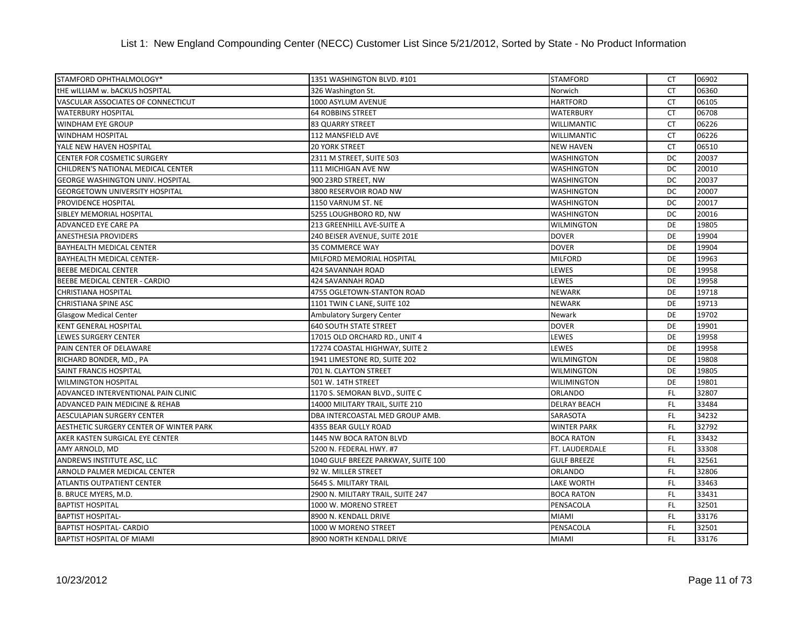| STAMFORD OPHTHALMOLOGY*                 | 1351 WASHINGTON BLVD. #101          | <b>STAMFORD</b>       | CT        | 06902 |
|-----------------------------------------|-------------------------------------|-----------------------|-----------|-------|
| tHE wILLIAM w. bACKUS hOSPITAL          | 326 Washington St.                  | Norwich               | <b>CT</b> | 06360 |
| VASCULAR ASSOCIATES OF CONNECTICUT      | 1000 ASYLUM AVENUE                  | <b>HARTFORD</b>       | <b>CT</b> | 06105 |
| <b>WATERBURY HOSPITAL</b>               | <b>64 ROBBINS STREET</b>            | <b>WATERBURY</b>      | <b>CT</b> | 06708 |
| <b>WINDHAM EYE GROUP</b>                | 83 QUARRY STREET                    | <b>WILLIMANTIC</b>    | <b>CT</b> | 06226 |
| WINDHAM HOSPITAL                        | 112 MANSFIELD AVE                   | <b>WILLIMANTIC</b>    | <b>CT</b> | 06226 |
| YALE NEW HAVEN HOSPITAL                 | <b>20 YORK STREET</b>               | <b>NEW HAVEN</b>      | <b>CT</b> | 06510 |
| CENTER FOR COSMETIC SURGERY             | 2311 M STREET, SUITE 503            | <b>WASHINGTON</b>     | DC        | 20037 |
| CHILDREN'S NATIONAL MEDICAL CENTER      | 111 MICHIGAN AVE NW                 | <b>WASHINGTON</b>     | <b>DC</b> | 20010 |
| GEORGE WASHINGTON UNIV. HOSPITAL        | 900 23RD STREET, NW                 | <b>WASHINGTON</b>     | DC        | 20037 |
| <b>GEORGETOWN UNIVERSITY HOSPITAL</b>   | 3800 RESERVOIR ROAD NW              | <b>WASHINGTON</b>     | DC        | 20007 |
| PROVIDENCE HOSPITAL                     | 1150 VARNUM ST. NE                  | <b>WASHINGTON</b>     | DC        | 20017 |
| SIBLEY MEMORIAL HOSPITAL                | 5255 LOUGHBORO RD, NW               | <b>WASHINGTON</b>     | DC        | 20016 |
| ADVANCED EYE CARE PA                    | 213 GREENHILL AVE-SUITE A           | <b>WILMINGTON</b>     | DE        | 19805 |
| <b>ANESTHESIA PROVIDERS</b>             | 240 BEISER AVENUE, SUITE 201E       | <b>DOVER</b>          | DE        | 19904 |
| BAYHEALTH MEDICAL CENTER                | 35 COMMERCE WAY                     | <b>DOVER</b>          | DE        | 19904 |
| BAYHEALTH MEDICAL CENTER-               | MILFORD MEMORIAL HOSPITAL           | <b>MILFORD</b>        | DE        | 19963 |
| BEEBE MEDICAL CENTER                    | 424 SAVANNAH ROAD                   | LEWES                 | DE        | 19958 |
| BEEBE MEDICAL CENTER - CARDIO           | 424 SAVANNAH ROAD                   | LEWES                 | DE        | 19958 |
| <b>CHRISTIANA HOSPITAL</b>              | 4755 OGLETOWN-STANTON ROAD          | <b>NEWARK</b>         | DE        | 19718 |
| CHRISTIANA SPINE ASC                    | 1101 TWIN C LANE, SUITE 102         | <b>NEWARK</b>         | DE        | 19713 |
| <b>Glasgow Medical Center</b>           | Ambulatory Surgery Center           | Newark                | DE        | 19702 |
| KENT GENERAL HOSPITAL                   | <b>640 SOUTH STATE STREET</b>       | <b>DOVER</b>          | DE        | 19901 |
| LEWES SURGERY CENTER                    | 17015 OLD ORCHARD RD., UNIT 4       | LEWES                 | DE        | 19958 |
| PAIN CENTER OF DELAWARE                 | 17274 COASTAL HIGHWAY, SUITE 2      | LEWES                 | DE        | 19958 |
| RICHARD BONDER, MD., PA                 | 1941 LIMESTONE RD, SUITE 202        | <b>WILMINGTON</b>     | DE        | 19808 |
| SAINT FRANCIS HOSPITAL                  | 701 N. CLAYTON STREET               | <b>WILMINGTON</b>     | DE        | 19805 |
| <b>WILMINGTON HOSPITAL</b>              | 501 W. 14TH STREET                  | <b>WILIMINGTON</b>    | DE        | 19801 |
| ADVANCED INTERVENTIONAL PAIN CLINIC     | 1170 S. SEMORAN BLVD., SUITE C      | ORLANDO               | FL        | 32807 |
| ADVANCED PAIN MEDICINE & REHAB          | 14000 MILITARY TRAIL, SUITE 210     | <b>DELRAY BEACH</b>   | FL.       | 33484 |
| AESCULAPIAN SURGERY CENTER              | DBA INTERCOASTAL MED GROUP AMB.     | SARASOTA              | FL.       | 34232 |
| AESTHETIC SURGERY CENTER OF WINTER PARK | 4355 BEAR GULLY ROAD                | <b>WINTER PARK</b>    | FL.       | 32792 |
| AKER KASTEN SURGICAL EYE CENTER         | 1445 NW BOCA RATON BLVD             | <b>BOCA RATON</b>     | FL        | 33432 |
| AMY ARNOLD, MD                          | 5200 N. FEDERAL HWY. #7             | <b>FT. LAUDERDALE</b> | <b>FL</b> | 33308 |
| ANDREWS INSTITUTE ASC, LLC              | 1040 GULF BREEZE PARKWAY, SUITE 100 | <b>GULF BREEZE</b>    | FL        | 32561 |
| ARNOLD PALMER MEDICAL CENTER            | 92 W. MILLER STREET                 | ORLANDO               | FL.       | 32806 |
| ATLANTIS OUTPATIENT CENTER              | 5645 S. MILITARY TRAIL              | LAKE WORTH            | FL        | 33463 |
| B. BRUCE MYERS, M.D.                    | 2900 N. MILITARY TRAIL, SUITE 247   | <b>BOCA RATON</b>     | FL.       | 33431 |
| <b>BAPTIST HOSPITAL</b>                 | 1000 W. MORENO STREET               | PENSACOLA             | FL.       | 32501 |
| <b>BAPTIST HOSPITAL-</b>                | 8900 N. KENDALL DRIVE               | <b>MIAMI</b>          | FL.       | 33176 |
| <b>BAPTIST HOSPITAL- CARDIO</b>         | 1000 W MORENO STREET                | PENSACOLA             | FL.       | 32501 |
| BAPTIST HOSPITAL OF MIAMI               | 8900 NORTH KENDALL DRIVE            | <b>MIAMI</b>          | FL.       | 33176 |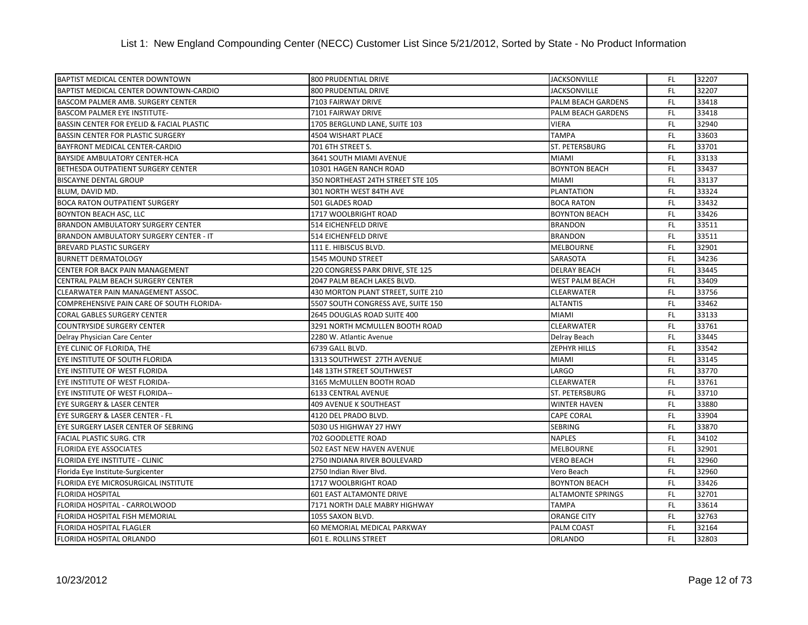| <b>BAPTIST MEDICAL CENTER DOWNTOWN</b>        | 800 PRUDENTIAL DRIVE               | <b>JACKSONVILLE</b>      | FL.       | 32207 |
|-----------------------------------------------|------------------------------------|--------------------------|-----------|-------|
| BAPTIST MEDICAL CENTER DOWNTOWN-CARDIO        | 800 PRUDENTIAL DRIVE               | <b>JACKSONVILLE</b>      | FL.       | 32207 |
| BASCOM PALMER AMB. SURGERY CENTER             | 7103 FAIRWAY DRIVE                 | PALM BEACH GARDENS       | FL.       | 33418 |
| <b>BASCOM PALMER EYE INSTITUTE-</b>           | 7101 FAIRWAY DRIVE                 | PALM BEACH GARDENS       | FL.       | 33418 |
| BASSIN CENTER FOR EYELID & FACIAL PLASTIC     | 1705 BERGLUND LANE, SUITE 103      | <b>VIERA</b>             | FL.       | 32940 |
| <b>BASSIN CENTER FOR PLASTIC SURGERY</b>      | 4504 WISHART PLACE                 | <b>TAMPA</b>             | FL.       | 33603 |
| BAYFRONT MEDICAL CENTER-CARDIO                | 701 6TH STREET S.                  | <b>ST. PETERSBURG</b>    | FL.       | 33701 |
| <b>BAYSIDE AMBULATORY CENTER-HCA</b>          | 3641 SOUTH MIAMI AVENUE            | <b>MIAMI</b>             | FL.       | 33133 |
| <b>BETHESDA OUTPATIENT SURGERY CENTER</b>     | 10301 HAGEN RANCH ROAD             | <b>BOYNTON BEACH</b>     | FL.       | 33437 |
| <b>BISCAYNE DENTAL GROUP</b>                  | 350 NORTHEAST 24TH STREET STE 105  | <b>MIAMI</b>             | FL.       | 33137 |
| BLUM, DAVID MD.                               | 301 NORTH WEST 84TH AVE            | <b>PLANTATION</b>        | FL.       | 33324 |
| <b>BOCA RATON OUTPATIENT SURGERY</b>          | 501 GLADES ROAD                    | <b>BOCA RATON</b>        | FL.       | 33432 |
| <b>BOYNTON BEACH ASC, LLC</b>                 | 1717 WOOLBRIGHT ROAD               | <b>BOYNTON BEACH</b>     | FL.       | 33426 |
| <b>BRANDON AMBULATORY SURGERY CENTER</b>      | 514 EICHENFELD DRIVE               | <b>BRANDON</b>           | <b>FL</b> | 33511 |
| <b>BRANDON AMBULATORY SURGERY CENTER - IT</b> | 514 EICHENFELD DRIVE               | <b>BRANDON</b>           | <b>FL</b> | 33511 |
| <b>BREVARD PLASTIC SURGERY</b>                | 111 E. HIBISCUS BLVD.              | <b>MELBOURNE</b>         | <b>FL</b> | 32901 |
| <b>BURNETT DERMATOLOGY</b>                    | 1545 MOUND STREET                  | SARASOTA                 | FL.       | 34236 |
| CENTER FOR BACK PAIN MANAGEMENT               | 220 CONGRESS PARK DRIVE, STE 125   | <b>DELRAY BEACH</b>      | <b>FL</b> | 33445 |
| CENTRAL PALM BEACH SURGERY CENTER             | 2047 PALM BEACH LAKES BLVD.        | <b>WEST PALM BEACH</b>   | FL.       | 33409 |
| CLEARWATER PAIN MANAGEMENT ASSOC.             | 430 MORTON PLANT STREET, SUITE 210 | <b>CLEARWATER</b>        | FL.       | 33756 |
| COMPREHENSIVE PAIN CARE OF SOUTH FLORIDA-     | 5507 SOUTH CONGRESS AVE, SUITE 150 | <b>ALTANTIS</b>          | FL.       | 33462 |
| <b>CORAL GABLES SURGERY CENTER</b>            | 2645 DOUGLAS ROAD SUITE 400        | <b>MIAMI</b>             | FL.       | 33133 |
| <b>COUNTRYSIDE SURGERY CENTER</b>             | 3291 NORTH MCMULLEN BOOTH ROAD     | <b>CLEARWATER</b>        | <b>FL</b> | 33761 |
| Delray Physician Care Center                  | 2280 W. Atlantic Avenue            | Delray Beach             | FL.       | 33445 |
| EYE CLINIC OF FLORIDA, THE                    | 6739 GALL BLVD.                    | <b>ZEPHYR HILLS</b>      | FL.       | 33542 |
| EYE INSTITUTE OF SOUTH FLORIDA                | 1313 SOUTHWEST 27TH AVENUE         | <b>MIAMI</b>             | FL.       | 33145 |
| EYE INSTITUTE OF WEST FLORIDA                 | 148 13TH STREET SOUTHWEST          | LARGO                    | FL.       | 33770 |
| EYE INSTITUTE OF WEST FLORIDA-                | 3165 McMULLEN BOOTH ROAD           | <b>CLEARWATER</b>        | FL.       | 33761 |
| EYE INSTITUTE OF WEST FLORIDA--               | <b>6133 CENTRAL AVENUE</b>         | <b>ST. PETERSBURG</b>    | FL.       | 33710 |
| <b>EYE SURGERY &amp; LASER CENTER</b>         | <b>409 AVENUE K SOUTHEAST</b>      | <b>WINTER HAVEN</b>      | FL.       | 33880 |
| EYE SURGERY & LASER CENTER - FL               | 4120 DEL PRADO BLVD.               | <b>CAPE CORAL</b>        | FL.       | 33904 |
| EYE SURGERY LASER CENTER OF SEBRING           | 5030 US HIGHWAY 27 HWY             | <b>SEBRING</b>           | <b>FL</b> | 33870 |
| <b>FACIAL PLASTIC SURG. CTR</b>               | 702 GOODLETTE ROAD                 | <b>NAPLES</b>            | FL.       | 34102 |
| <b>FLORIDA EYE ASSOCIATES</b>                 | 502 EAST NEW HAVEN AVENUE          | <b>MELBOURNE</b>         | FL.       | 32901 |
| FLORIDA EYE INSTITUTE - CLINIC                | 2750 INDIANA RIVER BOULEVARD       | <b>VERO BEACH</b>        | FL.       | 32960 |
| Florida Eye Institute-Surgicenter             | 2750 Indian River Blvd.            | Vero Beach               | FL.       | 32960 |
| FLORIDA EYE MICROSURGICAL INSTITUTE           | 1717 WOOLBRIGHT ROAD               | <b>BOYNTON BEACH</b>     | FL.       | 33426 |
| <b>FLORIDA HOSPITAL</b>                       | <b>601 EAST ALTAMONTE DRIVE</b>    | <b>ALTAMONTE SPRINGS</b> | FL.       | 32701 |
| FLORIDA HOSPITAL - CARROLWOOD                 | 7171 NORTH DALE MABRY HIGHWAY      | <b>TAMPA</b>             | FL.       | 33614 |
| FLORIDA HOSPITAL FISH MEMORIAL                | 1055 SAXON BLVD.                   | <b>ORANGE CITY</b>       | FL.       | 32763 |
| <b>FLORIDA HOSPITAL FLAGLER</b>               | 60 MEMORIAL MEDICAL PARKWAY        | PALM COAST               | <b>FL</b> | 32164 |
| FLORIDA HOSPITAL ORLANDO                      | 601 E. ROLLINS STREET              | <b>ORLANDO</b>           | FL.       | 32803 |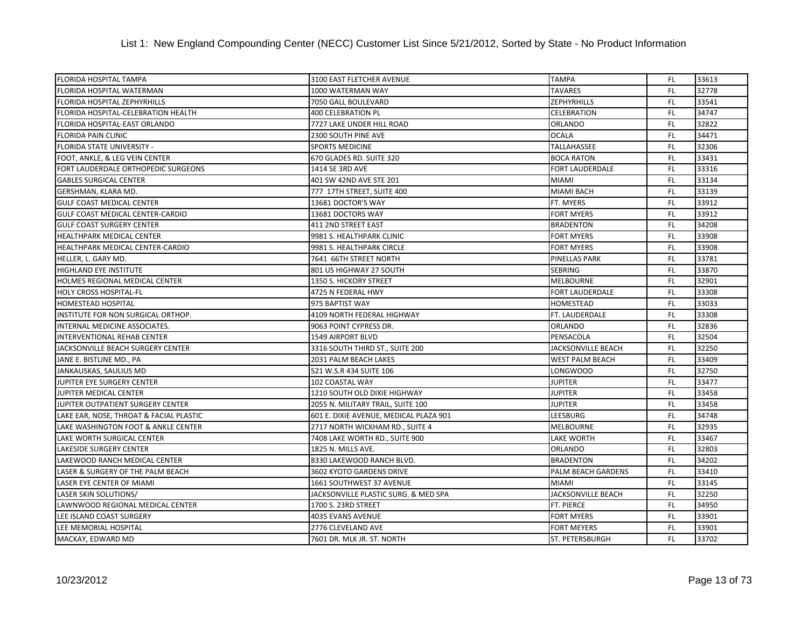| <b>FLORIDA HOSPITAL TAMPA</b>           | 3100 EAST FLETCHER AVENUE              | <b>TAMPA</b>              | FL.       | 33613 |
|-----------------------------------------|----------------------------------------|---------------------------|-----------|-------|
| FLORIDA HOSPITAL WATERMAN               | 1000 WATERMAN WAY                      | <b>TAVARES</b>            | <b>FL</b> | 32778 |
| FLORIDA HOSPITAL ZEPHYRHILLS            | 7050 GALL BOULEVARD                    | <b>ZEPHYRHILLS</b>        | FL.       | 33541 |
| FLORIDA HOSPITAL-CELEBRATION HEALTH     | 400 CELEBRATION PL                     | <b>CELEBRATION</b>        | FL.       | 34747 |
| FLORIDA HOSPITAL-EAST ORLANDO           | 7727 LAKE UNDER HILL ROAD              | <b>ORLANDO</b>            | FL.       | 32822 |
| FLORIDA PAIN CLINIC                     | 2300 SOUTH PINE AVE                    | <b>OCALA</b>              | FL.       | 34471 |
| FLORIDA STATE UNIVERSITY -              | <b>SPORTS MEDICINE</b>                 | <b>TALLAHASSEE</b>        | FL.       | 32306 |
| FOOT, ANKLE, & LEG VEIN CENTER          | 670 GLADES RD. SUITE 320               | <b>BOCA RATON</b>         | <b>FL</b> | 33431 |
| FORT LAUDERDALE ORTHOPEDIC SURGEONS     | 1414 SE 3RD AVE                        | <b>FORT LAUDERDALE</b>    | FL.       | 33316 |
| <b>GABLES SURGICAL CENTER</b>           | 401 SW 42ND AVE STE 201                | <b>MIAMI</b>              | <b>FL</b> | 33134 |
| GERSHMAN, KLARA MD.                     | 777 17TH STREET, SUITE 400             | <b>MIAMI BACH</b>         | FL.       | 33139 |
| <b>GULF COAST MEDICAL CENTER</b>        | 13681 DOCTOR'S WAY                     | FT. MYERS                 | FL.       | 33912 |
| GULF COAST MEDICAL CENTER-CARDIO        | 13681 DOCTORS WAY                      | <b>FORT MYERS</b>         | FL.       | 33912 |
| <b>GULF COAST SURGERY CENTER</b>        | 411 2ND STREET EAST                    | <b>BRADENTON</b>          | FL.       | 34208 |
| HEALTHPARK MEDICAL CENTER               | 9981 S. HEALTHPARK CLINIC              | <b>FORT MYERS</b>         | FL.       | 33908 |
| HEALTHPARK MEDICAL CENTER-CARDIO        | 9981 S. HEALTHPARK CIRCLE              | <b>FORT MYERS</b>         | FL.       | 33908 |
| HELLER, L. GARY MD.                     | 7641 66TH STREET NORTH                 | <b>PINELLAS PARK</b>      | FL.       | 33781 |
| HIGHLAND EYE INSTITUTE                  | 801 US HIGHWAY 27 SOUTH                | <b>SEBRING</b>            | FL.       | 33870 |
| HOLMES REGIONAL MEDICAL CENTER          | 1350 S. HICKORY STREET                 | <b>MELBOURNE</b>          | <b>FL</b> | 32901 |
| HOLY CROSS HOSPITAL-FL                  | 4725 N FEDERAL HWY                     | <b>FORT LAUDERDALE</b>    | FL.       | 33308 |
| HOMESTEAD HOSPITAL                      | 975 BAPTIST WAY                        | <b>HOMESTEAD</b>          | FL.       | 33033 |
| INSTITUTE FOR NON SURGICAL ORTHOP.      | 4109 NORTH FEDERAL HIGHWAY             | FT. LAUDERDALE            | FL.       | 33308 |
| INTERNAL MEDICINE ASSOCIATES.           | 9063 POINT CYPRESS DR.                 | <b>ORLANDO</b>            | FL.       | 32836 |
| INTERVENTIONAL REHAB CENTER             | <b>1549 AIRPORT BLVD</b>               | PENSACOLA                 | <b>FL</b> | 32504 |
| JACKSONVILLE BEACH SURGERY CENTER       | 3316 SOUTH THIRD ST., SUITE 200        | <b>JACKSONVILLE BEACH</b> | FL.       | 32250 |
| JANE E. BISTLINE MD., PA                | 2031 PALM BEACH LAKES                  | <b>WEST PALM BEACH</b>    | FL.       | 33409 |
| JANKAUSKAS, SAULIUS MD                  | 521 W.S.R 434 SUITE 106                | <b>LONGWOOD</b>           | FL.       | 32750 |
| JUPITER EYE SURGERY CENTER              | 102 COASTAL WAY                        | <b>JUPITER</b>            | <b>FL</b> | 33477 |
| JUPITER MEDICAL CENTER                  | 1210 SOUTH OLD DIXIE HIGHWAY           | <b>JUPITER</b>            | <b>FL</b> | 33458 |
| JUPITER OUTPATIENT SURGERY CENTER       | 2055 N. MILITARY TRAIL, SUITE 100      | <b>JUPITER</b>            | FL.       | 33458 |
| LAKE EAR, NOSE, THROAT & FACIAL PLASTIC | 601 E. DIXIE AVENUE, MEDICAL PLAZA 901 | <b>LEESBURG</b>           | FL.       | 34748 |
| LAKE WASHINGTON FOOT & ANKLE CENTER     | 2717 NORTH WICKHAM RD., SUITE 4        | <b>MELBOURNE</b>          | FL.       | 32935 |
| LAKE WORTH SURGICAL CENTER              | 7408 LAKE WORTH RD., SUITE 900         | <b>LAKE WORTH</b>         | <b>FL</b> | 33467 |
| LAKESIDE SURGERY CENTER                 | 1825 N. MILLS AVE.                     | <b>ORLANDO</b>            | <b>FL</b> | 32803 |
| LAKEWOOD RANCH MEDICAL CENTER           | 8330 LAKEWOOD RANCH BLVD.              | <b>BRADENTON</b>          | <b>FL</b> | 34202 |
| LASER & SURGERY OF THE PALM BEACH       | 3602 KYOTO GARDENS DRIVE               | PALM BEACH GARDENS        | FL.       | 33410 |
| LASER EYE CENTER OF MIAMI               | 1661 SOUTHWEST 37 AVENUE               | <b>MIAMI</b>              | FL.       | 33145 |
| <b>LASER SKIN SOLUTIONS/</b>            | JACKSONVILLE PLASTIC SURG. & MED SPA   | <b>JACKSONVILLE BEACH</b> | FL.       | 32250 |
| LAWNWOOD REGIONAL MEDICAL CENTER        | 1700 S. 23RD STREET                    | FT. PIERCE                | FL.       | 34950 |
| LEE ISLAND COAST SURGERY                | 4035 EVANS AVENUE                      | <b>FORT MYERS</b>         | <b>FL</b> | 33901 |
| LEE MEMORIAL HOSPITAL                   | 2776 CLEVELAND AVE                     | <b>FORT MEYERS</b>        | FL.       | 33901 |
| MACKAY, EDWARD MD                       | 7601 DR. MLK JR. ST. NORTH             | <b>ST. PETERSBURGH</b>    | FL.       | 33702 |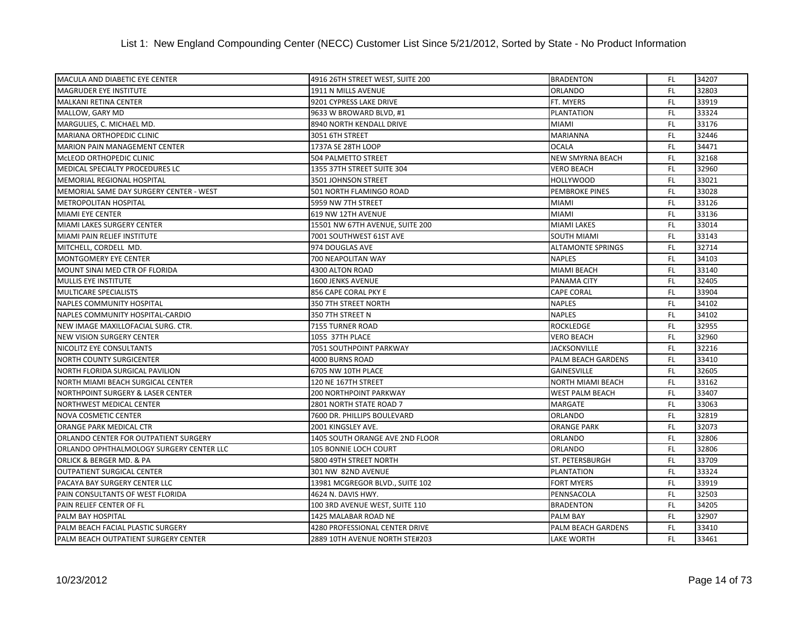| MACULA AND DIABETIC EYE CENTER           | 4916 26TH STREET WEST, SUITE 200      | <b>BRADENTON</b>         | FL.       | 34207 |
|------------------------------------------|---------------------------------------|--------------------------|-----------|-------|
| <b>MAGRUDER EYE INSTITUTE</b>            | 1911 N MILLS AVENUE                   | <b>ORLANDO</b>           | <b>FL</b> | 32803 |
| MALKANI RETINA CENTER                    | 9201 CYPRESS LAKE DRIVE               | FT. MYERS                | FL.       | 33919 |
| MALLOW, GARY MD                          | 9633 W BROWARD BLVD, #1               | <b>PLANTATION</b>        | FL.       | 33324 |
| MARGULIES, C. MICHAEL MD.                | 8940 NORTH KENDALL DRIVE              | <b>MIAMI</b>             | FL.       | 33176 |
| MARIANA ORTHOPEDIC CLINIC                | 3051 6TH STREET                       | <b>MARIANNA</b>          | FL.       | 32446 |
| MARION PAIN MANAGEMENT CENTER            | 1737A SE 28TH LOOP                    | <b>OCALA</b>             | <b>FL</b> | 34471 |
| MCLEOD ORTHOPEDIC CLINIC                 | 504 PALMETTO STREET                   | <b>NEW SMYRNA BEACH</b>  | <b>FL</b> | 32168 |
| MEDICAL SPECIALTY PROCEDURES LC          | 1355 37TH STREET SUITE 304            | <b>VERO BEACH</b>        | <b>FL</b> | 32960 |
| <b>MEMORIAL REGIONAL HOSPITAL</b>        | 3501 JOHNSON STREET                   | <b>HOLLYWOOD</b>         | <b>FL</b> | 33021 |
| MEMORIAL SAME DAY SURGERY CENTER - WEST  | 501 NORTH FLAMINGO ROAD               | <b>PEMBROKE PINES</b>    | FL.       | 33028 |
| METROPOLITAN HOSPITAL                    | 5959 NW 7TH STREET                    | <b>MIAMI</b>             | FL        | 33126 |
| MIAMI EYE CENTER                         | 619 NW 12TH AVENUE                    | <b>MIAMI</b>             | FL.       | 33136 |
| <b>MIAMI LAKES SURGERY CENTER</b>        | 15501 NW 67TH AVENUE, SUITE 200       | <b>MIAMI LAKES</b>       | FL.       | 33014 |
| MIAMI PAIN RELIEF INSTITUTE              | 7001 SOUTHWEST 61ST AVE               | <b>SOUTH MIAMI</b>       | FL.       | 33143 |
| MITCHELL, CORDELL MD.                    | 974 DOUGLAS AVE                       | <b>ALTAMONTE SPRINGS</b> | <b>FL</b> | 32714 |
| MONTGOMERY EYE CENTER                    | 700 NEAPOLITAN WAY                    | <b>NAPLES</b>            | FL.       | 34103 |
| MOUNT SINAI MED CTR OF FLORIDA           | 4300 ALTON ROAD                       | <b>MIAMI BEACH</b>       | FL.       | 33140 |
| <b>MULLIS EYE INSTITUTE</b>              | 1600 JENKS AVENUE                     | PANAMA CITY              | FL.       | 32405 |
| <b>MULTICARE SPECIALISTS</b>             | 856 CAPE CORAL PKY E                  | <b>CAPE CORAL</b>        | <b>FL</b> | 33904 |
| NAPLES COMMUNITY HOSPITAL                | 350 7TH STREET NORTH                  | <b>NAPLES</b>            | <b>FL</b> | 34102 |
| NAPLES COMMUNITY HOSPITAL-CARDIO         | 350 7TH STREET N                      | <b>NAPLES</b>            | FL.       | 34102 |
| NEW IMAGE MAXILLOFACIAL SURG. CTR.       | 7155 TURNER ROAD                      | <b>ROCKLEDGE</b>         | FL.       | 32955 |
| <b>NEW VISION SURGERY CENTER</b>         | 1055 37TH PLACE                       | <b>VERO BEACH</b>        | FL.       | 32960 |
| NICOLITZ EYE CONSULTANTS                 | 7051 SOUTHPOINT PARKWAY               | <b>JACKSONVILLE</b>      | FL.       | 32216 |
| <b>NORTH COUNTY SURGICENTER</b>          | 4000 BURNS ROAD                       | PALM BEACH GARDENS       | FL.       | 33410 |
| NORTH FLORIDA SURGICAL PAVILION          | 6705 NW 10TH PLACE                    | <b>GAINESVILLE</b>       | FL.       | 32605 |
| NORTH MIAMI BEACH SURGICAL CENTER        | 120 NE 167TH STREET                   | <b>NORTH MIAMI BEACH</b> | <b>FL</b> | 33162 |
| NORTHPOINT SURGERY & LASER CENTER        | 200 NORTHPOINT PARKWAY                | <b>WEST PALM BEACH</b>   | <b>FL</b> | 33407 |
| NORTHWEST MEDICAL CENTER                 | 2801 NORTH STATE ROAD 7               | <b>MARGATE</b>           | <b>FL</b> | 33063 |
| <b>NOVA COSMETIC CENTER</b>              | 7600 DR. PHILLIPS BOULEVARD           | <b>ORLANDO</b>           | FL.       | 32819 |
| ORANGE PARK MEDICAL CTR                  | 2001 KINGSLEY AVE.                    | <b>ORANGE PARK</b>       | FL.       | 32073 |
| ORLANDO CENTER FOR OUTPATIENT SURGERY    | 1405 SOUTH ORANGE AVE 2ND FLOOR       | <b>ORLANDO</b>           | <b>FL</b> | 32806 |
| ORLANDO OPHTHALMOLOGY SURGERY CENTER LLC | <b>105 BONNIE LOCH COURT</b>          | <b>ORLANDO</b>           | <b>FL</b> | 32806 |
| ORLICK & BERGER MD. & PA                 | 5800 49TH STREET NORTH                | ST. PETERSBURGH          | <b>FL</b> | 33709 |
| OUTPATIENT SURGICAL CENTER               | 301 NW 82ND AVENUE                    | <b>PLANTATION</b>        | FL.       | 33324 |
| PACAYA BAY SURGERY CENTER LLC            | 13981 MCGREGOR BLVD., SUITE 102       | <b>FORT MYERS</b>        | <b>FL</b> | 33919 |
| PAIN CONSULTANTS OF WEST FLORIDA         | 4624 N. DAVIS HWY.                    | PENNSACOLA               | FL.       | 32503 |
| PAIN RELIEF CENTER OF FL                 | 100 3RD AVENUE WEST, SUITE 110        | <b>BRADENTON</b>         | FL.       | 34205 |
| PALM BAY HOSPITAL                        | 1425 MALABAR ROAD NE                  | <b>PALM BAY</b>          | <b>FL</b> | 32907 |
| PALM BEACH FACIAL PLASTIC SURGERY        | <b>4280 PROFESSIONAL CENTER DRIVE</b> | PALM BEACH GARDENS       | <b>FL</b> | 33410 |
| PALM BEACH OUTPATIENT SURGERY CENTER     | 2889 10TH AVENUE NORTH STE#203        | <b>LAKE WORTH</b>        | FL.       | 33461 |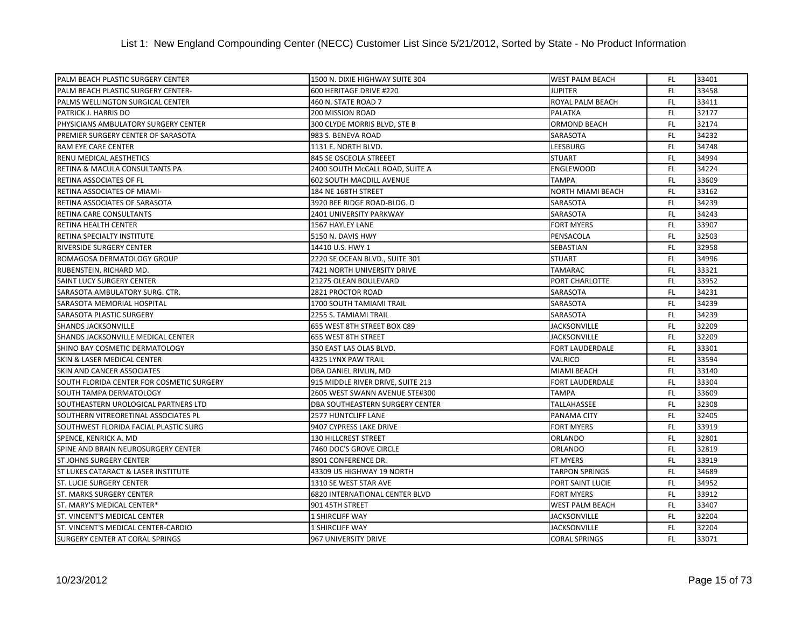| PALM BEACH PLASTIC SURGERY CENTER         | 1500 N. DIXIE HIGHWAY SUITE 304   | <b>WEST PALM BEACH</b>   | FL.       | 33401 |
|-------------------------------------------|-----------------------------------|--------------------------|-----------|-------|
| PALM BEACH PLASTIC SURGERY CENTER-        | 600 HERITAGE DRIVE #220           | <b>JUPITER</b>           | FL.       | 33458 |
| PALMS WELLINGTON SURGICAL CENTER          | 460 N. STATE ROAD 7               | ROYAL PALM BEACH         | FL.       | 33411 |
| PATRICK J. HARRIS DO                      | 200 MISSION ROAD                  | <b>PALATKA</b>           | FL.       | 32177 |
| PHYSICIANS AMBULATORY SURGERY CENTER      | 300 CLYDE MORRIS BLVD, STE B      | ORMOND BEACH             | FL.       | 32174 |
| PREMIER SURGERY CENTER OF SARASOTA        | 983 S. BENEVA ROAD                | SARASOTA                 | FL.       | 34232 |
| RAM EYE CARE CENTER                       | 1131 E. NORTH BLVD.               | LEESBURG                 | FL.       | 34748 |
| <b>RENU MEDICAL AESTHETICS</b>            | 845 SE OSCEOLA STREEET            | <b>STUART</b>            | FL.       | 34994 |
| RETINA & MACULA CONSULTANTS PA            | 2400 SOUTH McCALL ROAD, SUITE A   | <b>ENGLEWOOD</b>         | FL.       | 34224 |
| RETINA ASSOCIATES OF FL                   | <b>602 SOUTH MACDILL AVENUE</b>   | <b>TAMPA</b>             | FL.       | 33609 |
| RETINA ASSOCIATES OF MIAMI-               | 184 NE 168TH STREET               | <b>NORTH MIAMI BEACH</b> | FL.       | 33162 |
| RETINA ASSOCIATES OF SARASOTA             | 3920 BEE RIDGE ROAD-BLDG. D       | SARASOTA                 | FL.       | 34239 |
| RETINA CARE CONSULTANTS                   | 2401 UNIVERSITY PARKWAY           | SARASOTA                 | FL.       | 34243 |
| RETINA HEALTH CENTER                      | 1567 HAYLEY LANE                  | <b>FORT MYERS</b>        | <b>FL</b> | 33907 |
| RETINA SPECIALTY INSTITUTE                | 5150 N. DAVIS HWY                 | PENSACOLA                | FL.       | 32503 |
| RIVERSIDE SURGERY CENTER                  | 14410 U.S. HWY 1                  | SEBASTIAN                | FL.       | 32958 |
| ROMAGOSA DERMATOLOGY GROUP                | 2220 SE OCEAN BLVD., SUITE 301    | <b>STUART</b>            | FL.       | 34996 |
| RUBENSTEIN, RICHARD MD.                   | 7421 NORTH UNIVERSITY DRIVE       | TAMARAC                  | FL.       | 33321 |
| SAINT LUCY SURGERY CENTER                 | 21275 OLEAN BOULEVARD             | PORT CHARLOTTE           | FL.       | 33952 |
| SARASOTA AMBULATORY SURG. CTR.            | 2821 PROCTOR ROAD                 | SARASOTA                 | FL.       | 34231 |
| SARASOTA MEMORIAL HOSPITAL                | 1700 SOUTH TAMIAMI TRAIL          | SARASOTA                 | FL.       | 34239 |
| SARASOTA PLASTIC SURGERY                  | 2255 S. TAMIAMI TRAIL             | SARASOTA                 | <b>FL</b> | 34239 |
| SHANDS JACKSONVILLE                       | 655 WEST 8TH STREET BOX C89       | <b>JACKSONVILLE</b>      | <b>FL</b> | 32209 |
| SHANDS JACKSONVILLE MEDICAL CENTER        | 655 WEST 8TH STREET               | <b>JACKSONVILLE</b>      | FL.       | 32209 |
| SHINO BAY COSMETIC DERMATOLOGY            | 350 EAST LAS OLAS BLVD.           | <b>FORT LAUDERDALE</b>   | FL.       | 33301 |
| SKIN & LASER MEDICAL CENTER               | 4325 LYNX PAW TRAIL               | <b>VALRICO</b>           | FL.       | 33594 |
| SKIN AND CANCER ASSOCIATES                | DBA DANIEL RIVLIN, MD             | <b>MIAMI BEACH</b>       | FL.       | 33140 |
| SOUTH FLORIDA CENTER FOR COSMETIC SURGERY | 915 MIDDLE RIVER DRIVE, SUITE 213 | <b>FORT LAUDERDALE</b>   | FL.       | 33304 |
| SOUTH TAMPA DERMATOLOGY                   | 2605 WEST SWANN AVENUE STE#300    | <b>TAMPA</b>             | FL.       | 33609 |
| SOUTHEASTERN UROLOGICAL PARTNERS LTD      | DBA SOUTHEASTERN SURGERY CENTER   | TALLAHASSEE              | FL.       | 32308 |
| SOUTHERN VITREORETINAL ASSOCIATES PL      | 2577 HUNTCLIFF LANE               | PANAMA CITY              | FL.       | 32405 |
| SOUTHWEST FLORIDA FACIAL PLASTIC SURG     | 9407 CYPRESS LAKE DRIVE           | <b>FORT MYERS</b>        | FL.       | 33919 |
| SPENCE, KENRICK A. MD                     | <b>130 HILLCREST STREET</b>       | <b>ORLANDO</b>           | FL.       | 32801 |
| SPINE AND BRAIN NEUROSURGERY CENTER       | 7460 DOC'S GROVE CIRCLE           | <b>ORLANDO</b>           | FL.       | 32819 |
| <b>ST JOHNS SURGERY CENTER</b>            | 8901 CONFERENCE DR.               | <b>FT MYERS</b>          | FL.       | 33919 |
| ST LUKES CATARACT & LASER INSTITUTE       | 43309 US HIGHWAY 19 NORTH         | <b>TARPON SPRINGS</b>    | FL.       | 34689 |
| <b>ST. LUCIE SURGERY CENTER</b>           | 1310 SE WEST STAR AVE             | PORT SAINT LUCIE         | <b>FL</b> | 34952 |
| <b>ST. MARKS SURGERY CENTER</b>           | 6820 INTERNATIONAL CENTER BLVD    | <b>FORT MYERS</b>        | FL.       | 33912 |
| ST. MARY'S MEDICAL CENTER*                | 901 45TH STREET                   | <b>WEST PALM BEACH</b>   | FL.       | 33407 |
| ST. VINCENT'S MEDICAL CENTER              | 1 SHIRCLIFF WAY                   | <b>JACKSONVILLE</b>      | FL.       | 32204 |
| ST. VINCENT'S MEDICAL CENTER-CARDIO       | 1 SHIRCLIFF WAY                   | <b>JACKSONVILLE</b>      | FL        | 32204 |
| <b>SURGERY CENTER AT CORAL SPRINGS</b>    | 967 UNIVERSITY DRIVE              | <b>CORAL SPRINGS</b>     | FL.       | 33071 |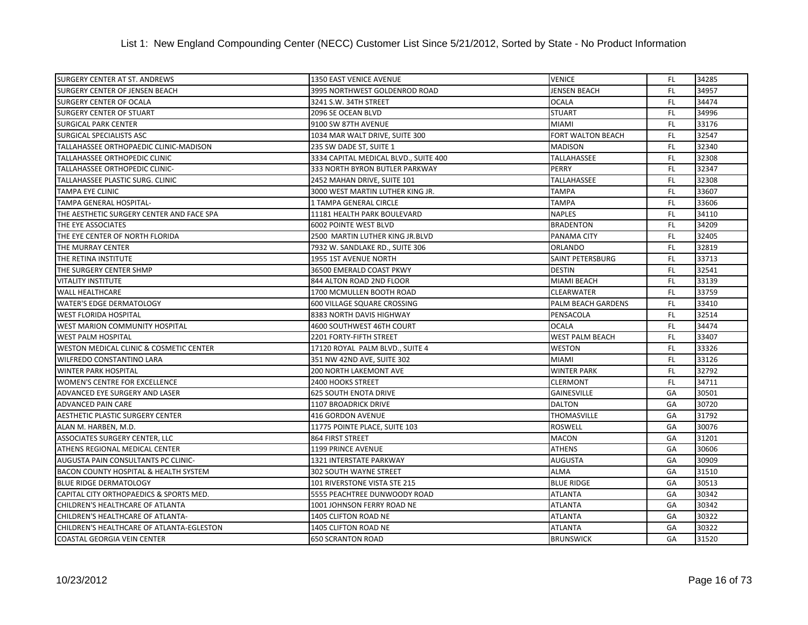| <b>SURGERY CENTER AT ST. ANDREWS</b>      | 1350 EAST VENICE AVENUE               | <b>VENICE</b>            | FL.       | 34285 |
|-------------------------------------------|---------------------------------------|--------------------------|-----------|-------|
| <b>SURGERY CENTER OF JENSEN BEACH</b>     | 3995 NORTHWEST GOLDENROD ROAD         | <b>JENSEN BEACH</b>      | FL.       | 34957 |
| <b>SURGERY CENTER OF OCALA</b>            | 3241 S.W. 34TH STREET                 | <b>OCALA</b>             | FL.       | 34474 |
| <b>SURGERY CENTER OF STUART</b>           | 2096 SE OCEAN BLVD                    | <b>STUART</b>            | <b>FL</b> | 34996 |
| <b>SURGICAL PARK CENTER</b>               | 9100 SW 87TH AVENUE                   | <b>MIAMI</b>             | FL.       | 33176 |
| SURGICAL SPECIALISTS ASC                  | 1034 MAR WALT DRIVE, SUITE 300        | <b>FORT WALTON BEACH</b> | FL.       | 32547 |
| TALLAHASSEE ORTHOPAEDIC CLINIC-MADISON    | 235 SW DADE ST, SUITE 1               | <b>MADISON</b>           | <b>FL</b> | 32340 |
| TALLAHASSEE ORTHOPEDIC CLINIC             | 3334 CAPITAL MEDICAL BLVD., SUITE 400 | TALLAHASSEE              | FL.       | 32308 |
| TALLAHASSEE ORTHOPEDIC CLINIC-            | 333 NORTH BYRON BUTLER PARKWAY        | PERRY                    | <b>FL</b> | 32347 |
| TALLAHASSEE PLASTIC SURG. CLINIC          | 2452 MAHAN DRIVE, SUITE 101           | TALLAHASSEE              | <b>FL</b> | 32308 |
| <b>TAMPA EYE CLINIC</b>                   | 3000 WEST MARTIN LUTHER KING JR.      | <b>TAMPA</b>             | <b>FL</b> | 33607 |
| TAMPA GENERAL HOSPITAL-                   | 1 TAMPA GENERAL CIRCLE                | <b>TAMPA</b>             | FL.       | 33606 |
| THE AESTHETIC SURGERY CENTER AND FACE SPA | 11181 HEALTH PARK BOULEVARD           | <b>NAPLES</b>            | FL.       | 34110 |
| THE EYE ASSOCIATES                        | <b>6002 POINTE WEST BLVD</b>          | <b>BRADENTON</b>         | FL.       | 34209 |
| THE EYE CENTER OF NORTH FLORIDA           | 2500 MARTIN LUTHER KING JR.BLVD       | PANAMA CITY              | <b>FL</b> | 32405 |
| THE MURRAY CENTER                         | 7932 W. SANDLAKE RD., SUITE 306       | <b>ORLANDO</b>           | <b>FL</b> | 32819 |
| THE RETINA INSTITUTE                      | 1955 1ST AVENUE NORTH                 | <b>SAINT PETERSBURG</b>  | FL.       | 33713 |
| THE SURGERY CENTER SHMP                   | 36500 EMERALD COAST PKWY              | <b>DESTIN</b>            | FL.       | 32541 |
| <b>VITALITY INSTITUTE</b>                 | 844 ALTON ROAD 2ND FLOOR              | <b>MIAMI BEACH</b>       | FL.       | 33139 |
| <b>WALL HEALTHCARE</b>                    | 1700 MCMULLEN BOOTH ROAD              | <b>CLEARWATER</b>        | FL.       | 33759 |
| <b>WATER'S EDGE DERMATOLOGY</b>           | 600 VILLAGE SQUARE CROSSING           | PALM BEACH GARDENS       | <b>FL</b> | 33410 |
| <b>WEST FLORIDA HOSPITAL</b>              | 8383 NORTH DAVIS HIGHWAY              | PENSACOLA                | FL.       | 32514 |
| WEST MARION COMMUNITY HOSPITAL            | 4600 SOUTHWEST 46TH COURT             | <b>OCALA</b>             | FL.       | 34474 |
| <b>WEST PALM HOSPITAL</b>                 | 2201 FORTY-FIFTH STREET               | <b>WEST PALM BEACH</b>   | FL.       | 33407 |
| WESTON MEDICAL CLINIC & COSMETIC CENTER   | 17120 ROYAL PALM BLVD., SUITE 4       | <b>WESTON</b>            | FL.       | 33326 |
| WILFREDO CONSTANTINO LARA                 | 351 NW 42ND AVE, SUITE 302            | <b>MIAMI</b>             | FL.       | 33126 |
| <b>WINTER PARK HOSPITAL</b>               | <b>200 NORTH LAKEMONT AVE</b>         | <b>WINTER PARK</b>       | FL.       | 32792 |
| WOMEN'S CENTRE FOR EXCELLENCE             | <b>2400 HOOKS STREET</b>              | <b>CLERMONT</b>          | FL.       | 34711 |
| ADVANCED EYE SURGERY AND LASER            | <b>625 SOUTH ENOTA DRIVE</b>          | <b>GAINESVILLE</b>       | GA        | 30501 |
| ADVANCED PAIN CARE                        | 1107 BROADRICK DRIVE                  | <b>DALTON</b>            | GA        | 30720 |
| AESTHETIC PLASTIC SURGERY CENTER          | 416 GORDON AVENUE                     | <b>THOMASVILLE</b>       | GA        | 31792 |
| ALAN M. HARBEN, M.D.                      | 11775 POINTE PLACE, SUITE 103         | ROSWELL                  | GA        | 30076 |
| ASSOCIATES SURGERY CENTER, LLC            | 864 FIRST STREET                      | <b>MACON</b>             | GA        | 31201 |
| ATHENS REGIONAL MEDICAL CENTER            | 1199 PRINCE AVENUE                    | <b>ATHENS</b>            | GA        | 30606 |
| AUGUSTA PAIN CONSULTANTS PC CLINIC-       | 1321 INTERSTATE PARKWAY               | <b>AUGUSTA</b>           | GA        | 30909 |
| BACON COUNTY HOSPITAL & HEALTH SYSTEM     | 302 SOUTH WAYNE STREET                | <b>ALMA</b>              | GA        | 31510 |
| <b>BLUE RIDGE DERMATOLOGY</b>             | 101 RIVERSTONE VISTA STE 215          | <b>BLUE RIDGE</b>        | GA        | 30513 |
| CAPITAL CITY ORTHOPAEDICS & SPORTS MED.   | 5555 PEACHTREE DUNWOODY ROAD          | <b>ATLANTA</b>           | GA        | 30342 |
| CHILDREN'S HEALTHCARE OF ATLANTA          | 1001 JOHNSON FERRY ROAD NE            | <b>ATLANTA</b>           | GA        | 30342 |
| CHILDREN'S HEALTHCARE OF ATLANTA-         | 1405 CLIFTON ROAD NE                  | <b>ATLANTA</b>           | GA        | 30322 |
| CHILDREN'S HEALTHCARE OF ATLANTA-EGLESTON | 1405 CLIFTON ROAD NE                  | <b>ATLANTA</b>           | GA        | 30322 |
| <b>COASTAL GEORGIA VEIN CENTER</b>        | <b>650 SCRANTON ROAD</b>              | <b>BRUNSWICK</b>         | GA        | 31520 |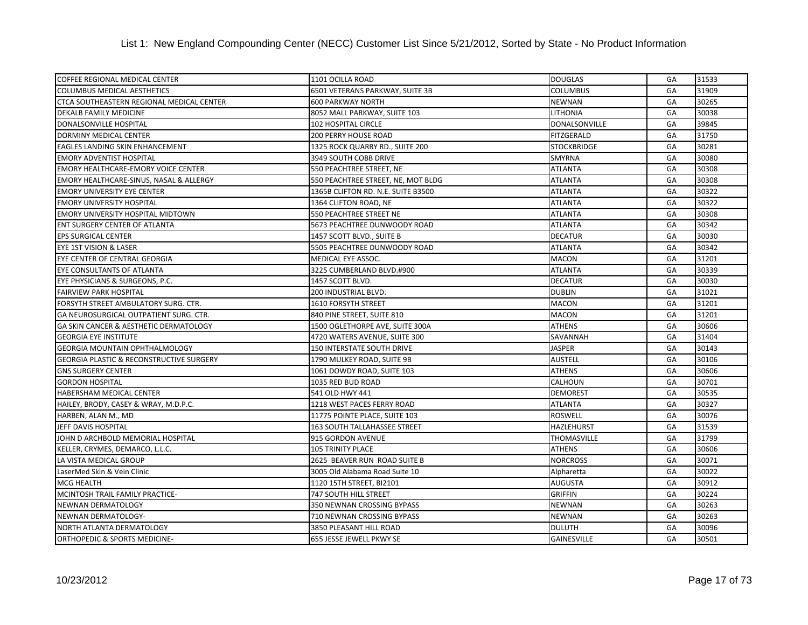| COFFEE REGIONAL MEDICAL CENTER                      | 1101 OCILLA ROAD                    | <b>DOUGLAS</b>     | GA | 31533 |
|-----------------------------------------------------|-------------------------------------|--------------------|----|-------|
| <b>COLUMBUS MEDICAL AESTHETICS</b>                  | 6501 VETERANS PARKWAY, SUITE 3B     | <b>COLUMBUS</b>    | GA | 31909 |
| CTCA SOUTHEASTERN REGIONAL MEDICAL CENTER           | <b>600 PARKWAY NORTH</b>            | <b>NEWNAN</b>      | GA | 30265 |
| DEKALB FAMILY MEDICINE                              | 8052 MALL PARKWAY, SUITE 103        | <b>LITHONIA</b>    | GA | 30038 |
| DONALSONVILLE HOSPITAL                              | 102 HOSPITAL CIRCLE                 | DONALSONVILLE      | GA | 39845 |
| <b>DORMINY MEDICAL CENTER</b>                       | 200 PERRY HOUSE ROAD                | <b>FITZGERALD</b>  | GA | 31750 |
| EAGLES LANDING SKIN ENHANCEMENT                     | 1325 ROCK QUARRY RD., SUITE 200     | <b>STOCKBRIDGE</b> | GA | 30281 |
| <b>EMORY ADVENTIST HOSPITAL</b>                     | 3949 SOUTH COBB DRIVE               | <b>SMYRNA</b>      | GA | 30080 |
| <b>EMORY HEALTHCARE-EMORY VOICE CENTER</b>          | 550 PEACHTREE STREET, NE            | <b>ATLANTA</b>     | GA | 30308 |
| EMORY HEALTHCARE-SINUS, NASAL & ALLERGY             | 550 PEACHTREE STREET, NE, MOT BLDG  | <b>ATLANTA</b>     | GA | 30308 |
| <b>EMORY UNIVERSITY EYE CENTER</b>                  | 1365B CLIFTON RD. N.E. SUITE B3500  | <b>ATLANTA</b>     | GA | 30322 |
| <b>EMORY UNIVERSITY HOSPITAL</b>                    | 1364 CLIFTON ROAD, NE               | <b>ATLANTA</b>     | GA | 30322 |
| EMORY UNIVERSITY HOSPITAL MIDTOWN                   | 550 PEACHTREE STREET NE             | <b>ATLANTA</b>     | GA | 30308 |
| ENT SURGERY CENTER OF ATLANTA                       | 5673 PEACHTREE DUNWOODY ROAD        | <b>ATLANTA</b>     | GA | 30342 |
| <b>EPS SURGICAL CENTER</b>                          | 1457 SCOTT BLVD., SUITE B           | <b>DECATUR</b>     | GA | 30030 |
| EYE 1ST VISION & LASER                              | 5505 PEACHTREE DUNWOODY ROAD        | <b>ATLANTA</b>     | GA | 30342 |
| EYE CENTER OF CENTRAL GEORGIA                       | MEDICAL EYE ASSOC.                  | <b>MACON</b>       | GA | 31201 |
| EYE CONSULTANTS OF ATLANTA                          | 3225 CUMBERLAND BLVD.#900           | <b>ATLANTA</b>     | GA | 30339 |
| EYE PHYSICIANS & SURGEONS, P.C.                     | 1457 SCOTT BLVD.                    | <b>DECATUR</b>     | GA | 30030 |
| <b>FAIRVIEW PARK HOSPITAL</b>                       | 200 INDUSTRIAL BLVD.                | <b>DUBLIN</b>      | GA | 31021 |
| FORSYTH STREET AMBULATORY SURG. CTR.                | 1610 FORSYTH STREET                 | <b>MACON</b>       | GA | 31201 |
| GA NEUROSURGICAL OUTPATIENT SURG. CTR.              | 840 PINE STREET, SUITE 810          | <b>MACON</b>       | GA | 31201 |
| GA SKIN CANCER & AESTHETIC DERMATOLOGY              | 1500 OGLETHORPE AVE, SUITE 300A     | <b>ATHENS</b>      | GA | 30606 |
| <b>GEORGIA EYE INSTITUTE</b>                        | 4720 WATERS AVENUE, SUITE 300       | SAVANNAH           | GA | 31404 |
| <b>GEORGIA MOUNTAIN OPHTHALMOLOGY</b>               | <b>150 INTERSTATE SOUTH DRIVE</b>   | <b>JASPER</b>      | GA | 30143 |
| <b>GEORGIA PLASTIC &amp; RECONSTRUCTIVE SURGERY</b> | 1790 MULKEY ROAD, SUITE 9B          | <b>AUSTELL</b>     | GA | 30106 |
| <b>GNS SURGERY CENTER</b>                           | 1061 DOWDY ROAD, SUITE 103          | <b>ATHENS</b>      | GA | 30606 |
| <b>GORDON HOSPITAL</b>                              | 1035 RED BUD ROAD                   | CALHOUN            | GA | 30701 |
| HABERSHAM MEDICAL CENTER                            | 541 OLD HWY 441                     | <b>DEMOREST</b>    | GA | 30535 |
| HAILEY, BRODY, CASEY & WRAY, M.D.P.C.               | 1218 WEST PACES FERRY ROAD          | <b>ATLANTA</b>     | GA | 30327 |
| HARBEN, ALAN M., MD                                 | 11775 POINTE PLACE, SUITE 103       | <b>ROSWELL</b>     | GA | 30076 |
| JEFF DAVIS HOSPITAL                                 | <b>163 SOUTH TALLAHASSEE STREET</b> | <b>HAZLEHURST</b>  | GA | 31539 |
| JOHN D ARCHBOLD MEMORIAL HOSPITAL                   | 915 GORDON AVENUE                   | THOMASVILLE        | GA | 31799 |
| KELLER, CRYMES, DEMARCO, L.L.C.                     | <b>105 TRINITY PLACE</b>            | <b>ATHENS</b>      | GA | 30606 |
| LA VISTA MEDICAL GROUP                              | 2625 BEAVER RUN ROAD SUITE B        | <b>NORCROSS</b>    | GA | 30071 |
| LaserMed Skin & Vein Clinic                         | 3005 Old Alabama Road Suite 10      | Alpharetta         | GA | 30022 |
| <b>MCG HEALTH</b>                                   | 1120 15TH STREET, BI2101            | <b>AUGUSTA</b>     | GA | 30912 |
| MCINTOSH TRAIL FAMILY PRACTICE-                     | <b>747 SOUTH HILL STREET</b>        | <b>GRIFFIN</b>     | GA | 30224 |
| NEWNAN DERMATOLOGY                                  | 350 NEWNAN CROSSING BYPASS          | <b>NEWNAN</b>      | GA | 30263 |
| NEWNAN DERMATOLOGY-                                 | 710 NEWNAN CROSSING BYPASS          | <b>NEWNAN</b>      | GA | 30263 |
| NORTH ATLANTA DERMATOLOGY                           | 3850 PLEASANT HILL ROAD             | <b>DULUTH</b>      | GA | 30096 |
| ORTHOPEDIC & SPORTS MEDICINE-                       | 655 JESSE JEWELL PKWY SE            | GAINESVILLE        | GA | 30501 |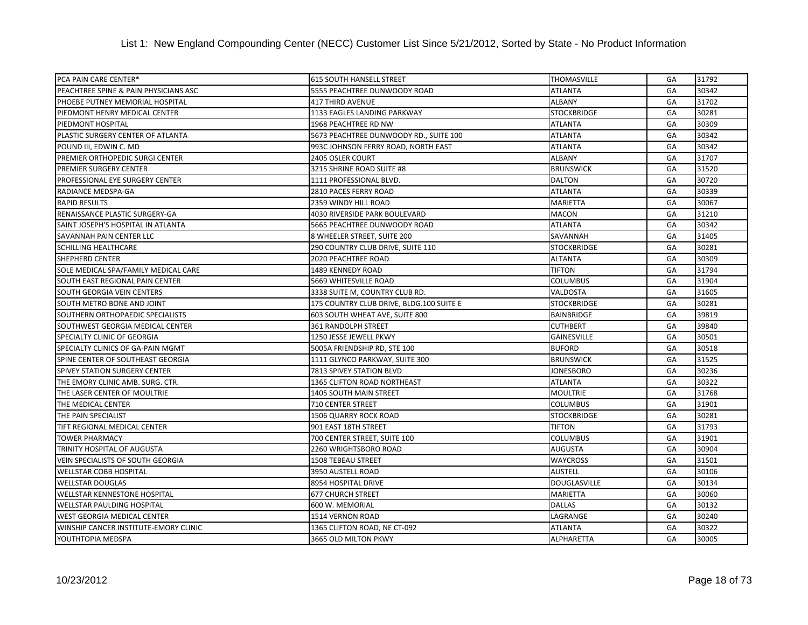| PCA PAIN CARE CENTER*                 | <b>615 SOUTH HANSELL STREET</b>          | <b>THOMASVILLE</b>  | GA | 31792 |
|---------------------------------------|------------------------------------------|---------------------|----|-------|
| PEACHTREE SPINE & PAIN PHYSICIANS ASC | 5555 PEACHTREE DUNWOODY ROAD             | <b>ATLANTA</b>      | GA | 30342 |
| PHOEBE PUTNEY MEMORIAL HOSPITAL       | <b>417 THIRD AVENUE</b>                  | <b>ALBANY</b>       | GA | 31702 |
| PIEDMONT HENRY MEDICAL CENTER         | 1133 EAGLES LANDING PARKWAY              | <b>STOCKBRIDGE</b>  | GA | 30281 |
| PIEDMONT HOSPITAL                     | 1968 PEACHTREE RD NW                     | <b>ATLANTA</b>      | GA | 30309 |
| PLASTIC SURGERY CENTER OF ATLANTA     | 5673 PEACHTREE DUNWOODY RD., SUITE 100   | <b>ATLANTA</b>      | GA | 30342 |
| POUND III, EDWIN C. MD                | 993C JOHNSON FERRY ROAD, NORTH EAST      | <b>ATLANTA</b>      | GA | 30342 |
| PREMIER ORTHOPEDIC SURGI CENTER       | 2405 OSLER COURT                         | <b>ALBANY</b>       | GA | 31707 |
| PREMIER SURGERY CENTER                | 3215 SHRINE ROAD SUITE #8                | <b>BRUNSWICK</b>    | GA | 31520 |
| PROFESSIONAL EYE SURGERY CENTER       | 1111 PROFESSIONAL BLVD.                  | <b>DALTON</b>       | GA | 30720 |
| RADIANCE MEDSPA-GA                    | 2810 PACES FERRY ROAD                    | <b>ATLANTA</b>      | GA | 30339 |
| <b>RAPID RESULTS</b>                  | 2359 WINDY HILL ROAD                     | <b>MARIETTA</b>     | GA | 30067 |
| RENAISSANCE PLASTIC SURGERY-GA        | 4030 RIVERSIDE PARK BOULEVARD            | <b>MACON</b>        | GA | 31210 |
| SAINT JOSEPH'S HOSPITAL IN ATLANTA    | 5665 PEACHTREE DUNWOODY ROAD             | <b>ATLANTA</b>      | GA | 30342 |
| SAVANNAH PAIN CENTER LLC              | 8 WHEELER STREET, SUITE 200              | SAVANNAH            | GA | 31405 |
| <b>SCHILLING HEALTHCARE</b>           | 290 COUNTRY CLUB DRIVE, SUITE 110        | <b>STOCKBRIDGE</b>  | GA | 30281 |
| <b>SHEPHERD CENTER</b>                | <b>2020 PEACHTREE ROAD</b>               | <b>ALTANTA</b>      | GA | 30309 |
| SOLE MEDICAL SPA/FAMILY MEDICAL CARE  | 1489 KENNEDY ROAD                        | <b>TIFTON</b>       | GA | 31794 |
| SOUTH EAST REGIONAL PAIN CENTER       | 5669 WHITESVILLE ROAD                    | <b>COLUMBUS</b>     | GA | 31904 |
| SOUTH GEORGIA VEIN CENTERS            | 3338 SUITE M, COUNTRY CLUB RD.           | VALDOSTA            | GA | 31605 |
| SOUTH METRO BONE AND JOINT            | 175 COUNTRY CLUB DRIVE, BLDG.100 SUITE E | <b>STOCKBRIDGE</b>  | GA | 30281 |
| SOUTHERN ORTHOPAEDIC SPECIALISTS      | 603 SOUTH WHEAT AVE, SUITE 800           | <b>BAINBRIDGE</b>   | GA | 39819 |
| SOUTHWEST GEORGIA MEDICAL CENTER      | 361 RANDOLPH STREET                      | <b>CUTHBERT</b>     | GA | 39840 |
| SPECIALTY CLINIC OF GEORGIA           | 1250 JESSE JEWELL PKWY                   | <b>GAINESVILLE</b>  | GA | 30501 |
| SPECIALTY CLINICS OF GA-PAIN MGMT     | 5005A FRIENDSHIP RD, STE 100             | <b>BUFORD</b>       | GA | 30518 |
| SPINE CENTER OF SOUTHEAST GEORGIA     | 1111 GLYNCO PARKWAY, SUITE 300           | <b>BRUNSWICK</b>    | GA | 31525 |
| SPIVEY STATION SURGERY CENTER         | 7813 SPIVEY STATION BLVD                 | JONESBORO           | GA | 30236 |
| THE EMORY CLINIC AMB. SURG. CTR.      | 1365 CLIFTON ROAD NORTHEAST              | <b>ATLANTA</b>      | GA | 30322 |
| THE LASER CENTER OF MOULTRIE          | 1405 SOUTH MAIN STREET                   | <b>MOULTRIE</b>     | GA | 31768 |
| THE MEDICAL CENTER                    | <b>710 CENTER STREET</b>                 | <b>COLUMBUS</b>     | GA | 31901 |
| THE PAIN SPECIALIST                   | 1506 QUARRY ROCK ROAD                    | <b>STOCKBRIDGE</b>  | GA | 30281 |
| TIFT REGIONAL MEDICAL CENTER          | 901 EAST 18TH STREET                     | <b>TIFTON</b>       | GA | 31793 |
| <b>TOWER PHARMACY</b>                 | 700 CENTER STREET, SUITE 100             | <b>COLUMBUS</b>     | GA | 31901 |
| TRINITY HOSPITAL OF AUGUSTA           | 2260 WRIGHTSBORO ROAD                    | <b>AUGUSTA</b>      | GA | 30904 |
| VEIN SPECIALISTS OF SOUTH GEORGIA     | 1508 TEBEAU STREET                       | <b>WAYCROSS</b>     | GA | 31501 |
| <b>WELLSTAR COBB HOSPITAL</b>         | 3950 AUSTELL ROAD                        | <b>AUSTELL</b>      | GA | 30106 |
| <b>WELLSTAR DOUGLAS</b>               | 8954 HOSPITAL DRIVE                      | <b>DOUGLASVILLE</b> | GA | 30134 |
| <b>WELLSTAR KENNESTONE HOSPITAL</b>   | <b>677 CHURCH STREET</b>                 | <b>MARIETTA</b>     | GA | 30060 |
| <b>WELLSTAR PAULDING HOSPITAL</b>     | 600 W. MEMORIAL                          | <b>DALLAS</b>       | GA | 30132 |
| WEST GEORGIA MEDICAL CENTER           | 1514 VERNON ROAD                         | LAGRANGE            | GA | 30240 |
| WINSHIP CANCER INSTITUTE-EMORY CLINIC | 1365 CLIFTON ROAD, NE CT-092             | <b>ATLANTA</b>      | GA | 30322 |
| YOUTHTOPIA MEDSPA                     | 3665 OLD MILTON PKWY                     | <b>ALPHARETTA</b>   | GA | 30005 |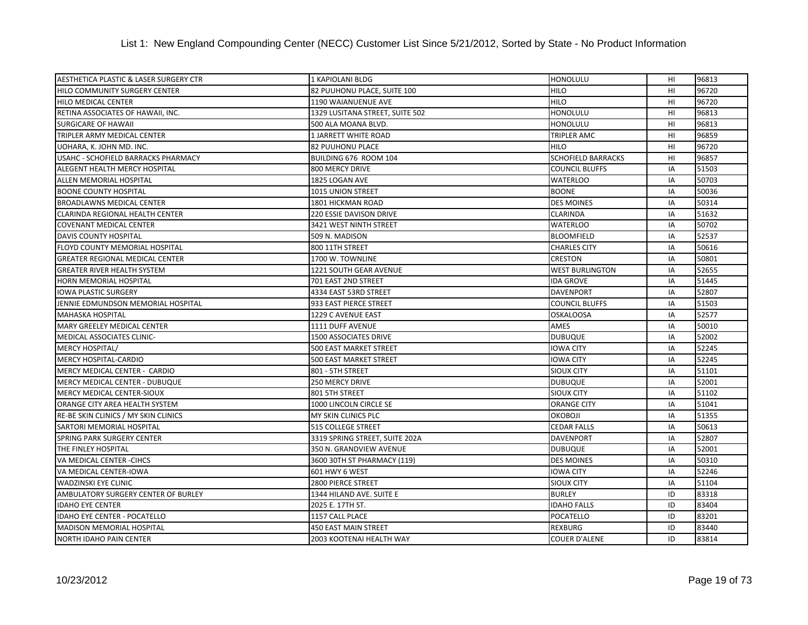| AESTHETICA PLASTIC & LASER SURGERY CTR | 1 KAPIOLANI BLDG                | <b>HONOLULU</b>           | HI             | 96813 |
|----------------------------------------|---------------------------------|---------------------------|----------------|-------|
| HILO COMMUNITY SURGERY CENTER          | 82 PUUHONU PLACE, SUITE 100     | <b>HILO</b>               | H1             | 96720 |
| HILO MEDICAL CENTER                    | 1190 WAIANUENUE AVE             | <b>HILO</b>               | HI             | 96720 |
| RETINA ASSOCIATES OF HAWAII, INC.      | 1329 LUSITANA STREET, SUITE 502 | <b>HONOLULU</b>           | HI             | 96813 |
| <b>SURGICARE OF HAWAII</b>             | 500 ALA MOANA BLVD.             | <b>HONOLULU</b>           | HI             | 96813 |
| TRIPLER ARMY MEDICAL CENTER            | 1 JARRETT WHITE ROAD            | <b>TRIPLER AMC</b>        | H <sub>1</sub> | 96859 |
| UOHARA, K. JOHN MD. INC.               | <b>82 PUUHONU PLACE</b>         | <b>HILO</b>               | H1             | 96720 |
| USAHC - SCHOFIELD BARRACKS PHARMACY    | BUILDING 676 ROOM 104           | <b>SCHOFIELD BARRACKS</b> | HI             | 96857 |
| ALEGENT HEALTH MERCY HOSPITAL          | 800 MERCY DRIVE                 | <b>COUNCIL BLUFFS</b>     | IA             | 51503 |
| ALLEN MEMORIAL HOSPITAL                | 1825 LOGAN AVE                  | <b>WATERLOO</b>           | IA             | 50703 |
| <b>BOONE COUNTY HOSPITAL</b>           | 1015 UNION STREET               | <b>BOONE</b>              | IA             | 50036 |
| <b>BROADLAWNS MEDICAL CENTER</b>       | 1801 HICKMAN ROAD               | <b>DES MOINES</b>         | IA             | 50314 |
| CLARINDA REGIONAL HEALTH CENTER        | 220 ESSIE DAVISON DRIVE         | <b>CLARINDA</b>           | IA             | 51632 |
| <b>COVENANT MEDICAL CENTER</b>         | 3421 WEST NINTH STREET          | <b>WATERLOO</b>           | IA             | 50702 |
| <b>DAVIS COUNTY HOSPITAL</b>           | 509 N. MADISON                  | <b>BLOOMFIELD</b>         | IA             | 52537 |
| FLOYD COUNTY MEMORIAL HOSPITAL         | 800 11TH STREET                 | <b>CHARLES CITY</b>       | IA             | 50616 |
| <b>GREATER REGIONAL MEDICAL CENTER</b> | 1700 W. TOWNLINE                | <b>CRESTON</b>            | IA             | 50801 |
| <b>GREATER RIVER HEALTH SYSTEM</b>     | 1221 SOUTH GEAR AVENUE          | <b>WEST BURLINGTON</b>    | IA             | 52655 |
| HORN MEMORIAL HOSPITAL                 | 701 EAST 2ND STREET             | <b>IDA GROVE</b>          | IA             | 51445 |
| <b>IOWA PLASTIC SURGERY</b>            | 4334 EAST 53RD STREET           | <b>DAVENPORT</b>          | IA             | 52807 |
| JENNIE EDMUNDSON MEMORIAL HOSPITAL     | 933 EAST PIERCE STREET          | <b>COUNCIL BLUFFS</b>     | IA             | 51503 |
| <b>MAHASKA HOSPITAL</b>                | 1229 C AVENUE EAST              | <b>OSKALOOSA</b>          | IA             | 52577 |
| MARY GREELEY MEDICAL CENTER            | 1111 DUFF AVENUE                | AMES                      | IA             | 50010 |
| MEDICAL ASSOCIATES CLINIC-             | 1500 ASSOCIATES DRIVE           | <b>DUBUQUE</b>            | IA             | 52002 |
| MERCY HOSPITAL/                        | <b>500 EAST MARKET STREET</b>   | <b>IOWA CITY</b>          | IA             | 52245 |
| MERCY HOSPITAL-CARDIO                  | <b>500 EAST MARKET STREET</b>   | <b>IOWA CITY</b>          | IA             | 52245 |
| MERCY MEDICAL CENTER - CARDIO          | 801 - 5TH STREET                | SIOUX CITY                | IA             | 51101 |
| MERCY MEDICAL CENTER - DUBUQUE         | 250 MERCY DRIVE                 | <b>DUBUQUE</b>            | IA             | 52001 |
| MERCY MEDICAL CENTER-SIOUX             | 801 5TH STREET                  | <b>SIOUX CITY</b>         | IA             | 51102 |
| ORANGE CITY AREA HEALTH SYSTEM         | 1000 LINCOLN CIRCLE SE          | <b>ORANGE CITY</b>        | IA             | 51041 |
| RE-BE SKIN CLINICS / MY SKIN CLINICS   | MY SKIN CLINICS PLC             | <b>OKOBOJI</b>            | IA             | 51355 |
| SARTORI MEMORIAL HOSPITAL              | 515 COLLEGE STREET              | <b>CEDAR FALLS</b>        | IA             | 50613 |
| <b>SPRING PARK SURGERY CENTER</b>      | 3319 SPRING STREET, SUITE 202A  | <b>DAVENPORT</b>          | IA             | 52807 |
| THE FINLEY HOSPITAL                    | 350 N. GRANDVIEW AVENUE         | <b>DUBUQUE</b>            | IA             | 52001 |
| VA MEDICAL CENTER -CIHCS               | 3600 30TH ST PHARMACY (119)     | <b>DES MOINES</b>         | IA             | 50310 |
| VA MEDICAL CENTER-IOWA                 | 601 HWY 6 WEST                  | <b>IOWA CITY</b>          | IA             | 52246 |
| <b>WADZINSKI EYE CLINIC</b>            | 2800 PIERCE STREET              | <b>SIOUX CITY</b>         | IA             | 51104 |
| AMBULATORY SURGERY CENTER OF BURLEY    | 1344 HILAND AVE. SUITE E        | <b>BURLEY</b>             | ID             | 83318 |
| <b>IDAHO EYE CENTER</b>                | 2025 E. 17TH ST.                | <b>IDAHO FALLS</b>        | ID             | 83404 |
| IDAHO EYE CENTER - POCATELLO           | 1157 CALL PLACE                 | POCATELLO                 | ID             | 83201 |
| <b>MADISON MEMORIAL HOSPITAL</b>       | 450 EAST MAIN STREET            | <b>REXBURG</b>            | ID             | 83440 |
| <b>NORTH IDAHO PAIN CENTER</b>         | 2003 KOOTENAI HEALTH WAY        | <b>COUER D'ALENE</b>      | ID             | 83814 |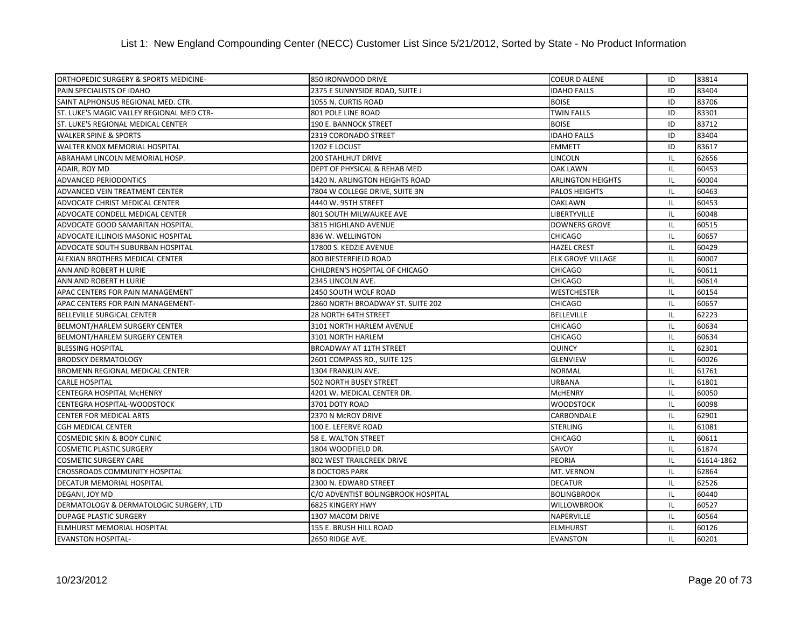| ORTHOPEDIC SURGERY & SPORTS MEDICINE-     | 850 IRONWOOD DRIVE                 | <b>COEUR D ALENE</b>     | ID       | 83814      |
|-------------------------------------------|------------------------------------|--------------------------|----------|------------|
| PAIN SPECIALISTS OF IDAHO                 | 2375 E SUNNYSIDE ROAD, SUITE J     | <b>IDAHO FALLS</b>       | ID       | 83404      |
| SAINT ALPHONSUS REGIONAL MED. CTR.        | 1055 N. CURTIS ROAD                | <b>BOISE</b>             | ID       | 83706      |
| ST. LUKE'S MAGIC VALLEY REGIONAL MED CTR- | 801 POLE LINE ROAD                 | <b>TWIN FALLS</b>        | ID       | 83301      |
| ST. LUKE'S REGIONAL MEDICAL CENTER        | 190 E. BANNOCK STREET              | <b>BOISE</b>             | ID       | 83712      |
| <b>WALKER SPINE &amp; SPORTS</b>          | 2319 CORONADO STREET               | <b>IDAHO FALLS</b>       | ID       | 83404      |
| WALTER KNOX MEMORIAL HOSPITAL             | 1202 E LOCUST                      | <b>EMMETT</b>            | ID       | 83617      |
| ABRAHAM LINCOLN MEMORIAL HOSP.            | <b>200 STAHLHUT DRIVE</b>          | LINCOLN                  | IL       | 62656      |
| ADAIR, ROY MD                             | DEPT OF PHYSICAL & REHAB MED       | <b>OAK LAWN</b>          | IL       | 60453      |
| <b>ADVANCED PERIODONTICS</b>              | 1420 N. ARLINGTON HEIGHTS ROAD     | <b>ARLINGTON HEIGHTS</b> | IL       | 60004      |
| ADVANCED VEIN TREATMENT CENTER            | 7804 W COLLEGE DRIVE, SUITE 3N     | <b>PALOS HEIGHTS</b>     | IL       | 60463      |
| ADVOCATE CHRIST MEDICAL CENTER            | 4440 W. 95TH STREET                | <b>OAKLAWN</b>           | IL       | 60453      |
| ADVOCATE CONDELL MEDICAL CENTER           | 801 SOUTH MILWAUKEE AVE            | LIBERTYVILLE             | IL       | 60048      |
| ADVOCATE GOOD SAMARITAN HOSPITAL          | 3815 HIGHLAND AVENUE               | <b>DOWNERS GROVE</b>     | IL       | 60515      |
| <b>ADVOCATE ILLINOIS MASONIC HOSPITAL</b> | 836 W. WELLINGTON                  | <b>CHICAGO</b>           | IL       | 60657      |
| ADVOCATE SOUTH SUBURBAN HOSPITAL          | 17800 S. KEDZIE AVENUE             | <b>HAZEL CREST</b>       | IL       | 60429      |
| ALEXIAN BROTHERS MEDICAL CENTER           | 800 BIESTERFIELD ROAD              | <b>ELK GROVE VILLAGE</b> | IL       | 60007      |
| ANN AND ROBERT H LURIE                    | CHILDREN'S HOSPITAL OF CHICAGO     | <b>CHICAGO</b>           | IL       | 60611      |
| ANN AND ROBERT H LURIE                    | 2345 LINCOLN AVE.                  | <b>CHICAGO</b>           | IL       | 60614      |
| APAC CENTERS FOR PAIN MANAGEMENT          | 2450 SOUTH WOLF ROAD               | <b>WESTCHESTER</b>       | IL       | 60154      |
| APAC CENTERS FOR PAIN MANAGEMENT-         | 2860 NORTH BROADWAY ST. SUITE 202  | <b>CHICAGO</b>           | IL       | 60657      |
| <b>BELLEVILLE SURGICAL CENTER</b>         | 28 NORTH 64TH STREET               | <b>BELLEVILLE</b>        | IL       | 62223      |
| <b>BELMONT/HARLEM SURGERY CENTER</b>      | 3101 NORTH HARLEM AVENUE           | <b>CHICAGO</b>           | IL       | 60634      |
| <b>BELMONT/HARLEM SURGERY CENTER</b>      | 3101 NORTH HARLEM                  | <b>CHICAGO</b>           | IL       | 60634      |
| <b>BLESSING HOSPITAL</b>                  | <b>BROADWAY AT 11TH STREET</b>     | <b>QUINCY</b>            | IL       | 62301      |
| <b>BRODSKY DERMATOLOGY</b>                | 2601 COMPASS RD., SUITE 125        | <b>GLENVIEW</b>          | $\sf IL$ | 60026      |
| <b>BROMENN REGIONAL MEDICAL CENTER</b>    | 1304 FRANKLIN AVE.                 | <b>NORMAL</b>            | IL       | 61761      |
| <b>CARLE HOSPITAL</b>                     | <b>502 NORTH BUSEY STREET</b>      | <b>URBANA</b>            | IL       | 61801      |
| CENTEGRA HOSPITAL MCHENRY                 | 4201 W. MEDICAL CENTER DR.         | <b>McHENRY</b>           | IL       | 60050      |
| CENTEGRA HOSPITAL-WOODSTOCK               | 3701 DOTY ROAD                     | <b>WOODSTOCK</b>         | IL       | 60098      |
| <b>CENTER FOR MEDICAL ARTS</b>            | 2370 N McROY DRIVE                 | <b>CARBONDALE</b>        | IL       | 62901      |
| <b>CGH MEDICAL CENTER</b>                 | 100 E. LEFERVE ROAD                | <b>STERLING</b>          | IL       | 61081      |
| <b>COSMEDIC SKIN &amp; BODY CLINIC</b>    | 58 E. WALTON STREET                | <b>CHICAGO</b>           | IL       | 60611      |
| <b>COSMETIC PLASTIC SURGERY</b>           | 1804 WOODFIELD DR.                 | <b>SAVOY</b>             | IL       | 61874      |
| <b>COSMETIC SURGERY CARE</b>              | 802 WEST TRAILCREEK DRIVE          | <b>PEORIA</b>            | IL       | 61614-1862 |
| <b>CROSSROADS COMMUNITY HOSPITAL</b>      | <b>8 DOCTORS PARK</b>              | MT. VERNON               | IL       | 62864      |
| DECATUR MEMORIAL HOSPITAL                 | 2300 N. EDWARD STREET              | <b>DECATUR</b>           | IL       | 62526      |
| DEGANI, JOY MD                            | C/O ADVENTIST BOLINGBROOK HOSPITAL | <b>BOLINGBROOK</b>       | IL       | 60440      |
| DERMATOLOGY & DERMATOLOGIC SURGERY, LTD   | <b>6825 KINGERY HWY</b>            | <b>WILLOWBROOK</b>       | IL       | 60527      |
| <b>DUPAGE PLASTIC SURGERY</b>             | 1307 MACOM DRIVE                   | NAPERVILLE               | IL       | 60564      |
| <b>ELMHURST MEMORIAL HOSPITAL</b>         | 155 E. BRUSH HILL ROAD             | <b>ELMHURST</b>          | IL       | 60126      |
| <b>EVANSTON HOSPITAL-</b>                 | 2650 RIDGE AVE.                    | <b>EVANSTON</b>          | IL       | 60201      |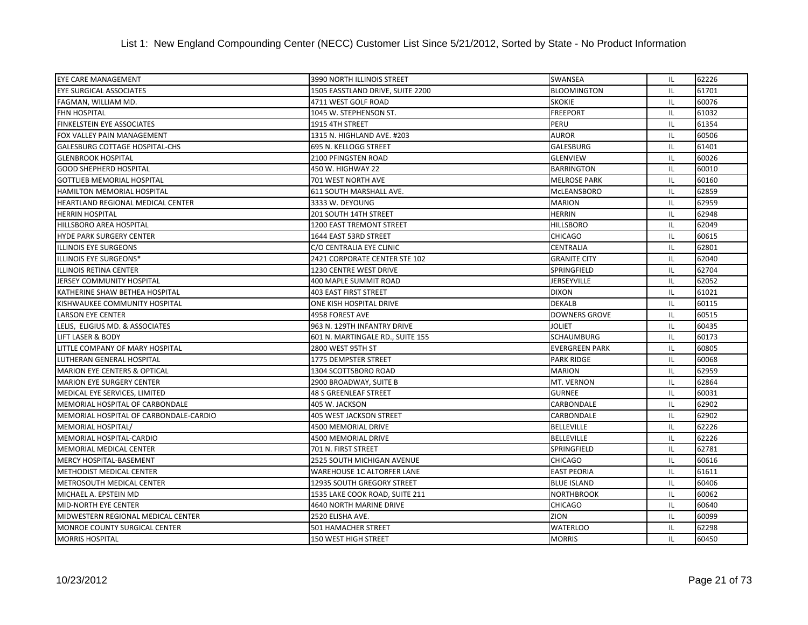List 1: New England Compounding Center (NECC) Customer List Since 5/21/2012, Sorted by State - No Product Information

| <b>EYE CARE MANAGEMENT</b>             | 3990 NORTH ILLINOIS STREET        | SWANSEA               | IL | 62226 |
|----------------------------------------|-----------------------------------|-----------------------|----|-------|
| <b>EYE SURGICAL ASSOCIATES</b>         | 1505 EASSTLAND DRIVE, SUITE 2200  | <b>BLOOMINGTON</b>    | IL | 61701 |
| FAGMAN, WILLIAM MD.                    | 4711 WEST GOLF ROAD               | <b>SKOKIE</b>         | IL | 60076 |
| <b>FHN HOSPITAL</b>                    | 1045 W. STEPHENSON ST.            | <b>FREEPORT</b>       | IL | 61032 |
| <b>FINKELSTEIN EYE ASSOCIATES</b>      | 1915 4TH STREET                   | PERU                  | IL | 61354 |
| FOX VALLEY PAIN MANAGEMENT             | 1315 N. HIGHLAND AVE. #203        | <b>AUROR</b>          | IL | 60506 |
| GALESBURG COTTAGE HOSPITAL-CHS         | 695 N. KELLOGG STREET             | GALESBURG             | IL | 61401 |
| <b>GLENBROOK HOSPITAL</b>              | 2100 PFINGSTEN ROAD               | <b>GLENVIEW</b>       | IL | 60026 |
| <b>GOOD SHEPHERD HOSPITAL</b>          | 450 W. HIGHWAY 22                 | <b>BARRINGTON</b>     | IL | 60010 |
| <b>GOTTLIEB MEMORIAL HOSPITAL</b>      | 701 WEST NORTH AVE                | <b>MELROSE PARK</b>   | IL | 60160 |
| HAMILTON MEMORIAL HOSPITAL             | 611 SOUTH MARSHALL AVE.           | MCLEANSBORO           | IL | 62859 |
| HEARTLAND REGIONAL MEDICAL CENTER      | 3333 W. DEYOUNG                   | <b>MARION</b>         | IL | 62959 |
| <b>HERRIN HOSPITAL</b>                 | 201 SOUTH 14TH STREET             | <b>HERRIN</b>         | IL | 62948 |
| <b>HILLSBORO AREA HOSPITAL</b>         | <b>1200 EAST TREMONT STREET</b>   | <b>HILLSBORO</b>      | IL | 62049 |
| <b>HYDE PARK SURGERY CENTER</b>        | 1644 EAST 53RD STREET             | <b>CHICAGO</b>        | IL | 60615 |
| ILLINOIS EYE SURGEONS                  | C/O CENTRALIA EYE CLINIC          | <b>CENTRALIA</b>      | IL | 62801 |
| ILLINOIS EYE SURGEONS*                 | 2421 CORPORATE CENTER STE 102     | <b>GRANITE CITY</b>   | IL | 62040 |
| <b>ILLINOIS RETINA CENTER</b>          | <b>1230 CENTRE WEST DRIVE</b>     | SPRINGFIELD           | IL | 62704 |
| JERSEY COMMUNITY HOSPITAL              | 400 MAPLE SUMMIT ROAD             | JERSEYVILLE           | IL | 62052 |
| KATHERINE SHAW BETHEA HOSPITAL         | <b>403 EAST FIRST STREET</b>      | <b>DIXON</b>          | IL | 61021 |
| KISHWAUKEE COMMUNITY HOSPITAL          | ONE KISH HOSPITAL DRIVE           | <b>DEKALB</b>         | IL | 60115 |
| <b>LARSON EYE CENTER</b>               | 4958 FOREST AVE                   | <b>DOWNERS GROVE</b>  | IL | 60515 |
| LELIS, ELIGIUS MD. & ASSOCIATES        | 963 N. 129TH INFANTRY DRIVE       | <b>JOLIET</b>         | IL | 60435 |
| <b>LIFT LASER &amp; BODY</b>           | 601 N. MARTINGALE RD., SUITE 155  | <b>SCHAUMBURG</b>     | IL | 60173 |
| LITTLE COMPANY OF MARY HOSPITAL        | 2800 WEST 95TH ST                 | <b>EVERGREEN PARK</b> | IL | 60805 |
| LUTHERAN GENERAL HOSPITAL              | 1775 DEMPSTER STREET              | <b>PARK RIDGE</b>     | IL | 60068 |
| MARION EYE CENTERS & OPTICAL           | 1304 SCOTTSBORO ROAD              | <b>MARION</b>         | IL | 62959 |
| <b>MARION EYE SURGERY CENTER</b>       | 2900 BROADWAY, SUITE B            | MT. VERNON            | IL | 62864 |
| MEDICAL EYE SERVICES, LIMITED          | <b>48 S GREENLEAF STREET</b>      | <b>GURNEE</b>         | IL | 60031 |
| MEMORIAL HOSPITAL OF CARBONDALE        | 405 W. JACKSON                    | CARBONDALE            | IL | 62902 |
| MEMORIAL HOSPITAL OF CARBONDALE-CARDIO | <b>405 WEST JACKSON STREET</b>    | CARBONDALE            | IL | 62902 |
| <b>MEMORIAL HOSPITAL/</b>              | 4500 MEMORIAL DRIVE               | <b>BELLEVILLE</b>     | IL | 62226 |
| <b>MEMORIAL HOSPITAL-CARDIO</b>        | <b>4500 MEMORIAL DRIVE</b>        | <b>BELLEVILLE</b>     | IL | 62226 |
| <b>MEMORIAL MEDICAL CENTER</b>         | 701 N. FIRST STREET               | <b>SPRINGFIELD</b>    | IL | 62781 |
| MERCY HOSPITAL-BASEMENT                | 2525 SOUTH MICHIGAN AVENUE        | <b>CHICAGO</b>        | IL | 60616 |
| <b>METHODIST MEDICAL CENTER</b>        | WAREHOUSE 1C ALTORFER LANE        | <b>EAST PEORIA</b>    | IL | 61611 |
| METROSOUTH MEDICAL CENTER              | <b>12935 SOUTH GREGORY STREET</b> | <b>BLUE ISLAND</b>    | IL | 60406 |
| MICHAEL A. EPSTEIN MD                  | 1535 LAKE COOK ROAD, SUITE 211    | <b>NORTHBROOK</b>     | IL | 60062 |
| <b>MID-NORTH EYE CENTER</b>            | 4640 NORTH MARINE DRIVE           | <b>CHICAGO</b>        | IL | 60640 |
| MIDWESTERN REGIONAL MEDICAL CENTER     | 2520 ELISHA AVE.                  | ZION                  | IL | 60099 |
| <b>MONROE COUNTY SURGICAL CENTER</b>   | <b>501 HAMACHER STREET</b>        | <b>WATERLOO</b>       | IL | 62298 |
| <b>MORRIS HOSPITAL</b>                 | 150 WEST HIGH STREET              | <b>MORRIS</b>         | IL | 60450 |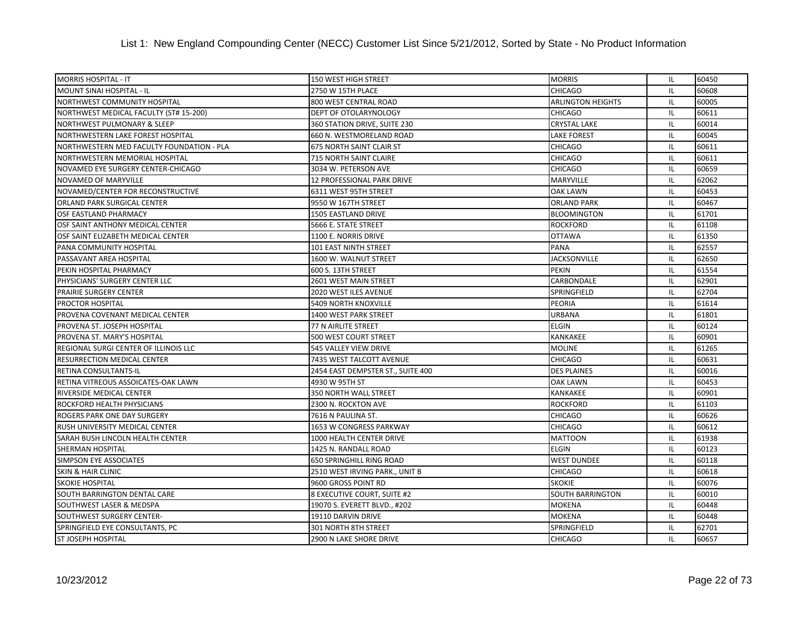| <b>MORRIS HOSPITAL - IT</b>               | <b>150 WEST HIGH STREET</b>       | <b>MORRIS</b>            | IL. | 60450 |
|-------------------------------------------|-----------------------------------|--------------------------|-----|-------|
| <b>MOUNT SINAI HOSPITAL - IL</b>          | 2750 W 15TH PLACE                 | <b>CHICAGO</b>           | IL  | 60608 |
| NORTHWEST COMMUNITY HOSPITAL              | 800 WEST CENTRAL ROAD             | <b>ARLINGTON HEIGHTS</b> | IL  | 60005 |
| NORTHWEST MEDICAL FACULTY (ST# 15-200)    | DEPT OF OTOLARYNOLOGY             | <b>CHICAGO</b>           | IL  | 60611 |
| NORTHWEST PULMONARY & SLEEP               | 360 STATION DRIVE, SUITE 230      | <b>CRYSTAL LAKE</b>      | IL  | 60014 |
| NORTHWESTERN LAKE FOREST HOSPITAL         | 660 N. WESTMORELAND ROAD          | <b>LAKE FOREST</b>       | IL  | 60045 |
| NORTHWESTERN MED FACULTY FOUNDATION - PLA | <b>675 NORTH SAINT CLAIR ST</b>   | <b>CHICAGO</b>           | IL  | 60611 |
| NORTHWESTERN MEMORIAL HOSPITAL            | <b>715 NORTH SAINT CLAIRE</b>     | <b>CHICAGO</b>           | IL  | 60611 |
| NOVAMED EYE SURGERY CENTER-CHICAGO        | 3034 W. PETERSON AVE              | <b>CHICAGO</b>           | IL  | 60659 |
| <b>NOVAMED OF MARYVILLE</b>               | 12 PROFESSIONAL PARK DRIVE        | <b>MARYVILLE</b>         | IL  | 62062 |
| NOVAMED/CENTER FOR RECONSTRUCTIVE         | 6311 WEST 95TH STREET             | <b>OAK LAWN</b>          | IL  | 60453 |
| ORLAND PARK SURGICAL CENTER               | 9550 W 167TH STREET               | <b>ORLAND PARK</b>       | IL  | 60467 |
| <b>OSF EASTLAND PHARMACY</b>              | 1505 EASTLAND DRIVE               | <b>BLOOMINGTON</b>       | IL  | 61701 |
| OSF SAINT ANTHONY MEDICAL CENTER          | 5666 E. STATE STREET              | <b>ROCKFORD</b>          | IL  | 61108 |
| OSF SAINT ELIZABETH MEDICAL CENTER        | 1100 E. NORRIS DRIVE              | <b>OTTAWA</b>            | IL  | 61350 |
| PANA COMMUNITY HOSPITAL                   | 101 EAST NINTH STREET             | <b>PANA</b>              | IL  | 62557 |
| PASSAVANT AREA HOSPITAL                   | 1600 W. WALNUT STREET             | <b>JACKSONVILLE</b>      | IL  | 62650 |
| PEKIN HOSPITAL PHARMACY                   | 600 S. 13TH STREET                | <b>PEKIN</b>             | IL  | 61554 |
| PHYSICIANS' SURGERY CENTER LLC            | 2601 WEST MAIN STREET             | CARBONDALE               | IL  | 62901 |
| PRAIRIE SURGERY CENTER                    | 2020 WEST ILES AVENUE             | SPRINGFIELD              | IL  | 62704 |
| PROCTOR HOSPITAL                          | <b>5409 NORTH KNOXVILLE</b>       | <b>PEORIA</b>            | IL  | 61614 |
| PROVENA COVENANT MEDICAL CENTER           | 1400 WEST PARK STREET             | <b>URBANA</b>            | IL  | 61801 |
| PROVENA ST. JOSEPH HOSPITAL               | 77 N AIRLITE STREET               | <b>ELGIN</b>             | IL  | 60124 |
| PROVENA ST. MARY'S HOSPITAL               | 500 WEST COURT STREET             | <b>KANKAKEE</b>          | IL  | 60901 |
| REGIONAL SURGI CENTER OF ILLINOIS LLC     | 545 VALLEY VIEW DRIVE             | <b>MOLINE</b>            | IL  | 61265 |
| <b>RESURRECTION MEDICAL CENTER</b>        | 7435 WEST TALCOTT AVENUE          | <b>CHICAGO</b>           | IL  | 60631 |
| RETINA CONSULTANTS-IL                     | 2454 EAST DEMPSTER ST., SUITE 400 | <b>DES PLAINES</b>       | IL  | 60016 |
| RETINA VITREOUS ASSOICATES-OAK LAWN       | 4930 W 95TH ST                    | <b>OAK LAWN</b>          | IL  | 60453 |
| RIVERSIDE MEDICAL CENTER                  | <b>350 NORTH WALL STREET</b>      | <b>KANKAKEE</b>          | IL  | 60901 |
| ROCKFORD HEALTH PHYSICIANS                | 2300 N. ROCKTON AVE               | <b>ROCKFORD</b>          | IL  | 61103 |
| ROGERS PARK ONE DAY SURGERY               | 7616 N PAULINA ST.                | <b>CHICAGO</b>           | IL. | 60626 |
| RUSH UNIVERSITY MEDICAL CENTER            | 1653 W CONGRESS PARKWAY           | <b>CHICAGO</b>           | IL  | 60612 |
| SARAH BUSH LINCOLN HEALTH CENTER          | 1000 HEALTH CENTER DRIVE          | <b>MATTOON</b>           | IL  | 61938 |
| <b>SHERMAN HOSPITAL</b>                   | 1425 N. RANDALL ROAD              | <b>ELGIN</b>             | IL  | 60123 |
| SIMPSON EYE ASSOCIATES                    | <b>650 SPRINGHILL RING ROAD</b>   | <b>WEST DUNDEE</b>       | IL  | 60118 |
| <b>SKIN &amp; HAIR CLINIC</b>             | 2510 WEST IRVING PARK., UNIT B    | <b>CHICAGO</b>           | IL  | 60618 |
| <b>SKOKIE HOSPITAL</b>                    | 9600 GROSS POINT RD               | <b>SKOKIE</b>            | IL  | 60076 |
| SOUTH BARRINGTON DENTAL CARE              | 8 EXECUTIVE COURT, SUITE #2       | <b>SOUTH BARRINGTON</b>  | IL  | 60010 |
| SOUTHWEST LASER & MEDSPA                  | 19070 S. EVERETT BLVD., #202      | <b>MOKENA</b>            | IL  | 60448 |
| <b>SOUTHWEST SURGERY CENTER-</b>          | 19110 DARVIN DRIVE                | <b>MOKENA</b>            | IL  | 60448 |
| SPRINGFIELD EYE CONSULTANTS, PC           | 301 NORTH 8TH STREET              | SPRINGFIELD              | IL  | 62701 |
| <b>ST JOSEPH HOSPITAL</b>                 | 2900 N LAKE SHORE DRIVE           | <b>CHICAGO</b>           | IL  | 60657 |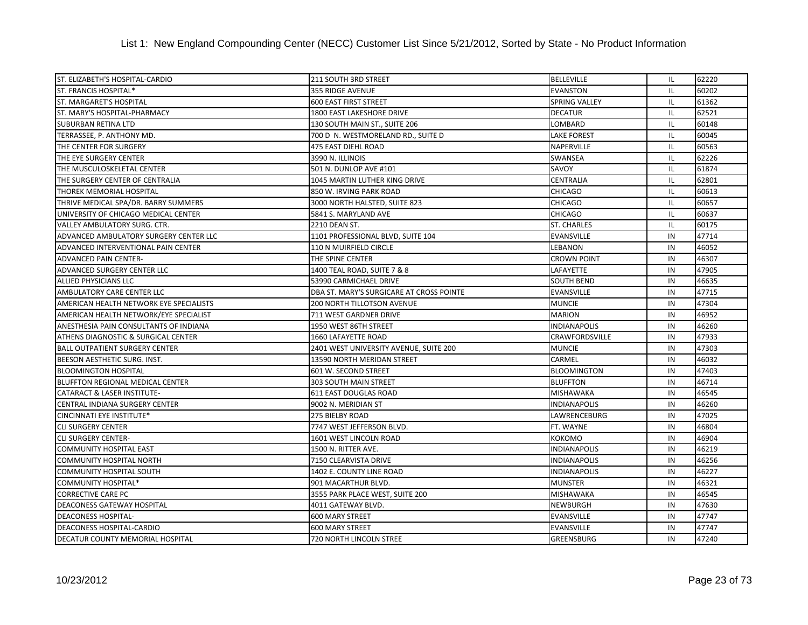| ST. ELIZABETH'S HOSPITAL-CARDIO         | 211 SOUTH 3RD STREET                     | <b>BELLEVILLE</b>     | IL. | 62220 |
|-----------------------------------------|------------------------------------------|-----------------------|-----|-------|
| ST. FRANCIS HOSPITAL*                   | <b>355 RIDGE AVENUE</b>                  | <b>EVANSTON</b>       | IL  | 60202 |
| <b>ST. MARGARET'S HOSPITAL</b>          | <b>600 EAST FIRST STREET</b>             | SPRING VALLEY         | IL  | 61362 |
| ST. MARY'S HOSPITAL-PHARMACY            | 1800 EAST LAKESHORE DRIVE                | <b>DECATUR</b>        | IL  | 62521 |
| <b>SUBURBAN RETINA LTD</b>              | 130 SOUTH MAIN ST., SUITE 206            | LOMBARD               | IL  | 60148 |
| TERRASSEE, P. ANTHONY MD.               | 700 D N. WESTMORELAND RD., SUITE D       | <b>LAKE FOREST</b>    | IL  | 60045 |
| THE CENTER FOR SURGERY                  | 475 EAST DIEHL ROAD                      | <b>NAPERVILLE</b>     | IL  | 60563 |
| THE EYE SURGERY CENTER                  | 3990 N. ILLINOIS                         | <b>SWANSEA</b>        | IL  | 62226 |
| THE MUSCULOSKELETAL CENTER              | 501 N. DUNLOP AVE #101                   | SAVOY                 | IL  | 61874 |
| THE SURGERY CENTER OF CENTRALIA         | 1045 MARTIN LUTHER KING DRIVE            | <b>CENTRALIA</b>      | IL  | 62801 |
| <b>THOREK MEMORIAL HOSPITAL</b>         | 850 W. IRVING PARK ROAD                  | <b>CHICAGO</b>        | IL  | 60613 |
| THRIVE MEDICAL SPA/DR. BARRY SUMMERS    | 3000 NORTH HALSTED, SUITE 823            | <b>CHICAGO</b>        | IL  | 60657 |
| UNIVERSITY OF CHICAGO MEDICAL CENTER    | 5841 S. MARYLAND AVE                     | <b>CHICAGO</b>        | IL  | 60637 |
| VALLEY AMBULATORY SURG. CTR.            | 2210 DEAN ST.                            | <b>ST. CHARLES</b>    | IL  | 60175 |
| ADVANCED AMBULATORY SURGERY CENTER LLC  | 1101 PROFESSIONAL BLVD, SUITE 104        | <b>EVANSVILLE</b>     | IN  | 47714 |
| ADVANCED INTERVENTIONAL PAIN CENTER     | 110 N MUIRFIELD CIRCLE                   | LEBANON               | IN  | 46052 |
| <b>ADVANCED PAIN CENTER-</b>            | THE SPINE CENTER                         | <b>CROWN POINT</b>    | IN  | 46307 |
| ADVANCED SURGERY CENTER LLC             | 1400 TEAL ROAD, SUITE 7 & 8              | LAFAYETTE             | IN  | 47905 |
| ALLIED PHYSICIANS LLC                   | 53990 CARMICHAEL DRIVE                   | <b>SOUTH BEND</b>     | IN  | 46635 |
| AMBULATORY CARE CENTER LLC              | DBA ST. MARY'S SURGICARE AT CROSS POINTE | <b>EVANSVILLE</b>     | IN  | 47715 |
| AMERICAN HEALTH NETWORK EYE SPECIALISTS | <b>200 NORTH TILLOTSON AVENUE</b>        | <b>MUNCIE</b>         | IN  | 47304 |
| AMERICAN HEALTH NETWORK/EYE SPECIALIST  | 711 WEST GARDNER DRIVE                   | <b>MARION</b>         | IN  | 46952 |
| ANESTHESIA PAIN CONSULTANTS OF INDIANA  | 1950 WEST 86TH STREET                    | <b>INDIANAPOLIS</b>   | IN  | 46260 |
| ATHENS DIAGNOSTIC & SURGICAL CENTER     | 1660 LAFAYETTE ROAD                      | <b>CRAWFORDSVILLE</b> | IN  | 47933 |
| <b>BALL OUTPATIENT SURGERY CENTER</b>   | 2401 WEST UNIVERSITY AVENUE, SUITE 200   | <b>MUNCIE</b>         | IN  | 47303 |
| BEESON AESTHETIC SURG. INST.            | 13590 NORTH MERIDAN STREET               | <b>CARMEL</b>         | IN  | 46032 |
| <b>BLOOMINGTON HOSPITAL</b>             | 601 W. SECOND STREET                     | <b>BLOOMINGTON</b>    | IN  | 47403 |
| BLUFFTON REGIONAL MEDICAL CENTER        | 303 SOUTH MAIN STREET                    | <b>BLUFFTON</b>       | IN  | 46714 |
| CATARACT & LASER INSTITUTE-             | 611 EAST DOUGLAS ROAD                    | <b>MISHAWAKA</b>      | IN  | 46545 |
| CENTRAL INDIANA SURGERY CENTER          | 9002 N. MERIDIAN ST                      | <b>INDIANAPOLIS</b>   | IN  | 46260 |
| <b>CINCINNATI EYE INSTITUTE*</b>        | 275 BIELBY ROAD                          | LAWRENCEBURG          | IN  | 47025 |
| <b>CLI SURGERY CENTER</b>               | 7747 WEST JEFFERSON BLVD.                | FT. WAYNE             | IN  | 46804 |
| <b>CLI SURGERY CENTER-</b>              | 1601 WEST LINCOLN ROAD                   | КОКОМО                | IN  | 46904 |
| <b>COMMUNITY HOSPITAL EAST</b>          | 1500 N. RITTER AVE.                      | <b>INDIANAPOLIS</b>   | IN  | 46219 |
| <b>COMMUNITY HOSPITAL NORTH</b>         | 7150 CLEARVISTA DRIVE                    | <b>INDIANAPOLIS</b>   | IN  | 46256 |
| <b>COMMUNITY HOSPITAL SOUTH</b>         | 1402 E. COUNTY LINE ROAD                 | <b>INDIANAPOLIS</b>   | IN  | 46227 |
| <b>COMMUNITY HOSPITAL*</b>              | 901 MACARTHUR BLVD.                      | <b>MUNSTER</b>        | IN  | 46321 |
| <b>CORRECTIVE CARE PC</b>               | 3555 PARK PLACE WEST, SUITE 200          | <b>MISHAWAKA</b>      | IN  | 46545 |
| <b>DEACONESS GATEWAY HOSPITAL</b>       | 4011 GATEWAY BLVD.                       | <b>NEWBURGH</b>       | IN  | 47630 |
| <b>DEACONESS HOSPITAL-</b>              | <b>600 MARY STREET</b>                   | <b>EVANSVILLE</b>     | IN  | 47747 |
| DEACONESS HOSPITAL-CARDIO               | <b>600 MARY STREET</b>                   | <b>EVANSVILLE</b>     | IN  | 47747 |
| DECATUR COUNTY MEMORIAL HOSPITAL        | 720 NORTH LINCOLN STREE                  | <b>GREENSBURG</b>     | IN  | 47240 |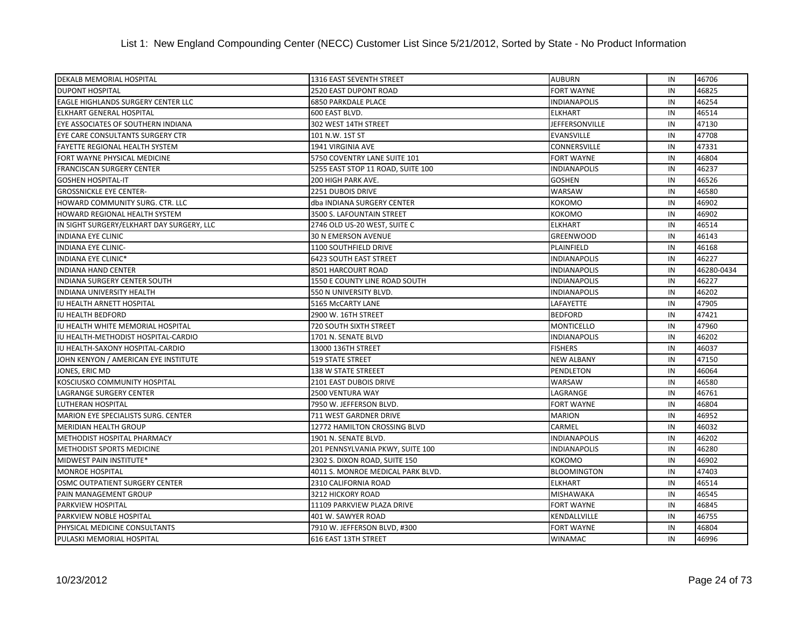| DEKALB MEMORIAL HOSPITAL                   | 1316 EAST SEVENTH STREET          | <b>AUBURN</b>         | IN | 46706      |
|--------------------------------------------|-----------------------------------|-----------------------|----|------------|
| <b>DUPONT HOSPITAL</b>                     | 2520 EAST DUPONT ROAD             | <b>FORT WAYNE</b>     | IN | 46825      |
| EAGLE HIGHLANDS SURGERY CENTER LLC         | <b>6850 PARKDALE PLACE</b>        | <b>INDIANAPOLIS</b>   | IN | 46254      |
| <b>ELKHART GENERAL HOSPITAL</b>            | 600 EAST BLVD.                    | <b>ELKHART</b>        | IN | 46514      |
| EYE ASSOCIATES OF SOUTHERN INDIANA         | 302 WEST 14TH STREET              | <b>JEFFERSONVILLE</b> | IN | 47130      |
| EYE CARE CONSULTANTS SURGERY CTR           | 101 N.W. 1ST ST                   | <b>EVANSVILLE</b>     | IN | 47708      |
| FAYETTE REGIONAL HEALTH SYSTEM             | 1941 VIRGINIA AVE                 | <b>CONNERSVILLE</b>   | IN | 47331      |
| FORT WAYNE PHYSICAL MEDICINE               | 5750 COVENTRY LANE SUITE 101      | <b>FORT WAYNE</b>     | IN | 46804      |
| <b>FRANCISCAN SURGERY CENTER</b>           | 5255 EAST STOP 11 ROAD, SUITE 100 | <b>INDIANAPOLIS</b>   | IN | 46237      |
| <b>GOSHEN HOSPITAL-IT</b>                  | 200 HIGH PARK AVE.                | <b>GOSHEN</b>         | IN | 46526      |
| <b>GROSSNICKLE EYE CENTER-</b>             | 2251 DUBOIS DRIVE                 | <b>WARSAW</b>         | IN | 46580      |
| HOWARD COMMUNITY SURG. CTR. LLC            | dba INDIANA SURGERY CENTER        | <b>КОКОМО</b>         | IN | 46902      |
| HOWARD REGIONAL HEALTH SYSTEM              | 3500 S. LAFOUNTAIN STREET         | <b>KOKOMO</b>         | IN | 46902      |
| IN SIGHT SURGERY/ELKHART DAY SURGERY, LLC  | 2746 OLD US-20 WEST, SUITE C      | <b>ELKHART</b>        | IN | 46514      |
| <b>INDIANA EYE CLINIC</b>                  | <b>30 N EMERSON AVENUE</b>        | <b>GREENWOOD</b>      | IN | 46143      |
| <b>INDIANA EYE CLINIC-</b>                 | 1100 SOUTHFIELD DRIVE             | PLAINFIELD            | IN | 46168      |
| INDIANA EYE CLINIC*                        | <b>6423 SOUTH EAST STREET</b>     | <b>INDIANAPOLIS</b>   | IN | 46227      |
| <b>INDIANA HAND CENTER</b>                 | 8501 HARCOURT ROAD                | <b>INDIANAPOLIS</b>   | IN | 46280-0434 |
| <b>INDIANA SURGERY CENTER SOUTH</b>        | 1550 E COUNTY LINE ROAD SOUTH     | <b>INDIANAPOLIS</b>   | IN | 46227      |
| <b>INDIANA UNIVERSITY HEALTH</b>           | 550 N UNIVERSITY BLVD.            | <b>INDIANAPOLIS</b>   | IN | 46202      |
| IU HEALTH ARNETT HOSPITAL                  | 5165 McCARTY LANE                 | LAFAYETTE             | IN | 47905      |
| <b>IU HEALTH BEDFORD</b>                   | 2900 W. 16TH STREET               | <b>BEDFORD</b>        | IN | 47421      |
| IU HEALTH WHITE MEMORIAL HOSPITAL          | 720 SOUTH SIXTH STREET            | <b>MONTICELLO</b>     | IN | 47960      |
| IU HEALTH-METHODIST HOSPITAL-CARDIO        | 1701 N. SENATE BLVD               | <b>INDIANAPOLIS</b>   | IN | 46202      |
| IU HEALTH-SAXONY HOSPITAL-CARDIO           | 13000 136TH STREET                | <b>FISHERS</b>        | IN | 46037      |
| JOHN KENYON / AMERICAN EYE INSTITUTE       | 519 STATE STREET                  | <b>NEW ALBANY</b>     | IN | 47150      |
| JONES, ERIC MD                             | 138 W STATE STREEET               | <b>PENDLETON</b>      | IN | 46064      |
| KOSCIUSKO COMMUNITY HOSPITAL               | 2101 EAST DUBOIS DRIVE            | <b>WARSAW</b>         | IN | 46580      |
| LAGRANGE SURGERY CENTER                    | 2500 VENTURA WAY                  | LAGRANGE              | IN | 46761      |
| LUTHERAN HOSPITAL                          | 7950 W. JEFFERSON BLVD.           | <b>FORT WAYNE</b>     | IN | 46804      |
| <b>MARION EYE SPECIALISTS SURG. CENTER</b> | 711 WEST GARDNER DRIVE            | <b>MARION</b>         | IN | 46952      |
| <b>MERIDIAN HEALTH GROUP</b>               | 12772 HAMILTON CROSSING BLVD      | CARMEL                | IN | 46032      |
| METHODIST HOSPITAL PHARMACY                | 1901 N. SENATE BLVD.              | <b>INDIANAPOLIS</b>   | IN | 46202      |
| METHODIST SPORTS MEDICINE                  | 201 PENNSYLVANIA PKWY, SUITE 100  | <b>INDIANAPOLIS</b>   | IN | 46280      |
| MIDWEST PAIN INSTITUTE*                    | 2302 S. DIXON ROAD, SUITE 150     | <b>КОКОМО</b>         | IN | 46902      |
| <b>MONROE HOSPITAL</b>                     | 4011 S. MONROE MEDICAL PARK BLVD. | <b>BLOOMINGTON</b>    | IN | 47403      |
| OSMC OUTPATIENT SURGERY CENTER             | 2310 CALIFORNIA ROAD              | <b>ELKHART</b>        | IN | 46514      |
| PAIN MANAGEMENT GROUP                      | 3212 HICKORY ROAD                 | <b>MISHAWAKA</b>      | IN | 46545      |
| PARKVIEW HOSPITAL                          | 11109 PARKVIEW PLAZA DRIVE        | <b>FORT WAYNE</b>     | IN | 46845      |
| PARKVIEW NOBLE HOSPITAL                    | 401 W. SAWYER ROAD                | KENDALLVILLE          | IN | 46755      |
| PHYSICAL MEDICINE CONSULTANTS              | 7910 W. JEFFERSON BLVD, #300      | <b>FORT WAYNE</b>     | IN | 46804      |
| PULASKI MEMORIAL HOSPITAL                  | 616 EAST 13TH STREET              | <b>WINAMAC</b>        | IN | 46996      |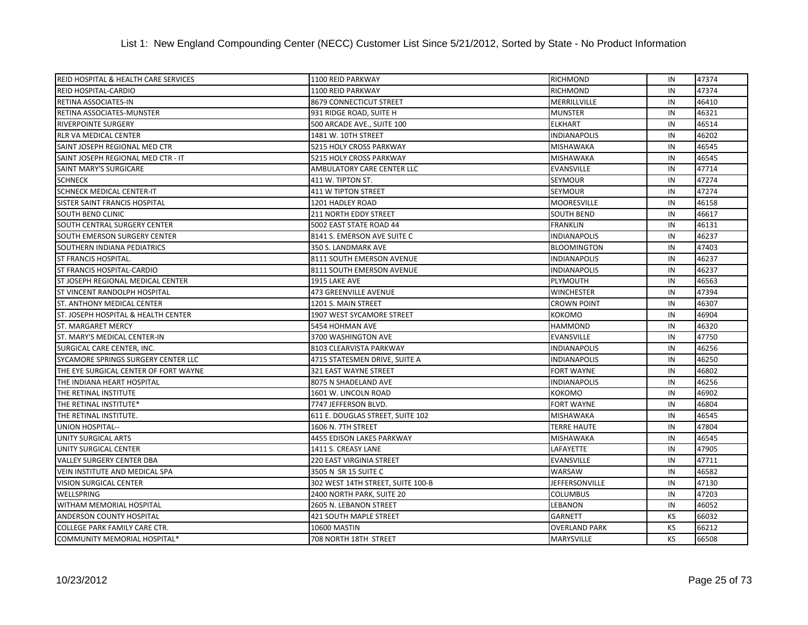| <b>REID HOSPITAL &amp; HEALTH CARE SERVICES</b> | 1100 REID PARKWAY                 | <b>RICHMOND</b>      | IN        | 47374 |
|-------------------------------------------------|-----------------------------------|----------------------|-----------|-------|
| REID HOSPITAL-CARDIO                            | 1100 REID PARKWAY                 | <b>RICHMOND</b>      | IN        | 47374 |
| RETINA ASSOCIATES-IN                            | 8679 CONNECTICUT STREET           | MERRILLVILLE         | IN        | 46410 |
| RETINA ASSOCIATES-MUNSTER                       | 931 RIDGE ROAD, SUITE H           | <b>MUNSTER</b>       | IN        | 46321 |
| <b>RIVERPOINTE SURGERY</b>                      | 500 ARCADE AVE., SUITE 100        | <b>ELKHART</b>       | IN        | 46514 |
| RLR VA MEDICAL CENTER                           | 1481 W. 10TH STREET               | <b>INDIANAPOLIS</b>  | IN        | 46202 |
| SAINT JOSEPH REGIONAL MED CTR                   | 5215 HOLY CROSS PARKWAY           | <b>MISHAWAKA</b>     | IN        | 46545 |
| SAINT JOSEPH REGIONAL MED CTR - IT              | <b>5215 HOLY CROSS PARKWAY</b>    | <b>MISHAWAKA</b>     | IN        | 46545 |
| SAINT MARY'S SURGICARE                          | AMBULATORY CARE CENTER LLC        | <b>EVANSVILLE</b>    | IN        | 47714 |
| <b>SCHNECK</b>                                  | 411 W. TIPTON ST.                 | <b>SEYMOUR</b>       | IN        | 47274 |
| <b>SCHNECK MEDICAL CENTER-IT</b>                | 411 W TIPTON STREET               | <b>SEYMOUR</b>       | IN        | 47274 |
| SISTER SAINT FRANCIS HOSPITAL                   | 1201 HADLEY ROAD                  | <b>MOORESVILLE</b>   | IN        | 46158 |
| <b>SOUTH BEND CLINIC</b>                        | <b>211 NORTH EDDY STREET</b>      | <b>SOUTH BEND</b>    | IN        | 46617 |
| <b>SOUTH CENTRAL SURGERY CENTER</b>             | 5002 EAST STATE ROAD 44           | <b>FRANKLIN</b>      | IN        | 46131 |
| SOUTH EMERSON SURGERY CENTER                    | 8141 S. EMERSON AVE SUITE C       | <b>INDIANAPOLIS</b>  | IN        | 46237 |
| SOUTHERN INDIANA PEDIATRICS                     | 350 S. LANDMARK AVE               | <b>BLOOMINGTON</b>   | IN        | 47403 |
| <b>ST FRANCIS HOSPITAL.</b>                     | 8111 SOUTH EMERSON AVENUE         | <b>INDIANAPOLIS</b>  | IN        | 46237 |
| <b>ST FRANCIS HOSPITAL-CARDIO</b>               | 8111 SOUTH EMERSON AVENUE         | <b>INDIANAPOLIS</b>  | IN        | 46237 |
| ST JOSEPH REGIONAL MEDICAL CENTER               | 1915 LAKE AVE                     | PLYMOUTH             | IN        | 46563 |
| <b>ST VINCENT RANDOLPH HOSPITAL</b>             | 473 GREENVILLE AVENUE             | <b>WINCHESTER</b>    | IN        | 47394 |
| <b>ST. ANTHONY MEDICAL CENTER</b>               | 1201 S. MAIN STREET               | <b>CROWN POINT</b>   | IN        | 46307 |
| ST. JOSEPH HOSPITAL & HEALTH CENTER             | 1907 WEST SYCAMORE STREET         | <b>KOKOMO</b>        | IN        | 46904 |
| <b>ST. MARGARET MERCY</b>                       | 5454 HOHMAN AVE                   | <b>HAMMOND</b>       | IN        | 46320 |
| ST. MARY'S MEDICAL CENTER-IN                    | 3700 WASHINGTON AVE               | <b>EVANSVILLE</b>    | IN        | 47750 |
| SURGICAL CARE CENTER, INC.                      | 8103 CLEARVISTA PARKWAY           | <b>INDIANAPOLIS</b>  | IN        | 46256 |
| SYCAMORE SPRINGS SURGERY CENTER LLC             | 4715 STATESMEN DRIVE, SUITE A     | <b>INDIANAPOLIS</b>  | IN        | 46250 |
| THE EYE SURGICAL CENTER OF FORT WAYNE           | 321 EAST WAYNE STREET             | <b>FORT WAYNE</b>    | IN        | 46802 |
| THE INDIANA HEART HOSPITAL                      | 8075 N SHADELAND AVE              | <b>INDIANAPOLIS</b>  | IN        | 46256 |
| THE RETINAL INSTITUTE                           | 1601 W. LINCOLN ROAD              | <b>KOKOMO</b>        | IN        | 46902 |
| THE RETINAL INSTITUTE*                          | 7747 JEFFERSON BLVD.              | <b>FORT WAYNE</b>    | IN        | 46804 |
| THE RETINAL INSTITUTE.                          | 611 E. DOUGLAS STREET, SUITE 102  | <b>MISHAWAKA</b>     | IN        | 46545 |
| UNION HOSPITAL--                                | 1606 N. 7TH STREET                | <b>TERRE HAUTE</b>   | IN        | 47804 |
| UNITY SURGICAL ARTS                             | 4455 EDISON LAKES PARKWAY         | <b>MISHAWAKA</b>     | IN        | 46545 |
| UNITY SURGICAL CENTER                           | 1411 S. CREASY LANE               | <b>LAFAYETTE</b>     | IN        | 47905 |
| <b>VALLEY SURGERY CENTER DBA</b>                | <b>220 EAST VIRGINIA STREET</b>   | <b>EVANSVILLE</b>    | IN        | 47711 |
| VEIN INSTITUTE AND MEDICAL SPA                  | 3505 N SR 15 SUITE C              | <b>WARSAW</b>        | IN        | 46582 |
| <b>VISION SURGICAL CENTER</b>                   | 302 WEST 14TH STREET, SUITE 100-B | JEFFERSONVILLE       | IN        | 47130 |
| WELLSPRING                                      | 2400 NORTH PARK, SUITE 20         | <b>COLUMBUS</b>      | IN        | 47203 |
| WITHAM MEMORIAL HOSPITAL                        | 2605 N. LEBANON STREET            | LEBANON              | IN        | 46052 |
| ANDERSON COUNTY HOSPITAL                        | 421 SOUTH MAPLE STREET            | <b>GARNETT</b>       | KS        | 66032 |
| COLLEGE PARK FAMILY CARE CTR.                   | 10600 MASTIN                      | <b>OVERLAND PARK</b> | KS        | 66212 |
| COMMUNITY MEMORIAL HOSPITAL*                    | 708 NORTH 18TH STREET             | <b>MARYSVILLE</b>    | <b>KS</b> | 66508 |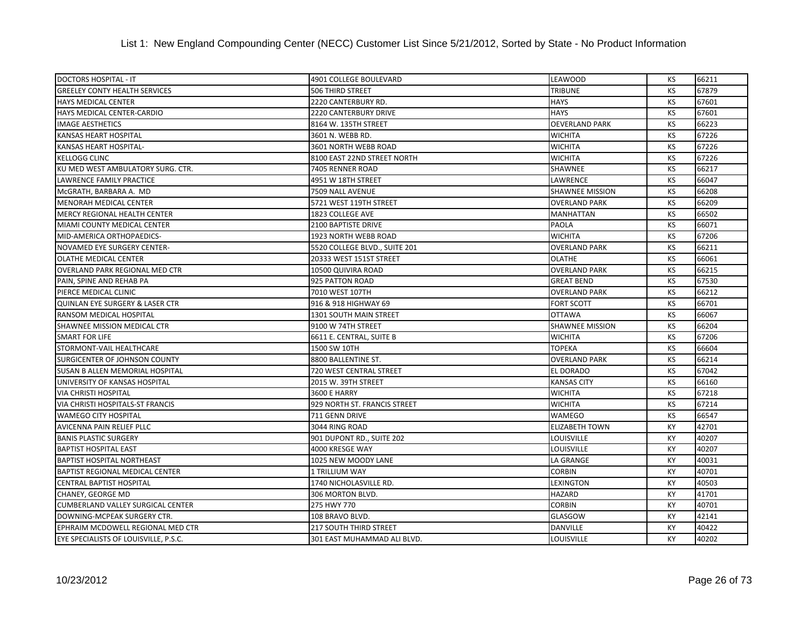| <b>DOCTORS HOSPITAL - IT</b>             | 4901 COLLEGE BOULEVARD        | <b>LEAWOOD</b>         | KS | 66211 |
|------------------------------------------|-------------------------------|------------------------|----|-------|
| <b>GREELEY CONTY HEALTH SERVICES</b>     | <b>506 THIRD STREET</b>       | <b>TRIBUNE</b>         | KS | 67879 |
| <b>HAYS MEDICAL CENTER</b>               | 2220 CANTERBURY RD.           | <b>HAYS</b>            | KS | 67601 |
| HAYS MEDICAL CENTER-CARDIO               | <b>2220 CANTERBURY DRIVE</b>  | <b>HAYS</b>            | KS | 67601 |
| <b>IMAGE AESTHETICS</b>                  | 8164 W. 135TH STREET          | <b>OEVERLAND PARK</b>  | KS | 66223 |
| KANSAS HEART HOSPITAL                    | 3601 N. WEBB RD.              | <b>WICHITA</b>         | KS | 67226 |
| <b>KANSAS HEART HOSPITAL-</b>            | 3601 NORTH WEBB ROAD          | <b>WICHITA</b>         | KS | 67226 |
| <b>KELLOGG CLINC</b>                     | 8100 EAST 22ND STREET NORTH   | <b>WICHITA</b>         | KS | 67226 |
| KU MED WEST AMBULATORY SURG. CTR.        | 7405 RENNER ROAD              | SHAWNEE                | KS | 66217 |
| <b>LAWRENCE FAMILY PRACTICE</b>          | 4951 W 18TH STREET            | <b>LAWRENCE</b>        | KS | 66047 |
| MCGRATH, BARBARA A. MD                   | 7509 NALL AVENUE              | <b>SHAWNEE MISSION</b> | КS | 66208 |
| <b>MENORAH MEDICAL CENTER</b>            | 5721 WEST 119TH STREET        | <b>OVERLAND PARK</b>   | KS | 66209 |
| MERCY REGIONAL HEALTH CENTER             | 1823 COLLEGE AVE              | <b>MANHATTAN</b>       | КS | 66502 |
| <b>MIAMI COUNTY MEDICAL CENTER</b>       | <b>2100 BAPTISTE DRIVE</b>    | <b>PAOLA</b>           | KS | 66071 |
| MID-AMERICA ORTHOPAEDICS-                | 1923 NORTH WEBB ROAD          | <b>WICHITA</b>         | KS | 67206 |
| NOVAMED EYE SURGERY CENTER-              | 5520 COLLEGE BLVD., SUITE 201 | <b>OVERLAND PARK</b>   | KS | 66211 |
| OLATHE MEDICAL CENTER                    | 20333 WEST 151ST STREET       | <b>OLATHE</b>          | KS | 66061 |
| <b>OVERLAND PARK REGIONAL MED CTR</b>    | 10500 QUIVIRA ROAD            | <b>OVERLAND PARK</b>   | KS | 66215 |
| PAIN, SPINE AND REHAB PA                 | 925 PATTON ROAD               | <b>GREAT BEND</b>      | KS | 67530 |
| PIERCE MEDICAL CLINIC                    | 7010 WEST 107TH               | <b>OVERLAND PARK</b>   | КS | 66212 |
| QUINLAN EYE SURGERY & LASER CTR          | 916 & 918 HIGHWAY 69          | <b>FORT SCOTT</b>      | KS | 66701 |
| RANSOM MEDICAL HOSPITAL                  | 1301 SOUTH MAIN STREET        | <b>OTTAWA</b>          | KS | 66067 |
| SHAWNEE MISSION MEDICAL CTR              | 9100 W 74TH STREET            | <b>SHAWNEE MISSION</b> | KS | 66204 |
| <b>SMART FOR LIFE</b>                    | 6611 E. CENTRAL, SUITE B      | <b>WICHITA</b>         | KS | 67206 |
| STORMONT-VAIL HEALTHCARE                 | 1500 SW 10TH                  | <b>TOPEKA</b>          | KS | 66604 |
| SURGICENTER OF JOHNSON COUNTY            | 8800 BALLENTINE ST.           | <b>OVERLAND PARK</b>   | KS | 66214 |
| <b>SUSAN B ALLEN MEMORIAL HOSPITAL</b>   | 720 WEST CENTRAL STREET       | EL DORADO              | KS | 67042 |
| UNIVERSITY OF KANSAS HOSPITAL            | 2015 W. 39TH STREET           | <b>KANSAS CITY</b>     | KS | 66160 |
| <b>VIA CHRISTI HOSPITAL</b>              | <b>3600 E HARRY</b>           | <b>WICHITA</b>         | KS | 67218 |
| VIA CHRISTI HOSPITALS-ST FRANCIS         | 929 NORTH ST. FRANCIS STREET  | <b>WICHITA</b>         | KS | 67214 |
| <b>WAMEGO CITY HOSPITAL</b>              | 711 GENN DRIVE                | <b>WAMEGO</b>          | KS | 66547 |
| AVICENNA PAIN RELIEF PLLC                | 3044 RING ROAD                | <b>ELIZABETH TOWN</b>  | KY | 42701 |
| <b>BANIS PLASTIC SURGERY</b>             | 901 DUPONT RD., SUITE 202     | <b>LOUISVILLE</b>      | KY | 40207 |
| <b>BAPTIST HOSPITAL EAST</b>             | 4000 KRESGE WAY               | <b>LOUISVILLE</b>      | KY | 40207 |
| <b>BAPTIST HOSPITAL NORTHEAST</b>        | 1025 NEW MOODY LANE           | <b>LA GRANGE</b>       | KY | 40031 |
| <b>BAPTIST REGIONAL MEDICAL CENTER</b>   | 1 TRILLIUM WAY                | <b>CORBIN</b>          | КY | 40701 |
| <b>CENTRAL BAPTIST HOSPITAL</b>          | 1740 NICHOLASVILLE RD.        | LEXINGTON              | KY | 40503 |
| <b>CHANEY, GEORGE MD</b>                 | 306 MORTON BLVD.              | <b>HAZARD</b>          | KY | 41701 |
| <b>CUMBERLAND VALLEY SURGICAL CENTER</b> | 275 HWY 770                   | <b>CORBIN</b>          | KY | 40701 |
| DOWNING-MCPEAK SURGERY CTR.              | 108 BRAVO BLVD.               | <b>GLASGOW</b>         | KY | 42141 |
| EPHRAIM MCDOWELL REGIONAL MED CTR        | <b>217 SOUTH THIRD STREET</b> | <b>DANVILLE</b>        | KY | 40422 |
| EYE SPECIALISTS OF LOUISVILLE, P.S.C.    | 301 EAST MUHAMMAD ALI BLVD.   | <b>LOUISVILLE</b>      | KY | 40202 |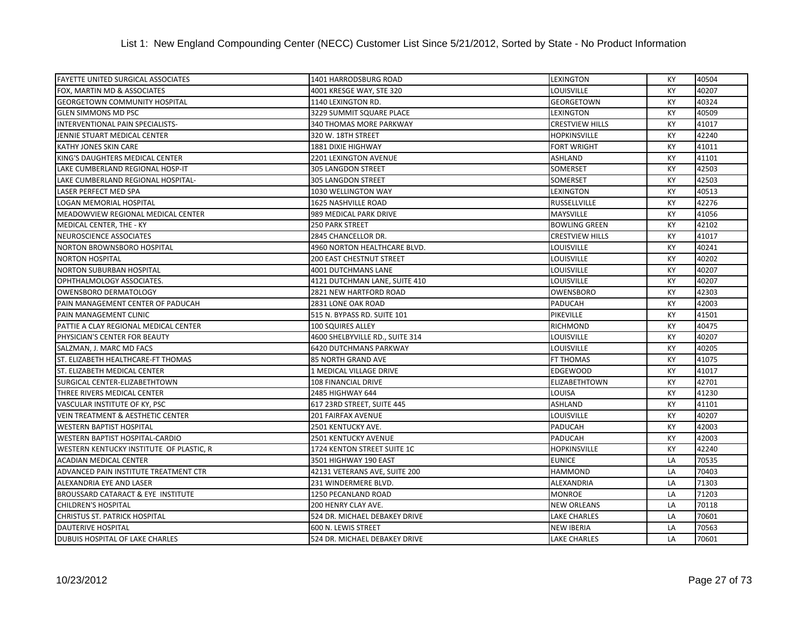| <b>FAYETTE UNITED SURGICAL ASSOCIATES</b>    | 1401 HARRODSBURG ROAD           | <b>LEXINGTON</b>       | KY        | 40504 |
|----------------------------------------------|---------------------------------|------------------------|-----------|-------|
| FOX, MARTIN MD & ASSOCIATES                  | 4001 KRESGE WAY, STE 320        | LOUISVILLE             | KY        | 40207 |
| <b>GEORGETOWN COMMUNITY HOSPITAL</b>         | 1140 LEXINGTON RD.              | <b>GEORGETOWN</b>      | KY        | 40324 |
| <b>GLEN SIMMONS MD PSC</b>                   | 3229 SUMMIT SQUARE PLACE        | LEXINGTON              | <b>KY</b> | 40509 |
| INTERVENTIONAL PAIN SPECIALISTS-             | 340 THOMAS MORE PARKWAY         | <b>CRESTVIEW HILLS</b> | КY        | 41017 |
| JENNIE STUART MEDICAL CENTER                 | 320 W. 18TH STREET              | <b>HOPKINSVILLE</b>    | KY        | 42240 |
| <b>KATHY JONES SKIN CARE</b>                 | <b>1881 DIXIE HIGHWAY</b>       | <b>FORT WRIGHT</b>     | KY        | 41011 |
| KING'S DAUGHTERS MEDICAL CENTER              | 2201 LEXINGTON AVENUE           | ASHLAND                | <b>KY</b> | 41101 |
| LAKE CUMBERLAND REGIONAL HOSP-IT             | 305 LANGDON STREET              | SOMERSET               | KY        | 42503 |
| LAKE CUMBERLAND REGIONAL HOSPITAL-           | 305 LANGDON STREET              | <b>SOMERSET</b>        | KY        | 42503 |
| LASER PERFECT MED SPA                        | 1030 WELLINGTON WAY             | <b>LEXINGTON</b>       | KY        | 40513 |
| <b>LOGAN MEMORIAL HOSPITAL</b>               | 1625 NASHVILLE ROAD             | <b>RUSSELLVILLE</b>    | КY        | 42276 |
| MEADOWVIEW REGIONAL MEDICAL CENTER           | 989 MEDICAL PARK DRIVE          | <b>MAYSVILLE</b>       | КY        | 41056 |
| MEDICAL CENTER, THE - KY                     | <b>250 PARK STREET</b>          | <b>BOWLING GREEN</b>   | KY        | 42102 |
| NEUROSCIENCE ASSOCIATES                      | 2845 CHANCELLOR DR.             | <b>CRESTVIEW HILLS</b> | KY        | 41017 |
| NORTON BROWNSBORO HOSPITAL                   | 4960 NORTON HEALTHCARE BLVD.    | LOUISVILLE             | KY        | 40241 |
| <b>NORTON HOSPITAL</b>                       | <b>200 EAST CHESTNUT STREET</b> | <b>LOUISVILLE</b>      | KY        | 40202 |
| <b>NORTON SUBURBAN HOSPITAL</b>              | 4001 DUTCHMANS LANE             | LOUISVILLE             | KY        | 40207 |
| OPHTHALMOLOGY ASSOCIATES.                    | 4121 DUTCHMAN LANE, SUITE 410   | LOUISVILLE             | КY        | 40207 |
| OWENSBORO DERMATOLOGY                        | 2821 NEW HARTFORD ROAD          | <b>OWENSBORO</b>       | KY        | 42303 |
| PAIN MANAGEMENT CENTER OF PADUCAH            | 2831 LONE OAK ROAD              | <b>PADUCAH</b>         | KY        | 42003 |
| PAIN MANAGEMENT CLINIC                       | 515 N. BYPASS RD. SUITE 101     | PIKEVILLE              | <b>KY</b> | 41501 |
| PATTIE A CLAY REGIONAL MEDICAL CENTER        | 100 SQUIRES ALLEY               | <b>RICHMOND</b>        | KY        | 40475 |
| PHYSICIAN'S CENTER FOR BEAUTY                | 4600 SHELBYVILLE RD., SUITE 314 | LOUISVILLE             | KY        | 40207 |
| SALZMAN, J. MARC MD FACS                     | 6420 DUTCHMANS PARKWAY          | LOUISVILLE             | KY        | 40205 |
| ST. ELIZABETH HEALTHCARE-FT THOMAS           | 85 NORTH GRAND AVE              | <b>FT THOMAS</b>       | КY        | 41075 |
| ST. ELIZABETH MEDICAL CENTER                 | 1 MEDICAL VILLAGE DRIVE         | <b>EDGEWOOD</b>        | КY        | 41017 |
| SURGICAL CENTER-ELIZABETHTOWN                | 108 FINANCIAL DRIVE             | <b>ELIZABETHTOWN</b>   | KY        | 42701 |
| THREE RIVERS MEDICAL CENTER                  | 2485 HIGHWAY 644                | LOUISA                 | KY        | 41230 |
| VASCULAR INSTITUTE OF KY, PSC                | 617 23RD STREET, SUITE 445      | <b>ASHLAND</b>         | KY        | 41101 |
| <b>VEIN TREATMENT &amp; AESTHETIC CENTER</b> | <b>201 FAIRFAX AVENUE</b>       | <b>LOUISVILLE</b>      | KY        | 40207 |
| <b>WESTERN BAPTIST HOSPITAL</b>              | 2501 KENTUCKY AVE.              | <b>PADUCAH</b>         | KY        | 42003 |
| WESTERN BAPTIST HOSPITAL-CARDIO              | <b>2501 KENTUCKY AVENUE</b>     | <b>PADUCAH</b>         | КY        | 42003 |
| WESTERN KENTUCKY INSTITUTE OF PLASTIC, R     | 1724 KENTON STREET SUITE 1C     | <b>HOPKINSVILLE</b>    | KY        | 42240 |
| <b>ACADIAN MEDICAL CENTER</b>                | 3501 HIGHWAY 190 EAST           | <b>EUNICE</b>          | LA        | 70535 |
| ADVANCED PAIN INSTITUTE TREATMENT CTR        | 42131 VETERANS AVE, SUITE 200   | <b>HAMMOND</b>         | LA        | 70403 |
| ALEXANDRIA EYE AND LASER                     | 231 WINDERMERE BLVD.            | ALEXANDRIA             | LA        | 71303 |
| BROUSSARD CATARACT & EYE INSTITUTE           | 1250 PECANLAND ROAD             | <b>MONROE</b>          | LA        | 71203 |
| <b>CHILDREN'S HOSPITAL</b>                   | 200 HENRY CLAY AVE.             | <b>NEW ORLEANS</b>     | LA        | 70118 |
| <b>CHRISTUS ST. PATRICK HOSPITAL</b>         | 524 DR. MICHAEL DEBAKEY DRIVE   | <b>LAKE CHARLES</b>    | LA        | 70601 |
| <b>DAUTERIVE HOSPITAL</b>                    | 600 N. LEWIS STREET             | <b>NEW IBERIA</b>      | LA        | 70563 |
| <b>DUBUIS HOSPITAL OF LAKE CHARLES</b>       | 524 DR. MICHAEL DEBAKEY DRIVE   | <b>LAKE CHARLES</b>    | LA        | 70601 |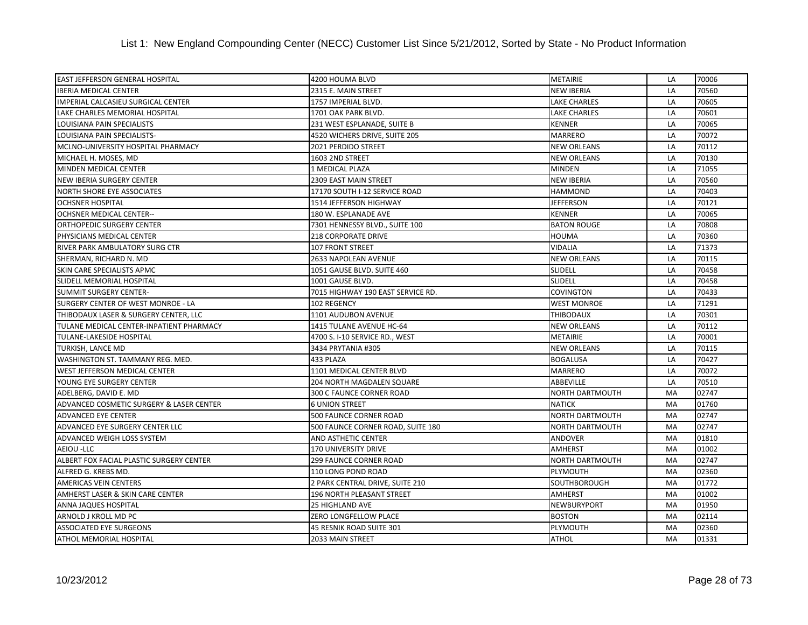| <b>EAST JEFFERSON GENERAL HOSPITAL</b>   | 4200 HOUMA BLVD                   | <b>METAIRIE</b>        | LA | 70006 |
|------------------------------------------|-----------------------------------|------------------------|----|-------|
| <b>IBERIA MEDICAL CENTER</b>             | 2315 E. MAIN STREET               | <b>NEW IBERIA</b>      | LA | 70560 |
| IMPERIAL CALCASIEU SURGICAL CENTER       | 1757 IMPERIAL BLVD.               | <b>LAKE CHARLES</b>    | LA | 70605 |
| LAKE CHARLES MEMORIAL HOSPITAL           | 1701 OAK PARK BLVD.               | <b>LAKE CHARLES</b>    | LA | 70601 |
| LOUISIANA PAIN SPECIALISTS               | 231 WEST ESPLANADE, SUITE B       | <b>KENNER</b>          | LA | 70065 |
| LOUISIANA PAIN SPECIALISTS-              | 4520 WICHERS DRIVE, SUITE 205     | <b>MARRERO</b>         | LA | 70072 |
| MCLNO-UNIVERSITY HOSPITAL PHARMACY       | 2021 PERDIDO STREET               | <b>NEW ORLEANS</b>     | LA | 70112 |
| MICHAEL H. MOSES, MD                     | 1603 2ND STREET                   | <b>NEW ORLEANS</b>     | LA | 70130 |
| MINDEN MEDICAL CENTER                    | 1 MEDICAL PLAZA                   | <b>MINDEN</b>          | LA | 71055 |
| <b>NEW IBERIA SURGERY CENTER</b>         | 2309 EAST MAIN STREET             | <b>NEW IBERIA</b>      | LA | 70560 |
| <b>NORTH SHORE EYE ASSOCIATES</b>        | 17170 SOUTH I-12 SERVICE ROAD     | <b>HAMMOND</b>         | LA | 70403 |
| <b>OCHSNER HOSPITAL</b>                  | 1514 JEFFERSON HIGHWAY            | <b>JEFFERSON</b>       | LA | 70121 |
| <b>OCHSNER MEDICAL CENTER--</b>          | 180 W. ESPLANADE AVE              | <b>KENNER</b>          | LA | 70065 |
| ORTHOPEDIC SURGERY CENTER                | 7301 HENNESSY BLVD., SUITE 100    | <b>BATON ROUGE</b>     | LA | 70808 |
| PHYSICIANS MEDICAL CENTER                | <b>218 CORPORATE DRIVE</b>        | <b>HOUMA</b>           | LA | 70360 |
| RIVER PARK AMBULATORY SURG CTR           | 107 FRONT STREET                  | <b>VIDALIA</b>         | LA | 71373 |
| SHERMAN, RICHARD N. MD                   | 2633 NAPOLEAN AVENUE              | <b>NEW ORLEANS</b>     | LA | 70115 |
| SKIN CARE SPECIALISTS APMC               | 1051 GAUSE BLVD. SUITE 460        | <b>SLIDELL</b>         | LA | 70458 |
| SLIDELL MEMORIAL HOSPITAL                | 1001 GAUSE BLVD.                  | <b>SLIDELL</b>         | LA | 70458 |
| <b>SUMMIT SURGERY CENTER-</b>            | 7015 HIGHWAY 190 EAST SERVICE RD. | <b>COVINGTON</b>       | LA | 70433 |
| SURGERY CENTER OF WEST MONROE - LA       | 102 REGENCY                       | <b>WEST MONROE</b>     | LA | 71291 |
| THIBODAUX LASER & SURGERY CENTER, LLC    | 1101 AUDUBON AVENUE               | <b>THIBODAUX</b>       | LA | 70301 |
| TULANE MEDICAL CENTER-INPATIENT PHARMACY | 1415 TULANE AVENUE HC-64          | <b>NEW ORLEANS</b>     | LA | 70112 |
| <b>TULANE-LAKESIDE HOSPITAL</b>          | 4700 S. I-10 SERVICE RD., WEST    | <b>METAIRIE</b>        | LA | 70001 |
| TURKISH, LANCE MD                        | 3434 PRYTANIA #305                | <b>NEW ORLEANS</b>     | LA | 70115 |
| WASHINGTON ST. TAMMANY REG. MED.         | 433 PLAZA                         | <b>BOGALUSA</b>        | LA | 70427 |
| WEST JEFFERSON MEDICAL CENTER            | 1101 MEDICAL CENTER BLVD          | <b>MARRERO</b>         | LA | 70072 |
| YOUNG EYE SURGERY CENTER                 | 204 NORTH MAGDALEN SQUARE         | <b>ABBEVILLE</b>       | LA | 70510 |
| ADELBERG, DAVID E. MD                    | 300 C FAUNCE CORNER ROAD          | NORTH DARTMOUTH        | MA | 02747 |
| ADVANCED COSMETIC SURGERY & LASER CENTER | <b>6 UNION STREET</b>             | <b>NATICK</b>          | MA | 01760 |
| <b>ADVANCED EYE CENTER</b>               | 500 FAUNCE CORNER ROAD            | NORTH DARTMOUTH        | MA | 02747 |
| ADVANCED EYE SURGERY CENTER LLC          | 500 FAUNCE CORNER ROAD, SUITE 180 | NORTH DARTMOUTH        | MA | 02747 |
| ADVANCED WEIGH LOSS SYSTEM               | AND ASTHETIC CENTER               | <b>ANDOVER</b>         | MA | 01810 |
| AEIOU - LLC                              | <b>170 UNIVERSITY DRIVE</b>       | <b>AMHERST</b>         | MA | 01002 |
| ALBERT FOX FACIAL PLASTIC SURGERY CENTER | 299 FAUNCE CORNER ROAD            | <b>NORTH DARTMOUTH</b> | MA | 02747 |
| ALFRED G. KREBS MD.                      | 110 LONG POND ROAD                | PLYMOUTH               | MA | 02360 |
| <b>AMERICAS VEIN CENTERS</b>             | 2 PARK CENTRAL DRIVE, SUITE 210   | SOUTHBOROUGH           | MA | 01772 |
| AMHERST LASER & SKIN CARE CENTER         | <b>196 NORTH PLEASANT STREET</b>  | <b>AMHERST</b>         | MA | 01002 |
| <b>ANNA JAQUES HOSPITAL</b>              | <b>25 HIGHLAND AVE</b>            | NEWBURYPORT            | MA | 01950 |
| ARNOLD J KROLL MD PC                     | ZERO LONGFELLOW PLACE             | <b>BOSTON</b>          | MA | 02114 |
| <b>ASSOCIATED EYE SURGEONS</b>           | 45 RESNIK ROAD SUITE 301          | PLYMOUTH               | MA | 02360 |
| ATHOL MEMORIAL HOSPITAL                  | 2033 MAIN STREET                  | <b>ATHOL</b>           | MA | 01331 |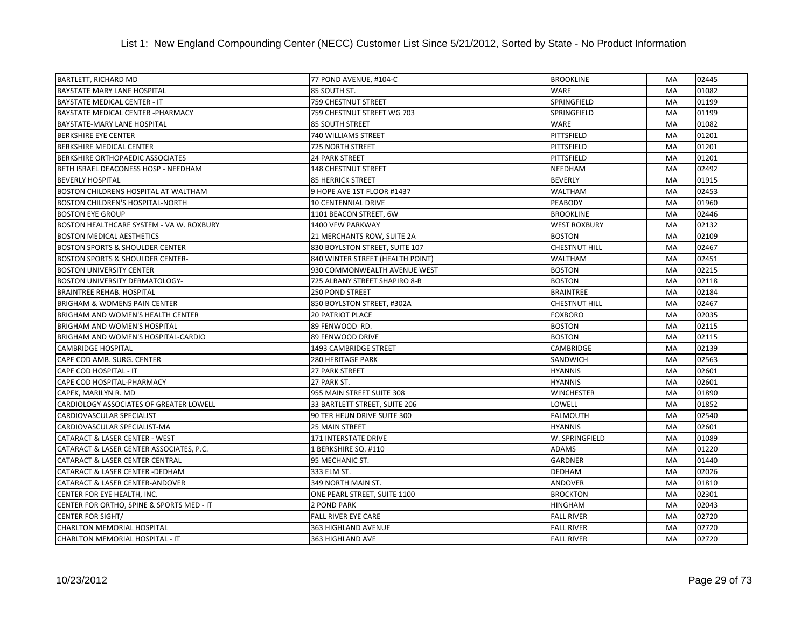| <b>BARTLETT, RICHARD MD</b>                 | 77 POND AVENUE, #104-C           | <b>BROOKLINE</b>     | MA        | 02445 |
|---------------------------------------------|----------------------------------|----------------------|-----------|-------|
| <b>BAYSTATE MARY LANE HOSPITAL</b>          | 85 SOUTH ST.                     | <b>WARE</b>          | MA        | 01082 |
| <b>BAYSTATE MEDICAL CENTER - IT</b>         | 759 CHESTNUT STREET              | SPRINGFIELD          | MA        | 01199 |
| BAYSTATE MEDICAL CENTER - PHARMACY          | 759 CHESTNUT STREET WG 703       | SPRINGFIELD          | MA        | 01199 |
| BAYSTATE-MARY LANE HOSPITAL                 | <b>85 SOUTH STREET</b>           | WARE                 | MA        | 01082 |
| <b>BERKSHIRE EYE CENTER</b>                 | <b>740 WILLIAMS STREET</b>       | PITTSFIELD           | MA        | 01201 |
| BERKSHIRE MEDICAL CENTER                    | 725 NORTH STREET                 | PITTSFIELD           | MA        | 01201 |
| BERKSHIRE ORTHOPAEDIC ASSOCIATES            | <b>24 PARK STREET</b>            | PITTSFIELD           | MA        | 01201 |
| BETH ISRAEL DEACONESS HOSP - NEEDHAM        | <b>148 CHESTNUT STREET</b>       | <b>NEEDHAM</b>       | MA        | 02492 |
| <b>BEVERLY HOSPITAL</b>                     | <b>85 HERRICK STREET</b>         | <b>BEVERLY</b>       | MA        | 01915 |
| BOSTON CHILDRENS HOSPITAL AT WALTHAM        | 9 HOPE AVE 1ST FLOOR #1437       | <b>WALTHAM</b>       | MA        | 02453 |
| <b>BOSTON CHILDREN'S HOSPITAL-NORTH</b>     | <b>10 CENTENNIAL DRIVE</b>       | <b>PEABODY</b>       | MA        | 01960 |
| <b>BOSTON EYE GROUP</b>                     | 1101 BEACON STREET, 6W           | <b>BROOKLINE</b>     | MA        | 02446 |
| BOSTON HEALTHCARE SYSTEM - VA W. ROXBURY    | 1400 VFW PARKWAY                 | <b>WEST ROXBURY</b>  | MA        | 02132 |
| <b>BOSTON MEDICAL AESTHETICS</b>            | 21 MERCHANTS ROW, SUITE 2A       | <b>BOSTON</b>        | MA        | 02109 |
| <b>BOSTON SPORTS &amp; SHOULDER CENTER</b>  | 830 BOYLSTON STREET, SUITE 107   | <b>CHESTNUT HILL</b> | MA        | 02467 |
| <b>BOSTON SPORTS &amp; SHOULDER CENTER-</b> | 840 WINTER STREET (HEALTH POINT) | <b>WALTHAM</b>       | MA        | 02451 |
| <b>BOSTON UNIVERSITY CENTER</b>             | 930 COMMONWEALTH AVENUE WEST     | <b>BOSTON</b>        | MA        | 02215 |
| <b>BOSTON UNIVERSITY DERMATOLOGY-</b>       | 725 ALBANY STREET SHAPIRO 8-B    | <b>BOSTON</b>        | MA        | 02118 |
| <b>BRAINTREE REHAB. HOSPITAL</b>            | <b>250 POND STREET</b>           | <b>BRAINTREE</b>     | MA        | 02184 |
| <b>BRIGHAM &amp; WOMENS PAIN CENTER</b>     | 850 BOYLSTON STREET, #302A       | <b>CHESTNUT HILL</b> | MA        | 02467 |
| BRIGHAM AND WOMEN'S HEALTH CENTER           | <b>20 PATRIOT PLACE</b>          | <b>FOXBORO</b>       | MA        | 02035 |
| <b>BRIGHAM AND WOMEN'S HOSPITAL</b>         | 89 FENWOOD RD.                   | <b>BOSTON</b>        | <b>MA</b> | 02115 |
| BRIGHAM AND WOMEN'S HOSPITAL-CARDIO         | 89 FENWOOD DRIVE                 | <b>BOSTON</b>        | MA        | 02115 |
| <b>CAMBRIDGE HOSPITAL</b>                   | <b>1493 CAMBRIDGE STREET</b>     | <b>CAMBRIDGE</b>     | MA        | 02139 |
| CAPE COD AMB. SURG. CENTER                  | <b>280 HERITAGE PARK</b>         | <b>SANDWICH</b>      | MA        | 02563 |
| CAPE COD HOSPITAL - IT                      | 27 PARK STREET                   | <b>HYANNIS</b>       | MA        | 02601 |
| CAPE COD HOSPITAL-PHARMACY                  | 27 PARK ST.                      | <b>HYANNIS</b>       | MA        | 02601 |
| CAPEK, MARILYN R. MD                        | 955 MAIN STREET SUITE 308        | <b>WINCHESTER</b>    | MA        | 01890 |
| CARDIOLOGY ASSOCIATES OF GREATER LOWELL     | 33 BARTLETT STREET, SUITE 206    | LOWELL               | MA        | 01852 |
| <b>CARDIOVASCULAR SPECIALIST</b>            | 90 TER HEUN DRIVE SUITE 300      | <b>FALMOUTH</b>      | MA        | 02540 |
| CARDIOVASCULAR SPECIALIST-MA                | 25 MAIN STREET                   | <b>HYANNIS</b>       | MA        | 02601 |
| <b>CATARACT &amp; LASER CENTER - WEST</b>   | 171 INTERSTATE DRIVE             | W. SPRINGFIELD       | MA        | 01089 |
| CATARACT & LASER CENTER ASSOCIATES, P.C.    | 1 BERKSHIRE SQ. #110             | <b>ADAMS</b>         | MA        | 01220 |
| <b>CATARACT &amp; LASER CENTER CENTRAL</b>  | 95 MECHANIC ST.                  | <b>GARDNER</b>       | MA        | 01440 |
| CATARACT & LASER CENTER - DEDHAM            | 333 ELM ST.                      | <b>DEDHAM</b>        | MA        | 02026 |
| <b>CATARACT &amp; LASER CENTER-ANDOVER</b>  | 349 NORTH MAIN ST.               | <b>ANDOVER</b>       | MA        | 01810 |
| CENTER FOR EYE HEALTH, INC.                 | ONE PEARL STREET, SUITE 1100     | <b>BROCKTON</b>      | MA        | 02301 |
| CENTER FOR ORTHO, SPINE & SPORTS MED - IT   | 2 POND PARK                      | <b>HINGHAM</b>       | MA        | 02043 |
| <b>CENTER FOR SIGHT/</b>                    | <b>FALL RIVER EYE CARE</b>       | <b>FALL RIVER</b>    | MA        | 02720 |
| <b>CHARLTON MEMORIAL HOSPITAL</b>           | 363 HIGHLAND AVENUE              | <b>FALL RIVER</b>    | <b>MA</b> | 02720 |
| <b>CHARLTON MEMORIAL HOSPITAL - IT</b>      | 363 HIGHLAND AVE                 | <b>FALL RIVER</b>    | <b>MA</b> | 02720 |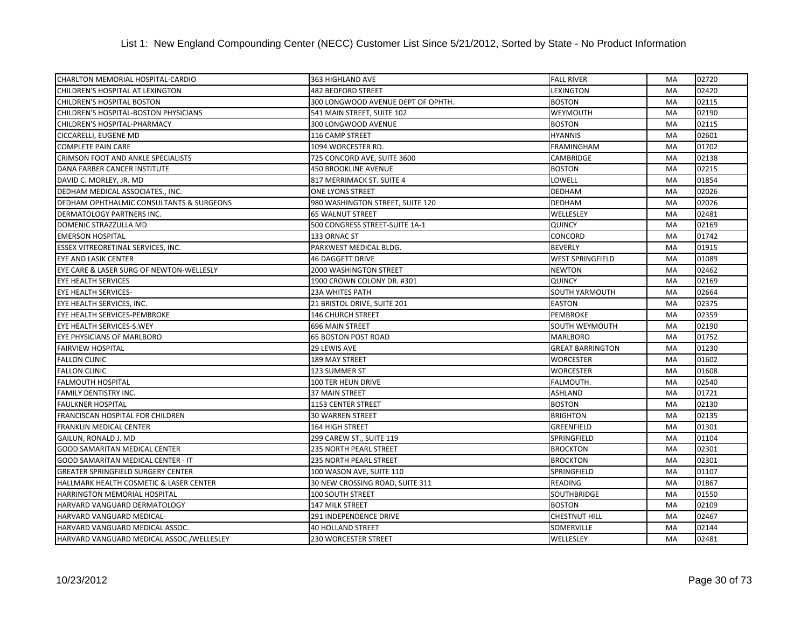| CHARLTON MEMORIAL HOSPITAL-CARDIO         | 363 HIGHLAND AVE                   | <b>FALL RIVER</b>       | MA        | 02720 |
|-------------------------------------------|------------------------------------|-------------------------|-----------|-------|
| CHILDREN'S HOSPITAL AT LEXINGTON          | <b>482 BEDFORD STREET</b>          | LEXINGTON               | MA        | 02420 |
| CHILDREN'S HOSPITAL BOSTON                | 300 LONGWOOD AVENUE DEPT OF OPHTH. | <b>BOSTON</b>           | MA        | 02115 |
| CHILDREN'S HOSPITAL-BOSTON PHYSICIANS     | 541 MAIN STREET, SUITE 102         | WEYMOUTH                | MA        | 02190 |
| CHILDREN'S HOSPITAL-PHARMACY              | 300 LONGWOOD AVENUE                | <b>BOSTON</b>           | MA        | 02115 |
| CICCARELLI, EUGENE MD                     | 116 CAMP STREET                    | <b>HYANNIS</b>          | MA        | 02601 |
| COMPLETE PAIN CARE                        | 1094 WORCESTER RD.                 | <b>FRAMINGHAM</b>       | MA        | 01702 |
| CRIMSON FOOT AND ANKLE SPECIALISTS        | 725 CONCORD AVE, SUITE 3600        | <b>CAMBRIDGE</b>        | MA        | 02138 |
| DANA FARBER CANCER INSTITUTE              | <b>450 BROOKLINE AVENUE</b>        | <b>BOSTON</b>           | <b>MA</b> | 02215 |
| DAVID C. MORLEY, JR. MD                   | 817 MERRIMACK ST. SUITE 4          | LOWELL                  | MA        | 01854 |
| DEDHAM MEDICAL ASSOCIATES., INC.          | <b>ONE LYONS STREET</b>            | <b>DEDHAM</b>           | MA        | 02026 |
| DEDHAM OPHTHALMIC CONSULTANTS & SURGEONS  | 980 WASHINGTON STREET, SUITE 120   | <b>DEDHAM</b>           | <b>MA</b> | 02026 |
| DERMATOLOGY PARTNERS INC.                 | <b>65 WALNUT STREET</b>            | WELLESLEY               | MA        | 02481 |
| DOMENIC STRAZZULLA MD                     | 500 CONGRESS STREET-SUITE 1A-1     | QUINCY                  | MA        | 02169 |
| <b>EMERSON HOSPITAL</b>                   | 133 ORNAC ST                       | CONCORD                 | MA        | 01742 |
| ESSEX VITREORETINAL SERVICES, INC.        | PARKWEST MEDICAL BLDG.             | <b>BEVERLY</b>          | MA        | 01915 |
| EYE AND LASIK CENTER                      | <b>46 DAGGETT DRIVE</b>            | <b>WEST SPRINGFIELD</b> | MA        | 01089 |
| EYE CARE & LASER SURG OF NEWTON-WELLESLY  | 2000 WASHINGTON STREET             | <b>NEWTON</b>           | MA        | 02462 |
| <b>EYE HEALTH SERVICES</b>                | 1900 CROWN COLONY DR. #301         | <b>QUINCY</b>           | MA        | 02169 |
| EYE HEALTH SERVICES-                      | <b>23A WHITES PATH</b>             | <b>SOUTH YARMOUTH</b>   | MA        | 02664 |
| EYE HEALTH SERVICES, INC.                 | 21 BRISTOL DRIVE, SUITE 201        | <b>EASTON</b>           | MA        | 02375 |
| EYE HEALTH SERVICES-PEMBROKE              | <b>146 CHURCH STREET</b>           | <b>PEMBROKE</b>         | MA        | 02359 |
| EYE HEALTH SERVICES-S.WEY                 | 696 MAIN STREET                    | SOUTH WEYMOUTH          | MA        | 02190 |
| EYE PHYSICIANS OF MARLBORO                | <b>65 BOSTON POST ROAD</b>         | <b>MARLBORO</b>         | MA        | 01752 |
| <b>FAIRVIEW HOSPITAL</b>                  | 29 LEWIS AVE                       | <b>GREAT BARRINGTON</b> | MA        | 01230 |
| <b>FALLON CLINIC</b>                      | 189 MAY STREET                     | <b>WORCESTER</b>        | MA        | 01602 |
| <b>FALLON CLINIC</b>                      | 123 SUMMER ST                      | <b>WORCESTER</b>        | MA        | 01608 |
| <b>FALMOUTH HOSPITAL</b>                  | 100 TER HEUN DRIVE                 | FALMOUTH.               | MA        | 02540 |
| FAMILY DENTISTRY INC.                     | <b>37 MAIN STREET</b>              | <b>ASHLAND</b>          | MA        | 01721 |
| <b>FAULKNER HOSPITAL</b>                  | 1153 CENTER STREET                 | <b>BOSTON</b>           | MA        | 02130 |
| FRANCISCAN HOSPITAL FOR CHILDREN          | 30 WARREN STREET                   | <b>BRIGHTON</b>         | MA        | 02135 |
| FRANKLIN MEDICAL CENTER                   | 164 HIGH STREET                    | GREENFIELD              | MA        | 01301 |
| GAILUN, RONALD J. MD                      | 299 CAREW ST., SUITE 119           | SPRINGFIELD             | MA        | 01104 |
| <b>GOOD SAMARITAN MEDICAL CENTER</b>      | <b>235 NORTH PEARL STREET</b>      | <b>BROCKTON</b>         | MA        | 02301 |
| GOOD SAMARITAN MEDICAL CENTER - IT        | <b>235 NORTH PEARL STREET</b>      | <b>BROCKTON</b>         | MA        | 02301 |
| GREATER SPRINGFIELD SURGERY CENTER        | 100 WASON AVE, SUITE 110           | SPRINGFIELD             | MA        | 01107 |
| HALLMARK HEALTH COSMETIC & LASER CENTER   | 30 NEW CROSSING ROAD, SUITE 311    | <b>READING</b>          | MA        | 01867 |
| HARRINGTON MEMORIAL HOSPITAL              | <b>100 SOUTH STREET</b>            | <b>SOUTHBRIDGE</b>      | MA        | 01550 |
| HARVARD VANGUARD DERMATOLOGY              | <b>147 MILK STREET</b>             | <b>BOSTON</b>           | MA        | 02109 |
| HARVARD VANGUARD MEDICAL-                 | 291 INDEPENDENCE DRIVE             | <b>CHESTNUT HILL</b>    | MA        | 02467 |
| HARVARD VANGUARD MEDICAL ASSOC.           | <b>40 HOLLAND STREET</b>           | SOMERVILLE              | MA        | 02144 |
| HARVARD VANGUARD MEDICAL ASSOC./WELLESLEY | <b>230 WORCESTER STREET</b>        | WELLESLEY               | MA        | 02481 |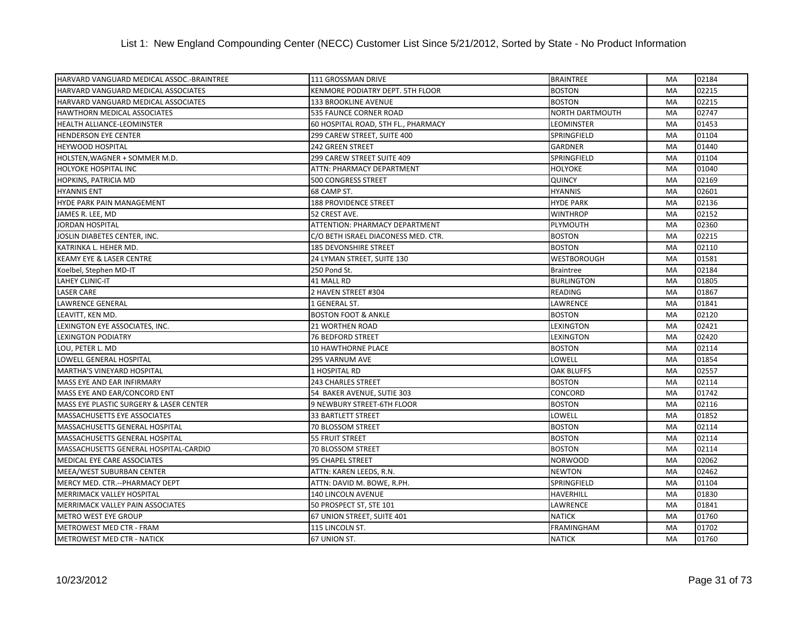| HARVARD VANGUARD MEDICAL ASSOC.-BRAINTREE | 111 GROSSMAN DRIVE                  | <b>BRAINTREE</b>       | MA        | 02184 |
|-------------------------------------------|-------------------------------------|------------------------|-----------|-------|
| HARVARD VANGUARD MEDICAL ASSOCIATES       | KENMORE PODIATRY DEPT. 5TH FLOOR    | <b>BOSTON</b>          | MA        | 02215 |
| HARVARD VANGUARD MEDICAL ASSOCIATES       | 133 BROOKLINE AVENUE                | <b>BOSTON</b>          | MA        | 02215 |
| HAWTHORN MEDICAL ASSOCIATES               | 535 FAUNCE CORNER ROAD              | <b>NORTH DARTMOUTH</b> | MA        | 02747 |
| HEALTH ALLIANCE-LEOMINSTER                | 60 HOSPITAL ROAD, 5TH FL., PHARMACY | <b>LEOMINSTER</b>      | MA        | 01453 |
| <b>HENDERSON EYE CENTER</b>               | 299 CAREW STREET, SUITE 400         | <b>SPRINGFIELD</b>     | MA        | 01104 |
| <b>HEYWOOD HOSPITAL</b>                   | 242 GREEN STREET                    | <b>GARDNER</b>         | MA        | 01440 |
| HOLSTEN, WAGNER + SOMMER M.D.             | 299 CAREW STREET SUITE 409          | <b>SPRINGFIELD</b>     | MA        | 01104 |
| HOLYOKE HOSPITAL INC                      | ATTN: PHARMACY DEPARTMENT           | <b>HOLYOKE</b>         | MA        | 01040 |
| HOPKINS, PATRICIA MD                      | 500 CONGRESS STREET                 | <b>QUINCY</b>          | MA        | 02169 |
| <b>HYANNIS ENT</b>                        | 68 CAMP ST.                         | <b>HYANNIS</b>         | MA        | 02601 |
| <b>HYDE PARK PAIN MANAGEMENT</b>          | <b>188 PROVIDENCE STREET</b>        | <b>HYDE PARK</b>       | MA        | 02136 |
| JAMES R. LEE, MD                          | 52 CREST AVE.                       | <b>WINTHROP</b>        | MA        | 02152 |
| JORDAN HOSPITAL                           | ATTENTION: PHARMACY DEPARTMENT      | PLYMOUTH               | MA        | 02360 |
| JOSLIN DIABETES CENTER, INC.              | C/O BETH ISRAEL DIACONESS MED. CTR. | <b>BOSTON</b>          | MA        | 02215 |
| KATRINKA L. HEHER MD.                     | <b>185 DEVONSHIRE STREET</b>        | <b>BOSTON</b>          | MA        | 02110 |
| <b>KEAMY EYE &amp; LASER CENTRE</b>       | 24 LYMAN STREET, SUITE 130          | <b>WESTBOROUGH</b>     | MA        | 01581 |
| Koelbel, Stephen MD-IT                    | 250 Pond St.                        | <b>Braintree</b>       | MA        | 02184 |
| LAHEY CLINIC-IT                           | 41 MALL RD                          | <b>BURLINGTON</b>      | MA        | 01805 |
| <b>LASER CARE</b>                         | 2 HAVEN STREET #304                 | <b>READING</b>         | MA        | 01867 |
| LAWRENCE GENERAL                          | 1 GENERAL ST.                       | LAWRENCE               | MA        | 01841 |
| LEAVITT, KEN MD.                          | <b>BOSTON FOOT &amp; ANKLE</b>      | <b>BOSTON</b>          | MA        | 02120 |
| LEXINGTON EYE ASSOCIATES, INC.            | 21 WORTHEN ROAD                     | <b>LEXINGTON</b>       | <b>MA</b> | 02421 |
| <b>LEXINGTON PODIATRY</b>                 | <b>76 BEDFORD STREET</b>            | <b>LEXINGTON</b>       | MA        | 02420 |
| LOU, PETER L. MD                          | <b>10 HAWTHORNE PLACE</b>           | <b>BOSTON</b>          | MA        | 02114 |
| LOWELL GENERAL HOSPITAL                   | 295 VARNUM AVE                      | LOWELL                 | MA        | 01854 |
| MARTHA'S VINEYARD HOSPITAL                | 1 HOSPITAL RD                       | <b>OAK BLUFFS</b>      | MA        | 02557 |
| MASS EYE AND EAR INFIRMARY                | 243 CHARLES STREET                  | <b>BOSTON</b>          | MA        | 02114 |
| MASS EYE AND EAR/CONCORD ENT              | 54 BAKER AVENUE, SUTIE 303          | <b>CONCORD</b>         | MA        | 01742 |
| MASS EYE PLASTIC SURGERY & LASER CENTER   | 9 NEWBURY STREET-6TH FLOOR          | <b>BOSTON</b>          | MA        | 02116 |
| MASSACHUSETTS EYE ASSOCIATES              | 33 BARTLETT STREET                  | LOWELL                 | MA        | 01852 |
| MASSACHUSETTS GENERAL HOSPITAL            | 70 BLOSSOM STREET                   | <b>BOSTON</b>          | MA        | 02114 |
| MASSACHUSETTS GENERAL HOSPITAL            | 55 FRUIT STREET                     | <b>BOSTON</b>          | MA        | 02114 |
| MASSACHUSETTS GENERAL HOSPITAL-CARDIO     | 70 BLOSSOM STREET                   | <b>BOSTON</b>          | MA        | 02114 |
| <b>MEDICAL EYE CARE ASSOCIATES</b>        | 95 CHAPEL STREET                    | <b>NORWOOD</b>         | MA        | 02062 |
| MEEA/WEST SUBURBAN CENTER                 | ATTN: KAREN LEEDS, R.N.             | <b>NEWTON</b>          | MA        | 02462 |
| MERCY MED. CTR.--PHARMACY DEPT            | ATTN: DAVID M. BOWE, R.PH.          | SPRINGFIELD            | MA        | 01104 |
| MERRIMACK VALLEY HOSPITAL                 | 140 LINCOLN AVENUE                  | <b>HAVERHILL</b>       | MA        | 01830 |
| MERRIMACK VALLEY PAIN ASSOCIATES          | 50 PROSPECT ST, STE 101             | LAWRENCE               | MA        | 01841 |
| METRO WEST EYE GROUP                      | 67 UNION STREET, SUITE 401          | <b>NATICK</b>          | MA        | 01760 |
| METROWEST MED CTR - FRAM                  | 115 LINCOLN ST.                     | FRAMINGHAM             | MA        | 01702 |
| <b>METROWEST MED CTR - NATICK</b>         | 67 UNION ST.                        | <b>NATICK</b>          | MA        | 01760 |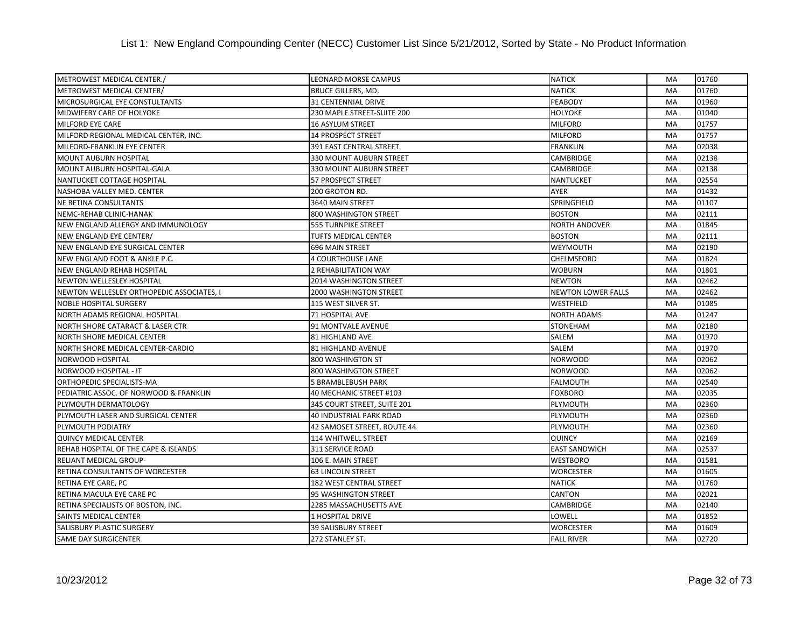| METROWEST MEDICAL CENTER./                  | LEONARD MORSE CAMPUS           | <b>NATICK</b>             | MA        | 01760 |
|---------------------------------------------|--------------------------------|---------------------------|-----------|-------|
| METROWEST MEDICAL CENTER/                   | <b>BRUCE GILLERS, MD.</b>      | <b>NATICK</b>             | MA        | 01760 |
| MICROSURGICAL EYE CONSTULTANTS              | 31 CENTENNIAL DRIVE            | <b>PEABODY</b>            | MA        | 01960 |
| <b>MIDWIFERY CARE OF HOLYOKE</b>            | 230 MAPLE STREET-SUITE 200     | <b>HOLYOKE</b>            | MA        | 01040 |
| <b>MILFORD EYE CARE</b>                     | <b>16 ASYLUM STREET</b>        | <b>MILFORD</b>            | MA        | 01757 |
| MILFORD REGIONAL MEDICAL CENTER, INC.       | <b>14 PROSPECT STREET</b>      | <b>MILFORD</b>            | MA        | 01757 |
| MILFORD-FRANKLIN EYE CENTER                 | <b>391 EAST CENTRAL STREET</b> | <b>FRANKLIN</b>           | MA        | 02038 |
| <b>MOUNT AUBURN HOSPITAL</b>                | 330 MOUNT AUBURN STREET        | <b>CAMBRIDGE</b>          | MA        | 02138 |
| MOUNT AUBURN HOSPITAL-GALA                  | 330 MOUNT AUBURN STREET        | <b>CAMBRIDGE</b>          | MA        | 02138 |
| NANTUCKET COTTAGE HOSPITAL                  | 57 PROSPECT STREET             | <b>NANTUCKET</b>          | MA        | 02554 |
| NASHOBA VALLEY MED. CENTER                  | 200 GROTON RD.                 | <b>AYER</b>               | MA        | 01432 |
| <b>NE RETINA CONSULTANTS</b>                | 3640 MAIN STREET               | SPRINGFIELD               | MA        | 01107 |
| NEMC-REHAB CLINIC-HANAK                     | 800 WASHINGTON STREET          | <b>BOSTON</b>             | MA        | 02111 |
| NEW ENGLAND ALLERGY AND IMMUNOLOGY          | <b>555 TURNPIKE STREET</b>     | <b>NORTH ANDOVER</b>      | MA        | 01845 |
| NEW ENGLAND EYE CENTER/                     | TUFTS MEDICAL CENTER           | <b>BOSTON</b>             | MA        | 02111 |
| NEW ENGLAND EYE SURGICAL CENTER             | 696 MAIN STREET                | WEYMOUTH                  | MA        | 02190 |
| NEW ENGLAND FOOT & ANKLE P.C.               | <b>4 COURTHOUSE LANE</b>       | <b>CHELMSFORD</b>         | MA        | 01824 |
| <b>NEW ENGLAND REHAB HOSPITAL</b>           | 2 REHABILITATION WAY           | <b>WOBURN</b>             | MA        | 01801 |
| <b>NEWTON WELLESLEY HOSPITAL</b>            | 2014 WASHINGTON STREET         | <b>NEWTON</b>             | MA        | 02462 |
| NEWTON WELLESLEY ORTHOPEDIC ASSOCIATES, I   | 2000 WASHINGTON STREET         | <b>NEWTON LOWER FALLS</b> | MA        | 02462 |
| <b>NOBLE HOSPITAL SURGERY</b>               | 115 WEST SILVER ST.            | WESTFIELD                 | <b>MA</b> | 01085 |
| NORTH ADAMS REGIONAL HOSPITAL               | 71 HOSPITAL AVE                | <b>NORTH ADAMS</b>        | MA        | 01247 |
| <b>NORTH SHORE CATARACT &amp; LASER CTR</b> | 91 MONTVALE AVENUE             | <b>STONEHAM</b>           | MA        | 02180 |
| <b>NORTH SHORE MEDICAL CENTER</b>           | 81 HIGHLAND AVE                | <b>SALEM</b>              | MA        | 01970 |
| NORTH SHORE MEDICAL CENTER-CARDIO           | 81 HIGHLAND AVENUE             | SALEM                     | MA        | 01970 |
| <b>NORWOOD HOSPITAL</b>                     | 800 WASHINGTON ST              | <b>NORWOOD</b>            | <b>MA</b> | 02062 |
| INORWOOD HOSPITAL - IT                      | 800 WASHINGTON STREET          | <b>NORWOOD</b>            | <b>MA</b> | 02062 |
| ORTHOPEDIC SPECIALISTS-MA                   | 5 BRAMBLEBUSH PARK             | <b>FALMOUTH</b>           | MA        | 02540 |
| PEDIATRIC ASSOC. OF NORWOOD & FRANKLIN      | 40 MECHANIC STREET #103        | <b>FOXBORO</b>            | MA        | 02035 |
| PLYMOUTH DERMATOLOGY                        | 345 COURT STREET, SUITE 201    | PLYMOUTH                  | MA        | 02360 |
| PLYMOUTH LASER AND SURGICAL CENTER          | <b>40 INDUSTRIAL PARK ROAD</b> | PLYMOUTH                  | <b>MA</b> | 02360 |
| PLYMOUTH PODIATRY                           | 42 SAMOSET STREET, ROUTE 44    | PLYMOUTH                  | MA        | 02360 |
| <b>QUINCY MEDICAL CENTER</b>                | 114 WHITWELL STREET            | <b>QUINCY</b>             | MA        | 02169 |
| REHAB HOSPITAL OF THE CAPE & ISLANDS        | <b>311 SERVICE ROAD</b>        | <b>EAST SANDWICH</b>      | MA        | 02537 |
| <b>RELIANT MEDICAL GROUP-</b>               | 106 E. MAIN STREET             | <b>WESTBORO</b>           | MA        | 01581 |
| RETINA CONSULTANTS OF WORCESTER             | <b>63 LINCOLN STREET</b>       | <b>WORCESTER</b>          | MA        | 01605 |
| RETINA EYE CARE, PC                         | 182 WEST CENTRAL STREET        | <b>NATICK</b>             | MA        | 01760 |
| RETINA MACULA EYE CARE PC                   | 95 WASHINGTON STREET           | <b>CANTON</b>             | <b>MA</b> | 02021 |
| RETINA SPECIALISTS OF BOSTON, INC.          | 2285 MASSACHUSETTS AVE         | <b>CAMBRIDGE</b>          | MA        | 02140 |
| <b>SAINTS MEDICAL CENTER</b>                | 1 HOSPITAL DRIVE               | LOWELL                    | <b>MA</b> | 01852 |
| SALISBURY PLASTIC SURGERY                   | 39 SALISBURY STREET            | <b>WORCESTER</b>          | MA        | 01609 |
| <b>SAME DAY SURGICENTER</b>                 | 272 STANLEY ST.                | <b>FALL RIVER</b>         | MA        | 02720 |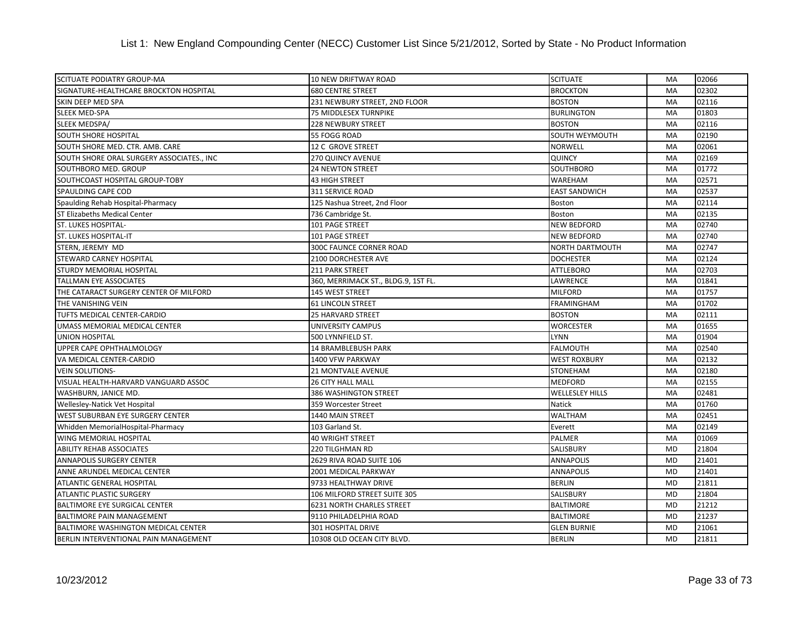| <b>SCITUATE PODIATRY GROUP-MA</b>         | 10 NEW DRIFTWAY ROAD                | <b>SCITUATE</b>        | MA        | 02066 |
|-------------------------------------------|-------------------------------------|------------------------|-----------|-------|
| SIGNATURE-HEALTHCARE BROCKTON HOSPITAL    | <b>680 CENTRE STREET</b>            | <b>BROCKTON</b>        | MA        | 02302 |
| SKIN DEEP MED SPA                         | 231 NEWBURY STREET, 2ND FLOOR       | <b>BOSTON</b>          | MA        | 02116 |
| <b>SLEEK MED-SPA</b>                      | 75 MIDDLESEX TURNPIKE               | <b>BURLINGTON</b>      | MA        | 01803 |
| SLEEK MEDSPA/                             | <b>228 NEWBURY STREET</b>           | <b>BOSTON</b>          | MA        | 02116 |
| <b>SOUTH SHORE HOSPITAL</b>               | 55 FOGG ROAD                        | <b>SOUTH WEYMOUTH</b>  | MA        | 02190 |
| SOUTH SHORE MED. CTR. AMB. CARE           | 12 C GROVE STREET                   | <b>NORWELL</b>         | MA        | 02061 |
| SOUTH SHORE ORAL SURGERY ASSOCIATES., INC | 270 QUINCY AVENUE                   | <b>QUINCY</b>          | MA        | 02169 |
| SOUTHBORO MED. GROUP                      | <b>24 NEWTON STREET</b>             | <b>SOUTHBORO</b>       | <b>MA</b> | 01772 |
| SOUTHCOAST HOSPITAL GROUP-TOBY            | <b>43 HIGH STREET</b>               | <b>WAREHAM</b>         | MA        | 02571 |
| SPAULDING CAPE COD                        | 311 SERVICE ROAD                    | <b>EAST SANDWICH</b>   | MA        | 02537 |
| Spaulding Rehab Hospital-Pharmacy         | 125 Nashua Street, 2nd Floor        | <b>Boston</b>          | MA        | 02114 |
| <b>ST Elizabeths Medical Center</b>       | 736 Cambridge St.                   | Boston                 | MA        | 02135 |
| <b>ST. LUKES HOSPITAL-</b>                | 101 PAGE STREET                     | <b>NEW BEDFORD</b>     | <b>MA</b> | 02740 |
| <b>ST. LUKES HOSPITAL-IT</b>              | 101 PAGE STREET                     | <b>NEW BEDFORD</b>     | MA        | 02740 |
| STERN, JEREMY MD                          | <b>300C FAUNCE CORNER ROAD</b>      | <b>NORTH DARTMOUTH</b> | MA        | 02747 |
| <b>STEWARD CARNEY HOSPITAL</b>            | 2100 DORCHESTER AVE                 | <b>DOCHESTER</b>       | MA        | 02124 |
| <b>STURDY MEMORIAL HOSPITAL</b>           | <b>211 PARK STREET</b>              | <b>ATTLEBORO</b>       | MA        | 02703 |
| <b>TALLMAN EYE ASSOCIATES</b>             | 360, MERRIMACK ST., BLDG.9, 1ST FL. | LAWRENCE               | MA        | 01841 |
| THE CATARACT SURGERY CENTER OF MILFORD    | 145 WEST STREET                     | <b>MILFORD</b>         | MA        | 01757 |
| THE VANISHING VEIN                        | <b>61 LINCOLN STREET</b>            | <b>FRAMINGHAM</b>      | MA        | 01702 |
| TUFTS MEDICAL CENTER-CARDIO               | <b>25 HARVARD STREET</b>            | <b>BOSTON</b>          | MA        | 02111 |
| UMASS MEMORIAL MEDICAL CENTER             | UNIVERSITY CAMPUS                   | <b>WORCESTER</b>       | <b>MA</b> | 01655 |
| <b>UNION HOSPITAL</b>                     | 500 LYNNFIELD ST.                   | <b>LYNN</b>            | MA        | 01904 |
| UPPER CAPE OPHTHALMOLOGY                  | 14 BRAMBLEBUSH PARK                 | <b>FALMOUTH</b>        | MA        | 02540 |
| VA MEDICAL CENTER-CARDIO                  | 1400 VFW PARKWAY                    | <b>WEST ROXBURY</b>    | MA        | 02132 |
| <b>VEIN SOLUTIONS-</b>                    | 21 MONTVALE AVENUE                  | <b>STONEHAM</b>        | MA        | 02180 |
| VISUAL HEALTH-HARVARD VANGUARD ASSOC      | <b>26 CITY HALL MALL</b>            | <b>MEDFORD</b>         | <b>MA</b> | 02155 |
| WASHBURN, JANICE MD.                      | 386 WASHINGTON STREET               | <b>WELLESLEY HILLS</b> | MA        | 02481 |
| Wellesley-Natick Vet Hospital             | 359 Worcester Street                | Natick                 | MA        | 01760 |
| WEST SUBURBAN EYE SURGERY CENTER          | 1440 MAIN STREET                    | <b>WALTHAM</b>         | MA        | 02451 |
| Whidden MemorialHospital-Pharmacy         | 103 Garland St.                     | Everett                | MA        | 02149 |
| <b>WING MEMORIAL HOSPITAL</b>             | <b>40 WRIGHT STREET</b>             | PALMER                 | MA        | 01069 |
| <b>ABILITY REHAB ASSOCIATES</b>           | 220 TILGHMAN RD                     | SALISBURY              | MD        | 21804 |
| <b>ANNAPOLIS SURGERY CENTER</b>           | 2629 RIVA ROAD SUITE 106            | <b>ANNAPOLIS</b>       | <b>MD</b> | 21401 |
| ANNE ARUNDEL MEDICAL CENTER               | 2001 MEDICAL PARKWAY                | <b>ANNAPOLIS</b>       | MD        | 21401 |
| <b>ATLANTIC GENERAL HOSPITAL</b>          | 9733 HEALTHWAY DRIVE                | <b>BERLIN</b>          | <b>MD</b> | 21811 |
| <b>ATLANTIC PLASTIC SURGERY</b>           | 106 MILFORD STREET SUITE 305        | SALISBURY              | <b>MD</b> | 21804 |
| <b>BALTIMORE EYE SURGICAL CENTER</b>      | <b>6231 NORTH CHARLES STREET</b>    | <b>BALTIMORE</b>       | <b>MD</b> | 21212 |
| <b>BALTIMORE PAIN MANAGEMENT</b>          | 9110 PHILADELPHIA ROAD              | <b>BALTIMORE</b>       | <b>MD</b> | 21237 |
| BALTIMORE WASHINGTON MEDICAL CENTER       | 301 HOSPITAL DRIVE                  | <b>GLEN BURNIE</b>     | <b>MD</b> | 21061 |
| BERLIN INTERVENTIONAL PAIN MANAGEMENT     | 10308 OLD OCEAN CITY BLVD.          | <b>BERLIN</b>          | <b>MD</b> | 21811 |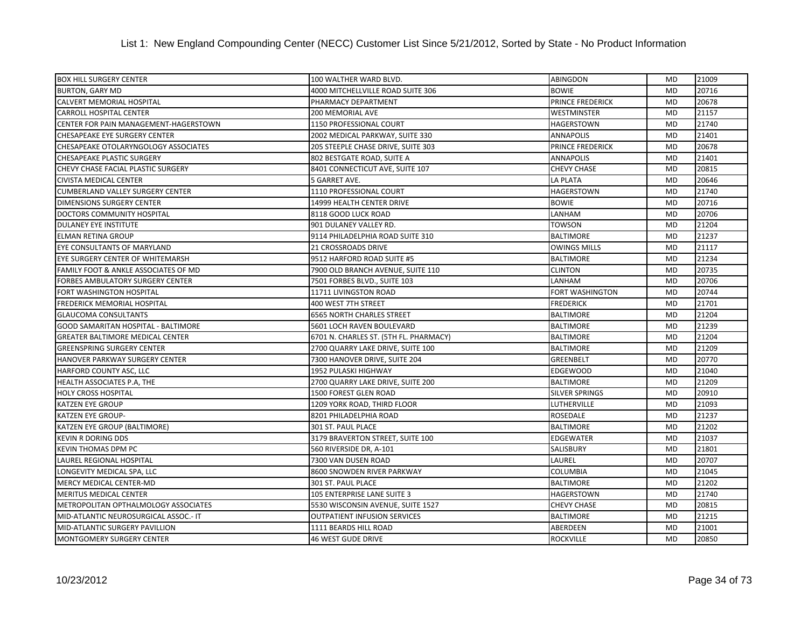| <b>BOX HILL SURGERY CENTER</b>          | 100 WALTHER WARD BLVD.                 | ABINGDON                | <b>MD</b> | 21009 |
|-----------------------------------------|----------------------------------------|-------------------------|-----------|-------|
| <b>BURTON, GARY MD</b>                  | 4000 MITCHELLVILLE ROAD SUITE 306      | <b>BOWIE</b>            | <b>MD</b> | 20716 |
| CALVERT MEMORIAL HOSPITAL               | PHARMACY DEPARTMENT                    | PRINCE FREDERICK        | <b>MD</b> | 20678 |
| <b>CARROLL HOSPITAL CENTER</b>          | 200 MEMORIAL AVE                       | WESTMINSTER             | MD        | 21157 |
| CENTER FOR PAIN MANAGEMENT-HAGERSTOWN   | 1150 PROFESSIONAL COURT                | <b>HAGERSTOWN</b>       | <b>MD</b> | 21740 |
| <b>CHESAPEAKE EYE SURGERY CENTER</b>    | 2002 MEDICAL PARKWAY, SUITE 330        | <b>ANNAPOLIS</b>        | <b>MD</b> | 21401 |
| CHESAPEAKE OTOLARYNGOLOGY ASSOCIATES    | 205 STEEPLE CHASE DRIVE, SUITE 303     | <b>PRINCE FREDERICK</b> | <b>MD</b> | 20678 |
| CHESAPEAKE PLASTIC SURGERY              | 802 BESTGATE ROAD, SUITE A             | <b>ANNAPOLIS</b>        | <b>MD</b> | 21401 |
| CHEVY CHASE FACIAL PLASTIC SURGERY      | 8401 CONNECTICUT AVE, SUITE 107        | <b>CHEVY CHASE</b>      | <b>MD</b> | 20815 |
| <b>CIVISTA MEDICAL CENTER</b>           | 5 GARRET AVE.                          | <b>LA PLATA</b>         | <b>MD</b> | 20646 |
| <b>CUMBERLAND VALLEY SURGERY CENTER</b> | 1110 PROFESSIONAL COURT                | <b>HAGERSTOWN</b>       | <b>MD</b> | 21740 |
| <b>DIMENSIONS SURGERY CENTER</b>        | 14999 HEALTH CENTER DRIVE              | <b>BOWIE</b>            | <b>MD</b> | 20716 |
| DOCTORS COMMUNITY HOSPITAL              | 8118 GOOD LUCK ROAD                    | LANHAM                  | <b>MD</b> | 20706 |
| <b>DULANEY EYE INSTITUTE</b>            | 901 DULANEY VALLEY RD.                 | <b>TOWSON</b>           | <b>MD</b> | 21204 |
| <b>ELMAN RETINA GROUP</b>               | 9114 PHILADELPHIA ROAD SUITE 310       | <b>BALTIMORE</b>        | <b>MD</b> | 21237 |
| EYE CONSULTANTS OF MARYLAND             | <b>21 CROSSROADS DRIVE</b>             | <b>OWINGS MILLS</b>     | <b>MD</b> | 21117 |
| EYE SURGERY CENTER OF WHITEMARSH        | 9512 HARFORD ROAD SUITE #5             | <b>BALTIMORE</b>        | <b>MD</b> | 21234 |
| FAMILY FOOT & ANKLE ASSOCIATES OF MD    | 7900 OLD BRANCH AVENUE, SUITE 110      | <b>CLINTON</b>          | <b>MD</b> | 20735 |
| FORBES AMBULATORY SURGERY CENTER        | 7501 FORBES BLVD., SUITE 103           | LANHAM                  | <b>MD</b> | 20706 |
| FORT WASHINGTON HOSPITAL                | 11711 LIVINGSTON ROAD                  | FORT WASHINGTON         | MD        | 20744 |
| <b>FREDERICK MEMORIAL HOSPITAL</b>      | 400 WEST 7TH STREET                    | <b>FREDERICK</b>        | <b>MD</b> | 21701 |
| <b>GLAUCOMA CONSULTANTS</b>             | <b>6565 NORTH CHARLES STREET</b>       | <b>BALTIMORE</b>        | <b>MD</b> | 21204 |
| GOOD SAMARITAN HOSPITAL - BALTIMORE     | 5601 LOCH RAVEN BOULEVARD              | <b>BALTIMORE</b>        | <b>MD</b> | 21239 |
| GREATER BALTIMORE MEDICAL CENTER        | 6701 N. CHARLES ST. (5TH FL. PHARMACY) | <b>BALTIMORE</b>        | <b>MD</b> | 21204 |
| <b>GREENSPRING SURGERY CENTER</b>       | 2700 QUARRY LAKE DRIVE, SUITE 100      | <b>BALTIMORE</b>        | <b>MD</b> | 21209 |
| HANOVER PARKWAY SURGERY CENTER          | 7300 HANOVER DRIVE, SUITE 204          | <b>GREENBELT</b>        | <b>MD</b> | 20770 |
| HARFORD COUNTY ASC, LLC                 | 1952 PULASKI HIGHWAY                   | <b>EDGEWOOD</b>         | <b>MD</b> | 21040 |
| HEALTH ASSOCIATES P.A, THE              | 2700 QUARRY LAKE DRIVE, SUITE 200      | <b>BALTIMORE</b>        | <b>MD</b> | 21209 |
| <b>HOLY CROSS HOSPITAL</b>              | 1500 FOREST GLEN ROAD                  | <b>SILVER SPRINGS</b>   | <b>MD</b> | 20910 |
| <b>KATZEN EYE GROUP</b>                 | 1209 YORK ROAD, THIRD FLOOR            | LUTHERVILLE             | <b>MD</b> | 21093 |
| <b>KATZEN EYE GROUP-</b>                | 8201 PHILADELPHIA ROAD                 | <b>ROSEDALE</b>         | <b>MD</b> | 21237 |
| KATZEN EYE GROUP (BALTIMORE)            | 301 ST. PAUL PLACE                     | <b>BALTIMORE</b>        | <b>MD</b> | 21202 |
| <b>KEVIN R DORING DDS</b>               | 3179 BRAVERTON STREET, SUITE 100       | <b>EDGEWATER</b>        | <b>MD</b> | 21037 |
| KEVIN THOMAS DPM PC                     | 560 RIVERSIDE DR, A-101                | SALISBURY               | <b>MD</b> | 21801 |
| LAUREL REGIONAL HOSPITAL                | 7300 VAN DUSEN ROAD                    | LAUREL                  | <b>MD</b> | 20707 |
| LONGEVITY MEDICAL SPA, LLC              | 8600 SNOWDEN RIVER PARKWAY             | <b>COLUMBIA</b>         | <b>MD</b> | 21045 |
| MERCY MEDICAL CENTER-MD                 | 301 ST. PAUL PLACE                     | <b>BALTIMORE</b>        | <b>MD</b> | 21202 |
| <b>MERITUS MEDICAL CENTER</b>           | 105 ENTERPRISE LANE SUITE 3            | <b>HAGERSTOWN</b>       | <b>MD</b> | 21740 |
| METROPOLITAN OPTHALMOLOGY ASSOCIATES    | 5530 WISCONSIN AVENUE, SUITE 1527      | <b>CHEVY CHASE</b>      | <b>MD</b> | 20815 |
| MID-ATLANTIC NEUROSURGICAL ASSOC.- IT   | <b>OUTPATIENT INFUSION SERVICES</b>    | <b>BALTIMORE</b>        | <b>MD</b> | 21215 |
| MID-ATLANTIC SURGERY PAVILLION          | 1111 BEARDS HILL ROAD                  | <b>ABERDEEN</b>         | <b>MD</b> | 21001 |
| <b>MONTGOMERY SURGERY CENTER</b>        | <b>46 WEST GUDE DRIVE</b>              | <b>ROCKVILLE</b>        | <b>MD</b> | 20850 |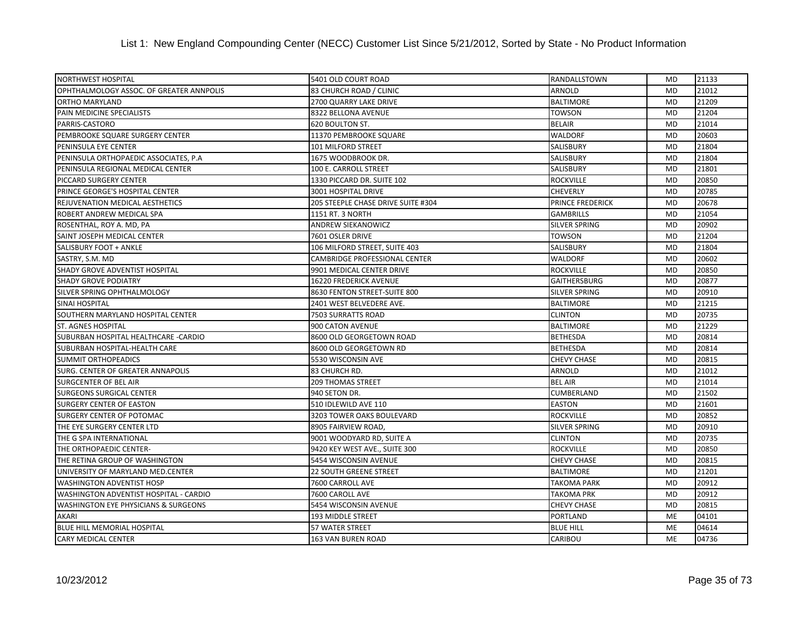## List 1: New England Compounding Center (NECC) Customer List Since 5/21/2012, Sorted by State - No Product Information

| <b>NORTHWEST HOSPITAL</b>                       | 5401 OLD COURT ROAD                | RANDALLSTOWN            | <b>MD</b> | 21133 |
|-------------------------------------------------|------------------------------------|-------------------------|-----------|-------|
| OPHTHALMOLOGY ASSOC. OF GREATER ANNPOLIS        | 83 CHURCH ROAD / CLINIC            | <b>ARNOLD</b>           | <b>MD</b> | 21012 |
| <b>ORTHO MARYLAND</b>                           | 2700 QUARRY LAKE DRIVE             | <b>BALTIMORE</b>        | <b>MD</b> | 21209 |
| PAIN MEDICINE SPECIALISTS                       | 8322 BELLONA AVENUE                | TOWSON                  | MD        | 21204 |
| PARRIS-CASTORO                                  | 620 BOULTON ST.                    | <b>BELAIR</b>           | <b>MD</b> | 21014 |
| PEMBROOKE SQUARE SURGERY CENTER                 | 11370 PEMBROOKE SQUARE             | <b>WALDORF</b>          | <b>MD</b> | 20603 |
| PENINSULA EYE CENTER                            | <b>101 MILFORD STREET</b>          | <b>SALISBURY</b>        | <b>MD</b> | 21804 |
| PENINSULA ORTHOPAEDIC ASSOCIATES, P.A.          | 1675 WOODBROOK DR.                 | SALISBURY               | <b>MD</b> | 21804 |
| PENINSULA REGIONAL MEDICAL CENTER               | 100 E. CARROLL STREET              | SALISBURY               | <b>MD</b> | 21801 |
| PICCARD SURGERY CENTER                          | 1330 PICCARD DR. SUITE 102         | <b>ROCKVILLE</b>        | <b>MD</b> | 20850 |
| PRINCE GEORGE'S HOSPITAL CENTER                 | 3001 HOSPITAL DRIVE                | <b>CHEVERLY</b>         | <b>MD</b> | 20785 |
| REJUVENATION MEDICAL AESTHETICS                 | 205 STEEPLE CHASE DRIVE SUITE #304 | <b>PRINCE FREDERICK</b> | <b>MD</b> | 20678 |
| ROBERT ANDREW MEDICAL SPA                       | 1151 RT. 3 NORTH                   | <b>GAMBRILLS</b>        | <b>MD</b> | 21054 |
| ROSENTHAL, ROY A. MD, PA                        | ANDREW SIEKANOWICZ                 | <b>SILVER SPRING</b>    | <b>MD</b> | 20902 |
| SAINT JOSEPH MEDICAL CENTER                     | 7601 OSLER DRIVE                   | TOWSON                  | <b>MD</b> | 21204 |
| SALISBURY FOOT + ANKLE                          | 106 MILFORD STREET, SUITE 403      | <b>SALISBURY</b>        | <b>MD</b> | 21804 |
| SASTRY, S.M. MD                                 | CAMBRIDGE PROFESSIONAL CENTER      | <b>WALDORF</b>          | <b>MD</b> | 20602 |
| <b>SHADY GROVE ADVENTIST HOSPITAL</b>           | 9901 MEDICAL CENTER DRIVE          | <b>ROCKVILLE</b>        | <b>MD</b> | 20850 |
| <b>SHADY GROVE PODIATRY</b>                     | 16220 FREDERICK AVENUE             | <b>GAITHERSBURG</b>     | <b>MD</b> | 20877 |
| SILVER SPRING OPHTHALMOLOGY                     | 8630 FENTON STREET-SUITE 800       | <b>SILVER SPRING</b>    | <b>MD</b> | 20910 |
| <b>SINAI HOSPITAL</b>                           | 2401 WEST BELVEDERE AVE.           | <b>BALTIMORE</b>        | <b>MD</b> | 21215 |
| SOUTHERN MARYLAND HOSPITAL CENTER               | 7503 SURRATTS ROAD                 | <b>CLINTON</b>          | <b>MD</b> | 20735 |
| <b>ST. AGNES HOSPITAL</b>                       | 900 CATON AVENUE                   | <b>BALTIMORE</b>        | <b>MD</b> | 21229 |
| SUBURBAN HOSPITAL HEALTHCARE -CARDIO            | 8600 OLD GEORGETOWN ROAD           | <b>BETHESDA</b>         | MD        | 20814 |
| SUBURBAN HOSPITAL-HEALTH CARE                   | 8600 OLD GEORGETOWN RD             | <b>BETHESDA</b>         | <b>MD</b> | 20814 |
| <b>SUMMIT ORTHOPEADICS</b>                      | 5530 WISCONSIN AVE                 | <b>CHEVY CHASE</b>      | <b>MD</b> | 20815 |
| SURG. CENTER OF GREATER ANNAPOLIS               | 83 CHURCH RD.                      | ARNOLD                  | <b>MD</b> | 21012 |
| <b>SURGCENTER OF BEL AIR</b>                    | <b>209 THOMAS STREET</b>           | <b>BEL AIR</b>          | <b>MD</b> | 21014 |
| <b>SURGEONS SURGICAL CENTER</b>                 | 940 SETON DR.                      | <b>CUMBERLAND</b>       | <b>MD</b> | 21502 |
| <b>SURGERY CENTER OF EASTON</b>                 | 510 IDLEWILD AVE 110               | <b>EASTON</b>           | <b>MD</b> | 21601 |
| <b>SURGERY CENTER OF POTOMAC</b>                | 3203 TOWER OAKS BOULEVARD          | <b>ROCKVILLE</b>        | <b>MD</b> | 20852 |
| THE EYE SURGERY CENTER LTD                      | 8905 FAIRVIEW ROAD,                | SILVER SPRING           | <b>MD</b> | 20910 |
| THE G SPA INTERNATIONAL                         | 9001 WOODYARD RD, SUITE A          | <b>CLINTON</b>          | <b>MD</b> | 20735 |
| THE ORTHOPAEDIC CENTER-                         | 9420 KEY WEST AVE., SUITE 300      | <b>ROCKVILLE</b>        | <b>MD</b> | 20850 |
| THE RETINA GROUP OF WASHINGTON                  | 5454 WISCONSIN AVENUE              | <b>CHEVY CHASE</b>      | <b>MD</b> | 20815 |
| UNIVERSITY OF MARYLAND MED.CENTER               | <b>22 SOUTH GREENE STREET</b>      | <b>BALTIMORE</b>        | <b>MD</b> | 21201 |
| <b>WASHINGTON ADVENTIST HOSP</b>                | 7600 CARROLL AVE                   | <b>TAKOMA PARK</b>      | <b>MD</b> | 20912 |
| WASHINGTON ADVENTIST HOSPITAL - CARDIO          | 7600 CAROLL AVE                    | <b>TAKOMA PRK</b>       | MD        | 20912 |
| <b>WASHINGTON EYE PHYSICIANS &amp; SURGEONS</b> | 5454 WISCONSIN AVENUE              | <b>CHEVY CHASE</b>      | MD        | 20815 |
| AKARI                                           | 193 MIDDLE STREET                  | <b>PORTLAND</b>         | ME        | 04101 |
| <b>BLUE HILL MEMORIAL HOSPITAL</b>              | 57 WATER STREET                    | <b>BLUE HILL</b>        | <b>ME</b> | 04614 |
| <b>CARY MEDICAL CENTER</b>                      | <b>163 VAN BUREN ROAD</b>          | <b>CARIBOU</b>          | <b>ME</b> | 04736 |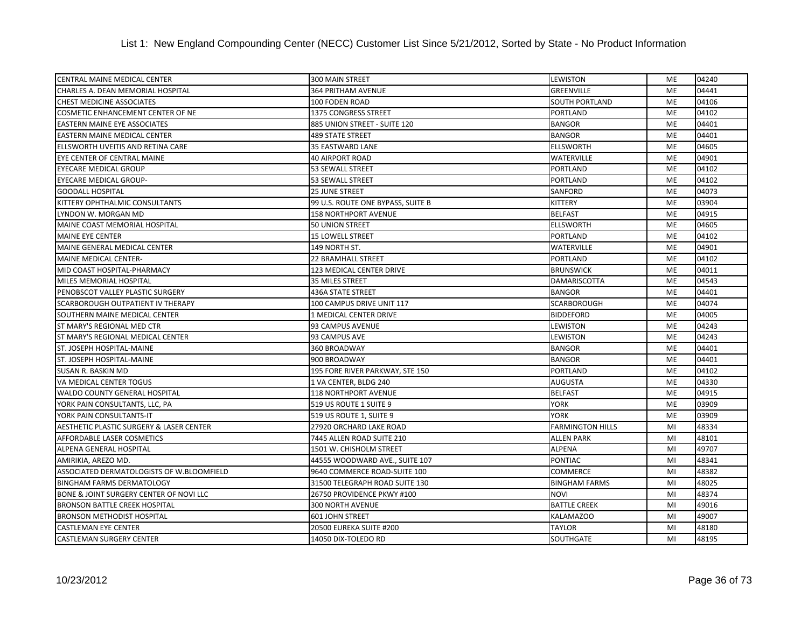| <b>CENTRAL MAINE MEDICAL CENTER</b>       | 300 MAIN STREET                   | LEWISTON                | <b>ME</b> | 04240 |
|-------------------------------------------|-----------------------------------|-------------------------|-----------|-------|
| CHARLES A. DEAN MEMORIAL HOSPITAL         | 364 PRITHAM AVENUE                | <b>GREENVILLE</b>       | <b>ME</b> | 04441 |
| <b>CHEST MEDICINE ASSOCIATES</b>          | 100 FODEN ROAD                    | <b>SOUTH PORTLAND</b>   | <b>ME</b> | 04106 |
| COSMETIC ENHANCEMENT CENTER OF NE         | 1375 CONGRESS STREET              | <b>PORTLAND</b>         | <b>ME</b> | 04102 |
| <b>EASTERN MAINE EYE ASSOCIATES</b>       | 885 UNION STREET - SUITE 120      | <b>BANGOR</b>           | <b>ME</b> | 04401 |
| EASTERN MAINE MEDICAL CENTER              | <b>489 STATE STREET</b>           | <b>BANGOR</b>           | ME        | 04401 |
| ELLSWORTH UVEITIS AND RETINA CARE         | 35 EASTWARD LANE                  | <b>ELLSWORTH</b>        | ME        | 04605 |
| EYE CENTER OF CENTRAL MAINE               | <b>40 AIRPORT ROAD</b>            | <b>WATERVILLE</b>       | <b>ME</b> | 04901 |
| EYECARE MEDICAL GROUP                     | 53 SEWALL STREET                  | <b>PORTLAND</b>         | <b>ME</b> | 04102 |
| <b>EYECARE MEDICAL GROUP-</b>             | 53 SEWALL STREET                  | <b>PORTLAND</b>         | <b>ME</b> | 04102 |
| <b>GOODALL HOSPITAL</b>                   | 25 JUNE STREET                    | <b>SANFORD</b>          | ME        | 04073 |
| KITTERY OPHTHALMIC CONSULTANTS            | 99 U.S. ROUTE ONE BYPASS, SUITE B | <b>KITTERY</b>          | <b>ME</b> | 03904 |
| LYNDON W. MORGAN MD                       | <b>158 NORTHPORT AVENUE</b>       | <b>BELFAST</b>          | <b>ME</b> | 04915 |
| MAINE COAST MEMORIAL HOSPITAL             | <b>50 UNION STREET</b>            | <b>ELLSWORTH</b>        | ME        | 04605 |
| <b>MAINE EYE CENTER</b>                   | 15 LOWELL STREET                  | <b>PORTLAND</b>         | ME        | 04102 |
| MAINE GENERAL MEDICAL CENTER              | 149 NORTH ST.                     | <b>WATERVILLE</b>       | ME        | 04901 |
| MAINE MEDICAL CENTER-                     | 22 BRAMHALL STREET                | <b>PORTLAND</b>         | <b>ME</b> | 04102 |
| MID COAST HOSPITAL-PHARMACY               | 123 MEDICAL CENTER DRIVE          | <b>BRUNSWICK</b>        | <b>ME</b> | 04011 |
| MILES MEMORIAL HOSPITAL                   | 35 MILES STREET                   | <b>DAMARISCOTTA</b>     | <b>ME</b> | 04543 |
| PENOBSCOT VALLEY PLASTIC SURGERY          | <b>436A STATE STREET</b>          | <b>BANGOR</b>           | ME        | 04401 |
| <b>SCARBOROUGH OUTPATIENT IV THERAPY</b>  | 100 CAMPUS DRIVE UNIT 117         | <b>SCARBOROUGH</b>      | <b>ME</b> | 04074 |
| SOUTHERN MAINE MEDICAL CENTER             | 1 MEDICAL CENTER DRIVE            | <b>BIDDEFORD</b>        | <b>ME</b> | 04005 |
| ST MARY'S REGIONAL MED CTR                | 93 CAMPUS AVENUE                  | <b>LEWISTON</b>         | <b>ME</b> | 04243 |
| ST MARY'S REGIONAL MEDICAL CENTER         | 93 CAMPUS AVE                     | <b>LEWISTON</b>         | ME        | 04243 |
| ST. JOSEPH HOSPITAL-MAINE                 | 360 BROADWAY                      | <b>BANGOR</b>           | <b>ME</b> | 04401 |
| ST. JOSEPH HOSPITAL-MAINE                 | 900 BROADWAY                      | <b>BANGOR</b>           | <b>ME</b> | 04401 |
| SUSAN R. BASKIN MD                        | 195 FORE RIVER PARKWAY, STE 150   | <b>PORTLAND</b>         | <b>ME</b> | 04102 |
| VA MEDICAL CENTER TOGUS                   | 1 VA CENTER, BLDG 240             | <b>AUGUSTA</b>          | <b>ME</b> | 04330 |
| <b>WALDO COUNTY GENERAL HOSPITAL</b>      | <b>118 NORTHPORT AVENUE</b>       | <b>BELFAST</b>          | <b>ME</b> | 04915 |
| YORK PAIN CONSULTANTS, LLC, PA            | 519 US ROUTE 1 SUITE 9            | <b>YORK</b>             | <b>ME</b> | 03909 |
| YORK PAIN CONSULTANTS-IT                  | 519 US ROUTE 1, SUITE 9           | <b>YORK</b>             | <b>ME</b> | 03909 |
| AESTHETIC PLASTIC SURGERY & LASER CENTER  | 27920 ORCHARD LAKE ROAD           | <b>FARMINGTON HILLS</b> | MI        | 48334 |
| AFFORDABLE LASER COSMETICS                | 7445 ALLEN ROAD SUITE 210         | <b>ALLEN PARK</b>       | MI        | 48101 |
| ALPENA GENERAL HOSPITAL                   | 1501 W. CHISHOLM STREET           | <b>ALPENA</b>           | MI        | 49707 |
| AMIRIKIA, AREZO MD.                       | 44555 WOODWARD AVE., SUITE 107    | <b>PONTIAC</b>          | MI        | 48341 |
| ASSOCIATED DERMATOLOGISTS OF W.BLOOMFIELD | 9640 COMMERCE ROAD-SUITE 100      | <b>COMMERCE</b>         | MI        | 48382 |
| BINGHAM FARMS DERMATOLOGY                 | 31500 TELEGRAPH ROAD SUITE 130    | <b>BINGHAM FARMS</b>    | MI        | 48025 |
| BONE & JOINT SURGERY CENTER OF NOVI LLC   | 26750 PROVIDENCE PKWY #100        | <b>NOVI</b>             | MI        | 48374 |
| <b>BRONSON BATTLE CREEK HOSPITAL</b>      | 300 NORTH AVENUE                  | <b>BATTLE CREEK</b>     | MI        | 49016 |
| <b>BRONSON METHODIST HOSPITAL</b>         | 601 JOHN STREET                   | <b>KALAMAZOO</b>        | MI        | 49007 |
| <b>CASTLEMAN EYE CENTER</b>               | 20500 EUREKA SUITE #200           | TAYLOR                  | MI        | 48180 |
| <b>CASTLEMAN SURGERY CENTER</b>           | 14050 DIX-TOLEDO RD               | <b>SOUTHGATE</b>        | MI        | 48195 |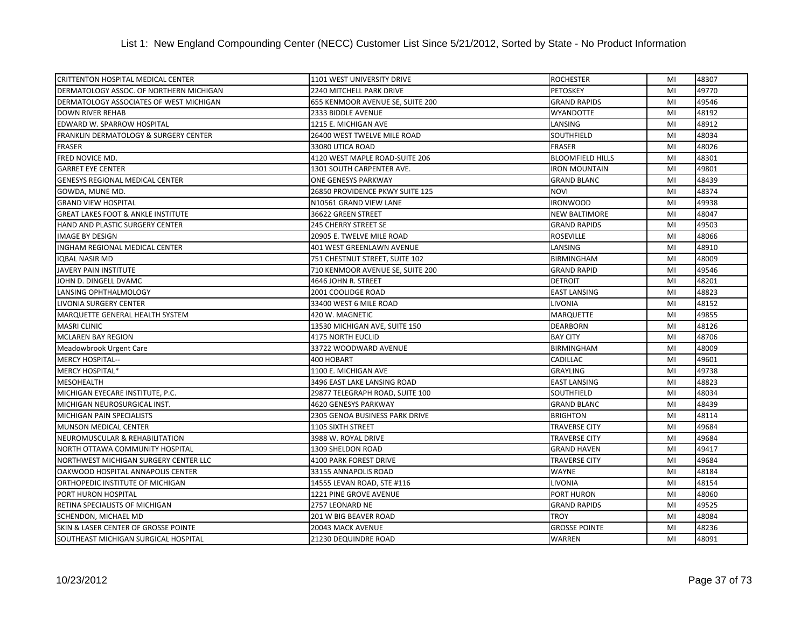| CRITTENTON HOSPITAL MEDICAL CENTER            | 1101 WEST UNIVERSITY DRIVE       | <b>ROCHESTER</b>        | MI | 48307 |
|-----------------------------------------------|----------------------------------|-------------------------|----|-------|
| DERMATOLOGY ASSOC. OF NORTHERN MICHIGAN       | 2240 MITCHELL PARK DRIVE         | <b>PETOSKEY</b>         | MI | 49770 |
| DERMATOLOGY ASSOCIATES OF WEST MICHIGAN       | 655 KENMOOR AVENUE SE, SUITE 200 | <b>GRAND RAPIDS</b>     | MI | 49546 |
| DOWN RIVER REHAB                              | 2333 BIDDLE AVENUE               | <b>WYANDOTTE</b>        | MI | 48192 |
| EDWARD W. SPARROW HOSPITAL                    | 1215 E. MICHIGAN AVE             | LANSING                 | MI | 48912 |
| FRANKLIN DERMATOLOGY & SURGERY CENTER         | 26400 WEST TWELVE MILE ROAD      | SOUTHFIELD              | MI | 48034 |
| <b>FRASER</b>                                 | 33080 UTICA ROAD                 | <b>FRASER</b>           | MI | 48026 |
| FRED NOVICE MD.                               | 4120 WEST MAPLE ROAD-SUITE 206   | <b>BLOOMFIELD HILLS</b> | MI | 48301 |
| <b>GARRET EYE CENTER</b>                      | 1301 SOUTH CARPENTER AVE.        | <b>IRON MOUNTAIN</b>    | MI | 49801 |
| <b>GENESYS REGIONAL MEDICAL CENTER</b>        | <b>ONE GENESYS PARKWAY</b>       | <b>GRAND BLANC</b>      | MI | 48439 |
| GOWDA, MUNE MD.                               | 26850 PROVIDENCE PKWY SUITE 125  | <b>NOVI</b>             | MI | 48374 |
| <b>GRAND VIEW HOSPITAL</b>                    | N10561 GRAND VIEW LANE           | <b>IRONWOOD</b>         | MI | 49938 |
| <b>GREAT LAKES FOOT &amp; ANKLE INSTITUTE</b> | 36622 GREEN STREET               | <b>NEW BALTIMORE</b>    | MI | 48047 |
| HAND AND PLASTIC SURGERY CENTER               | 245 CHERRY STREET SE             | <b>GRAND RAPIDS</b>     | MI | 49503 |
| <b>IMAGE BY DESIGN</b>                        | 20905 E. TWELVE MILE ROAD        | <b>ROSEVILLE</b>        | MI | 48066 |
| INGHAM REGIONAL MEDICAL CENTER                | 401 WEST GREENLAWN AVENUE        | LANSING                 | MI | 48910 |
| <b>IQBAL NASIR MD</b>                         | 751 CHESTNUT STREET, SUITE 102   | <b>BIRMINGHAM</b>       | MI | 48009 |
| JAVERY PAIN INSTITUTE                         | 710 KENMOOR AVENUE SE, SUITE 200 | <b>GRAND RAPID</b>      | MI | 49546 |
| JOHN D. DINGELL DVAMC                         | 4646 JOHN R. STREET              | <b>DETROIT</b>          | MI | 48201 |
| LANSING OPHTHALMOLOGY                         | 2001 COOLIDGE ROAD               | <b>EAST LANSING</b>     | MI | 48823 |
| LIVONIA SURGERY CENTER                        | 33400 WEST 6 MILE ROAD           | LIVONIA                 | MI | 48152 |
| MARQUETTE GENERAL HEALTH SYSTEM               | 420 W. MAGNETIC                  | <b>MARQUETTE</b>        | MI | 49855 |
| <b>MASRI CLINIC</b>                           | 13530 MICHIGAN AVE, SUITE 150    | <b>DEARBORN</b>         | MI | 48126 |
| <b>MCLAREN BAY REGION</b>                     | <b>4175 NORTH EUCLID</b>         | <b>BAY CITY</b>         | MI | 48706 |
| Meadowbrook Urgent Care                       | 33722 WOODWARD AVENUE            | <b>BIRMINGHAM</b>       | MI | 48009 |
| <b>MERCY HOSPITAL--</b>                       | 400 HOBART                       | <b>CADILLAC</b>         | MI | 49601 |
| MERCY HOSPITAL*                               | 1100 E. MICHIGAN AVE             | <b>GRAYLING</b>         | MI | 49738 |
| <b>MESOHEALTH</b>                             | 3496 EAST LAKE LANSING ROAD      | <b>EAST LANSING</b>     | MI | 48823 |
| MICHIGAN EYECARE INSTITUTE, P.C.              | 29877 TELEGRAPH ROAD, SUITE 100  | <b>SOUTHFIELD</b>       | MI | 48034 |
| MICHIGAN NEUROSURGICAL INST.                  | 4620 GENESYS PARKWAY             | <b>GRAND BLANC</b>      | MI | 48439 |
| MICHIGAN PAIN SPECIALISTS                     | 2305 GENOA BUSINESS PARK DRIVE   | <b>BRIGHTON</b>         | MI | 48114 |
| MUNSON MEDICAL CENTER                         | <b>1105 SIXTH STREET</b>         | <b>TRAVERSE CITY</b>    | MI | 49684 |
| <b>NEUROMUSCULAR &amp; REHABILITATION</b>     | 3988 W. ROYAL DRIVE              | <b>TRAVERSE CITY</b>    | MI | 49684 |
| NORTH OTTAWA COMMUNITY HOSPITAL               | 1309 SHELDON ROAD                | <b>GRAND HAVEN</b>      | MI | 49417 |
| NORTHWEST MICHIGAN SURGERY CENTER LLC         | 4100 PARK FOREST DRIVE           | <b>TRAVERSE CITY</b>    | MI | 49684 |
| OAKWOOD HOSPITAL ANNAPOLIS CENTER             | 33155 ANNAPOLIS ROAD             | <b>WAYNE</b>            | MI | 48184 |
| ORTHOPEDIC INSTITUTE OF MICHIGAN              | 14555 LEVAN ROAD, STE #116       | LIVONIA                 | MI | 48154 |
| PORT HURON HOSPITAL                           | 1221 PINE GROVE AVENUE           | <b>PORT HURON</b>       | MI | 48060 |
| RETINA SPECIALISTS OF MICHIGAN                | 2757 LEONARD NE                  | <b>GRAND RAPIDS</b>     | MI | 49525 |
| SCHENDON, MICHAEL MD                          | 201 W BIG BEAVER ROAD            | <b>TROY</b>             | MI | 48084 |
| SKIN & LASER CENTER OF GROSSE POINTE          | 20043 MACK AVENUE                | <b>GROSSE POINTE</b>    | MI | 48236 |
| SOUTHEAST MICHIGAN SURGICAL HOSPITAL          | 21230 DEQUINDRE ROAD             | <b>WARREN</b>           | MI | 48091 |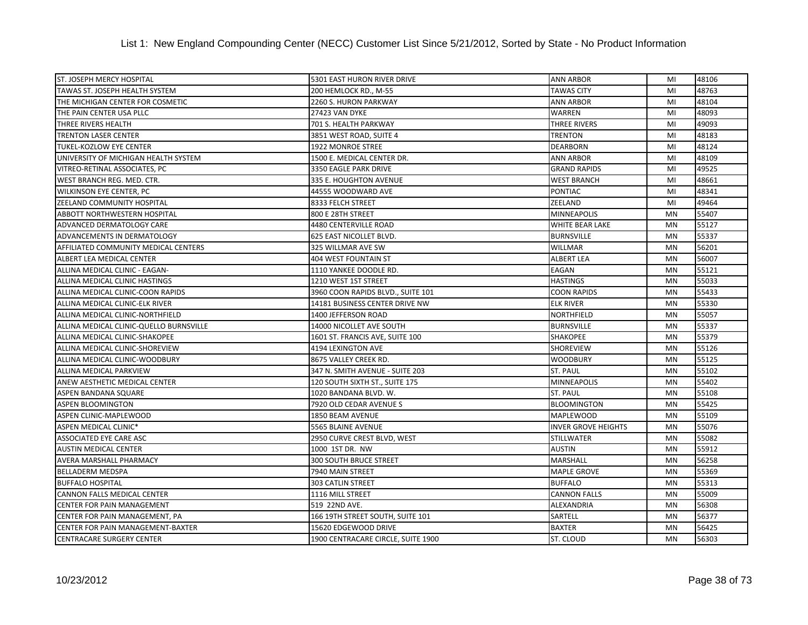| <b>ST. JOSEPH MERCY HOSPITAL</b>        | 5301 EAST HURON RIVER DRIVE        | <b>ANN ARBOR</b>           | MI        | 48106 |
|-----------------------------------------|------------------------------------|----------------------------|-----------|-------|
| TAWAS ST. JOSEPH HEALTH SYSTEM          | 200 HEMLOCK RD., M-55              | <b>TAWAS CITY</b>          | MI        | 48763 |
| THE MICHIGAN CENTER FOR COSMETIC        | 2260 S. HURON PARKWAY              | <b>ANN ARBOR</b>           | MI        | 48104 |
| THE PAIN CENTER USA PLLC                | 27423 VAN DYKE                     | WARREN                     | MI        | 48093 |
| THREE RIVERS HEALTH                     | 701 S. HEALTH PARKWAY              | THREE RIVERS               | MI        | 49093 |
| <b>TRENTON LASER CENTER</b>             | 3851 WEST ROAD, SUITE 4            | <b>TRENTON</b>             | MI        | 48183 |
| <b>TUKEL-KOZLOW EYE CENTER</b>          | 1922 MONROE STREE                  | <b>DEARBORN</b>            | MI        | 48124 |
| UNIVERSITY OF MICHIGAN HEALTH SYSTEM    | 1500 E. MEDICAL CENTER DR.         | <b>ANN ARBOR</b>           | MI        | 48109 |
| VITREO-RETINAL ASSOCIATES, PC           | 3350 EAGLE PARK DRIVE              | <b>GRAND RAPIDS</b>        | MI        | 49525 |
| WEST BRANCH REG. MED. CTR.              | 335 E. HOUGHTON AVENUE             | <b>WEST BRANCH</b>         | MI        | 48661 |
| WILKINSON EYE CENTER, PC                | 44555 WOODWARD AVE                 | PONTIAC                    | MI        | 48341 |
| <b>ZEELAND COMMUNITY HOSPITAL</b>       | 8333 FELCH STREET                  | ZEELAND                    | MI        | 49464 |
| <b>ABBOTT NORTHWESTERN HOSPITAL</b>     | 800 E 28TH STREET                  | <b>MINNEAPOLIS</b>         | <b>MN</b> | 55407 |
| ADVANCED DERMATOLOGY CARE               | 4480 CENTERVILLE ROAD              | <b>WHITE BEAR LAKE</b>     | <b>MN</b> | 55127 |
| ADVANCEMENTS IN DERMATOLOGY             | 625 EAST NICOLLET BLVD.            | <b>BURNSVILLE</b>          | MN        | 55337 |
| AFFILIATED COMMUNITY MEDICAL CENTERS    | 325 WILLMAR AVE SW                 | <b>WILLMAR</b>             | MN        | 56201 |
| ALBERT LEA MEDICAL CENTER               | 404 WEST FOUNTAIN ST               | <b>ALBERT LEA</b>          | <b>MN</b> | 56007 |
| ALLINA MEDICAL CLINIC - EAGAN-          | 1110 YANKEE DOODLE RD.             | EAGAN                      | <b>MN</b> | 55121 |
| ALLINA MEDICAL CLINIC HASTINGS          | 1210 WEST 1ST STREET               | <b>HASTINGS</b>            | <b>MN</b> | 55033 |
| ALLINA MEDICAL CLINIC-COON RAPIDS       | 3960 COON RAPIDS BLVD., SUITE 101  | <b>COON RAPIDS</b>         | MN        | 55433 |
| ALLINA MEDICAL CLINIC-ELK RIVER         | 14181 BUSINESS CENTER DRIVE NW     | <b>ELK RIVER</b>           | <b>MN</b> | 55330 |
| ALLINA MEDICAL CLINIC-NORTHFIELD        | 1400 JEFFERSON ROAD                | NORTHFIELD                 | <b>MN</b> | 55057 |
| ALLINA MEDICAL CLINIC-QUELLO BURNSVILLE | 14000 NICOLLET AVE SOUTH           | <b>BURNSVILLE</b>          | <b>MN</b> | 55337 |
| ALLINA MEDICAL CLINIC-SHAKOPEE          | 1601 ST. FRANCIS AVE, SUITE 100    | SHAKOPEE                   | MN        | 55379 |
| ALLINA MEDICAL CLINIC-SHOREVIEW         | 4194 LEXINGTON AVE                 | SHOREVIEW                  | <b>MN</b> | 55126 |
| ALLINA MEDICAL CLINIC-WOODBURY          | 8675 VALLEY CREEK RD.              | <b>WOODBURY</b>            | <b>MN</b> | 55125 |
| ALLINA MEDICAL PARKVIEW                 | 347 N. SMITH AVENUE - SUITE 203    | <b>ST. PAUL</b>            | <b>MN</b> | 55102 |
| ANEW AESTHETIC MEDICAL CENTER           | 120 SOUTH SIXTH ST., SUITE 175     | MINNEAPOLIS                | <b>MN</b> | 55402 |
| ASPEN BANDANA SQUARE                    | 1020 BANDANA BLVD. W.              | <b>ST. PAUL</b>            | <b>MN</b> | 55108 |
| <b>ASPEN BLOOMINGTON</b>                | 7920 OLD CEDAR AVENUE S            | <b>BLOOMINGTON</b>         | <b>MN</b> | 55425 |
| ASPEN CLINIC-MAPLEWOOD                  | 1850 BEAM AVENUE                   | <b>MAPLEWOOD</b>           | <b>MN</b> | 55109 |
| ASPEN MEDICAL CLINIC*                   | 5565 BLAINE AVENUE                 | <b>INVER GROVE HEIGHTS</b> | <b>MN</b> | 55076 |
| <b>ASSOCIATED EYE CARE ASC</b>          | 2950 CURVE CREST BLVD, WEST        | <b>STILLWATER</b>          | <b>MN</b> | 55082 |
| <b>AUSTIN MEDICAL CENTER</b>            | 1000 1ST DR. NW                    | <b>AUSTIN</b>              | MN        | 55912 |
| AVERA MARSHALL PHARMACY                 | <b>300 SOUTH BRUCE STREET</b>      | MARSHALL                   | <b>MN</b> | 56258 |
| <b>BELLADERM MEDSPA</b>                 | 7940 MAIN STREET                   | MAPLE GROVE                | MN        | 55369 |
| <b>BUFFALO HOSPITAL</b>                 | 303 CATLIN STREET                  | <b>BUFFALO</b>             | <b>MN</b> | 55313 |
| CANNON FALLS MEDICAL CENTER             | 1116 MILL STREET                   | <b>CANNON FALLS</b>        | <b>MN</b> | 55009 |
| <b>CENTER FOR PAIN MANAGEMENT</b>       | 519 22ND AVE.                      | ALEXANDRIA                 | <b>MN</b> | 56308 |
| CENTER FOR PAIN MANAGEMENT, PA          | 166 19TH STREET SOUTH, SUITE 101   | SARTELL                    | <b>MN</b> | 56377 |
| CENTER FOR PAIN MANAGEMENT-BAXTER       | 15620 EDGEWOOD DRIVE               | <b>BAXTER</b>              | <b>MN</b> | 56425 |
| <b>CENTRACARE SURGERY CENTER</b>        | 1900 CENTRACARE CIRCLE, SUITE 1900 | ST. CLOUD                  | <b>MN</b> | 56303 |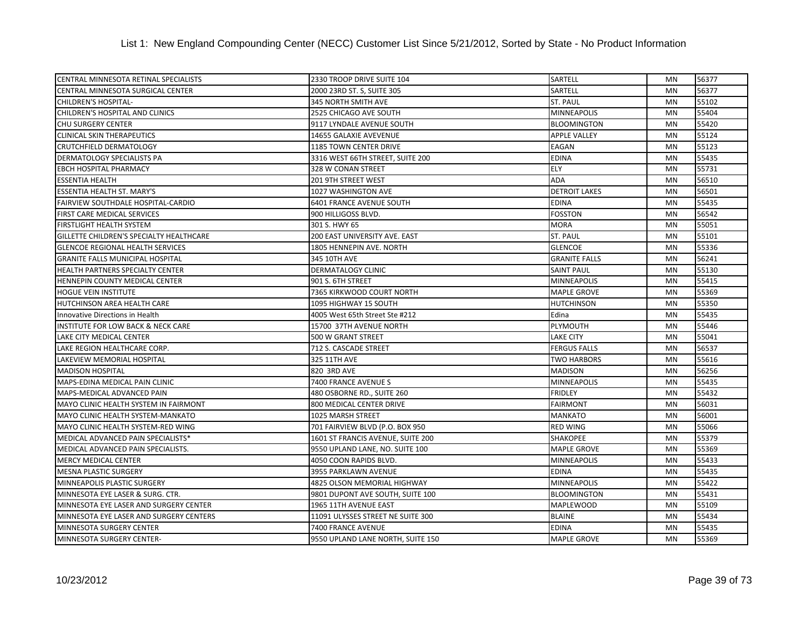| CENTRAL MINNESOTA RETINAL SPECIALISTS         | 2330 TROOP DRIVE SUITE 104        | SARTELL              | MN        | 56377 |
|-----------------------------------------------|-----------------------------------|----------------------|-----------|-------|
| CENTRAL MINNESOTA SURGICAL CENTER             | 2000 23RD ST. S, SUITE 305        | SARTELL              | <b>MN</b> | 56377 |
| CHILDREN'S HOSPITAL-                          | 345 NORTH SMITH AVE               | ST. PAUL             | MN        | 55102 |
| CHILDREN'S HOSPITAL AND CLINICS               | 2525 CHICAGO AVE SOUTH            | <b>MINNEAPOLIS</b>   | <b>MN</b> | 55404 |
| <b>CHU SURGERY CENTER</b>                     | 9117 LYNDALE AVENUE SOUTH         | <b>BLOOMINGTON</b>   | <b>MN</b> | 55420 |
| <b>CLINICAL SKIN THERAPEUTICS</b>             | 14655 GALAXIE AVEVENUE            | <b>APPLE VALLEY</b>  | <b>MN</b> | 55124 |
| <b>CRUTCHFIELD DERMATOLOGY</b>                | 1185 TOWN CENTER DRIVE            | EAGAN                | MN        | 55123 |
| <b>DERMATOLOGY SPECIALISTS PA</b>             | 3316 WEST 66TH STREET, SUITE 200  | <b>EDINA</b>         | <b>MN</b> | 55435 |
| <b>EBCH HOSPITAL PHARMACY</b>                 | 328 W CONAN STREET                | ELY                  | <b>MN</b> | 55731 |
| <b>ESSENTIA HEALTH</b>                        | 201 9TH STREET WEST               | <b>ADA</b>           | <b>MN</b> | 56510 |
| <b>ESSENTIA HEALTH ST. MARY'S</b>             | 1027 WASHINGTON AVE               | <b>DETROIT LAKES</b> | <b>MN</b> | 56501 |
| <b>FAIRVIEW SOUTHDALE HOSPITAL-CARDIO</b>     | <b>6401 FRANCE AVENUE SOUTH</b>   | <b>EDINA</b>         | <b>MN</b> | 55435 |
| <b>FIRST CARE MEDICAL SERVICES</b>            | 900 HILLIGOSS BLVD.               | <b>FOSSTON</b>       | <b>MN</b> | 56542 |
| <b>FIRSTLIGHT HEALTH SYSTEM</b>               | 301 S. HWY 65                     | MORA                 | <b>MN</b> | 55051 |
| GILLETTE CHILDREN'S SPECIALTY HEALTHCARE      | 200 EAST UNIVERSITY AVE. EAST     | <b>ST. PAUL</b>      | MN        | 55101 |
| <b>GLENCOE REGIONAL HEALTH SERVICES</b>       | 1805 HENNEPIN AVE. NORTH          | <b>GLENCOE</b>       | MN        | 55336 |
| <b>GRANITE FALLS MUNICIPAL HOSPITAL</b>       | 345 10TH AVE                      | <b>GRANITE FALLS</b> | <b>MN</b> | 56241 |
| <b>HEALTH PARTNERS SPECIALTY CENTER</b>       | <b>DERMATALOGY CLINIC</b>         | <b>SAINT PAUL</b>    | <b>MN</b> | 55130 |
| HENNEPIN COUNTY MEDICAL CENTER                | 901 S. 6TH STREET                 | <b>MINNEAPOLIS</b>   | <b>MN</b> | 55415 |
| <b>HOGUE VEIN INSTITUTE</b>                   | 7365 KIRKWOOD COURT NORTH         | MAPLE GROVE          | <b>MN</b> | 55369 |
| <b>HUTCHINSON AREA HEALTH CARE</b>            | 1095 HIGHWAY 15 SOUTH             | <b>HUTCHINSON</b>    | <b>MN</b> | 55350 |
| Innovative Directions in Health               | 4005 West 65th Street Ste #212    | Edina                | MN        | 55435 |
| <b>INSTITUTE FOR LOW BACK &amp; NECK CARE</b> | 15700 37TH AVENUE NORTH           | PLYMOUTH             | <b>MN</b> | 55446 |
| LAKE CITY MEDICAL CENTER                      | 500 W GRANT STREET                | <b>LAKE CITY</b>     | <b>MN</b> | 55041 |
| LAKE REGION HEALTHCARE CORP.                  | 712 S. CASCADE STREET             | <b>FERGUS FALLS</b>  | <b>MN</b> | 56537 |
| <b>LAKEVIEW MEMORIAL HOSPITAL</b>             | 325 11TH AVE                      | <b>TWO HARBORS</b>   | <b>MN</b> | 55616 |
| <b>MADISON HOSPITAL</b>                       | 820 3RD AVE                       | <b>MADISON</b>       | <b>MN</b> | 56256 |
| MAPS-EDINA MEDICAL PAIN CLINIC                | 7400 FRANCE AVENUE S              | MINNEAPOLIS          | <b>MN</b> | 55435 |
| MAPS-MEDICAL ADVANCED PAIN                    | 480 OSBORNE RD., SUITE 260        | <b>FRIDLEY</b>       | <b>MN</b> | 55432 |
| MAYO CLINIC HEALTH SYSTEM IN FAIRMONT         | 800 MEDICAL CENTER DRIVE          | <b>FAIRMONT</b>      | <b>MN</b> | 56031 |
| MAYO CLINIC HEALTH SYSTEM-MANKATO             | 1025 MARSH STREET                 | <b>MANKATO</b>       | <b>MN</b> | 56001 |
| MAYO CLINIC HEALTH SYSTEM-RED WING            | 701 FAIRVIEW BLVD (P.O. BOX 950   | <b>RED WING</b>      | <b>MN</b> | 55066 |
| MEDICAL ADVANCED PAIN SPECIALISTS*            | 1601 ST FRANCIS AVENUE, SUITE 200 | <b>SHAKOPEE</b>      | <b>MN</b> | 55379 |
| MEDICAL ADVANCED PAIN SPECIALISTS.            | 9550 UPLAND LANE, NO. SUITE 100   | <b>MAPLE GROVE</b>   | MN        | 55369 |
| <b>MERCY MEDICAL CENTER</b>                   | 4050 COON RAPIDS BLVD.            | <b>MINNEAPOLIS</b>   | <b>MN</b> | 55433 |
| <b>MESNA PLASTIC SURGERY</b>                  | 3955 PARKLAWN AVENUE              | <b>EDINA</b>         | MN        | 55435 |
| <b>MINNEAPOLIS PLASTIC SURGERY</b>            | 4825 OLSON MEMORIAL HIGHWAY       | MINNEAPOLIS          | <b>MN</b> | 55422 |
| MINNESOTA EYE LASER & SURG. CTR.              | 9801 DUPONT AVE SOUTH, SUITE 100  | <b>BLOOMINGTON</b>   | <b>MN</b> | 55431 |
| MINNESOTA EYE LASER AND SURGERY CENTER        | 1965 11TH AVENUE EAST             | <b>MAPLEWOOD</b>     | <b>MN</b> | 55109 |
| MINNESOTA EYE LASER AND SURGERY CENTERS       | 11091 ULYSSES STREET NE SUITE 300 | <b>BLAINE</b>        | <b>MN</b> | 55434 |
| MINNESOTA SURGERY CENTER                      | 7400 FRANCE AVENUE                | <b>EDINA</b>         | <b>MN</b> | 55435 |
| MINNESOTA SURGERY CENTER-                     | 9550 UPLAND LANE NORTH, SUITE 150 | <b>MAPLE GROVE</b>   | <b>MN</b> | 55369 |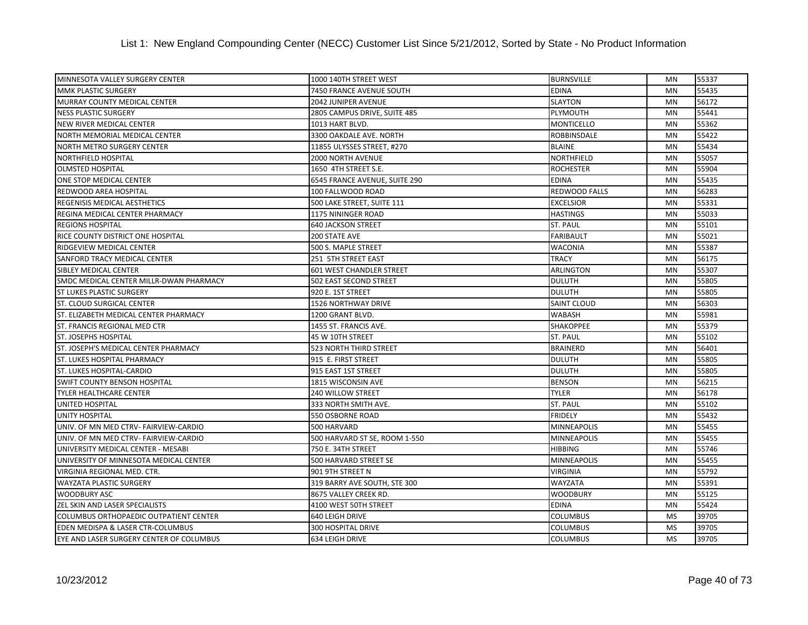| MINNESOTA VALLEY SURGERY CENTER          | 1000 140TH STREET WEST          | <b>BURNSVILLE</b>    | MN        | 55337 |
|------------------------------------------|---------------------------------|----------------------|-----------|-------|
| <b>MMK PLASTIC SURGERY</b>               | 7450 FRANCE AVENUE SOUTH        | <b>EDINA</b>         | <b>MN</b> | 55435 |
| MURRAY COUNTY MEDICAL CENTER             | 2042 JUNIPER AVENUE             | <b>SLAYTON</b>       | <b>MN</b> | 56172 |
| <b>NESS PLASTIC SURGERY</b>              | 2805 CAMPUS DRIVE, SUITE 485    | PLYMOUTH             | <b>MN</b> | 55441 |
| NEW RIVER MEDICAL CENTER                 | 1013 HART BLVD.                 | <b>MONTICELLO</b>    | <b>MN</b> | 55362 |
| NORTH MEMORIAL MEDICAL CENTER            | 3300 OAKDALE AVE. NORTH         | <b>ROBBINSDALE</b>   | MN        | 55422 |
| <b>NORTH METRO SURGERY CENTER</b>        | 11855 ULYSSES STREET, #270      | <b>BLAINE</b>        | MN        | 55434 |
| <b>NORTHFIELD HOSPITAL</b>               | 2000 NORTH AVENUE               | NORTHFIELD           | <b>MN</b> | 55057 |
| <b>OLMSTED HOSPITAL</b>                  | 1650 4TH STREET S.E.            | <b>ROCHESTER</b>     | <b>MN</b> | 55904 |
| ONE STOP MEDICAL CENTER                  | 6545 FRANCE AVENUE, SUITE 290   | <b>EDINA</b>         | <b>MN</b> | 55435 |
| REDWOOD AREA HOSPITAL                    | 100 FALLWOOD ROAD               | <b>REDWOOD FALLS</b> | <b>MN</b> | 56283 |
| <b>REGENISIS MEDICAL AESTHETICS</b>      | 500 LAKE STREET, SUITE 111      | <b>EXCELSIOR</b>     | <b>MN</b> | 55331 |
| REGINA MEDICAL CENTER PHARMACY           | 1175 NININGER ROAD              | <b>HASTINGS</b>      | MN        | 55033 |
| <b>REGIONS HOSPITAL</b>                  | <b>640 JACKSON STREET</b>       | <b>ST. PAUL</b>      | MN        | 55101 |
| RICE COUNTY DISTRICT ONE HOSPITAL        | 200 STATE AVE                   | <b>FARIBAULT</b>     | <b>MN</b> | 55021 |
| RIDGEVIEW MEDICAL CENTER                 | 500 S. MAPLE STREET             | <b>WACONIA</b>       | MN        | 55387 |
| <b>SANFORD TRACY MEDICAL CENTER</b>      | 251 5TH STREET EAST             | <b>TRACY</b>         | <b>MN</b> | 56175 |
| SIBLEY MEDICAL CENTER                    | <b>601 WEST CHANDLER STREET</b> | <b>ARLINGTON</b>     | MN        | 55307 |
| SMDC MEDICAL CENTER MILLR-DWAN PHARMACY  | 502 EAST SECOND STREET          | <b>DULUTH</b>        | <b>MN</b> | 55805 |
| <b>ST LUKES PLASTIC SURGERY</b>          | 920 E. 1ST STREET               | <b>DULUTH</b>        | <b>MN</b> | 55805 |
| <b>ST. CLOUD SURGICAL CENTER</b>         | <b>1526 NORTHWAY DRIVE</b>      | <b>SAINT CLOUD</b>   | <b>MN</b> | 56303 |
| ST. ELIZABETH MEDICAL CENTER PHARMACY    | 1200 GRANT BLVD.                | <b>WABASH</b>        | MN        | 55981 |
| ST. FRANCIS REGIONAL MED CTR             | 1455 ST. FRANCIS AVE.           | SHAKOPPEE            | <b>MN</b> | 55379 |
| <b>ST. JOSEPHS HOSPITAL</b>              | 45 W 10TH STREET                | <b>ST. PAUL</b>      | MN        | 55102 |
| ST. JOSEPH'S MEDICAL CENTER PHARMACY     | <b>523 NORTH THIRD STREET</b>   | <b>BRAINERD</b>      | <b>MN</b> | 56401 |
| <b>ST. LUKES HOSPITAL PHARMACY</b>       | 915 E. FIRST STREET             | <b>DULUTH</b>        | <b>MN</b> | 55805 |
| <b>ST. LUKES HOSPITAL-CARDIO</b>         | 915 EAST 1ST STREET             | <b>DULUTH</b>        | <b>MN</b> | 55805 |
| <b>SWIFT COUNTY BENSON HOSPITAL</b>      | 1815 WISCONSIN AVE              | <b>BENSON</b>        | <b>MN</b> | 56215 |
| <b>TYLER HEALTHCARE CENTER</b>           | <b>240 WILLOW STREET</b>        | <b>TYLER</b>         | <b>MN</b> | 56178 |
| UNITED HOSPITAL                          | 333 NORTH SMITH AVE.            | <b>ST. PAUL</b>      | <b>MN</b> | 55102 |
| <b>UNITY HOSPITAL</b>                    | 550 OSBORNE ROAD                | <b>FRIDELY</b>       | MN        | 55432 |
| UNIV. OF MN MED CTRV- FAIRVIEW-CARDIO    | 500 HARVARD                     | <b>MINNEAPOLIS</b>   | <b>MN</b> | 55455 |
| UNIV. OF MN MED CTRV- FAIRVIEW-CARDIO    | 500 HARVARD ST SE, ROOM 1-550   | <b>MINNEAPOLIS</b>   | <b>MN</b> | 55455 |
| UNIVERSITY MEDICAL CENTER - MESABI       | 750 E. 34TH STREET              | <b>HIBBING</b>       | MN        | 55746 |
| UNIVERSITY OF MINNESOTA MEDICAL CENTER   | 500 HARVARD STREET SE           | <b>MINNEAPOLIS</b>   | <b>MN</b> | 55455 |
| VIRGINIA REGIONAL MED. CTR.              | 901 9TH STREET N                | <b>VIRGINIA</b>      | MN        | 55792 |
| <b>WAYZATA PLASTIC SURGERY</b>           | 319 BARRY AVE SOUTH, STE 300    | <b>WAYZATA</b>       | <b>MN</b> | 55391 |
| <b>WOODBURY ASC</b>                      | 8675 VALLEY CREEK RD.           | <b>WOODBURY</b>      | <b>MN</b> | 55125 |
| <b>ZEL SKIN AND LASER SPECIALISTS</b>    | 4100 WEST 50TH STREET           | <b>EDINA</b>         | MN        | 55424 |
| COLUMBUS ORTHOPAEDIC OUTPATIENT CENTER   | 640 LEIGH DRIVE                 | <b>COLUMBUS</b>      | <b>MS</b> | 39705 |
| EDEN MEDISPA & LASER CTR-COLUMBUS        | 300 HOSPITAL DRIVE              | <b>COLUMBUS</b>      | <b>MS</b> | 39705 |
| EYE AND LASER SURGERY CENTER OF COLUMBUS | 634 LEIGH DRIVE                 | <b>COLUMBUS</b>      | <b>MS</b> | 39705 |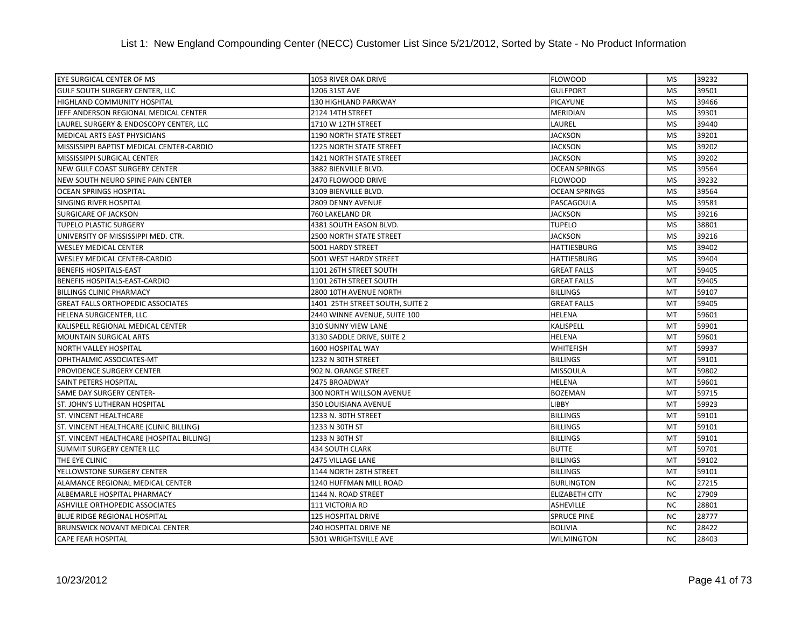| EYE SURGICAL CENTER OF MS                 | 1053 RIVER OAK DRIVE            | <b>FLOWOOD</b>        | MS        | 39232 |
|-------------------------------------------|---------------------------------|-----------------------|-----------|-------|
| <b>GULF SOUTH SURGERY CENTER, LLC</b>     | 1206 31ST AVE                   | <b>GULFPORT</b>       | <b>MS</b> | 39501 |
| HIGHLAND COMMUNITY HOSPITAL               | 130 HIGHLAND PARKWAY            | <b>PICAYUNE</b>       | <b>MS</b> | 39466 |
| JEFF ANDERSON REGIONAL MEDICAL CENTER     | 2124 14TH STREET                | <b>MERIDIAN</b>       | <b>MS</b> | 39301 |
| LAUREL SURGERY & ENDOSCOPY CENTER, LLC    | 1710 W 12TH STREET              | LAUREL                | <b>MS</b> | 39440 |
| MEDICAL ARTS EAST PHYSICIANS              | <b>1190 NORTH STATE STREET</b>  | <b>JACKSON</b>        | <b>MS</b> | 39201 |
| MISSISSIPPI BAPTIST MEDICAL CENTER-CARDIO | <b>1225 NORTH STATE STREET</b>  | <b>JACKSON</b>        | <b>MS</b> | 39202 |
| MISSISSIPPI SURGICAL CENTER               | 1421 NORTH STATE STREET         | <b>JACKSON</b>        | <b>MS</b> | 39202 |
| NEW GULF COAST SURGERY CENTER             | 3882 BIENVILLE BLVD.            | <b>OCEAN SPRINGS</b>  | <b>MS</b> | 39564 |
| NEW SOUTH NEURO SPINE PAIN CENTER         | 2470 FLOWOOD DRIVE              | <b>FLOWOOD</b>        | <b>MS</b> | 39232 |
| <b>OCEAN SPRINGS HOSPITAL</b>             | 3109 BIENVILLE BLVD.            | <b>OCEAN SPRINGS</b>  | <b>MS</b> | 39564 |
| SINGING RIVER HOSPITAL                    | 2809 DENNY AVENUE               | PASCAGOULA            | <b>MS</b> | 39581 |
| SURGICARE OF JACKSON                      | 760 LAKELAND DR                 | <b>JACKSON</b>        | <b>MS</b> | 39216 |
| <b>TUPELO PLASTIC SURGERY</b>             | 4381 SOUTH EASON BLVD.          | <b>TUPELO</b>         | <b>MS</b> | 38801 |
| UNIVERSITY OF MISSISSIPPI MED. CTR.       | <b>2500 NORTH STATE STREET</b>  | <b>JACKSON</b>        | <b>MS</b> | 39216 |
| <b>WESLEY MEDICAL CENTER</b>              | 5001 HARDY STREET               | <b>HATTIESBURG</b>    | <b>MS</b> | 39402 |
| <b>WESLEY MEDICAL CENTER-CARDIO</b>       | 5001 WEST HARDY STREET          | <b>HATTIESBURG</b>    | <b>MS</b> | 39404 |
| <b>BENEFIS HOSPITALS-EAST</b>             | 1101 26TH STREET SOUTH          | <b>GREAT FALLS</b>    | MT        | 59405 |
| BENEFIS HOSPITALS-EAST-CARDIO             | 1101 26TH STREET SOUTH          | <b>GREAT FALLS</b>    | MT        | 59405 |
| <b>BILLINGS CLINIC PHARMACY</b>           | 2800 10TH AVENUE NORTH          | <b>BILLINGS</b>       | MT        | 59107 |
| <b>GREAT FALLS ORTHOPEDIC ASSOCIATES</b>  | 1401 25TH STREET SOUTH, SUITE 2 | <b>GREAT FALLS</b>    | MT        | 59405 |
| HELENA SURGICENTER, LLC                   | 2440 WINNE AVENUE, SUITE 100    | <b>HELENA</b>         | MT        | 59601 |
| KALISPELL REGIONAL MEDICAL CENTER         | 310 SUNNY VIEW LANE             | KALISPELL             | MT        | 59901 |
| <b>MOUNTAIN SURGICAL ARTS</b>             | 3130 SADDLE DRIVE, SUITE 2      | <b>HELENA</b>         | MT        | 59601 |
| NORTH VALLEY HOSPITAL                     | 1600 HOSPITAL WAY               | <b>WHITEFISH</b>      | MT        | 59937 |
| OPHTHALMIC ASSOCIATES-MT                  | 1232 N 30TH STREET              | <b>BILLINGS</b>       | MT        | 59101 |
| PROVIDENCE SURGERY CENTER                 | 902 N. ORANGE STREET            | <b>MISSOULA</b>       | MT        | 59802 |
| <b>SAINT PETERS HOSPITAL</b>              | 2475 BROADWAY                   | <b>HELENA</b>         | MT        | 59601 |
| SAME DAY SURGERY CENTER-                  | 300 NORTH WILLSON AVENUE        | <b>BOZEMAN</b>        | MT        | 59715 |
| ST. JOHN'S LUTHERAN HOSPITAL              | 350 LOUISIANA AVENUE            | <b>LIBBY</b>          | MT        | 59923 |
| <b>ST. VINCENT HEALTHCARE</b>             | 1233 N. 30TH STREET             | <b>BILLINGS</b>       | MT        | 59101 |
| ST. VINCENT HEALTHCARE (CLINIC BILLING)   | 1233 N 30TH ST                  | <b>BILLINGS</b>       | MT        | 59101 |
| ST. VINCENT HEALTHCARE (HOSPITAL BILLING) | 1233 N 30TH ST                  | <b>BILLINGS</b>       | MT        | 59101 |
| SUMMIT SURGERY CENTER LLC                 | <b>434 SOUTH CLARK</b>          | <b>BUTTE</b>          | MT        | 59701 |
| THE EYE CLINIC                            | 2475 VILLAGE LANE               | <b>BILLINGS</b>       | MT        | 59102 |
| YELLOWSTONE SURGERY CENTER                | 1144 NORTH 28TH STREET          | <b>BILLINGS</b>       | MT        | 59101 |
| ALAMANCE REGIONAL MEDICAL CENTER          | 1240 HUFFMAN MILL ROAD          | <b>BURLINGTON</b>     | <b>NC</b> | 27215 |
| ALBEMARLE HOSPITAL PHARMACY               | 1144 N. ROAD STREET             | <b>ELIZABETH CITY</b> | <b>NC</b> | 27909 |
| ASHVILLE ORTHOPEDIC ASSOCIATES            | 111 VICTORIA RD                 | <b>ASHEVILLE</b>      | <b>NC</b> | 28801 |
| BLUE RIDGE REGIONAL HOSPITAL              | <b>125 HOSPITAL DRIVE</b>       | <b>SPRUCE PINE</b>    | <b>NC</b> | 28777 |
| BRUNSWICK NOVANT MEDICAL CENTER           | 240 HOSPITAL DRIVE NE           | <b>BOLIVIA</b>        | <b>NC</b> | 28422 |
| <b>CAPE FEAR HOSPITAL</b>                 | 5301 WRIGHTSVILLE AVE           | <b>WILMINGTON</b>     | <b>NC</b> | 28403 |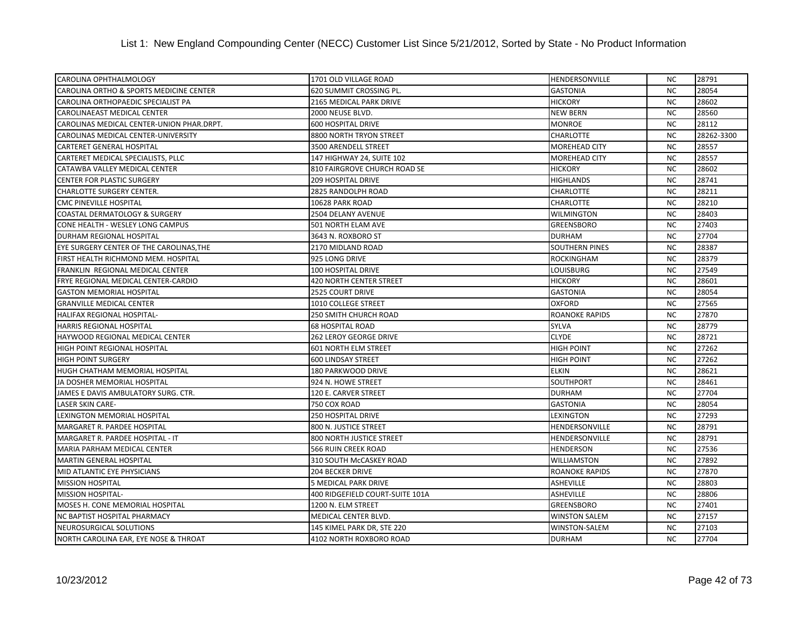| CAROLINA OPHTHALMOLOGY                    | 1701 OLD VILLAGE ROAD           | <b>HENDERSONVILLE</b> | <b>NC</b> | 28791      |
|-------------------------------------------|---------------------------------|-----------------------|-----------|------------|
| CAROLINA ORTHO & SPORTS MEDICINE CENTER   | 620 SUMMIT CROSSING PL.         | <b>GASTONIA</b>       | <b>NC</b> | 28054      |
| CAROLINA ORTHOPAEDIC SPECIALIST PA        | 2165 MEDICAL PARK DRIVE         | <b>HICKORY</b>        | <b>NC</b> | 28602      |
| CAROLINAEAST MEDICAL CENTER               | 2000 NEUSE BLVD.                | <b>NEW BERN</b>       | <b>NC</b> | 28560      |
| CAROLINAS MEDICAL CENTER-UNION PHAR.DRPT. | <b>600 HOSPITAL DRIVE</b>       | <b>MONROE</b>         | <b>NC</b> | 28112      |
| CAROLINAS MEDICAL CENTER-UNIVERSITY       | 8800 NORTH TRYON STREET         | <b>CHARLOTTE</b>      | <b>NC</b> | 28262-3300 |
| CARTERET GENERAL HOSPITAL                 | 3500 ARENDELL STREET            | <b>MOREHEAD CITY</b>  | <b>NC</b> | 28557      |
| CARTERET MEDICAL SPECIALISTS, PLLC        | 147 HIGHWAY 24, SUITE 102       | <b>MOREHEAD CITY</b>  | <b>NC</b> | 28557      |
| CATAWBA VALLEY MEDICAL CENTER             | 810 FAIRGROVE CHURCH ROAD SE    | <b>HICKORY</b>        | <b>NC</b> | 28602      |
| <b>CENTER FOR PLASTIC SURGERY</b>         | <b>209 HOSPITAL DRIVE</b>       | <b>HIGHLANDS</b>      | <b>NC</b> | 28741      |
| CHARLOTTE SURGERY CENTER.                 | 2825 RANDOLPH ROAD              | <b>CHARLOTTE</b>      | <b>NC</b> | 28211      |
| <b>CMC PINEVILLE HOSPITAL</b>             | 10628 PARK ROAD                 | <b>CHARLOTTE</b>      | <b>NC</b> | 28210      |
| COASTAL DERMATOLOGY & SURGERY             | 2504 DELANY AVENUE              | <b>WILMINGTON</b>     | <b>NC</b> | 28403      |
| CONE HEALTH - WESLEY LONG CAMPUS          | 501 NORTH ELAM AVE              | <b>GREENSBORO</b>     | <b>NC</b> | 27403      |
| DURHAM REGIONAL HOSPITAL                  | 3643 N. ROXBORO ST              | <b>DURHAM</b>         | <b>NC</b> | 27704      |
| EYE SURGERY CENTER OF THE CAROLINAS, THE  | 2170 MIDLAND ROAD               | <b>SOUTHERN PINES</b> | <b>NC</b> | 28387      |
| FIRST HEALTH RICHMOND MEM. HOSPITAL       | 925 LONG DRIVE                  | <b>ROCKINGHAM</b>     | <b>NC</b> | 28379      |
| FRANKLIN REGIONAL MEDICAL CENTER          | 100 HOSPITAL DRIVE              | <b>LOUISBURG</b>      | <b>NC</b> | 27549      |
| FRYE REGIONAL MEDICAL CENTER-CARDIO       | 420 NORTH CENTER STREET         | <b>HICKORY</b>        | <b>NC</b> | 28601      |
| <b>GASTON MEMORIAL HOSPITAL</b>           | <b>2525 COURT DRIVE</b>         | <b>GASTONIA</b>       | <b>NC</b> | 28054      |
| <b>GRANVILLE MEDICAL CENTER</b>           | 1010 COLLEGE STREET             | <b>OXFORD</b>         | <b>NC</b> | 27565      |
| HALIFAX REGIONAL HOSPITAL-                | 250 SMITH CHURCH ROAD           | <b>ROANOKE RAPIDS</b> | <b>NC</b> | 27870      |
| <b>HARRIS REGIONAL HOSPITAL</b>           | <b>68 HOSPITAL ROAD</b>         | <b>SYLVA</b>          | <b>NC</b> | 28779      |
| <b>HAYWOOD REGIONAL MEDICAL CENTER</b>    | <b>262 LEROY GEORGE DRIVE</b>   | <b>CLYDE</b>          | <b>NC</b> | 28721      |
| HIGH POINT REGIONAL HOSPITAL              | <b>601 NORTH ELM STREET</b>     | <b>HIGH POINT</b>     | <b>NC</b> | 27262      |
| <b>HIGH POINT SURGERY</b>                 | <b>600 LINDSAY STREET</b>       | <b>HIGH POINT</b>     | <b>NC</b> | 27262      |
| HUGH CHATHAM MEMORIAL HOSPITAL            | 180 PARKWOOD DRIVE              | <b>ELKIN</b>          | <b>NC</b> | 28621      |
| JA DOSHER MEMORIAL HOSPITAL               | 924 N. HOWE STREET              | <b>SOUTHPORT</b>      | <b>NC</b> | 28461      |
| JAMES E DAVIS AMBULATORY SURG. CTR.       | 120 E. CARVER STREET            | <b>DURHAM</b>         | <b>NC</b> | 27704      |
| <b>LASER SKIN CARE-</b>                   | 750 COX ROAD                    | <b>GASTONIA</b>       | <b>NC</b> | 28054      |
| LEXINGTON MEMORIAL HOSPITAL               | <b>250 HOSPITAL DRIVE</b>       | <b>LEXINGTON</b>      | <b>NC</b> | 27293      |
| MARGARET R. PARDEE HOSPITAL               | 800 N. JUSTICE STREET           | <b>HENDERSONVILLE</b> | <b>NC</b> | 28791      |
| MARGARET R. PARDEE HOSPITAL - IT          | 800 NORTH JUSTICE STREET        | HENDERSONVILLE        | <b>NC</b> | 28791      |
| MARIA PARHAM MEDICAL CENTER               | 566 RUIN CREEK ROAD             | <b>HENDERSON</b>      | <b>NC</b> | 27536      |
| <b>MARTIN GENERAL HOSPITAL</b>            | 310 SOUTH McCASKEY ROAD         | <b>WILLIAMSTON</b>    | <b>NC</b> | 27892      |
| MID ATLANTIC EYE PHYSICIANS               | <b>204 BECKER DRIVE</b>         | <b>ROANOKE RAPIDS</b> | <b>NC</b> | 27870      |
| <b>MISSION HOSPITAL</b>                   | 5 MEDICAL PARK DRIVE            | <b>ASHEVILLE</b>      | <b>NC</b> | 28803      |
| <b>MISSION HOSPITAL-</b>                  | 400 RIDGEFIELD COURT-SUITE 101A | <b>ASHEVILLE</b>      | <b>NC</b> | 28806      |
| MOSES H. CONE MEMORIAL HOSPITAL           | 1200 N. ELM STREET              | <b>GREENSBORO</b>     | <b>NC</b> | 27401      |
| NC BAPTIST HOSPITAL PHARMACY              | MEDICAL CENTER BLVD.            | <b>WINSTON SALEM</b>  | <b>NC</b> | 27157      |
| NEUROSURGICAL SOLUTIONS                   | 145 KIMEL PARK DR, STE 220      | WINSTON-SALEM         | <b>NC</b> | 27103      |
| NORTH CAROLINA EAR, EYE NOSE & THROAT     | 4102 NORTH ROXBORO ROAD         | <b>DURHAM</b>         | <b>NC</b> | 27704      |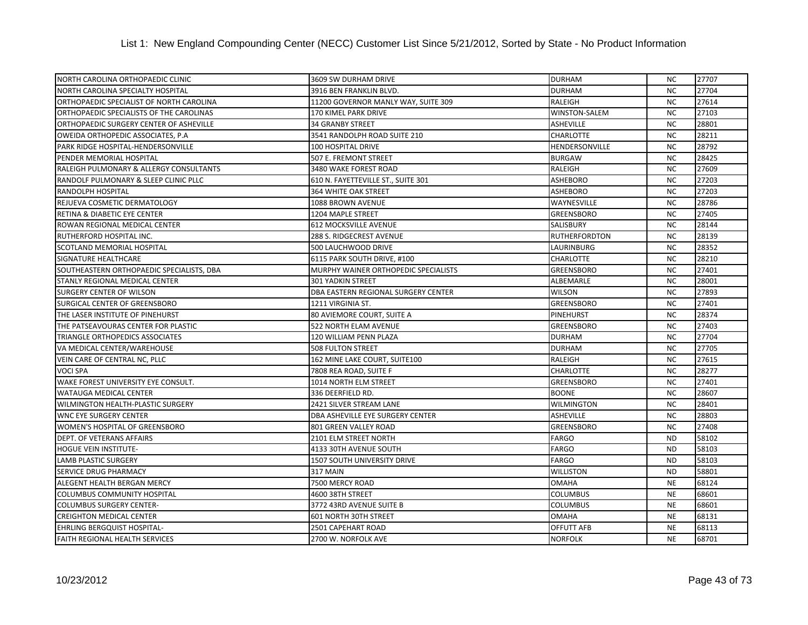| NORTH CAROLINA ORTHOPAEDIC CLINIC         | 3609 SW DURHAM DRIVE                 | <b>DURHAM</b>        | <b>NC</b> | 27707 |
|-------------------------------------------|--------------------------------------|----------------------|-----------|-------|
| NORTH CAROLINA SPECIALTY HOSPITAL         | 3916 BEN FRANKLIN BLVD.              | <b>DURHAM</b>        | <b>NC</b> | 27704 |
| ORTHOPAEDIC SPECIALIST OF NORTH CAROLINA  | 11200 GOVERNOR MANLY WAY, SUITE 309  | RALEIGH              | <b>NC</b> | 27614 |
| ORTHOPAEDIC SPECIALISTS OF THE CAROLINAS  | 170 KIMEL PARK DRIVE                 | <b>WINSTON-SALEM</b> | <b>NC</b> | 27103 |
| ORTHOPAEDIC SURGERY CENTER OF ASHEVILLE   | <b>34 GRANBY STREET</b>              | <b>ASHEVILLE</b>     | <b>NC</b> | 28801 |
| OWEIDA ORTHOPEDIC ASSOCIATES, P.A.        | 3541 RANDOLPH ROAD SUITE 210         | <b>CHARLOTTE</b>     | <b>NC</b> | 28211 |
| PARK RIDGE HOSPITAL-HENDERSONVILLE        | 100 HOSPITAL DRIVE                   | HENDERSONVILLE       | <b>NC</b> | 28792 |
| PENDER MEMORIAL HOSPITAL                  | 507 E. FREMONT STREET                | <b>BURGAW</b>        | <b>NC</b> | 28425 |
| RALEIGH PULMONARY & ALLERGY CONSULTANTS   | 3480 WAKE FOREST ROAD                | <b>RALEIGH</b>       | <b>NC</b> | 27609 |
| RANDOLF PULMONARY & SLEEP CLINIC PLLC     | 610 N. FAYETTEVILLE ST., SUITE 301   | <b>ASHEBORO</b>      | <b>NC</b> | 27203 |
| RANDOLPH HOSPITAL                         | <b>364 WHITE OAK STREET</b>          | <b>ASHEBORO</b>      | <b>NC</b> | 27203 |
| REJUEVA COSMETIC DERMATOLOGY              | 1088 BROWN AVENUE                    | WAYNESVILLE          | <b>NC</b> | 28786 |
| RETINA & DIABETIC EYE CENTER              | 1204 MAPLE STREET                    | <b>GREENSBORO</b>    | <b>NC</b> | 27405 |
| ROWAN REGIONAL MEDICAL CENTER             | <b>612 MOCKSVILLE AVENUE</b>         | SALISBURY            | <b>NC</b> | 28144 |
| RUTHERFORD HOSPITAL INC.                  | 288 S. RIDGECREST AVENUE             | <b>RUTHERFORDTON</b> | <b>NC</b> | 28139 |
| SCOTLAND MEMORIAL HOSPITAL                | 500 LAUCHWOOD DRIVE                  | LAURINBURG           | <b>NC</b> | 28352 |
| SIGNATURE HEALTHCARE                      | 6115 PARK SOUTH DRIVE, #100          | <b>CHARLOTTE</b>     | <b>NC</b> | 28210 |
| SOUTHEASTERN ORTHOPAEDIC SPECIALISTS, DBA | MURPHY WAINER ORTHOPEDIC SPECIALISTS | <b>GREENSBORO</b>    | <b>NC</b> | 27401 |
| STANLY REGIONAL MEDICAL CENTER            | <b>301 YADKIN STREET</b>             | ALBEMARLE            | <b>NC</b> | 28001 |
| <b>SURGERY CENTER OF WILSON</b>           | DBA EASTERN REGIONAL SURGERY CENTER  | <b>WILSON</b>        | <b>NC</b> | 27893 |
| SURGICAL CENTER OF GREENSBORO             | 1211 VIRGINIA ST.                    | <b>GREENSBORO</b>    | <b>NC</b> | 27401 |
| THE LASER INSTITUTE OF PINEHURST          | 80 AVIEMORE COURT, SUITE A           | <b>PINEHURST</b>     | <b>NC</b> | 28374 |
| THE PATSEAVOURAS CENTER FOR PLASTIC       | 522 NORTH ELAM AVENUE                | <b>GREENSBORO</b>    | <b>NC</b> | 27403 |
| TRIANGLE ORTHOPEDICS ASSOCIATES           | 120 WILLIAM PENN PLAZA               | <b>DURHAM</b>        | <b>NC</b> | 27704 |
| VA MEDICAL CENTER/WAREHOUSE               | <b>508 FULTON STREET</b>             | <b>DURHAM</b>        | <b>NC</b> | 27705 |
| VEIN CARE OF CENTRAL NC, PLLC             | 162 MINE LAKE COURT, SUITE100        | RALEIGH              | <b>NC</b> | 27615 |
| <b>VOCI SPA</b>                           | 7808 REA ROAD, SUITE F               | <b>CHARLOTTE</b>     | <b>NC</b> | 28277 |
| WAKE FOREST UNIVERSITY EYE CONSULT.       | 1014 NORTH ELM STREET                | <b>GREENSBORO</b>    | <b>NC</b> | 27401 |
| <b>WATAUGA MEDICAL CENTER</b>             | 336 DEERFIELD RD.                    | <b>BOONE</b>         | <b>NC</b> | 28607 |
| WILMINGTON HEALTH-PLASTIC SURGERY         | 2421 SILVER STREAM LANE              | <b>WILMINGTON</b>    | <b>NC</b> | 28401 |
| <b>WNC EYE SURGERY CENTER</b>             | DBA ASHEVILLE EYE SURGERY CENTER     | <b>ASHEVILLE</b>     | <b>NC</b> | 28803 |
| WOMEN'S HOSPITAL OF GREENSBORO            | 801 GREEN VALLEY ROAD                | GREENSBORO           | <b>NC</b> | 27408 |
| <b>DEPT. OF VETERANS AFFAIRS</b>          | 2101 ELM STREET NORTH                | <b>FARGO</b>         | <b>ND</b> | 58102 |
| <b>HOGUE VEIN INSTITUTE-</b>              | 4133 30TH AVENUE SOUTH               | <b>FARGO</b>         | <b>ND</b> | 58103 |
| <b>LAMB PLASTIC SURGERY</b>               | 1507 SOUTH UNIVERSITY DRIVE          | <b>FARGO</b>         | <b>ND</b> | 58103 |
| SERVICE DRUG PHARMACY                     | 317 MAIN                             | <b>WILLISTON</b>     | <b>ND</b> | 58801 |
| ALEGENT HEALTH BERGAN MERCY               | 7500 MERCY ROAD                      | <b>OMAHA</b>         | <b>NE</b> | 68124 |
| <b>COLUMBUS COMMUNITY HOSPITAL</b>        | 4600 38TH STREET                     | <b>COLUMBUS</b>      | <b>NE</b> | 68601 |
| <b>COLUMBUS SURGERY CENTER-</b>           | 3772 43RD AVENUE SUITE B             | <b>COLUMBUS</b>      | <b>NE</b> | 68601 |
| <b>CREIGHTON MEDICAL CENTER</b>           | 601 NORTH 30TH STREET                | <b>OMAHA</b>         | <b>NE</b> | 68131 |
| EHRLING BERGQUIST HOSPITAL-               | 2501 CAPEHART ROAD                   | OFFUTT AFB           | <b>NE</b> | 68113 |
| <b>FAITH REGIONAL HEALTH SERVICES</b>     | 2700 W. NORFOLK AVE                  | <b>NORFOLK</b>       | <b>NE</b> | 68701 |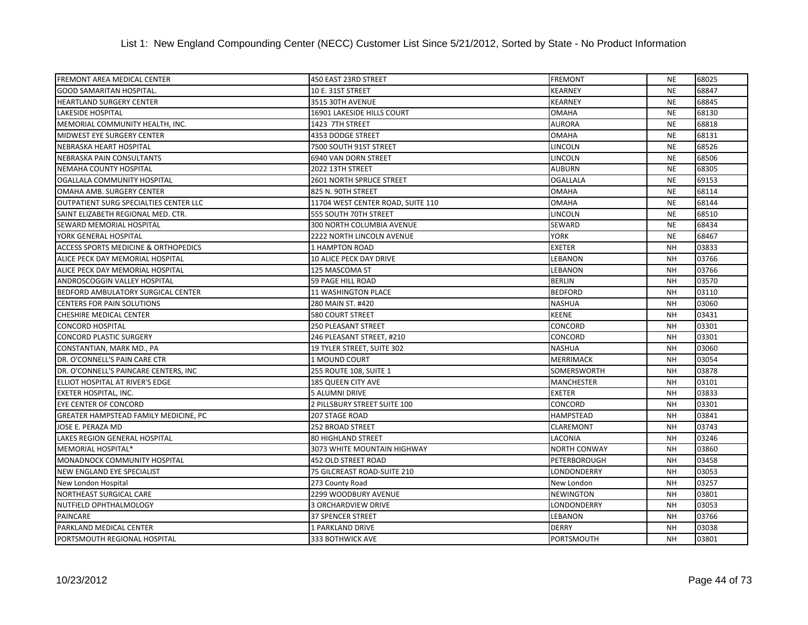| <b>FREMONT AREA MEDICAL CENTER</b>              | 450 EAST 23RD STREET              | <b>FREMONT</b>      | <b>NE</b> | 68025 |
|-------------------------------------------------|-----------------------------------|---------------------|-----------|-------|
| <b>GOOD SAMARITAN HOSPITAL.</b>                 | 10 E. 31ST STREET                 | <b>KEARNEY</b>      | <b>NE</b> | 68847 |
| <b>HEARTLAND SURGERY CENTER</b>                 | 3515 30TH AVENUE                  | <b>KEARNEY</b>      | <b>NE</b> | 68845 |
| <b>LAKESIDE HOSPITAL</b>                        | 16901 LAKESIDE HILLS COURT        | <b>OMAHA</b>        | <b>NE</b> | 68130 |
| MEMORIAL COMMUNITY HEALTH, INC.                 | 1423 7TH STREET                   | <b>AURORA</b>       | <b>NE</b> | 68818 |
| MIDWEST EYE SURGERY CENTER                      | 4353 DODGE STREET                 | <b>OMAHA</b>        | <b>NE</b> | 68131 |
| NEBRASKA HEART HOSPITAL                         | 7500 SOUTH 91ST STREET            | LINCOLN             | <b>NE</b> | 68526 |
| NEBRASKA PAIN CONSULTANTS                       | 6940 VAN DORN STREET              | <b>LINCOLN</b>      | <b>NE</b> | 68506 |
| NEMAHA COUNTY HOSPITAL                          | 2022 13TH STREET                  | <b>AUBURN</b>       | <b>NE</b> | 68305 |
| OGALLALA COMMUNITY HOSPITAL                     | <b>2601 NORTH SPRUCE STREET</b>   | <b>OGALLALA</b>     | <b>NE</b> | 69153 |
| OMAHA AMB. SURGERY CENTER                       | 825 N. 90TH STREET                | <b>OMAHA</b>        | <b>NE</b> | 68114 |
| OUTPATIENT SURG SPECIALTIES CENTER LLC          | 11704 WEST CENTER ROAD, SUITE 110 | <b>OMAHA</b>        | <b>NE</b> | 68144 |
| SAINT ELIZABETH REGIONAL MED. CTR.              | 555 SOUTH 70TH STREET             | LINCOLN             | <b>NE</b> | 68510 |
| SEWARD MEMORIAL HOSPITAL                        | 300 NORTH COLUMBIA AVENUE         | SEWARD              | <b>NE</b> | 68434 |
| YORK GENERAL HOSPITAL                           | 2222 NORTH LINCOLN AVENUE         | <b>YORK</b>         | <b>NE</b> | 68467 |
| <b>ACCESS SPORTS MEDICINE &amp; ORTHOPEDICS</b> | <b>1 HAMPTON ROAD</b>             | <b>EXETER</b>       | <b>NH</b> | 03833 |
| ALICE PECK DAY MEMORIAL HOSPITAL                | 10 ALICE PECK DAY DRIVE           | <b>LEBANON</b>      | <b>NH</b> | 03766 |
| ALICE PECK DAY MEMORIAL HOSPITAL                | 125 MASCOMA ST                    | LEBANON             | <b>NH</b> | 03766 |
| ANDROSCOGGIN VALLEY HOSPITAL                    | 59 PAGE HILL ROAD                 | <b>BERLIN</b>       | <b>NH</b> | 03570 |
| BEDFORD AMBULATORY SURGICAL CENTER              | 11 WASHINGTON PLACE               | <b>BEDFORD</b>      | <b>NH</b> | 03110 |
| <b>CENTERS FOR PAIN SOLUTIONS</b>               | 280 MAIN ST. #420                 | <b>NASHUA</b>       | <b>NH</b> | 03060 |
| CHESHIRE MEDICAL CENTER                         | <b>580 COURT STREET</b>           | <b>KEENE</b>        | <b>NH</b> | 03431 |
| <b>CONCORD HOSPITAL</b>                         | 250 PLEASANT STREET               | CONCORD             | <b>NH</b> | 03301 |
| <b>CONCORD PLASTIC SURGERY</b>                  | 246 PLEASANT STREET, #210         | <b>CONCORD</b>      | <b>NH</b> | 03301 |
| CONSTANTIAN, MARK MD., PA                       | 19 TYLER STREET, SUITE 302        | <b>NASHUA</b>       | <b>NH</b> | 03060 |
| DR. O'CONNELL'S PAIN CARE CTR                   | 1 MOUND COURT                     | <b>MERRIMACK</b>    | <b>NH</b> | 03054 |
| DR. O'CONNELL'S PAINCARE CENTERS, INC           | 255 ROUTE 108, SUITE 1            | SOMERSWORTH         | <b>NH</b> | 03878 |
| ELLIOT HOSPITAL AT RIVER'S EDGE                 | 185 QUEEN CITY AVE                | <b>MANCHESTER</b>   | <b>NH</b> | 03101 |
| <b>EXETER HOSPITAL, INC.</b>                    | <b>5 ALUMNI DRIVE</b>             | <b>EXETER</b>       | <b>NH</b> | 03833 |
| <b>EYE CENTER OF CONCORD</b>                    | 2 PILLSBURY STREET SUITE 100      | CONCORD             | <b>NH</b> | 03301 |
| GREATER HAMPSTEAD FAMILY MEDICINE, PC           | 207 STAGE ROAD                    | <b>HAMPSTEAD</b>    | <b>NH</b> | 03841 |
| JOSE E. PERAZA MD                               | 252 BROAD STREET                  | CLAREMONT           | <b>NH</b> | 03743 |
| LAKES REGION GENERAL HOSPITAL                   | <b>80 HIGHLAND STREET</b>         | LACONIA             | <b>NH</b> | 03246 |
| MEMORIAL HOSPITAL*                              | 3073 WHITE MOUNTAIN HIGHWAY       | <b>NORTH CONWAY</b> | <b>NH</b> | 03860 |
| MONADNOCK COMMUNITY HOSPITAL                    | <b>452 OLD STREET ROAD</b>        | PETERBOROUGH        | <b>NH</b> | 03458 |
| NEW ENGLAND EYE SPECIALIST                      | 75 GILCREAST ROAD-SUITE 210       | LONDONDERRY         | <b>NH</b> | 03053 |
| New London Hospital                             | 273 County Road                   | New London          | <b>NH</b> | 03257 |
| <b>NORTHEAST SURGICAL CARE</b>                  | 2299 WOODBURY AVENUE              | <b>NEWINGTON</b>    | <b>NH</b> | 03801 |
| NUTFIELD OPHTHALMOLOGY                          | 3 ORCHARDVIEW DRIVE               | LONDONDERRY         | <b>NH</b> | 03053 |
| <b>PAINCARE</b>                                 | 37 SPENCER STREET                 | LEBANON             | <b>NH</b> | 03766 |
| PARKLAND MEDICAL CENTER                         | 1 PARKLAND DRIVE                  | <b>DERRY</b>        | <b>NH</b> | 03038 |
| PORTSMOUTH REGIONAL HOSPITAL                    | 333 BOTHWICK AVE                  | <b>PORTSMOUTH</b>   | <b>NH</b> | 03801 |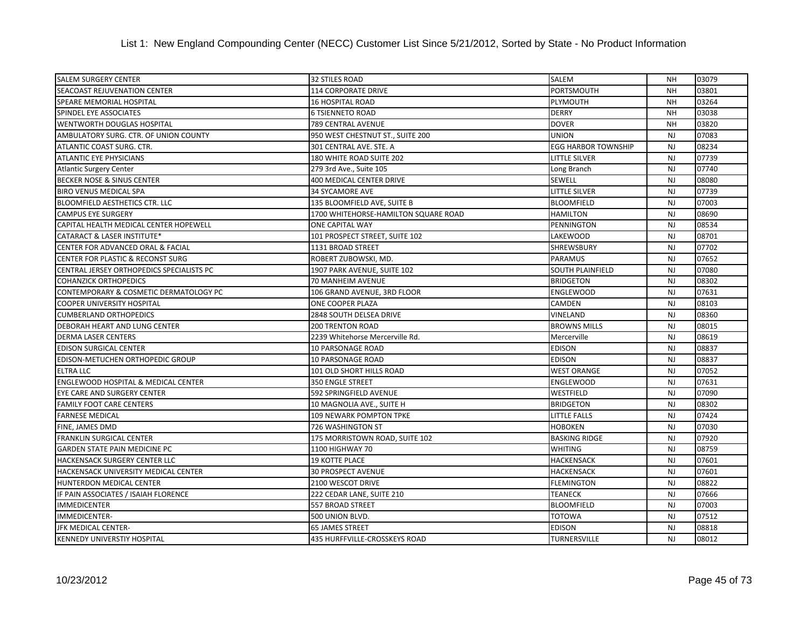| <b>SALEM SURGERY CENTER</b>                    | <b>32 STILES ROAD</b>                | <b>SALEM</b>               | <b>NH</b>      | 03079 |
|------------------------------------------------|--------------------------------------|----------------------------|----------------|-------|
| <b>SEACOAST REJUVENATION CENTER</b>            | <b>114 CORPORATE DRIVE</b>           | PORTSMOUTH                 | <b>NH</b>      | 03801 |
| SPEARE MEMORIAL HOSPITAL                       | <b>16 HOSPITAL ROAD</b>              | PLYMOUTH                   | <b>NH</b>      | 03264 |
| SPINDEL EYE ASSOCIATES                         | <b>6 TSIENNETO ROAD</b>              | <b>DERRY</b>               | <b>NH</b>      | 03038 |
| WENTWORTH DOUGLAS HOSPITAL                     | 789 CENTRAL AVENUE                   | <b>DOVER</b>               | <b>NH</b>      | 03820 |
| AMBULATORY SURG. CTR. OF UNION COUNTY          | 950 WEST CHESTNUT ST., SUITE 200     | <b>UNION</b>               | <b>NJ</b>      | 07083 |
| ATLANTIC COAST SURG. CTR.                      | 301 CENTRAL AVE. STE. A              | <b>EGG HARBOR TOWNSHIP</b> | <b>NJ</b>      | 08234 |
| <b>ATLANTIC EYE PHYSICIANS</b>                 | 180 WHITE ROAD SUITE 202             | <b>LITTLE SILVER</b>       | <b>NJ</b>      | 07739 |
| <b>Atlantic Surgery Center</b>                 | 279 3rd Ave., Suite 105              | Long Branch                | <b>NJ</b>      | 07740 |
| BECKER NOSE & SINUS CENTER                     | 400 MEDICAL CENTER DRIVE             | <b>SEWELL</b>              | <b>NJ</b>      | 08080 |
| <b>BIRO VENUS MEDICAL SPA</b>                  | <b>34 SYCAMORE AVE</b>               | <b>LITTLE SILVER</b>       | <b>NJ</b>      | 07739 |
| BLOOMFIELD AESTHETICS CTR. LLC                 | 135 BLOOMFIELD AVE, SUITE B          | <b>BLOOMFIELD</b>          | <b>NJ</b>      | 07003 |
| <b>CAMPUS EYE SURGERY</b>                      | 1700 WHITEHORSE-HAMILTON SQUARE ROAD | <b>HAMILTON</b>            | <b>NJ</b>      | 08690 |
| CAPITAL HEALTH MEDICAL CENTER HOPEWELL         | ONE CAPITAL WAY                      | PENNINGTON                 | <b>NJ</b>      | 08534 |
| <b>CATARACT &amp; LASER INSTITUTE*</b>         | 101 PROSPECT STREET, SUITE 102       | <b>LAKEWOOD</b>            | <b>NJ</b>      | 08701 |
| CENTER FOR ADVANCED ORAL & FACIAL              | 1131 BROAD STREET                    | <b>SHREWSBURY</b>          | <b>NJ</b>      | 07702 |
| CENTER FOR PLASTIC & RECONST SURG              | ROBERT ZUBOWSKI, MD.                 | <b>PARAMUS</b>             | <b>NJ</b>      | 07652 |
| CENTRAL JERSEY ORTHOPEDICS SPECIALISTS PC      | 1907 PARK AVENUE, SUITE 102          | SOUTH PLAINFIELD           | <b>NJ</b>      | 07080 |
| <b>COHANZICK ORTHOPEDICS</b>                   | 70 MANHEIM AVENUE                    | <b>BRIDGETON</b>           | <b>NJ</b>      | 08302 |
| CONTEMPORARY & COSMETIC DERMATOLOGY PC         | 106 GRAND AVENUE, 3RD FLOOR          | <b>ENGLEWOOD</b>           | <b>NJ</b>      | 07631 |
| <b>COOPER UNIVERSITY HOSPITAL</b>              | ONE COOPER PLAZA                     | CAMDEN                     | <b>NJ</b>      | 08103 |
| <b>CUMBERLAND ORTHOPEDICS</b>                  | 2848 SOUTH DELSEA DRIVE              | VINELAND                   | <b>NJ</b>      | 08360 |
| DEBORAH HEART AND LUNG CENTER                  | <b>200 TRENTON ROAD</b>              | <b>BROWNS MILLS</b>        | <b>NJ</b>      | 08015 |
| <b>DERMA LASER CENTERS</b>                     | 2239 Whitehorse Mercerville Rd.      | Mercerville                | <b>NJ</b>      | 08619 |
| <b>EDISON SURGICAL CENTER</b>                  | 10 PARSONAGE ROAD                    | <b>EDISON</b>              | <b>NJ</b>      | 08837 |
| EDISON-METUCHEN ORTHOPEDIC GROUP               | 10 PARSONAGE ROAD                    | EDISON                     | <b>NJ</b>      | 08837 |
| <b>ELTRA LLC</b>                               | 101 OLD SHORT HILLS ROAD             | <b>WEST ORANGE</b>         | <b>NJ</b>      | 07052 |
| <b>ENGLEWOOD HOSPITAL &amp; MEDICAL CENTER</b> | 350 ENGLE STREET                     | <b>ENGLEWOOD</b>           | <b>NJ</b>      | 07631 |
| EYE CARE AND SURGERY CENTER                    | 592 SPRINGFIELD AVENUE               | WESTFIELD                  | <b>NJ</b>      | 07090 |
| <b>FAMILY FOOT CARE CENTERS</b>                | 10 MAGNOLIA AVE., SUITE H            | <b>BRIDGETON</b>           | <b>NJ</b>      | 08302 |
| <b>FARNESE MEDICAL</b>                         | 109 NEWARK POMPTON TPKE              | <b>LITTLE FALLS</b>        | <b>NJ</b>      | 07424 |
| FINE, JAMES DMD                                | 726 WASHINGTON ST                    | <b>HOBOKEN</b>             | <b>NJ</b>      | 07030 |
| <b>FRANKLIN SURGICAL CENTER</b>                | 175 MORRISTOWN ROAD, SUITE 102       | <b>BASKING RIDGE</b>       | <b>NJ</b>      | 07920 |
| <b>GARDEN STATE PAIN MEDICINE PC</b>           | 1100 HIGHWAY 70                      | <b>WHITING</b>             | <b>NJ</b>      | 08759 |
| <b>HACKENSACK SURGERY CENTER LLC</b>           | <b>19 KOTTE PLACE</b>                | <b>HACKENSACK</b>          | <b>NJ</b>      | 07601 |
| HACKENSACK UNIVERSITY MEDICAL CENTER           | <b>30 PROSPECT AVENUE</b>            | <b>HACKENSACK</b>          | <b>NJ</b>      | 07601 |
| HUNTERDON MEDICAL CENTER                       | 2100 WESCOT DRIVE                    | <b>FLEMINGTON</b>          | <b>NJ</b>      | 08822 |
| IF PAIN ASSOCIATES / ISAIAH FLORENCE           | 222 CEDAR LANE, SUITE 210            | <b>TEANECK</b>             | <b>NJ</b>      | 07666 |
| <b>IMMEDICENTER</b>                            | 557 BROAD STREET                     | <b>BLOOMFIELD</b>          | <b>NJ</b>      | 07003 |
| <b>IMMEDICENTER-</b>                           | 500 UNION BLVD.                      | TOTOWA                     | <b>NJ</b>      | 07512 |
| JFK MEDICAL CENTER-                            | <b>65 JAMES STREET</b>               | EDISON                     | <b>NJ</b>      | 08818 |
| <b>KENNEDY UNIVERSTIY HOSPITAL</b>             | 435 HURFFVILLE-CROSSKEYS ROAD        | TURNERSVILLE               | N <sub>J</sub> | 08012 |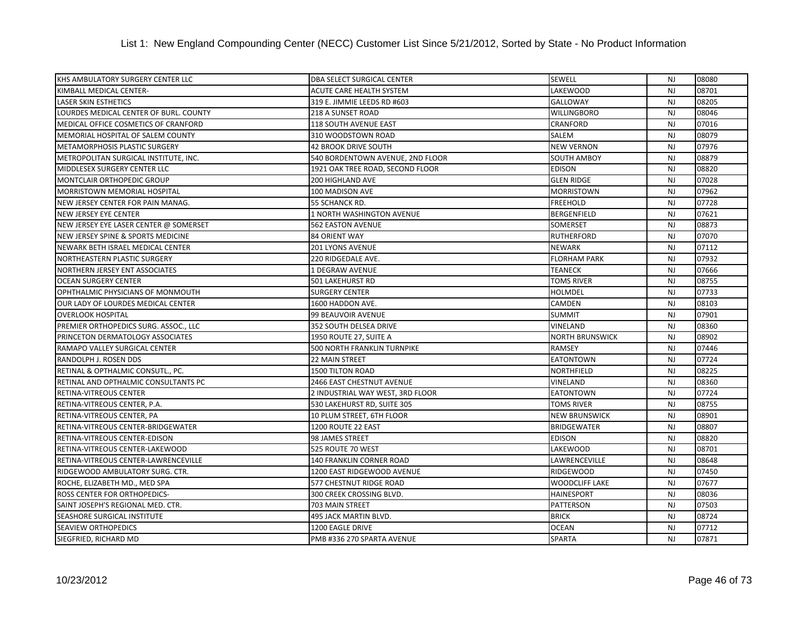| KHS AMBULATORY SURGERY CENTER LLC      | <b>DBA SELECT SURGICAL CENTER</b> | <b>SEWELL</b>          | <b>NJ</b>      | 08080 |
|----------------------------------------|-----------------------------------|------------------------|----------------|-------|
| KIMBALL MEDICAL CENTER-                | <b>ACUTE CARE HEALTH SYSTEM</b>   | <b>LAKEWOOD</b>        | <b>NJ</b>      | 08701 |
| <b>LASER SKIN ESTHETICS</b>            | 319 E. JIMMIE LEEDS RD #603       | GALLOWAY               | <b>NJ</b>      | 08205 |
| LOURDES MEDICAL CENTER OF BURL. COUNTY | 218 A SUNSET ROAD                 | <b>WILLINGBORO</b>     | <b>NJ</b>      | 08046 |
| MEDICAL OFFICE COSMETICS OF CRANFORD   | <b>118 SOUTH AVENUE EAST</b>      | CRANFORD               | <b>NJ</b>      | 07016 |
| MEMORIAL HOSPITAL OF SALEM COUNTY      | 310 WOODSTOWN ROAD                | SALEM                  | <b>NJ</b>      | 08079 |
| METAMORPHOSIS PLASTIC SURGERY          | <b>42 BROOK DRIVE SOUTH</b>       | <b>NEW VERNON</b>      | NJ             | 07976 |
| METROPOLITAN SURGICAL INSTITUTE, INC.  | 540 BORDENTOWN AVENUE, 2ND FLOOR  | <b>SOUTH AMBOY</b>     | <b>NJ</b>      | 08879 |
| MIDDLESEX SURGERY CENTER LLC           | 1921 OAK TREE ROAD, SECOND FLOOR  | <b>EDISON</b>          | <b>NJ</b>      | 08820 |
| MONTCLAIR ORTHOPEDIC GROUP             | 200 HIGHLAND AVE                  | <b>GLEN RIDGE</b>      | <b>NJ</b>      | 07028 |
| <b>MORRISTOWN MEMORIAL HOSPITAL</b>    | 100 MADISON AVE                   | <b>MORRISTOWN</b>      | <b>NJ</b>      | 07962 |
| NEW JERSEY CENTER FOR PAIN MANAG.      | 55 SCHANCK RD.                    | <b>FREEHOLD</b>        | <b>NJ</b>      | 07728 |
| <b>NEW JERSEY EYE CENTER</b>           | 1 NORTH WASHINGTON AVENUE         | <b>BERGENFIELD</b>     | <b>NJ</b>      | 07621 |
| NEW JERSEY EYE LASER CENTER @ SOMERSET | 562 EASTON AVENUE                 | SOMERSET               | <b>NJ</b>      | 08873 |
| NEW JERSEY SPINE & SPORTS MEDICINE     | 84 ORIENT WAY                     | <b>RUTHERFORD</b>      | N <sub>J</sub> | 07070 |
| NEWARK BETH ISRAEL MEDICAL CENTER      | <b>201 LYONS AVENUE</b>           | <b>NEWARK</b>          | <b>NJ</b>      | 07112 |
| NORTHEASTERN PLASTIC SURGERY           | 220 RIDGEDALE AVE.                | <b>FLORHAM PARK</b>    | <b>NJ</b>      | 07932 |
| NORTHERN JERSEY ENT ASSOCIATES         | 1 DEGRAW AVENUE                   | <b>TEANECK</b>         | <b>NJ</b>      | 07666 |
| <b>OCEAN SURGERY CENTER</b>            | 501 LAKEHURST RD                  | <b>TOMS RIVER</b>      | <b>NJ</b>      | 08755 |
| OPHTHALMIC PHYSICIANS OF MONMOUTH      | <b>SURGERY CENTER</b>             | <b>HOLMDEL</b>         | <b>NJ</b>      | 07733 |
| OUR LADY OF LOURDES MEDICAL CENTER     | 1600 HADDON AVE.                  | <b>CAMDEN</b>          | <b>NJ</b>      | 08103 |
| <b>OVERLOOK HOSPITAL</b>               | 99 BEAUVOIR AVENUE                | <b>SUMMIT</b>          | <b>NJ</b>      | 07901 |
| PREMIER ORTHOPEDICS SURG. ASSOC., LLC  | 352 SOUTH DELSEA DRIVE            | <b>VINELAND</b>        | <b>NJ</b>      | 08360 |
| PRINCETON DERMATOLOGY ASSOCIATES       | 1950 ROUTE 27, SUITE A            | <b>NORTH BRUNSWICK</b> | <b>NJ</b>      | 08902 |
| RAMAPO VALLEY SURGICAL CENTER          | 500 NORTH FRANKLIN TURNPIKE       | <b>RAMSEY</b>          | <b>NJ</b>      | 07446 |
| RANDOLPH J. ROSEN DDS                  | 22 MAIN STREET                    | <b>EATONTOWN</b>       | <b>NJ</b>      | 07724 |
| RETINAL & OPTHALMIC CONSUTL., PC.      | <b>1500 TILTON ROAD</b>           | NORTHFIELD             | <b>NJ</b>      | 08225 |
| RETINAL AND OPTHALMIC CONSULTANTS PC   | 2466 EAST CHESTNUT AVENUE         | VINELAND               | <b>NJ</b>      | 08360 |
| RETINA-VITREOUS CENTER                 | 2 INDUSTRIAL WAY WEST, 3RD FLOOR  | <b>EATONTOWN</b>       | <b>NJ</b>      | 07724 |
| RETINA-VITREOUS CENTER, P.A.           | 530 LAKEHURST RD, SUITE 305       | <b>TOMS RIVER</b>      | <b>NJ</b>      | 08755 |
| RETINA-VITREOUS CENTER, PA             | 10 PLUM STREET, 6TH FLOOR         | <b>NEW BRUNSWICK</b>   | <b>NJ</b>      | 08901 |
| RETINA-VITREOUS CENTER-BRIDGEWATER     | 1200 ROUTE 22 EAST                | <b>BRIDGEWATER</b>     | NJ             | 08807 |
| RETINA-VITREOUS CENTER-EDISON          | 98 JAMES STREET                   | <b>EDISON</b>          | <b>NJ</b>      | 08820 |
| RETINA-VITREOUS CENTER-LAKEWOOD        | 525 ROUTE 70 WEST                 | LAKEWOOD               | <b>NJ</b>      | 08701 |
| RETINA-VITREOUS CENTER-LAWRENCEVILLE   | <b>140 FRANKLIN CORNER ROAD</b>   | LAWRENCEVILLE          | <b>NJ</b>      | 08648 |
| RIDGEWOOD AMBULATORY SURG. CTR.        | 1200 EAST RIDGEWOOD AVENUE        | <b>RIDGEWOOD</b>       | <b>NJ</b>      | 07450 |
| ROCHE, ELIZABETH MD., MED SPA          | 577 CHESTNUT RIDGE ROAD           | <b>WOODCLIFF LAKE</b>  | <b>NJ</b>      | 07677 |
| <b>ROSS CENTER FOR ORTHOPEDICS-</b>    | 300 CREEK CROSSING BLVD.          | <b>HAINESPORT</b>      | N <sub>J</sub> | 08036 |
| SAINT JOSEPH'S REGIONAL MED. CTR.      | 703 MAIN STREET                   | <b>PATTERSON</b>       | <b>NJ</b>      | 07503 |
| SEASHORE SURGICAL INSTITUTE            | 495 JACK MARTIN BLVD.             | <b>BRICK</b>           | <b>NJ</b>      | 08724 |
| <b>SEAVIEW ORTHOPEDICS</b>             | 1200 EAGLE DRIVE                  | <b>OCEAN</b>           | <b>NJ</b>      | 07712 |
| SIEGFRIED, RICHARD MD                  | PMB #336 270 SPARTA AVENUE        | <b>SPARTA</b>          | N <sub>J</sub> | 07871 |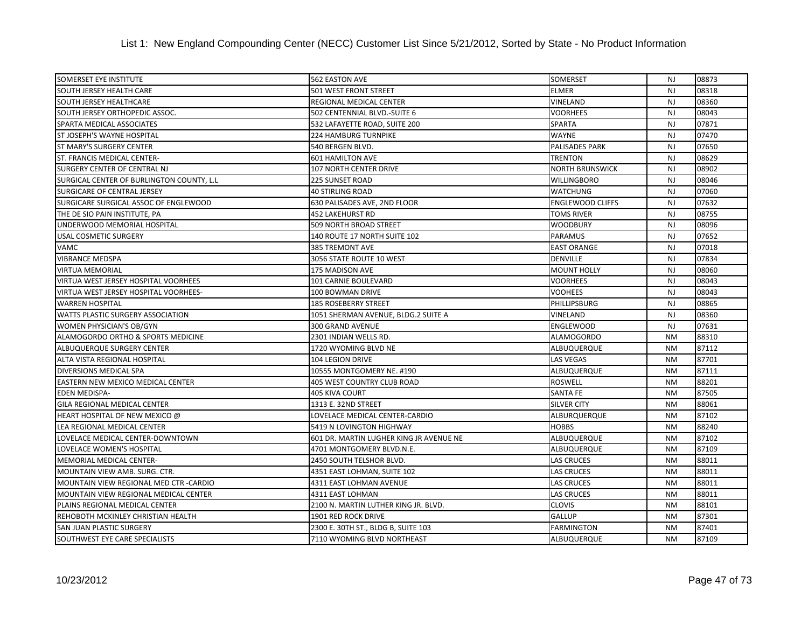| <b>SOMERSET EYE INSTITUTE</b>             | 562 EASTON AVE                          | <b>SOMERSET</b>         | NJ             | 08873 |
|-------------------------------------------|-----------------------------------------|-------------------------|----------------|-------|
| SOUTH JERSEY HEALTH CARE                  | 501 WEST FRONT STREET                   | <b>ELMER</b>            | <b>NJ</b>      | 08318 |
| <b>SOUTH JERSEY HEALTHCARE</b>            | REGIONAL MEDICAL CENTER                 | VINELAND                | NJ             | 08360 |
| SOUTH JERSEY ORTHOPEDIC ASSOC.            | 502 CENTENNIAL BLVD.-SUITE 6            | <b>VOORHEES</b>         | <b>NJ</b>      | 08043 |
| <b>SPARTA MEDICAL ASSOCIATES</b>          | 532 LAFAYETTE ROAD, SUITE 200           | SPARTA                  | <b>NJ</b>      | 07871 |
| ST JOSEPH'S WAYNE HOSPITAL                | <b>224 HAMBURG TURNPIKE</b>             | <b>WAYNE</b>            | <b>NJ</b>      | 07470 |
| <b>ST MARY'S SURGERY CENTER</b>           | 540 BERGEN BLVD.                        | <b>PALISADES PARK</b>   | <b>NJ</b>      | 07650 |
| ST. FRANCIS MEDICAL CENTER-               | <b>601 HAMILTON AVE</b>                 | <b>TRENTON</b>          | <b>NJ</b>      | 08629 |
| SURGERY CENTER OF CENTRAL NJ              | 107 NORTH CENTER DRIVE                  | <b>NORTH BRUNSWICK</b>  | <b>NJ</b>      | 08902 |
| SURGICAL CENTER OF BURLINGTON COUNTY, L.L | 225 SUNSET ROAD                         | <b>WILLINGBORO</b>      | <b>NJ</b>      | 08046 |
| <b>SURGICARE OF CENTRAL JERSEY</b>        | <b>40 STIRLING ROAD</b>                 | <b>WATCHUNG</b>         | <b>NJ</b>      | 07060 |
| SURGICARE SURGICAL ASSOC OF ENGLEWOOD     | 630 PALISADES AVE, 2ND FLOOR            | <b>ENGLEWOOD CLIFFS</b> | <b>NJ</b>      | 07632 |
| THE DE SIO PAIN INSTITUTE, PA             | <b>452 LAKEHURST RD</b>                 | TOMS RIVER              | <b>NJ</b>      | 08755 |
| UNDERWOOD MEMORIAL HOSPITAL               | 509 NORTH BROAD STREET                  | <b>WOODBURY</b>         | <b>NJ</b>      | 08096 |
| <b>USAL COSMETIC SURGERY</b>              | 140 ROUTE 17 NORTH SUITE 102            | <b>PARAMUS</b>          | <b>NJ</b>      | 07652 |
| VAMC                                      | 385 TREMONT AVE                         | <b>EAST ORANGE</b>      | <b>NJ</b>      | 07018 |
| <b>VIBRANCE MEDSPA</b>                    | 3056 STATE ROUTE 10 WEST                | <b>DENVILLE</b>         | <b>NJ</b>      | 07834 |
| <b>VIRTUA MEMORIAL</b>                    | 175 MADISON AVE                         | <b>MOUNT HOLLY</b>      | <b>NJ</b>      | 08060 |
| VIRTUA WEST JERSEY HOSPITAL VOORHEES      | <b>101 CARNIE BOULEVARD</b>             | <b>VOORHEES</b>         | N <sub>J</sub> | 08043 |
| VIRTUA WEST JERSEY HOSPITAL VOORHEES-     | 100 BOWMAN DRIVE                        | <b>VOOHEES</b>          | <b>NJ</b>      | 08043 |
| <b>WARREN HOSPITAL</b>                    | <b>185 ROSEBERRY STREET</b>             | PHILLIPSBURG            | <b>NJ</b>      | 08865 |
| WATTS PLASTIC SURGERY ASSOCIATION         | 1051 SHERMAN AVENUE, BLDG.2 SUITE A     | VINELAND                | NJ             | 08360 |
| WOMEN PHYSICIAN'S OB/GYN                  | 300 GRAND AVENUE                        | <b>ENGLEWOOD</b>        | <b>NJ</b>      | 07631 |
| ALAMOGORDO ORTHO & SPORTS MEDICINE        | 2301 INDIAN WELLS RD.                   | <b>ALAMOGORDO</b>       | <b>NM</b>      | 88310 |
| ALBUQUERQUE SURGERY CENTER                | 1720 WYOMING BLVD NE                    | ALBUQUERQUE             | <b>NM</b>      | 87112 |
| ALTA VISTA REGIONAL HOSPITAL              | 104 LEGION DRIVE                        | <b>LAS VEGAS</b>        | <b>NM</b>      | 87701 |
| DIVERSIONS MEDICAL SPA                    | 10555 MONTGOMERY NE. #190               | ALBUQUERQUE             | <b>NM</b>      | 87111 |
| EASTERN NEW MEXICO MEDICAL CENTER         | <b>405 WEST COUNTRY CLUB ROAD</b>       | <b>ROSWELL</b>          | <b>NM</b>      | 88201 |
| <b>EDEN MEDISPA-</b>                      | <b>405 KIVA COURT</b>                   | <b>SANTA FE</b>         | <b>NM</b>      | 87505 |
| <b>GILA REGIONAL MEDICAL CENTER</b>       | 1313 E. 32ND STREET                     | <b>SILVER CITY</b>      | <b>NM</b>      | 88061 |
| HEART HOSPITAL OF NEW MEXICO @            | LOVELACE MEDICAL CENTER-CARDIO          | ALBURQUERQUE            | <b>NM</b>      | 87102 |
| LEA REGIONAL MEDICAL CENTER               | 5419 N LOVINGTON HIGHWAY                | <b>HOBBS</b>            | <b>NM</b>      | 88240 |
| LOVELACE MEDICAL CENTER-DOWNTOWN          | 601 DR. MARTIN LUGHER KING JR AVENUE NE | ALBUQUERQUE             | <b>NM</b>      | 87102 |
| LOVELACE WOMEN'S HOSPITAL                 | 4701 MONTGOMERY BLVD.N.E.               | ALBUQUERQUE             | <b>NM</b>      | 87109 |
| <b>MEMORIAL MEDICAL CENTER-</b>           | 2450 SOUTH TELSHOR BLVD.                | <b>LAS CRUCES</b>       | <b>NM</b>      | 88011 |
| MOUNTAIN VIEW AMB. SURG. CTR.             | 4351 EAST LOHMAN, SUITE 102             | <b>LAS CRUCES</b>       | <b>NM</b>      | 88011 |
| MOUNTAIN VIEW REGIONAL MED CTR -CARDIO    | 4311 EAST LOHMAN AVENUE                 | <b>LAS CRUCES</b>       | <b>NM</b>      | 88011 |
| MOUNTAIN VIEW REGIONAL MEDICAL CENTER     | 4311 EAST LOHMAN                        | <b>LAS CRUCES</b>       | <b>NM</b>      | 88011 |
| PLAINS REGIONAL MEDICAL CENTER            | 2100 N. MARTIN LUTHER KING JR. BLVD.    | <b>CLOVIS</b>           | <b>NM</b>      | 88101 |
| REHOBOTH MCKINLEY CHRISTIAN HEALTH        | 1901 RED ROCK DRIVE                     | <b>GALLUP</b>           | <b>NM</b>      | 87301 |
| <b>SAN JUAN PLASTIC SURGERY</b>           | 2300 E. 30TH ST., BLDG B, SUITE 103     | <b>FARMINGTON</b>       | <b>NM</b>      | 87401 |
| SOUTHWEST EYE CARE SPECIALISTS            | 7110 WYOMING BLVD NORTHEAST             | ALBUQUERQUE             | <b>NM</b>      | 87109 |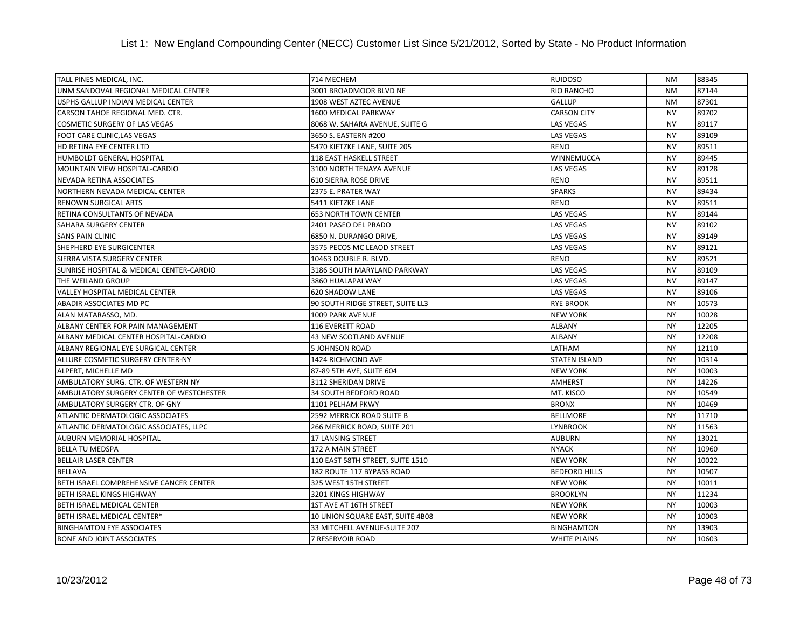| TALL PINES MEDICAL, INC.                 | 714 MECHEM                       | <b>RUIDOSO</b>       | <b>NM</b> | 88345 |
|------------------------------------------|----------------------------------|----------------------|-----------|-------|
| UNM SANDOVAL REGIONAL MEDICAL CENTER     | 3001 BROADMOOR BLVD NE           | <b>RIO RANCHO</b>    | <b>NM</b> | 87144 |
| USPHS GALLUP INDIAN MEDICAL CENTER       | 1908 WEST AZTEC AVENUE           | <b>GALLUP</b>        | <b>NM</b> | 87301 |
| CARSON TAHOE REGIONAL MED. CTR.          | 1600 MEDICAL PARKWAY             | <b>CARSON CITY</b>   | <b>NV</b> | 89702 |
| COSMETIC SURGERY OF LAS VEGAS            | 8068 W. SAHARA AVENUE, SUITE G   | <b>LAS VEGAS</b>     | <b>NV</b> | 89117 |
| FOOT CARE CLINIC, LAS VEGAS              | 3650 S. EASTERN #200             | <b>LAS VEGAS</b>     | <b>NV</b> | 89109 |
| HD RETINA EYE CENTER LTD                 | 5470 KIETZKE LANE, SUITE 205     | <b>RENO</b>          | <b>NV</b> | 89511 |
| HUMBOLDT GENERAL HOSPITAL                | 118 EAST HASKELL STREET          | WINNEMUCCA           | <b>NV</b> | 89445 |
| MOUNTAIN VIEW HOSPITAL-CARDIO            | 3100 NORTH TENAYA AVENUE         | <b>LAS VEGAS</b>     | <b>NV</b> | 89128 |
| <b>NEVADA RETINA ASSOCIATES</b>          | <b>610 SIERRA ROSE DRIVE</b>     | <b>RENO</b>          | <b>NV</b> | 89511 |
| NORTHERN NEVADA MEDICAL CENTER           | 2375 E. PRATER WAY               | <b>SPARKS</b>        | <b>NV</b> | 89434 |
| RENOWN SURGICAL ARTS                     | 5411 KIETZKE LANE                | <b>RENO</b>          | <b>NV</b> | 89511 |
| RETINA CONSULTANTS OF NEVADA             | <b>653 NORTH TOWN CENTER</b>     | <b>LAS VEGAS</b>     | <b>NV</b> | 89144 |
| SAHARA SURGERY CENTER                    | 2401 PASEO DEL PRADO             | <b>LAS VEGAS</b>     | <b>NV</b> | 89102 |
| <b>SANS PAIN CLINIC</b>                  | 6850 N. DURANGO DRIVE.           | <b>LAS VEGAS</b>     | <b>NV</b> | 89149 |
| SHEPHERD EYE SURGICENTER                 | 3575 PECOS MC LEAOD STREET       | <b>LAS VEGAS</b>     | <b>NV</b> | 89121 |
| SIERRA VISTA SURGERY CENTER              | 10463 DOUBLE R. BLVD.            | <b>RENO</b>          | <b>NV</b> | 89521 |
| SUNRISE HOSPITAL & MEDICAL CENTER-CARDIO | 3186 SOUTH MARYLAND PARKWAY      | <b>LAS VEGAS</b>     | <b>NV</b> | 89109 |
| THE WEILAND GROUP                        | 3860 HUALAPAI WAY                | <b>LAS VEGAS</b>     | <b>NV</b> | 89147 |
| VALLEY HOSPITAL MEDICAL CENTER           | <b>620 SHADOW LANE</b>           | <b>LAS VEGAS</b>     | <b>NV</b> | 89106 |
| ABADIR ASSOCIATES MD PC                  | 90 SOUTH RIDGE STREET, SUITE LL3 | <b>RYE BROOK</b>     | <b>NY</b> | 10573 |
| ALAN MATARASSO, MD.                      | 1009 PARK AVENUE                 | <b>NEW YORK</b>      | <b>NY</b> | 10028 |
| ALBANY CENTER FOR PAIN MANAGEMENT        | 116 EVERETT ROAD                 | <b>ALBANY</b>        | <b>NY</b> | 12205 |
| ALBANY MEDICAL CENTER HOSPITAL-CARDIO    | 43 NEW SCOTLAND AVENUE           | <b>ALBANY</b>        | <b>NY</b> | 12208 |
| ALBANY REGIONAL EYE SURGICAL CENTER      | <b>5 JOHNSON ROAD</b>            | LATHAM               | <b>NY</b> | 12110 |
| ALLURE COSMETIC SURGERY CENTER-NY        | 1424 RICHMOND AVE                | <b>STATEN ISLAND</b> | <b>NY</b> | 10314 |
| ALPERT, MICHELLE MD                      | 87-89 5TH AVE, SUITE 604         | <b>NEW YORK</b>      | <b>NY</b> | 10003 |
| AMBULATORY SURG. CTR. OF WESTERN NY      | 3112 SHERIDAN DRIVE              | <b>AMHERST</b>       | <b>NY</b> | 14226 |
| AMBULATORY SURGERY CENTER OF WESTCHESTER | <b>34 SOUTH BEDFORD ROAD</b>     | MT. KISCO            | <b>NY</b> | 10549 |
| AMBULATORY SURGERY CTR. OF GNY           | 1101 PELHAM PKWY                 | <b>BRONX</b>         | <b>NY</b> | 10469 |
| ATLANTIC DERMATOLOGIC ASSOCIATES         | 2592 MERRICK ROAD SUITE B        | <b>BELLMORE</b>      | <b>NY</b> | 11710 |
| ATLANTIC DERMATOLOGIC ASSOCIATES, LLPC   | 266 MERRICK ROAD, SUITE 201      | <b>LYNBROOK</b>      | <b>NY</b> | 11563 |
| AUBURN MEMORIAL HOSPITAL                 | 17 LANSING STREET                | <b>AUBURN</b>        | <b>NY</b> | 13021 |
| <b>BELLA TU MEDSPA</b>                   | 172 A MAIN STREET                | <b>NYACK</b>         | <b>NY</b> | 10960 |
| <b>BELLAIR LASER CENTER</b>              | 110 EAST 58TH STREET, SUITE 1510 | <b>NEW YORK</b>      | <b>NY</b> | 10022 |
| <b>BELLAVA</b>                           | 182 ROUTE 117 BYPASS ROAD        | <b>BEDFORD HILLS</b> | <b>NY</b> | 10507 |
| BETH ISRAEL COMPREHENSIVE CANCER CENTER  | 325 WEST 15TH STREET             | <b>NEW YORK</b>      | <b>NY</b> | 10011 |
| BETH ISRAEL KINGS HIGHWAY                | 3201 KINGS HIGHWAY               | <b>BROOKLYN</b>      | <b>NY</b> | 11234 |
| BETH ISRAEL MEDICAL CENTER               | 1ST AVE AT 16TH STREET           | <b>NEW YORK</b>      | <b>NY</b> | 10003 |
| BETH ISRAEL MEDICAL CENTER*              | 10 UNION SQUARE EAST, SUITE 4B08 | <b>NEW YORK</b>      | <b>NY</b> | 10003 |
| <b>BINGHAMTON EYE ASSOCIATES</b>         | 33 MITCHELL AVENUE-SUITE 207     | <b>BINGHAMTON</b>    | <b>NY</b> | 13903 |
| <b>BONE AND JOINT ASSOCIATES</b>         | <b>7 RESERVOIR ROAD</b>          | <b>WHITE PLAINS</b>  | <b>NY</b> | 10603 |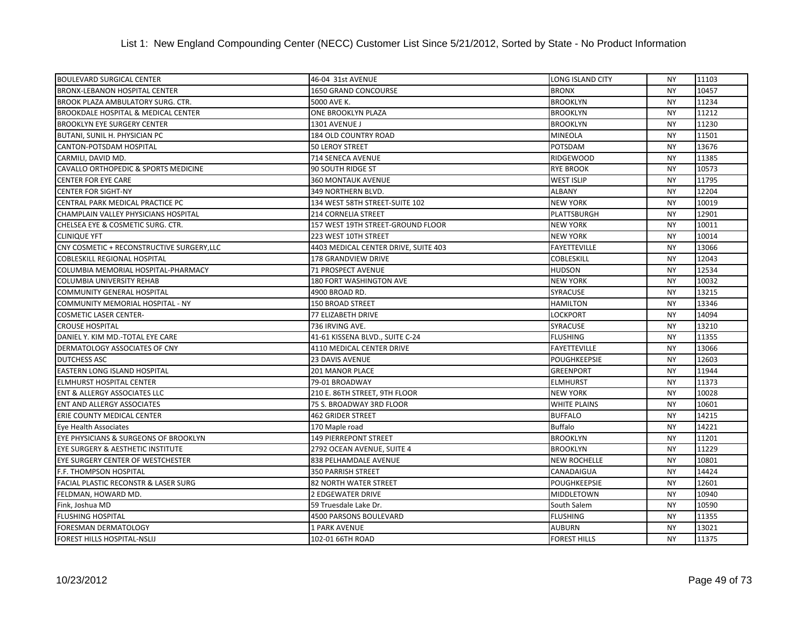| <b>BOULEVARD SURGICAL CENTER</b>               | 46-04 31st AVENUE                    | <b>LONG ISLAND CITY</b> | <b>NY</b> | 11103 |
|------------------------------------------------|--------------------------------------|-------------------------|-----------|-------|
| <b>BRONX-LEBANON HOSPITAL CENTER</b>           | <b>1650 GRAND CONCOURSE</b>          | <b>BRONX</b>            | <b>NY</b> | 10457 |
| BROOK PLAZA AMBULATORY SURG. CTR.              | 5000 AVE K.                          | <b>BROOKLYN</b>         | <b>NY</b> | 11234 |
| <b>BROOKDALE HOSPITAL &amp; MEDICAL CENTER</b> | ONE BROOKLYN PLAZA                   | <b>BROOKLYN</b>         | <b>NY</b> | 11212 |
| <b>BROOKLYN EYE SURGERY CENTER</b>             | 1301 AVENUE J                        | <b>BROOKLYN</b>         | <b>NY</b> | 11230 |
| BUTANI, SUNIL H. PHYSICIAN PC                  | 184 OLD COUNTRY ROAD                 | <b>MINEOLA</b>          | <b>NY</b> | 11501 |
| CANTON-POTSDAM HOSPITAL                        | 50 LEROY STREET                      | POTSDAM                 | <b>NY</b> | 13676 |
| CARMILI, DAVID MD.                             | 714 SENECA AVENUE                    | <b>RIDGEWOOD</b>        | <b>NY</b> | 11385 |
| CAVALLO ORTHOPEDIC & SPORTS MEDICINE           | 90 SOUTH RIDGE ST                    | <b>RYE BROOK</b>        | <b>NY</b> | 10573 |
| <b>CENTER FOR EYE CARE</b>                     | <b>360 MONTAUK AVENUE</b>            | <b>WEST ISLIP</b>       | <b>NY</b> | 11795 |
| <b>CENTER FOR SIGHT-NY</b>                     | 349 NORTHERN BLVD.                   | <b>ALBANY</b>           | <b>NY</b> | 12204 |
| CENTRAL PARK MEDICAL PRACTICE PC               | 134 WEST 58TH STREET-SUITE 102       | <b>NEW YORK</b>         | <b>NY</b> | 10019 |
| CHAMPLAIN VALLEY PHYSICIANS HOSPITAL           | 214 CORNELIA STREET                  | PLATTSBURGH             | <b>NY</b> | 12901 |
| CHELSEA EYE & COSMETIC SURG. CTR.              | 157 WEST 19TH STREET-GROUND FLOOR    | <b>NEW YORK</b>         | <b>NY</b> | 10011 |
| <b>CLINIQUE YFT</b>                            | 223 WEST 10TH STREET                 | <b>NEW YORK</b>         | <b>NY</b> | 10014 |
| CNY COSMETIC + RECONSTRUCTIVE SURGERY, LLC     | 4403 MEDICAL CENTER DRIVE, SUITE 403 | <b>FAYETTEVILLE</b>     | <b>NY</b> | 13066 |
| <b>COBLESKILL REGIONAL HOSPITAL</b>            | 178 GRANDVIEW DRIVE                  | <b>COBLESKILL</b>       | <b>NY</b> | 12043 |
| COLUMBIA MEMORIAL HOSPITAL-PHARMACY            | <b>71 PROSPECT AVENUE</b>            | <b>HUDSON</b>           | <b>NY</b> | 12534 |
| COLUMBIA UNIVERSITY REHAB                      | 180 FORT WASHINGTON AVE              | <b>NEW YORK</b>         | <b>NY</b> | 10032 |
| COMMUNITY GENERAL HOSPITAL                     | 4900 BROAD RD.                       | SYRACUSE                | <b>NY</b> | 13215 |
| COMMUNITY MEMORIAL HOSPITAL - NY               | <b>150 BROAD STREET</b>              | <b>HAMILTON</b>         | <b>NY</b> | 13346 |
| <b>COSMETIC LASER CENTER-</b>                  | 77 ELIZABETH DRIVE                   | <b>LOCKPORT</b>         | <b>NY</b> | 14094 |
| <b>CROUSE HOSPITAL</b>                         | 736 IRVING AVE.                      | <b>SYRACUSE</b>         | <b>NY</b> | 13210 |
| DANIEL Y. KIM MD.-TOTAL EYE CARE               | 41-61 KISSENA BLVD., SUITE C-24      | <b>FLUSHING</b>         | <b>NY</b> | 11355 |
| DERMATOLOGY ASSOCIATES OF CNY                  | 4110 MEDICAL CENTER DRIVE            | <b>FAYETTEVILLE</b>     | <b>NY</b> | 13066 |
| <b>DUTCHESS ASC</b>                            | 23 DAVIS AVENUE                      | <b>POUGHKEEPSIE</b>     | <b>NY</b> | 12603 |
| EASTERN LONG ISLAND HOSPITAL                   | 201 MANOR PLACE                      | <b>GREENPORT</b>        | <b>NY</b> | 11944 |
| <b>ELMHURST HOSPITAL CENTER</b>                | 79-01 BROADWAY                       | <b>ELMHURST</b>         | <b>NY</b> | 11373 |
| <b>ENT &amp; ALLERGY ASSOCIATES LLC</b>        | 210 E. 86TH STREET, 9TH FLOOR        | <b>NEW YORK</b>         | <b>NY</b> | 10028 |
| <b>ENT AND ALLERGY ASSOCIATES</b>              | 75 S. BROADWAY 3RD FLOOR             | <b>WHITE PLAINS</b>     | <b>NY</b> | 10601 |
| ERIE COUNTY MEDICAL CENTER                     | <b>462 GRIDER STREET</b>             | <b>BUFFALO</b>          | <b>NY</b> | 14215 |
| Eye Health Associates                          | 170 Maple road                       | <b>Buffalo</b>          | <b>NY</b> | 14221 |
| EYE PHYSICIANS & SURGEONS OF BROOKLYN          | 149 PIERREPONT STREET                | <b>BROOKLYN</b>         | <b>NY</b> | 11201 |
| EYE SURGERY & AESTHETIC INSTITUTE              | 2792 OCEAN AVENUE, SUITE 4           | <b>BROOKLYN</b>         | <b>NY</b> | 11229 |
| EYE SURGERY CENTER OF WESTCHESTER              | 838 PELHAMDALE AVENUE                | <b>NEW ROCHELLE</b>     | <b>NY</b> | 10801 |
| F.F. THOMPSON HOSPITAL                         | 350 PARRISH STREET                   | CANADAIGUA              | <b>NY</b> | 14424 |
| FACIAL PLASTIC RECONSTR & LASER SURG           | 82 NORTH WATER STREET                | POUGHKEEPSIE            | <b>NY</b> | 12601 |
| FELDMAN, HOWARD MD.                            | <b>2 EDGEWATER DRIVE</b>             | <b>MIDDLETOWN</b>       | <b>NY</b> | 10940 |
| Fink, Joshua MD                                | 59 Truesdale Lake Dr.                | South Salem             | <b>NY</b> | 10590 |
| <b>FLUSHING HOSPITAL</b>                       | 4500 PARSONS BOULEVARD               | <b>FLUSHING</b>         | <b>NY</b> | 11355 |
| FORESMAN DERMATOLOGY                           | 1 PARK AVENUE                        | <b>AUBURN</b>           | <b>NY</b> | 13021 |
| <b>FOREST HILLS HOSPITAL-NSLIJ</b>             | 102-01 66TH ROAD                     | <b>FOREST HILLS</b>     | <b>NY</b> | 11375 |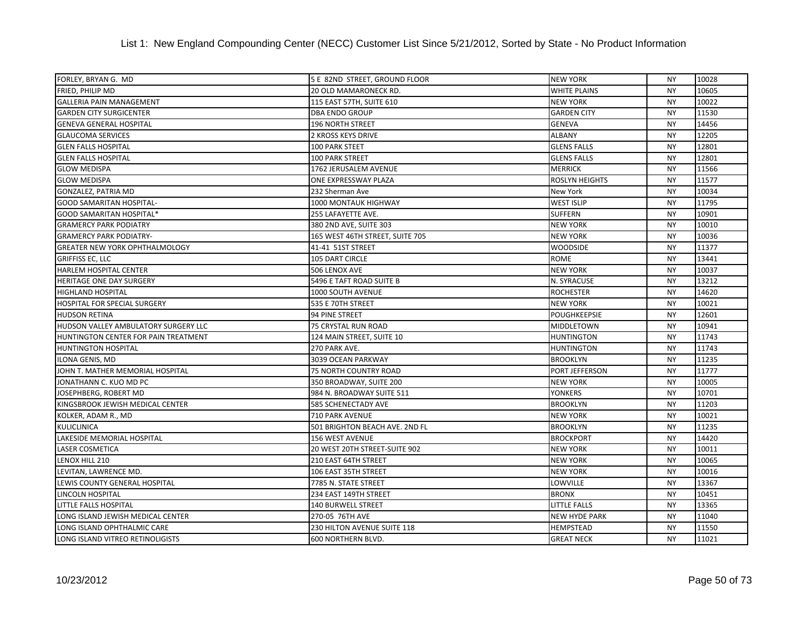## List 1: New England Compounding Center (NECC) Customer List Since 5/21/2012, Sorted by State - No Product Information

| FORLEY, BRYAN G. MD                   | 5 E 82ND STREET, GROUND FLOOR   | <b>NEW YORK</b>       | <b>NY</b> | 10028 |
|---------------------------------------|---------------------------------|-----------------------|-----------|-------|
| FRIED, PHILIP MD                      | 20 OLD MAMARONECK RD.           | <b>WHITE PLAINS</b>   | <b>NY</b> | 10605 |
| <b>GALLERIA PAIN MANAGEMENT</b>       | 115 EAST 57TH, SUITE 610        | <b>NEW YORK</b>       | <b>NY</b> | 10022 |
| <b>GARDEN CITY SURGICENTER</b>        | <b>DBA ENDO GROUP</b>           | <b>GARDEN CITY</b>    | <b>NY</b> | 11530 |
| <b>GENEVA GENERAL HOSPITAL</b>        | <b>196 NORTH STREET</b>         | <b>GENEVA</b>         | <b>NY</b> | 14456 |
| <b>GLAUCOMA SERVICES</b>              | <b>2 KROSS KEYS DRIVE</b>       | <b>ALBANY</b>         | <b>NY</b> | 12205 |
| <b>GLEN FALLS HOSPITAL</b>            | 100 PARK STEET                  | <b>GLENS FALLS</b>    | <b>NY</b> | 12801 |
| <b>GLEN FALLS HOSPITAL</b>            | <b>100 PARK STREET</b>          | <b>GLENS FALLS</b>    | <b>NY</b> | 12801 |
| <b>GLOW MEDISPA</b>                   | 1762 JERUSALEM AVENUE           | <b>MERRICK</b>        | <b>NY</b> | 11566 |
| <b>GLOW MEDISPA</b>                   | ONE EXPRESSWAY PLAZA            | <b>ROSLYN HEIGHTS</b> | <b>NY</b> | 11577 |
| GONZALEZ, PATRIA MD                   | 232 Sherman Ave                 | New York              | <b>NY</b> | 10034 |
| <b>GOOD SAMARITAN HOSPITAL-</b>       | 1000 MONTAUK HIGHWAY            | <b>WEST ISLIP</b>     | <b>NY</b> | 11795 |
| <b>GOOD SAMARITAN HOSPITAL*</b>       | 255 LAFAYETTE AVE.              | <b>SUFFERN</b>        | <b>NY</b> | 10901 |
| <b>GRAMERCY PARK PODIATRY</b>         | 380 2ND AVE, SUITE 303          | <b>NEW YORK</b>       | <b>NY</b> | 10010 |
| <b>GRAMERCY PARK PODIATRY-</b>        | 165 WEST 46TH STREET, SUITE 705 | <b>NEW YORK</b>       | <b>NY</b> | 10036 |
| <b>GREATER NEW YORK OPHTHALMOLOGY</b> | 41-41 51ST STREET               | <b>WOODSIDE</b>       | <b>NY</b> | 11377 |
| <b>GRIFFISS EC, LLC</b>               | 105 DART CIRCLE                 | <b>ROME</b>           | <b>NY</b> | 13441 |
| HARLEM HOSPITAL CENTER                | 506 LENOX AVE                   | <b>NEW YORK</b>       | <b>NY</b> | 10037 |
| HERITAGE ONE DAY SURGERY              | 5496 E TAFT ROAD SUITE B        | N. SYRACUSE           | <b>NY</b> | 13212 |
| <b>HIGHLAND HOSPITAL</b>              | 1000 SOUTH AVENUE               | <b>ROCHESTER</b>      | <b>NY</b> | 14620 |
| <b>HOSPITAL FOR SPECIAL SURGERY</b>   | 535 E 70TH STREET               | <b>NEW YORK</b>       | <b>NY</b> | 10021 |
| <b>HUDSON RETINA</b>                  | 94 PINE STREET                  | <b>POUGHKEEPSIE</b>   | <b>NY</b> | 12601 |
| HUDSON VALLEY AMBULATORY SURGERY LLC  | 75 CRYSTAL RUN ROAD             | MIDDLETOWN            | <b>NY</b> | 10941 |
| HUNTINGTON CENTER FOR PAIN TREATMENT  | 124 MAIN STREET, SUITE 10       | <b>HUNTINGTON</b>     | <b>NY</b> | 11743 |
| <b>HUNTINGTON HOSPITAL</b>            | 270 PARK AVE.                   | <b>HUNTINGTON</b>     | <b>NY</b> | 11743 |
| ILONA GENIS, MD                       | 3039 OCEAN PARKWAY              | <b>BROOKLYN</b>       | <b>NY</b> | 11235 |
| JOHN T. MATHER MEMORIAL HOSPITAL      | 75 NORTH COUNTRY ROAD           | PORT JEFFERSON        | <b>NY</b> | 11777 |
| JONATHANN C. KUO MD PC                | 350 BROADWAY, SUITE 200         | <b>NEW YORK</b>       | <b>NY</b> | 10005 |
| JOSEPHBERG, ROBERT MD                 | 984 N. BROADWAY SUITE 511       | <b>YONKERS</b>        | <b>NY</b> | 10701 |
| KINGSBROOK JEWISH MEDICAL CENTER      | 585 SCHENECTADY AVE             | <b>BROOKLYN</b>       | <b>NY</b> | 11203 |
| KOLKER, ADAM R., MD                   | 710 PARK AVENUE                 | <b>NEW YORK</b>       | <b>NY</b> | 10021 |
| <b>KULICLINICA</b>                    | 501 BRIGHTON BEACH AVE. 2ND FL  | <b>BROOKLYN</b>       | <b>NY</b> | 11235 |
| LAKESIDE MEMORIAL HOSPITAL            | 156 WEST AVENUE                 | <b>BROCKPORT</b>      | <b>NY</b> | 14420 |
| <b>LASER COSMETICA</b>                | 20 WEST 20TH STREET-SUITE 902   | <b>NEW YORK</b>       | <b>NY</b> | 10011 |
| LENOX HILL 210                        | 210 EAST 64TH STREET            | <b>NEW YORK</b>       | <b>NY</b> | 10065 |
| LEVITAN, LAWRENCE MD.                 | 106 EAST 35TH STREET            | <b>NEW YORK</b>       | <b>NY</b> | 10016 |
| LEWIS COUNTY GENERAL HOSPITAL         | 7785 N. STATE STREET            | LOWVILLE              | <b>NY</b> | 13367 |
| <b>LINCOLN HOSPITAL</b>               | 234 EAST 149TH STREET           | <b>BRONX</b>          | <b>NY</b> | 10451 |
| LITTLE FALLS HOSPITAL                 | 140 BURWELL STREET              | <b>LITTLE FALLS</b>   | <b>NY</b> | 13365 |
| LONG ISLAND JEWISH MEDICAL CENTER     | 270-05 76TH AVE                 | <b>NEW HYDE PARK</b>  | <b>NY</b> | 11040 |
| LONG ISLAND OPHTHALMIC CARE           | 230 HILTON AVENUE SUITE 118     | <b>HEMPSTEAD</b>      | <b>NY</b> | 11550 |
| LONG ISLAND VITREO RETINOLIGISTS      | 600 NORTHERN BLVD.              | <b>GREAT NECK</b>     | <b>NY</b> | 11021 |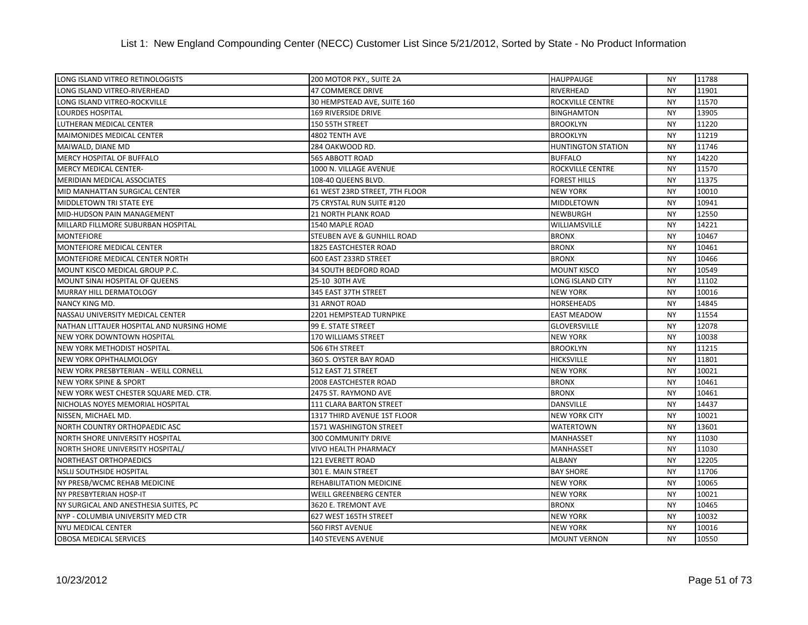| LONG ISLAND VITREO RETINOLOGISTS          | 200 MOTOR PKY., SUITE 2A       | <b>HAUPPAUGE</b>          | <b>NY</b> | 11788 |
|-------------------------------------------|--------------------------------|---------------------------|-----------|-------|
| LONG ISLAND VITREO-RIVERHEAD              | 47 COMMERCE DRIVE              | RIVERHEAD                 | <b>NY</b> | 11901 |
| LONG ISLAND VITREO-ROCKVILLE              | 30 HEMPSTEAD AVE, SUITE 160    | <b>ROCKVILLE CENTRE</b>   | <b>NY</b> | 11570 |
| <b>LOURDES HOSPITAL</b>                   | <b>169 RIVERSIDE DRIVE</b>     | <b>BINGHAMTON</b>         | <b>NY</b> | 13905 |
| LUTHERAN MEDICAL CENTER                   | 150 55TH STREET                | <b>BROOKLYN</b>           | <b>NY</b> | 11220 |
| MAIMONIDES MEDICAL CENTER                 | 4802 TENTH AVE                 | <b>BROOKLYN</b>           | <b>NY</b> | 11219 |
| MAIWALD, DIANE MD                         | 284 OAKWOOD RD.                | <b>HUNTINGTON STATION</b> | <b>NY</b> | 11746 |
| <b>MERCY HOSPITAL OF BUFFALO</b>          | 565 ABBOTT ROAD                | <b>BUFFALO</b>            | <b>NY</b> | 14220 |
| <b>MERCY MEDICAL CENTER-</b>              | 1000 N. VILLAGE AVENUE         | ROCKVILLE CENTRE          | <b>NY</b> | 11570 |
| <b>MERIDIAN MEDICAL ASSOCIATES</b>        | 108-40 QUEENS BLVD.            | <b>FOREST HILLS</b>       | <b>NY</b> | 11375 |
| MID MANHATTAN SURGICAL CENTER             | 61 WEST 23RD STREET, 7TH FLOOR | <b>NEW YORK</b>           | <b>NY</b> | 10010 |
| MIDDLETOWN TRI STATE EYE                  | 75 CRYSTAL RUN SUITE #120      | <b>MIDDLETOWN</b>         | <b>NY</b> | 10941 |
| MID-HUDSON PAIN MANAGEMENT                | <b>21 NORTH PLANK ROAD</b>     | <b>NEWBURGH</b>           | <b>NY</b> | 12550 |
| MILLARD FILLMORE SUBURBAN HOSPITAL        | 1540 MAPLE ROAD                | WILLIAMSVILLE             | <b>NY</b> | 14221 |
| <b>MONTEFIORE</b>                         | STEUBEN AVE & GUNHILL ROAD     | <b>BRONX</b>              | <b>NY</b> | 10467 |
| MONTEFIORE MEDICAL CENTER                 | 1825 EASTCHESTER ROAD          | <b>BRONX</b>              | <b>NY</b> | 10461 |
| MONTEFIORE MEDICAL CENTER NORTH           | 600 EAST 233RD STREET          | <b>BRONX</b>              | <b>NY</b> | 10466 |
| MOUNT KISCO MEDICAL GROUP P.C.            | 34 SOUTH BEDFORD ROAD          | <b>MOUNT KISCO</b>        | <b>NY</b> | 10549 |
| MOUNT SINAI HOSPITAL OF QUEENS            | 25-10 30TH AVE                 | <b>LONG ISLAND CITY</b>   | <b>NY</b> | 11102 |
| MURRAY HILL DERMATOLOGY                   | 345 EAST 37TH STREET           | <b>NEW YORK</b>           | <b>NY</b> | 10016 |
| NANCY KING MD.                            | <b>31 ARNOT ROAD</b>           | <b>HORSEHEADS</b>         | <b>NY</b> | 14845 |
| NASSAU UNIVERSITY MEDICAL CENTER          | 2201 HEMPSTEAD TURNPIKE        | <b>EAST MEADOW</b>        | <b>NY</b> | 11554 |
| NATHAN LITTAUER HOSPITAL AND NURSING HOME | 99 E. STATE STREET             | <b>GLOVERSVILLE</b>       | <b>NY</b> | 12078 |
| <b>NEW YORK DOWNTOWN HOSPITAL</b>         | <b>170 WILLIAMS STREET</b>     | <b>NEW YORK</b>           | <b>NY</b> | 10038 |
| <b>NEW YORK METHODIST HOSPITAL</b>        | 506 6TH STREET                 | <b>BROOKLYN</b>           | <b>NY</b> | 11215 |
| NEW YORK OPHTHALMOLOGY                    | 360 S. OYSTER BAY ROAD         | <b>HICKSVILLE</b>         | <b>NY</b> | 11801 |
| NEW YORK PRESBYTERIAN - WEILL CORNELL     | 512 EAST 71 STREET             | <b>NEW YORK</b>           | <b>NY</b> | 10021 |
| <b>NEW YORK SPINE &amp; SPORT</b>         | 2008 EASTCHESTER ROAD          | <b>BRONX</b>              | <b>NY</b> | 10461 |
| NEW YORK WEST CHESTER SQUARE MED. CTR.    | 2475 ST. RAYMOND AVE           | <b>BRONX</b>              | <b>NY</b> | 10461 |
| NICHOLAS NOYES MEMORIAL HOSPITAL          | 111 CLARA BARTON STREET        | <b>DANSVILLE</b>          | <b>NY</b> | 14437 |
| NISSEN. MICHAEL MD.                       | 1317 THIRD AVENUE 1ST FLOOR    | <b>NEW YORK CITY</b>      | <b>NY</b> | 10021 |
| NORTH COUNTRY ORTHOPAEDIC ASC             | 1571 WASHINGTON STREET         | <b>WATERTOWN</b>          | <b>NY</b> | 13601 |
| NORTH SHORE UNIVERSITY HOSPITAL           | 300 COMMUNITY DRIVE            | <b>MANHASSET</b>          | <b>NY</b> | 11030 |
| NORTH SHORE UNIVERSITY HOSPITAL/          | VIVO HEALTH PHARMACY           | <b>MANHASSET</b>          | <b>NY</b> | 11030 |
| <b>NORTHEAST ORTHOPAEDICS</b>             | 121 EVERETT ROAD               | <b>ALBANY</b>             | <b>NY</b> | 12205 |
| <b>NSLIJ SOUTHSIDE HOSPITAL</b>           | 301 E. MAIN STREET             | <b>BAY SHORE</b>          | <b>NY</b> | 11706 |
| NY PRESB/WCMC REHAB MEDICINE              | REHABILITATION MEDICINE        | <b>NEW YORK</b>           | <b>NY</b> | 10065 |
| NY PRESBYTERIAN HOSP-IT                   | <b>WEILL GREENBERG CENTER</b>  | <b>NEW YORK</b>           | <b>NY</b> | 10021 |
| NY SURGICAL AND ANESTHESIA SUITES, PC     | 3620 E. TREMONT AVE            | <b>BRONX</b>              | <b>NY</b> | 10465 |
| NYP - COLUMBIA UNIVERSITY MED CTR         | 627 WEST 165TH STREET          | <b>NEW YORK</b>           | <b>NY</b> | 10032 |
| <b>NYU MEDICAL CENTER</b>                 | 560 FIRST AVENUE               | <b>NEW YORK</b>           | <b>NY</b> | 10016 |
| <b>OBOSA MEDICAL SERVICES</b>             | <b>140 STEVENS AVENUE</b>      | <b>MOUNT VERNON</b>       | <b>NY</b> | 10550 |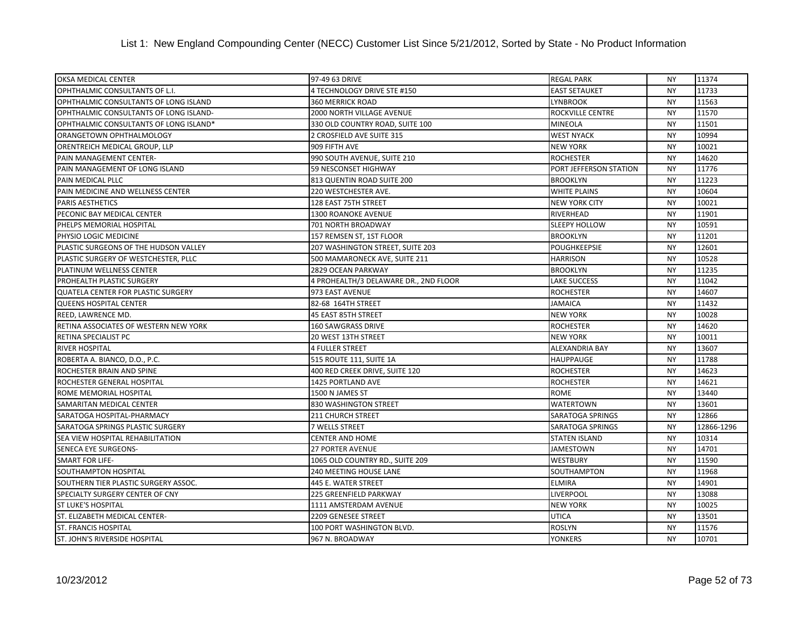| OKSA MEDICAL CENTER                       | 97-49 63 DRIVE                        | <b>REGAL PARK</b>       | <b>NY</b> | 11374      |
|-------------------------------------------|---------------------------------------|-------------------------|-----------|------------|
| OPHTHALMIC CONSULTANTS OF L.I.            | 4 TECHNOLOGY DRIVE STE #150           | <b>EAST SETAUKET</b>    | <b>NY</b> | 11733      |
| OPHTHALMIC CONSULTANTS OF LONG ISLAND     | <b>360 MERRICK ROAD</b>               | <b>LYNBROOK</b>         | <b>NY</b> | 11563      |
| OPHTHALMIC CONSULTANTS OF LONG ISLAND-    | 2000 NORTH VILLAGE AVENUE             | ROCKVILLE CENTRE        | <b>NY</b> | 11570      |
| OPHTHALMIC CONSULTANTS OF LONG ISLAND*    | 330 OLD COUNTRY ROAD, SUITE 100       | <b>MINEOLA</b>          | <b>NY</b> | 11501      |
| ORANGETOWN OPHTHALMOLOGY                  | 2 CROSFIELD AVE SUITE 315             | <b>WEST NYACK</b>       | <b>NY</b> | 10994      |
| ORENTREICH MEDICAL GROUP, LLP             | 909 FIFTH AVE                         | <b>NEW YORK</b>         | <b>NY</b> | 10021      |
| PAIN MANAGEMENT CENTER-                   | 990 SOUTH AVENUE, SUITE 210           | <b>ROCHESTER</b>        | <b>NY</b> | 14620      |
| PAIN MANAGEMENT OF LONG ISLAND            | 59 NESCONSET HIGHWAY                  | PORT JEFFERSON STATION  | <b>NY</b> | 11776      |
| PAIN MEDICAL PLLC                         | 813 QUENTIN ROAD SUITE 200            | <b>BROOKLYN</b>         | <b>NY</b> | 11223      |
| PAIN MEDICINE AND WELLNESS CENTER         | 220 WESTCHESTER AVE.                  | <b>WHITE PLAINS</b>     | <b>NY</b> | 10604      |
| PARIS AESTHETICS                          | 128 EAST 75TH STREET                  | <b>NEW YORK CITY</b>    | <b>NY</b> | 10021      |
| PECONIC BAY MEDICAL CENTER                | <b>1300 ROANOKE AVENUE</b>            | RIVERHEAD               | <b>NY</b> | 11901      |
| PHELPS MEMORIAL HOSPITAL                  | 701 NORTH BROADWAY                    | <b>SLEEPY HOLLOW</b>    | <b>NY</b> | 10591      |
| PHYSIO LOGIC MEDICINE                     | 157 REMSEN ST, 1ST FLOOR              | <b>BROOKLYN</b>         | <b>NY</b> | 11201      |
| PLASTIC SURGEONS OF THE HUDSON VALLEY     | 207 WASHINGTON STREET, SUITE 203      | <b>POUGHKEEPSIE</b>     | <b>NY</b> | 12601      |
| PLASTIC SURGERY OF WESTCHESTER, PLLC      | 500 MAMARONECK AVE, SUITE 211         | <b>HARRISON</b>         | <b>NY</b> | 10528      |
| PLATINUM WELLNESS CENTER                  | 2829 OCEAN PARKWAY                    | <b>BROOKLYN</b>         | <b>NY</b> | 11235      |
| PROHEALTH PLASTIC SURGERY                 | 4 PROHEALTH/3 DELAWARE DR., 2ND FLOOR | <b>LAKE SUCCESS</b>     | <b>NY</b> | 11042      |
| <b>QUATELA CENTER FOR PLASTIC SURGERY</b> | 973 EAST AVENUE                       | <b>ROCHESTER</b>        | <b>NY</b> | 14607      |
| <b>QUEENS HOSPITAL CENTER</b>             | 82-68 164TH STREET                    | <b>JAMAICA</b>          | <b>NY</b> | 11432      |
| REED, LAWRENCE MD.                        | 45 EAST 85TH STREET                   | <b>NEW YORK</b>         | <b>NY</b> | 10028      |
| RETINA ASSOCIATES OF WESTERN NEW YORK     | 160 SAWGRASS DRIVE                    | <b>ROCHESTER</b>        | <b>NY</b> | 14620      |
| RETINA SPECIALIST PC                      | 20 WEST 13TH STREET                   | <b>NEW YORK</b>         | <b>NY</b> | 10011      |
| RIVER HOSPITAL                            | <b>4 FULLER STREET</b>                | <b>ALEXANDRIA BAY</b>   | <b>NY</b> | 13607      |
| ROBERTA A. BIANCO, D.O., P.C.             | 515 ROUTE 111, SUITE 1A               | <b>HAUPPAUGE</b>        | <b>NY</b> | 11788      |
| ROCHESTER BRAIN AND SPINE                 | 400 RED CREEK DRIVE, SUITE 120        | <b>ROCHESTER</b>        | <b>NY</b> | 14623      |
| ROCHESTER GENERAL HOSPITAL                | 1425 PORTLAND AVE                     | <b>ROCHESTER</b>        | <b>NY</b> | 14621      |
| ROME MEMORIAL HOSPITAL                    | 1500 N JAMES ST                       | <b>ROME</b>             | <b>NY</b> | 13440      |
| SAMARITAN MEDICAL CENTER                  | 830 WASHINGTON STREET                 | <b>WATERTOWN</b>        | <b>NY</b> | 13601      |
| SARATOGA HOSPITAL-PHARMACY                | <b>211 CHURCH STREET</b>              | <b>SARATOGA SPRINGS</b> | <b>NY</b> | 12866      |
| SARATOGA SPRINGS PLASTIC SURGERY          | 7 WELLS STREET                        | <b>SARATOGA SPRINGS</b> | <b>NY</b> | 12866-1296 |
| SEA VIEW HOSPITAL REHABILITATION          | <b>CENTER AND HOME</b>                | <b>STATEN ISLAND</b>    | <b>NY</b> | 10314      |
| SENECA EYE SURGEONS-                      | <b>27 PORTER AVENUE</b>               | <b>JAMESTOWN</b>        | <b>NY</b> | 14701      |
| <b>SMART FOR LIFE-</b>                    | 1065 OLD COUNTRY RD., SUITE 209       | <b>WESTBURY</b>         | <b>NY</b> | 11590      |
| SOUTHAMPTON HOSPITAL                      | 240 MEETING HOUSE LANE                | SOUTHAMPTON             | <b>NY</b> | 11968      |
| SOUTHERN TIER PLASTIC SURGERY ASSOC.      | 445 E. WATER STREET                   | <b>ELMIRA</b>           | <b>NY</b> | 14901      |
| SPECIALTY SURGERY CENTER OF CNY           | 225 GREENFIELD PARKWAY                | <b>LIVERPOOL</b>        | <b>NY</b> | 13088      |
| <b>ST LUKE'S HOSPITAL</b>                 | 1111 AMSTERDAM AVENUE                 | <b>NEW YORK</b>         | <b>NY</b> | 10025      |
| ST. ELIZABETH MEDICAL CENTER-             | 2209 GENESEE STREET                   | <b>UTICA</b>            | <b>NY</b> | 13501      |
| <b>ST. FRANCIS HOSPITAL</b>               | 100 PORT WASHINGTON BLVD.             | <b>ROSLYN</b>           | <b>NY</b> | 11576      |
| ST. JOHN'S RIVERSIDE HOSPITAL             | 967 N. BROADWAY                       | <b>YONKERS</b>          | <b>NY</b> | 10701      |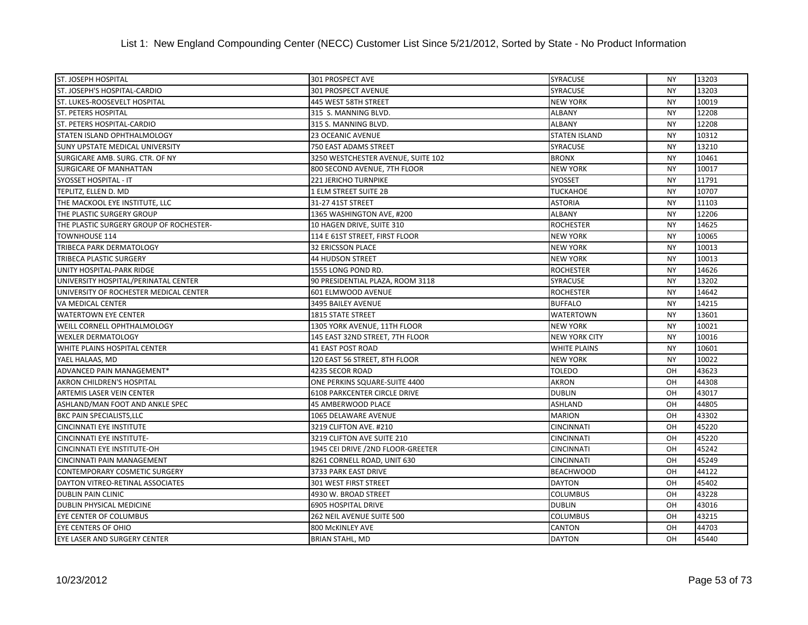## List 1: New England Compounding Center (NECC) Customer List Since 5/21/2012, Sorted by State - No Product Information

| <b>ST. JOSEPH HOSPITAL</b>              | 301 PROSPECT AVE                    | <b>SYRACUSE</b>      | <b>NY</b> | 13203 |
|-----------------------------------------|-------------------------------------|----------------------|-----------|-------|
| ST. JOSEPH'S HOSPITAL-CARDIO            | 301 PROSPECT AVENUE                 | <b>SYRACUSE</b>      | <b>NY</b> | 13203 |
| ST. LUKES-ROOSEVELT HOSPITAL            | 445 WEST 58TH STREET                | <b>NEW YORK</b>      | <b>NY</b> | 10019 |
| <b>ST. PETERS HOSPITAL</b>              | 315 S. MANNING BLVD.                | <b>ALBANY</b>        | <b>NY</b> | 12208 |
| ST. PETERS HOSPITAL-CARDIO              | 315 S. MANNING BLVD.                | <b>ALBANY</b>        | <b>NY</b> | 12208 |
| STATEN ISLAND OPHTHALMOLOGY             | 23 OCEANIC AVENUE                   | <b>STATEN ISLAND</b> | <b>NY</b> | 10312 |
| <b>SUNY UPSTATE MEDICAL UNIVERSITY</b>  | 750 EAST ADAMS STREET               | <b>SYRACUSE</b>      | <b>NY</b> | 13210 |
| SURGICARE AMB. SURG. CTR. OF NY         | 3250 WESTCHESTER AVENUE, SUITE 102  | <b>BRONX</b>         | <b>NY</b> | 10461 |
| <b>SURGICARE OF MANHATTAN</b>           | 800 SECOND AVENUE, 7TH FLOOR        | <b>NEW YORK</b>      | <b>NY</b> | 10017 |
| <b>SYOSSET HOSPITAL - IT</b>            | 221 JERICHO TURNPIKE                | <b>SYOSSET</b>       | <b>NY</b> | 11791 |
| TEPLITZ, ELLEN D. MD                    | 1 ELM STREET SUITE 2B               | <b>TUCKAHOE</b>      | <b>NY</b> | 10707 |
| THE MACKOOL EYE INSTITUTE, LLC          | 31-27 41ST STREET                   | <b>ASTORIA</b>       | <b>NY</b> | 11103 |
| THE PLASTIC SURGERY GROUP               | 1365 WASHINGTON AVE, #200           | <b>ALBANY</b>        | <b>NY</b> | 12206 |
| THE PLASTIC SURGERY GROUP OF ROCHESTER- | 10 HAGEN DRIVE, SUITE 310           | <b>ROCHESTER</b>     | <b>NY</b> | 14625 |
| TOWNHOUSE 114                           | 114 E 61ST STREET, FIRST FLOOR      | <b>NEW YORK</b>      | <b>NY</b> | 10065 |
| TRIBECA PARK DERMATOLOGY                | <b>32 ERICSSON PLACE</b>            | <b>NEW YORK</b>      | <b>NY</b> | 10013 |
| TRIBECA PLASTIC SURGERY                 | <b>44 HUDSON STREET</b>             | <b>NEW YORK</b>      | <b>NY</b> | 10013 |
| UNITY HOSPITAL-PARK RIDGE               | 1555 LONG POND RD.                  | <b>ROCHESTER</b>     | <b>NY</b> | 14626 |
| UNIVERSITY HOSPITAL/PERINATAL CENTER    | 90 PRESIDENTIAL PLAZA, ROOM 3118    | <b>SYRACUSE</b>      | <b>NY</b> | 13202 |
| UNIVERSITY OF ROCHESTER MEDICAL CENTER  | 601 ELMWOOD AVENUE                  | <b>ROCHESTER</b>     | <b>NY</b> | 14642 |
| VA MEDICAL CENTER                       | 3495 BAILEY AVENUE                  | <b>BUFFALO</b>       | <b>NY</b> | 14215 |
| <b>WATERTOWN EYE CENTER</b>             | 1815 STATE STREET                   | <b>WATERTOWN</b>     | <b>NY</b> | 13601 |
| WEILL CORNELL OPHTHALMOLOGY             | 1305 YORK AVENUE, 11TH FLOOR        | <b>NEW YORK</b>      | <b>NY</b> | 10021 |
| <b>WEXLER DERMATOLOGY</b>               | 145 EAST 32ND STREET, 7TH FLOOR     | <b>NEW YORK CITY</b> | <b>NY</b> | 10016 |
| WHITE PLAINS HOSPITAL CENTER            | <b>41 EAST POST ROAD</b>            | <b>WHITE PLAINS</b>  | <b>NY</b> | 10601 |
| YAEL HALAAS, MD                         | 120 EAST 56 STREET, 8TH FLOOR       | <b>NEW YORK</b>      | <b>NY</b> | 10022 |
| ADVANCED PAIN MANAGEMENT*               | 4235 SECOR ROAD                     | <b>TOLEDO</b>        | OH        | 43623 |
| AKRON CHILDREN'S HOSPITAL               | ONE PERKINS SQUARE-SUITE 4400       | <b>AKRON</b>         | OH        | 44308 |
| <b>ARTEMIS LASER VEIN CENTER</b>        | <b>6108 PARKCENTER CIRCLE DRIVE</b> | <b>DUBLIN</b>        | OH        | 43017 |
| ASHLAND/MAN FOOT AND ANKLE SPEC         | 45 AMBERWOOD PLACE                  | <b>ASHLAND</b>       | OH        | 44805 |
| <b>BKC PAIN SPECIALISTS, LLC</b>        | 1065 DELAWARE AVENUE                | <b>MARION</b>        | OH        | 43302 |
| <b>CINCINNATI EYE INSTITUTE</b>         | 3219 CLIFTON AVE. #210              | <b>CINCINNATI</b>    | OH        | 45220 |
| <b>CINCINNATI EYE INSTITUTE-</b>        | 3219 CLIFTON AVE SUITE 210          | <b>CINCINNATI</b>    | OH        | 45220 |
| CINCINNATI EYE INSTITUTE-OH             | 1945 CEI DRIVE / 2ND FLOOR-GREETER  | <b>CINCINNATI</b>    | OH        | 45242 |
| <b>CINCINNATI PAIN MANAGEMENT</b>       | 8261 CORNELL ROAD, UNIT 630         | <b>CINCINNATI</b>    | OH        | 45249 |
| <b>CONTEMPORARY COSMETIC SURGERY</b>    | 3733 PARK EAST DRIVE                | <b>BEACHWOOD</b>     | OH        | 44122 |
| DAYTON VITREO-RETINAL ASSOCIATES        | 301 WEST FIRST STREET               | <b>DAYTON</b>        | OH        | 45402 |
| <b>DUBLIN PAIN CLINIC</b>               | 4930 W. BROAD STREET                | <b>COLUMBUS</b>      | OH        | 43228 |
| DUBLIN PHYSICAL MEDICINE                | 6905 HOSPITAL DRIVE                 | <b>DUBLIN</b>        | OH        | 43016 |
| EYE CENTER OF COLUMBUS                  | 262 NEIL AVENUE SUITE 500           | <b>COLUMBUS</b>      | OH        | 43215 |
| <b>EYE CENTERS OF OHIO</b>              | 800 McKINLEY AVE                    | CANTON               | OH        | 44703 |
| <b>EYE LASER AND SURGERY CENTER</b>     | <b>BRIAN STAHL, MD</b>              | <b>DAYTON</b>        | OH        | 45440 |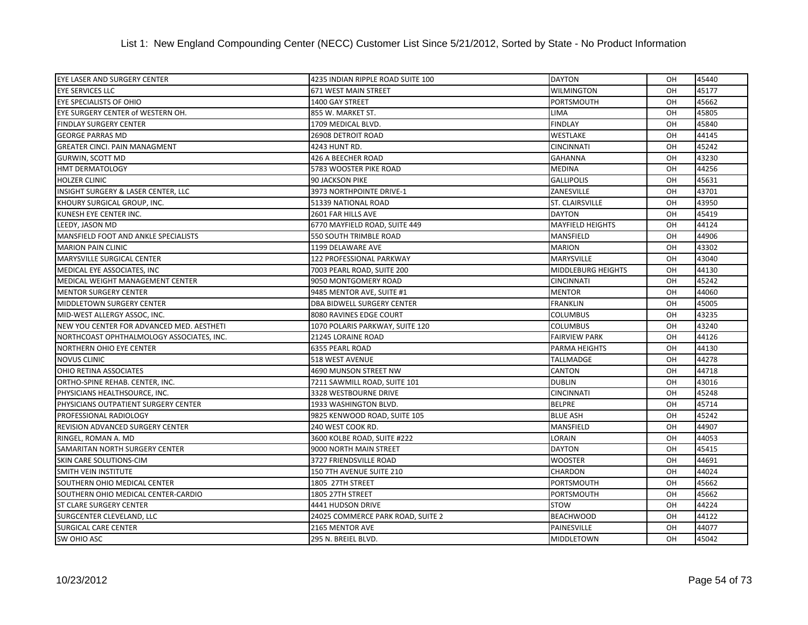| EYE LASER AND SURGERY CENTER                   | 4235 INDIAN RIPPLE ROAD SUITE 100 | <b>DAYTON</b>             | OH. | 45440 |
|------------------------------------------------|-----------------------------------|---------------------------|-----|-------|
| <b>EYE SERVICES LLC</b>                        | <b>671 WEST MAIN STREET</b>       | <b>WILMINGTON</b>         | OH  | 45177 |
| <b>EYE SPECIALISTS OF OHIO</b>                 | 1400 GAY STREET                   | <b>PORTSMOUTH</b>         | OH  | 45662 |
| EYE SURGERY CENTER of WESTERN OH.              | 855 W. MARKET ST.                 | <b>LIMA</b>               | OH  | 45805 |
| <b>FINDLAY SURGERY CENTER</b>                  | 1709 MEDICAL BLVD.                | <b>FINDLAY</b>            | OH  | 45840 |
| <b>GEORGE PARRAS MD</b>                        | 26908 DETROIT ROAD                | <b>WESTLAKE</b>           | OH  | 44145 |
| <b>GREATER CINCI. PAIN MANAGMENT</b>           | 4243 HUNT RD.                     | <b>CINCINNATI</b>         | OH  | 45242 |
| <b>GURWIN, SCOTT MD</b>                        | 426 A BEECHER ROAD                | <b>GAHANNA</b>            | OH  | 43230 |
| <b>HMT DERMATOLOGY</b>                         | 5783 WOOSTER PIKE ROAD            | <b>MEDINA</b>             | OH  | 44256 |
| <b>HOLZER CLINIC</b>                           | <b>90 JACKSON PIKE</b>            | <b>GALLIPOLIS</b>         | OH  | 45631 |
| <b>INSIGHT SURGERY &amp; LASER CENTER, LLC</b> | 3973 NORTHPOINTE DRIVE-1          | ZANESVILLE                | OH  | 43701 |
| KHOURY SURGICAL GROUP, INC.                    | 51339 NATIONAL ROAD               | <b>ST. CLAIRSVILLE</b>    | OH  | 43950 |
| KUNESH EYE CENTER INC.                         | 2601 FAR HILLS AVE                | <b>DAYTON</b>             | OH  | 45419 |
| LEEDY, JASON MD                                | 6770 MAYFIELD ROAD, SUITE 449     | <b>MAYFIELD HEIGHTS</b>   | OH  | 44124 |
| <b>MANSFIELD FOOT AND ANKLE SPECIALISTS</b>    | <b>550 SOUTH TRIMBLE ROAD</b>     | <b>MANSFIELD</b>          | OH  | 44906 |
| <b>MARION PAIN CLINIC</b>                      | 1199 DELAWARE AVE                 | <b>MARION</b>             | OH  | 43302 |
| <b>MARYSVILLE SURGICAL CENTER</b>              | 122 PROFESSIONAL PARKWAY          | <b>MARYSVILLE</b>         | OH  | 43040 |
| MEDICAL EYE ASSOCIATES, INC                    | 7003 PEARL ROAD, SUITE 200        | <b>MIDDLEBURG HEIGHTS</b> | OH  | 44130 |
| MEDICAL WEIGHT MANAGEMENT CENTER               | 9050 MONTGOMERY ROAD              | <b>CINCINNATI</b>         | OH  | 45242 |
| <b>MENTOR SURGERY CENTER</b>                   | 9485 MENTOR AVE, SUITE #1         | <b>MENTOR</b>             | OH  | 44060 |
| <b>MIDDLETOWN SURGERY CENTER</b>               | DBA BIDWELL SURGERY CENTER        | <b>FRANKLIN</b>           | OH  | 45005 |
| MID-WEST ALLERGY ASSOC, INC.                   | 8080 RAVINES EDGE COURT           | <b>COLUMBUS</b>           | OH  | 43235 |
| NEW YOU CENTER FOR ADVANCED MED. AESTHETI      | 1070 POLARIS PARKWAY, SUITE 120   | <b>COLUMBUS</b>           | OH  | 43240 |
| NORTHCOAST OPHTHALMOLOGY ASSOCIATES, INC.      | 21245 LORAINE ROAD                | <b>FAIRVIEW PARK</b>      | OH  | 44126 |
| NORTHERN OHIO EYE CENTER                       | 6355 PEARL ROAD                   | PARMA HEIGHTS             | OH  | 44130 |
| <b>NOVUS CLINIC</b>                            | 518 WEST AVENUE                   | <b>TALLMADGE</b>          | OH  | 44278 |
| OHIO RETINA ASSOCIATES                         | 4690 MUNSON STREET NW             | <b>CANTON</b>             | OH  | 44718 |
| ORTHO-SPINE REHAB. CENTER, INC.                | 7211 SAWMILL ROAD, SUITE 101      | <b>DUBLIN</b>             | OH  | 43016 |
| PHYSICIANS HEALTHSOURCE, INC.                  | 3328 WESTBOURNE DRIVE             | <b>CINCINNATI</b>         | OH  | 45248 |
| PHYSICIANS OUTPATIENT SURGERY CENTER           | 1933 WASHINGTON BLVD.             | <b>BELPRE</b>             | OH  | 45714 |
| PROFESSIONAL RADIOLOGY                         | 9825 KENWOOD ROAD, SUITE 105      | <b>BLUE ASH</b>           | OH  | 45242 |
| REVISION ADVANCED SURGERY CENTER               | 240 WEST COOK RD.                 | <b>MANSFIELD</b>          | OH  | 44907 |
| RINGEL, ROMAN A. MD                            | 3600 KOLBE ROAD, SUITE #222       | LORAIN                    | OH  | 44053 |
| SAMARITAN NORTH SURGERY CENTER                 | 9000 NORTH MAIN STREET            | <b>DAYTON</b>             | OH  | 45415 |
| SKIN CARE SOLUTIONS-CIM                        | 3727 FRIENDSVILLE ROAD            | <b>WOOSTER</b>            | OH  | 44691 |
| <b>SMITH VEIN INSTITUTE</b>                    | 150 7TH AVENUE SUITE 210          | <b>CHARDON</b>            | OH  | 44024 |
| SOUTHERN OHIO MEDICAL CENTER                   | 1805 27TH STREET                  | PORTSMOUTH                | OH  | 45662 |
| SOUTHERN OHIO MEDICAL CENTER-CARDIO            | 1805 27TH STREET                  | PORTSMOUTH                | OH  | 45662 |
| <b>ST CLARE SURGERY CENTER</b>                 | 4441 HUDSON DRIVE                 | <b>STOW</b>               | OH  | 44224 |
| SURGCENTER CLEVELAND, LLC                      | 24025 COMMERCE PARK ROAD, SUITE 2 | <b>BEACHWOOD</b>          | OH  | 44122 |
| <b>SURGICAL CARE CENTER</b>                    | 2165 MENTOR AVE                   | PAINESVILLE               | OH  | 44077 |
| <b>SW OHIO ASC</b>                             | 295 N. BREIEL BLVD.               | <b>MIDDLETOWN</b>         | OH  | 45042 |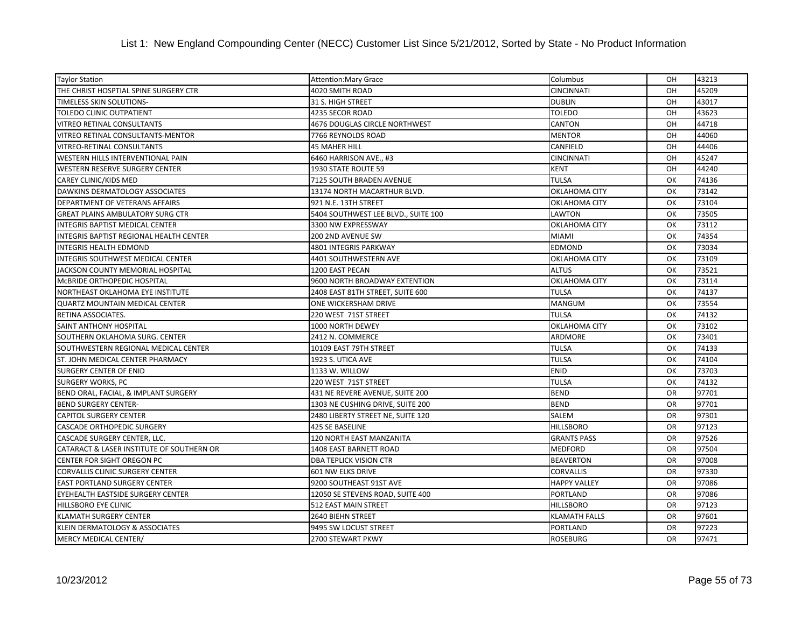| <b>Taylor Station</b>                          | <b>Attention: Mary Grace</b>         | Columbus             | OH        | 43213 |
|------------------------------------------------|--------------------------------------|----------------------|-----------|-------|
| THE CHRIST HOSPTIAL SPINE SURGERY CTR          | 4020 SMITH ROAD                      | <b>CINCINNATI</b>    | OH        | 45209 |
| TIMELESS SKIN SOLUTIONS-                       | 31 S. HIGH STREET                    | <b>DUBLIN</b>        | OH        | 43017 |
| TOLEDO CLINIC OUTPATIENT                       | 4235 SECOR ROAD                      | <b>TOLEDO</b>        | OH        | 43623 |
| VITREO RETINAL CONSULTANTS                     | <b>4676 DOUGLAS CIRCLE NORTHWEST</b> | <b>CANTON</b>        | OH        | 44718 |
| VITREO RETINAL CONSULTANTS-MENTOR              | 7766 REYNOLDS ROAD                   | <b>MENTOR</b>        | OH        | 44060 |
| VITREO-RETINAL CONSULTANTS                     | <b>45 MAHER HILL</b>                 | CANFIELD             | OH        | 44406 |
| <b>WESTERN HILLS INTERVENTIONAL PAIN</b>       | 6460 HARRISON AVE., #3               | <b>CINCINNATI</b>    | OH        | 45247 |
| WESTERN RESERVE SURGERY CENTER                 | 1930 STATE ROUTE 59                  | <b>KENT</b>          | OH        | 44240 |
| CAREY CLINIC/KIDS MED                          | 7125 SOUTH BRADEN AVENUE             | <b>TULSA</b>         | OK        | 74136 |
| DAWKINS DERMATOLOGY ASSOCIATES                 | 13174 NORTH MACARTHUR BLVD.          | <b>OKLAHOMA CITY</b> | OK        | 73142 |
| DEPARTMENT OF VETERANS AFFAIRS                 | 921 N.E. 13TH STREET                 | <b>OKLAHOMA CITY</b> | OK        | 73104 |
| <b>GREAT PLAINS AMBULATORY SURG CTR</b>        | 5404 SOUTHWEST LEE BLVD., SUITE 100  | LAWTON               | OK        | 73505 |
| INTEGRIS BAPTIST MEDICAL CENTER                | 3300 NW EXPRESSWAY                   | <b>OKLAHOMA CITY</b> | OK        | 73112 |
| <b>INTEGRIS BAPTIST REGIONAL HEALTH CENTER</b> | 200 2ND AVENUE SW                    | <b>MIAMI</b>         | OK        | 74354 |
| <b>INTEGRIS HEALTH EDMOND</b>                  | 4801 INTEGRIS PARKWAY                | <b>EDMOND</b>        | OK        | 73034 |
| INTEGRIS SOUTHWEST MEDICAL CENTER              | 4401 SOUTHWESTERN AVE                | OKLAHOMA CITY        | OK        | 73109 |
| JACKSON COUNTY MEMORIAL HOSPITAL               | 1200 EAST PECAN                      | <b>ALTUS</b>         | OK        | 73521 |
| MCBRIDE ORTHOPEDIC HOSPITAL                    | 9600 NORTH BROADWAY EXTENTION        | <b>OKLAHOMA CITY</b> | OK        | 73114 |
| NORTHEAST OKLAHOMA EYE INSTITUTE               | 2408 EAST 81TH STREET, SUITE 600     | <b>TULSA</b>         | OK        | 74137 |
| <b>QUARTZ MOUNTAIN MEDICAL CENTER</b>          | ONE WICKERSHAM DRIVE                 | <b>MANGUM</b>        | OK        | 73554 |
| RETINA ASSOCIATES.                             | 220 WEST 71ST STREET                 | <b>TULSA</b>         | OK        | 74132 |
| SAINT ANTHONY HOSPITAL                         | 1000 NORTH DEWEY                     | OKLAHOMA CITY        | OK        | 73102 |
| SOUTHERN OKLAHOMA SURG. CENTER                 | 2412 N. COMMERCE                     | <b>ARDMORE</b>       | OK        | 73401 |
| SOUTHWESTERN REGIONAL MEDICAL CENTER           | 10109 EAST 79TH STREET               | <b>TULSA</b>         | OK        | 74133 |
| ST. JOHN MEDICAL CENTER PHARMACY               | 1923 S. UTICA AVE                    | <b>TULSA</b>         | OK        | 74104 |
| <b>SURGERY CENTER OF ENID</b>                  | 1133 W. WILLOW                       | <b>ENID</b>          | OK        | 73703 |
| SURGERY WORKS, PC                              | 220 WEST 71ST STREET                 | <b>TULSA</b>         | OK        | 74132 |
| BEND ORAL, FACIAL, & IMPLANT SURGERY           | 431 NE REVERE AVENUE, SUITE 200      | <b>BEND</b>          | <b>OR</b> | 97701 |
| <b>BEND SURGERY CENTER-</b>                    | 1303 NE CUSHING DRIVE, SUITE 200     | <b>BEND</b>          | <b>OR</b> | 97701 |
| <b>CAPITOL SURGERY CENTER</b>                  | 2480 LIBERTY STREET NE, SUITE 120    | <b>SALEM</b>         | <b>OR</b> | 97301 |
| <b>CASCADE ORTHOPEDIC SURGERY</b>              | 425 SE BASELINE                      | <b>HILLSBORO</b>     | <b>OR</b> | 97123 |
| CASCADE SURGERY CENTER, LLC.                   | 120 NORTH EAST MANZANITA             | <b>GRANTS PASS</b>   | <b>OR</b> | 97526 |
| CATARACT & LASER INSTITUTE OF SOUTHERN OR      | <b>1408 EAST BARNETT ROAD</b>        | <b>MEDFORD</b>       | <b>OR</b> | 97504 |
| CENTER FOR SIGHT OREGON PC                     | <b>DBA TEPLICK VISION CTR</b>        | <b>BEAVERTON</b>     | <b>OR</b> | 97008 |
| CORVALLIS CLINIC SURGERY CENTER                | 601 NW ELKS DRIVE                    | <b>CORVALLIS</b>     | <b>OR</b> | 97330 |
| <b>EAST PORTLAND SURGERY CENTER</b>            | 9200 SOUTHEAST 91ST AVE              | <b>HAPPY VALLEY</b>  | OR        | 97086 |
| EYEHEALTH EASTSIDE SURGERY CENTER              | 12050 SE STEVENS ROAD, SUITE 400     | <b>PORTLAND</b>      | <b>OR</b> | 97086 |
| HILLSBORO EYE CLINIC                           | 512 EAST MAIN STREET                 | <b>HILLSBORO</b>     | <b>OR</b> | 97123 |
| <b>KLAMATH SURGERY CENTER</b>                  | 2640 BIEHN STREET                    | <b>KLAMATH FALLS</b> | <b>OR</b> | 97601 |
| KLEIN DERMATOLOGY & ASSOCIATES                 | 9495 SW LOCUST STREET                | <b>PORTLAND</b>      | <b>OR</b> | 97223 |
| MERCY MEDICAL CENTER/                          | 2700 STEWART PKWY                    | <b>ROSEBURG</b>      | <b>OR</b> | 97471 |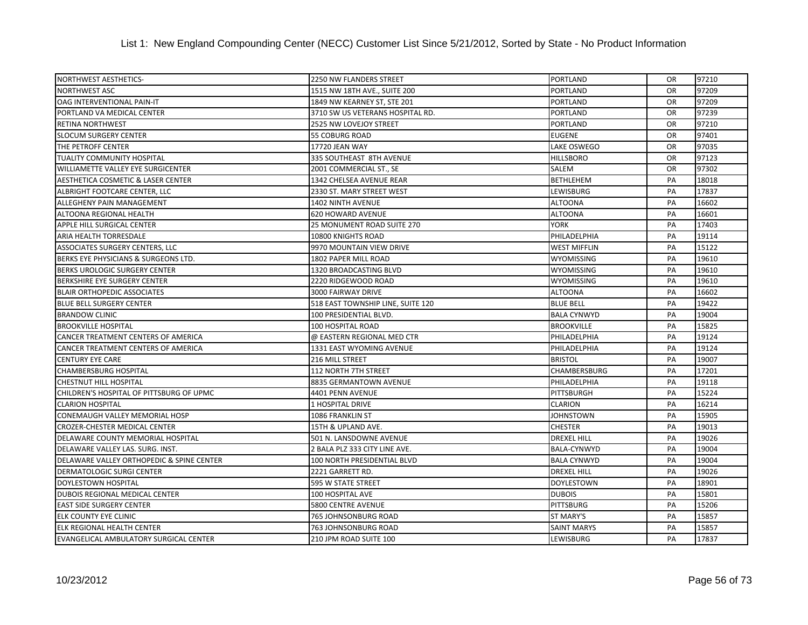| NORTHWEST AESTHETICS-                      | <b>2250 NW FLANDERS STREET</b>    | PORTLAND            | <b>OR</b> | 97210 |
|--------------------------------------------|-----------------------------------|---------------------|-----------|-------|
| <b>NORTHWEST ASC</b>                       | 1515 NW 18TH AVE., SUITE 200      | <b>PORTLAND</b>     | <b>OR</b> | 97209 |
| OAG INTERVENTIONAL PAIN-IT                 | 1849 NW KEARNEY ST, STE 201       | <b>PORTLAND</b>     | OR        | 97209 |
| PORTLAND VA MEDICAL CENTER                 | 3710 SW US VETERANS HOSPITAL RD.  | <b>PORTLAND</b>     | <b>OR</b> | 97239 |
| RETINA NORTHWEST                           | 2525 NW LOVEJOY STREET            | <b>PORTLAND</b>     | <b>OR</b> | 97210 |
| <b>SLOCUM SURGERY CENTER</b>               | <b>55 COBURG ROAD</b>             | <b>EUGENE</b>       | <b>OR</b> | 97401 |
| THE PETROFF CENTER                         | 17720 JEAN WAY                    | <b>LAKE OSWEGO</b>  | <b>OR</b> | 97035 |
| <b>TUALITY COMMUNITY HOSPITAL</b>          | 335 SOUTHEAST 8TH AVENUE          | <b>HILLSBORO</b>    | <b>OR</b> | 97123 |
| WILLIAMETTE VALLEY EYE SURGICENTER         | 2001 COMMERCIAL ST., SE           | SALEM               | <b>OR</b> | 97302 |
| AESTHETICA COSMETIC & LASER CENTER         | 1342 CHELSEA AVENUE REAR          | <b>BETHLEHEM</b>    | PA        | 18018 |
| ALBRIGHT FOOTCARE CENTER, LLC              | 2330 ST. MARY STREET WEST         | LEWISBURG           | PA        | 17837 |
| ALLEGHENY PAIN MANAGEMENT                  | <b>1402 NINTH AVENUE</b>          | <b>ALTOONA</b>      | PA        | 16602 |
| ALTOONA REGIONAL HEALTH                    | <b>620 HOWARD AVENUE</b>          | <b>ALTOONA</b>      | PA        | 16601 |
| APPLE HILL SURGICAL CENTER                 | 25 MONUMENT ROAD SUITE 270        | <b>YORK</b>         | PA        | 17403 |
| ARIA HEALTH TORRESDALE                     | 10800 KNIGHTS ROAD                | PHILADELPHIA        | PA        | 19114 |
| ASSOCIATES SURGERY CENTERS, LLC            | 9970 MOUNTAIN VIEW DRIVE          | <b>WEST MIFFLIN</b> | PA        | 15122 |
| BERKS EYE PHYSICIANS & SURGEONS LTD.       | 1802 PAPER MILL ROAD              | <b>WYOMISSING</b>   | PA        | 19610 |
| BERKS UROLOGIC SURGERY CENTER              | 1320 BROADCASTING BLVD            | <b>WYOMISSING</b>   | PA        | 19610 |
| BERKSHIRE EYE SURGERY CENTER               | 2220 RIDGEWOOD ROAD               | <b>WYOMISSING</b>   | PA        | 19610 |
| <b>BLAIR ORTHOPEDIC ASSOCIATES</b>         | 3000 FAIRWAY DRIVE                | <b>ALTOONA</b>      | PA        | 16602 |
| <b>BLUE BELL SURGERY CENTER</b>            | 518 EAST TOWNSHIP LINE, SUITE 120 | <b>BLUE BELL</b>    | PA        | 19422 |
| <b>BRANDOW CLINIC</b>                      | 100 PRESIDENTIAL BLVD.            | <b>BALA CYNWYD</b>  | PA        | 19004 |
| <b>BROOKVILLE HOSPITAL</b>                 | 100 HOSPITAL ROAD                 | <b>BROOKVILLE</b>   | PA        | 15825 |
| CANCER TREATMENT CENTERS OF AMERICA        | @ EASTERN REGIONAL MED CTR        | PHILADELPHIA        | PA        | 19124 |
| <b>CANCER TREATMENT CENTERS OF AMERICA</b> | 1331 EAST WYOMING AVENUE          | PHILADELPHIA        | PA        | 19124 |
| <b>CENTURY EYE CARE</b>                    | 216 MILL STREET                   | <b>BRISTOL</b>      | PA        | 19007 |
| <b>CHAMBERSBURG HOSPITAL</b>               | 112 NORTH 7TH STREET              | <b>CHAMBERSBURG</b> | PA        | 17201 |
| <b>CHESTNUT HILL HOSPITAL</b>              | 8835 GERMANTOWN AVENUE            | PHILADELPHIA        | PA        | 19118 |
| CHILDREN'S HOSPITAL OF PITTSBURG OF UPMC   | 4401 PENN AVENUE                  | PITTSBURGH          | PA        | 15224 |
| <b>CLARION HOSPITAL</b>                    | 1 HOSPITAL DRIVE                  | <b>CLARION</b>      | PA        | 16214 |
| CONEMAUGH VALLEY MEMORIAL HOSP             | 1086 FRANKLIN ST                  | <b>JOHNSTOWN</b>    | PA        | 15905 |
| <b>CROZER-CHESTER MEDICAL CENTER</b>       | 15TH & UPLAND AVE.                | <b>CHESTER</b>      | PA        | 19013 |
| DELAWARE COUNTY MEMORIAL HOSPITAL          | 501 N. LANSDOWNE AVENUE           | <b>DREXEL HILL</b>  | PA        | 19026 |
| DELAWARE VALLEY LAS. SURG. INST.           | 2 BALA PLZ 333 CITY LINE AVE.     | <b>BALA-CYNWYD</b>  | PA        | 19004 |
| DELAWARE VALLEY ORTHOPEDIC & SPINE CENTER  | 100 NORTH PRESIDENTIAL BLVD       | <b>BALA CYNWYD</b>  | PA        | 19004 |
| <b>DERMATOLOGIC SURGI CENTER</b>           | 2221 GARRETT RD.                  | <b>DREXEL HILL</b>  | PA        | 19026 |
| <b>DOYLESTOWN HOSPITAL</b>                 | 595 W STATE STREET                | <b>DOYLESTOWN</b>   | PA        | 18901 |
| DUBOIS REGIONAL MEDICAL CENTER             | 100 HOSPITAL AVE                  | <b>DUBOIS</b>       | PA        | 15801 |
| <b>EAST SIDE SURGERY CENTER</b>            | 5800 CENTRE AVENUE                | <b>PITTSBURG</b>    | PA        | 15206 |
| <b>ELK COUNTY EYE CLINIC</b>               | 765 JOHNSONBURG ROAD              | <b>ST MARY'S</b>    | PA        | 15857 |
| ELK REGIONAL HEALTH CENTER                 | 763 JOHNSONBURG ROAD              | <b>SAINT MARYS</b>  | PA        | 15857 |
| EVANGELICAL AMBULATORY SURGICAL CENTER     | 210 JPM ROAD SUITE 100            | <b>LEWISBURG</b>    | PA        | 17837 |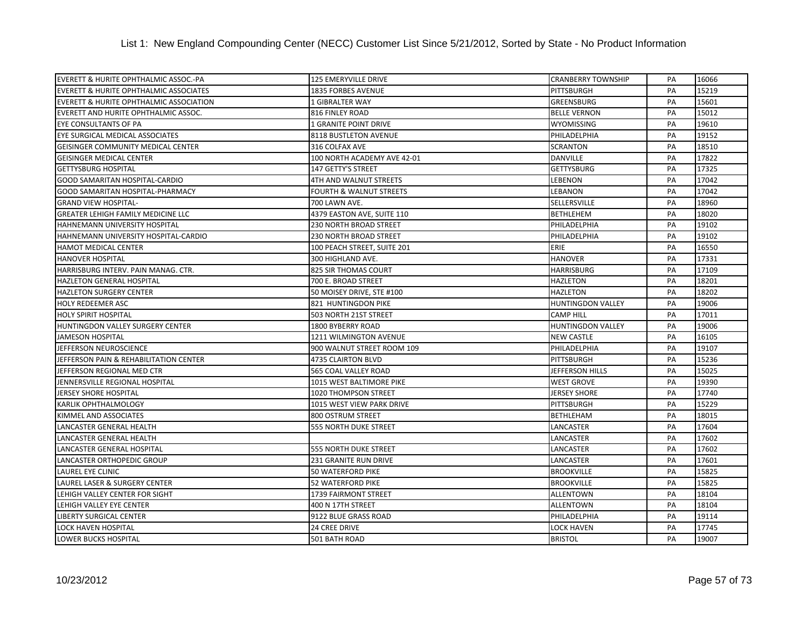| EVERETT & HURITE OPHTHALMIC ASSOC.-PA              | 125 EMERYVILLE DRIVE               | <b>CRANBERRY TOWNSHIP</b> | PA | 16066 |
|----------------------------------------------------|------------------------------------|---------------------------|----|-------|
| <b>EVERETT &amp; HURITE OPHTHALMIC ASSOCIATES</b>  | 1835 FORBES AVENUE                 | PITTSBURGH                | PA | 15219 |
| <b>EVERETT &amp; HURITE OPHTHALMIC ASSOCIATION</b> | 1 GIBRALTER WAY                    | GREENSBURG                | PA | 15601 |
| EVERETT AND HURITE OPHTHALMIC ASSOC.               | 816 FINLEY ROAD                    | <b>BELLE VERNON</b>       | PA | 15012 |
| EYE CONSULTANTS OF PA                              | 1 GRANITE POINT DRIVE              | <b>WYOMISSING</b>         | PA | 19610 |
| EYE SURGICAL MEDICAL ASSOCIATES                    | 8118 BUSTLETON AVENUE              | PHILADELPHIA              | PA | 19152 |
| GEISINGER COMMUNITY MEDICAL CENTER                 | 316 COLFAX AVE                     | <b>SCRANTON</b>           | PA | 18510 |
| <b>GEISINGER MEDICAL CENTER</b>                    | 100 NORTH ACADEMY AVE 42-01        | <b>DANVILLE</b>           | PA | 17822 |
| <b>GETTYSBURG HOSPITAL</b>                         | 147 GETTY'S STREET                 | <b>GETTYSBURG</b>         | PA | 17325 |
| GOOD SAMARITAN HOSPITAL-CARDIO                     | 4TH AND WALNUT STREETS             | <b>LEBENON</b>            | PA | 17042 |
| <b>GOOD SAMARITAN HOSPITAL-PHARMACY</b>            | <b>FOURTH &amp; WALNUT STREETS</b> | <b>LEBANON</b>            | PA | 17042 |
| <b>GRAND VIEW HOSPITAL-</b>                        | 700 LAWN AVE.                      | <b>SELLERSVILLE</b>       | PA | 18960 |
| <b>GREATER LEHIGH FAMILY MEDICINE LLC</b>          | 4379 EASTON AVE, SUITE 110         | <b>BETHLEHEM</b>          | PA | 18020 |
| HAHNEMANN UNIVERSITY HOSPITAL                      | 230 NORTH BROAD STREET             | PHILADELPHIA              | PA | 19102 |
| HAHNEMANN UNIVERSITY HOSPITAL-CARDIO               | 230 NORTH BROAD STREET             | PHILADELPHIA              | PA | 19102 |
| <b>HAMOT MEDICAL CENTER</b>                        | 100 PEACH STREET, SUITE 201        | ERIE                      | PA | 16550 |
| <b>HANOVER HOSPITAL</b>                            | 300 HIGHLAND AVE.                  | <b>HANOVER</b>            | PA | 17331 |
| HARRISBURG INTERV. PAIN MANAG. CTR.                | 825 SIR THOMAS COURT               | <b>HARRISBURG</b>         | PA | 17109 |
| HAZLETON GENERAL HOSPITAL                          | 700 E. BROAD STREET                | <b>HAZLETON</b>           | PA | 18201 |
| <b>HAZLETON SURGERY CENTER</b>                     | 50 MOISEY DRIVE, STE #100          | <b>HAZLETON</b>           | PA | 18202 |
| <b>HOLY REDEEMER ASC</b>                           | 821 HUNTINGDON PIKE                | <b>HUNTINGDON VALLEY</b>  | PA | 19006 |
| <b>HOLY SPIRIT HOSPITAL</b>                        | 503 NORTH 21ST STREET              | <b>CAMP HILL</b>          | PA | 17011 |
| HUNTINGDON VALLEY SURGERY CENTER                   | 1800 BYBERRY ROAD                  | <b>HUNTINGDON VALLEY</b>  | PA | 19006 |
| <b>JAMESON HOSPITAL</b>                            | 1211 WILMINGTON AVENUE             | <b>NEW CASTLE</b>         | PA | 16105 |
| JEFFERSON NEUROSCIENCE                             | 900 WALNUT STREET ROOM 109         | PHILADELPHIA              | PA | 19107 |
| JEFFERSON PAIN & REHABILITATION CENTER             | <b>4735 CLAIRTON BLVD</b>          | PITTSBURGH                | PA | 15236 |
| JEFFERSON REGIONAL MED CTR                         | 565 COAL VALLEY ROAD               | JEFFERSON HILLS           | PA | 15025 |
| JENNERSVILLE REGIONAL HOSPITAL                     | 1015 WEST BALTIMORE PIKE           | <b>WEST GROVE</b>         | PA | 19390 |
| <b>JERSEY SHORE HOSPITAL</b>                       | <b>1020 THOMPSON STREET</b>        | <b>JERSEY SHORE</b>       | PA | 17740 |
| <b>KARLIK OPHTHALMOLOGY</b>                        | 1015 WEST VIEW PARK DRIVE          | PITTSBURGH                | PA | 15229 |
| KIMMEL AND ASSOCIATES                              | 800 OSTRUM STREET                  | <b>BETHLEHAM</b>          | PA | 18015 |
| LANCASTER GENERAL HEALTH                           | 555 NORTH DUKE STREET              | LANCASTER                 | PA | 17604 |
| LANCASTER GENERAL HEALTH                           |                                    | LANCASTER                 | PA | 17602 |
| LANCASTER GENERAL HOSPITAL                         | <b>555 NORTH DUKE STREET</b>       | LANCASTER                 | PA | 17602 |
| LANCASTER ORTHOPEDIC GROUP                         | <b>231 GRANITE RUN DRIVE</b>       | <b>LANCASTER</b>          | PA | 17601 |
| <b>LAUREL EYE CLINIC</b>                           | 50 WATERFORD PIKE                  | <b>BROOKVILLE</b>         | PA | 15825 |
| LAUREL LASER & SURGERY CENTER                      | <b>52 WATERFORD PIKE</b>           | <b>BROOKVILLE</b>         | PA | 15825 |
| LEHIGH VALLEY CENTER FOR SIGHT                     | 1739 FAIRMONT STREET               | <b>ALLENTOWN</b>          | PA | 18104 |
| LEHIGH VALLEY EYE CENTER                           | 400 N 17TH STREET                  | <b>ALLENTOWN</b>          | PA | 18104 |
| <b>LIBERTY SURGICAL CENTER</b>                     | 9122 BLUE GRASS ROAD               | PHILADELPHIA              | PA | 19114 |
| <b>LOCK HAVEN HOSPITAL</b>                         | 24 CREE DRIVE                      | LOCK HAVEN                | PA | 17745 |
| <b>LOWER BUCKS HOSPITAL</b>                        | 501 BATH ROAD                      | <b>BRISTOL</b>            | PA | 19007 |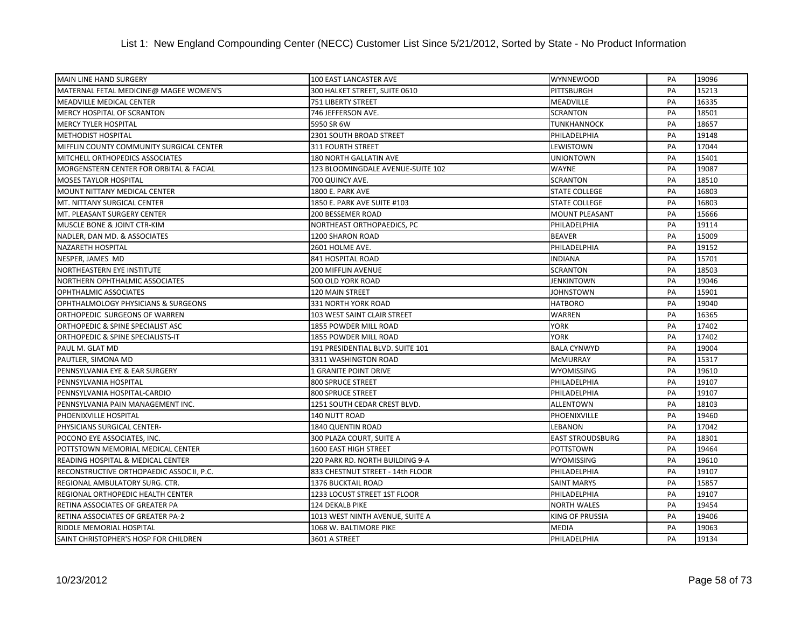| <b>MAIN LINE HAND SURGERY</b>             | 100 EAST LANCASTER AVE            | <b>WYNNEWOOD</b>        | PA | 19096 |
|-------------------------------------------|-----------------------------------|-------------------------|----|-------|
| MATERNAL FETAL MEDICINE@ MAGEE WOMEN'S    | 300 HALKET STREET, SUITE 0610     | PITTSBURGH              | PA | 15213 |
| <b>MEADVILLE MEDICAL CENTER</b>           | 751 LIBERTY STREET                | <b>MEADVILLE</b>        | PA | 16335 |
| <b>MERCY HOSPITAL OF SCRANTON</b>         | 746 JEFFERSON AVE.                | <b>SCRANTON</b>         | PA | 18501 |
| <b>MERCY TYLER HOSPITAL</b>               | 5950 SR 6W                        | <b>TUNKHANNOCK</b>      | PA | 18657 |
| <b>METHODIST HOSPITAL</b>                 | 2301 SOUTH BROAD STREET           | PHILADELPHIA            | PA | 19148 |
| MIFFLIN COUNTY COMMUNITY SURGICAL CENTER  | <b>311 FOURTH STREET</b>          | <b>LEWISTOWN</b>        | PA | 17044 |
| MITCHELL ORTHOPEDICS ASSOCIATES           | 180 NORTH GALLATIN AVE            | <b>UNIONTOWN</b>        | PA | 15401 |
| MORGENSTERN CENTER FOR ORBITAL & FACIAL   | 123 BLOOMINGDALE AVENUE-SUITE 102 | <b>WAYNE</b>            | PA | 19087 |
| <b>MOSES TAYLOR HOSPITAL</b>              | 700 QUINCY AVE.                   | <b>SCRANTON</b>         | PA | 18510 |
| MOUNT NITTANY MEDICAL CENTER              | 1800 E. PARK AVE                  | <b>STATE COLLEGE</b>    | PA | 16803 |
| MT. NITTANY SURGICAL CENTER               | 1850 E. PARK AVE SUITE #103       | <b>STATE COLLEGE</b>    | PA | 16803 |
| MT. PLEASANT SURGERY CENTER               | 200 BESSEMER ROAD                 | <b>MOUNT PLEASANT</b>   | PA | 15666 |
| MUSCLE BONE & JOINT CTR-KIM               | NORTHEAST ORTHOPAEDICS, PC        | PHILADELPHIA            | PA | 19114 |
| NADLER, DAN MD. & ASSOCIATES              | 1200 SHARON ROAD                  | <b>BEAVER</b>           | PA | 15009 |
| NAZARETH HOSPITAL                         | 2601 HOLME AVE.                   | PHILADELPHIA            | PA | 19152 |
| NESPER, JAMES MD                          | 841 HOSPITAL ROAD                 | <b>INDIANA</b>          | PA | 15701 |
| NORTHEASTERN EYE INSTITUTE                | <b>200 MIFFLIN AVENUE</b>         | <b>SCRANTON</b>         | PA | 18503 |
| NORTHERN OPHTHALMIC ASSOCIATES            | 500 OLD YORK ROAD                 | <b>JENKINTOWN</b>       | PA | 19046 |
| OPHTHALMIC ASSOCIATES                     | <b>120 MAIN STREET</b>            | <b>JOHNSTOWN</b>        | PA | 15901 |
| OPHTHALMOLOGY PHYSICIANS & SURGEONS       | 331 NORTH YORK ROAD               | <b>HATBORO</b>          | PA | 19040 |
| ORTHOPEDIC SURGEONS OF WARREN             | 103 WEST SAINT CLAIR STREET       | <b>WARREN</b>           | PA | 16365 |
| ORTHOPEDIC & SPINE SPECIALIST ASC         | 1855 POWDER MILL ROAD             | <b>YORK</b>             | PA | 17402 |
| ORTHOPEDIC & SPINE SPECIALISTS-IT         | 1855 POWDER MILL ROAD             | <b>YORK</b>             | PA | 17402 |
| PAUL M. GLAT MD                           | 191 PRESIDENTIAL BLVD. SUITE 101  | <b>BALA CYNWYD</b>      | PA | 19004 |
| PAUTLER, SIMONA MD                        | 3311 WASHINGTON ROAD              | <b>McMURRAY</b>         | PA | 15317 |
| PENNSYLVANIA EYE & EAR SURGERY            | 1 GRANITE POINT DRIVE             | <b>WYOMISSING</b>       | PA | 19610 |
| PENNSYLVANIA HOSPITAL                     | 800 SPRUCE STREET                 | PHILADELPHIA            | PA | 19107 |
| PENNSYLVANIA HOSPITAL-CARDIO              | 800 SPRUCE STREET                 | PHILADELPHIA            | PA | 19107 |
| PENNSYLVANIA PAIN MANAGEMENT INC.         | 1251 SOUTH CEDAR CREST BLVD.      | <b>ALLENTOWN</b>        | PA | 18103 |
| PHOENIXVILLE HOSPITAL                     | 140 NUTT ROAD                     | PHOENIXVILLE            | PA | 19460 |
| PHYSICIANS SURGICAL CENTER-               | 1840 QUENTIN ROAD                 | <b>LEBANON</b>          | PA | 17042 |
| POCONO EYE ASSOCIATES, INC.               | 300 PLAZA COURT, SUITE A          | <b>EAST STROUDSBURG</b> | PA | 18301 |
| POTTSTOWN MEMORIAL MEDICAL CENTER         | <b>1600 EAST HIGH STREET</b>      | <b>POTTSTOWN</b>        | PA | 19464 |
| READING HOSPITAL & MEDICAL CENTER         | 220 PARK RD. NORTH BUILDING 9-A   | <b>WYOMISSING</b>       | PA | 19610 |
| RECONSTRUCTIVE ORTHOPAEDIC ASSOC II, P.C. | 833 CHESTNUT STREET - 14th FLOOR  | PHILADELPHIA            | PA | 19107 |
| REGIONAL AMBULATORY SURG. CTR.            | <b>1376 BUCKTAIL ROAD</b>         | <b>SAINT MARYS</b>      | PA | 15857 |
| REGIONAL ORTHOPEDIC HEALTH CENTER         | 1233 LOCUST STREET 1ST FLOOR      | PHILADELPHIA            | PA | 19107 |
| RETINA ASSOCIATES OF GREATER PA           | 124 DEKALB PIKE                   | <b>NORTH WALES</b>      | PA | 19454 |
| RETINA ASSOCIATES OF GREATER PA-2         | 1013 WEST NINTH AVENUE, SUITE A   | <b>KING OF PRUSSIA</b>  | PA | 19406 |
| RIDDLE MEMORIAL HOSPITAL                  | 1068 W. BALTIMORE PIKE            | <b>MEDIA</b>            | PA | 19063 |
| SAINT CHRISTOPHER'S HOSP FOR CHILDREN     | 3601 A STREET                     | PHILADELPHIA            | PA | 19134 |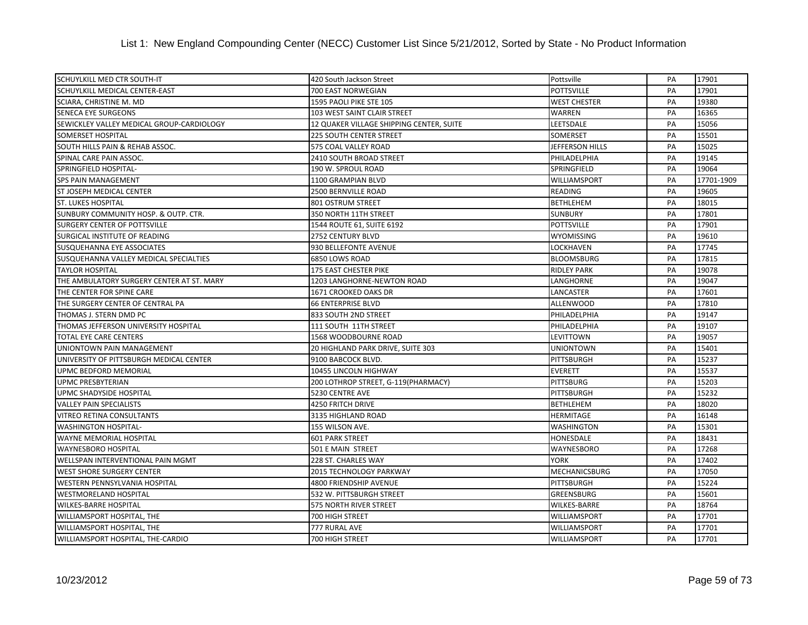| <b>SCHUYLKILL MED CTR SOUTH-IT</b>        | 420 South Jackson Street                 | Pottsville           | PA | 17901      |
|-------------------------------------------|------------------------------------------|----------------------|----|------------|
| SCHUYLKILL MEDICAL CENTER-EAST            | 700 EAST NORWEGIAN                       | <b>POTTSVILLE</b>    | PA | 17901      |
| SCIARA, CHRISTINE M. MD                   | 1595 PAOLI PIKE STE 105                  | <b>WEST CHESTER</b>  | PA | 19380      |
| SENECA EYE SURGEONS                       | 103 WEST SAINT CLAIR STREET              | WARREN               | PA | 16365      |
| SEWICKLEY VALLEY MEDICAL GROUP-CARDIOLOGY | 12 QUAKER VILLAGE SHIPPING CENTER, SUITE | LEETSDALE            | PA | 15056      |
| <b>SOMERSET HOSPITAL</b>                  | <b>225 SOUTH CENTER STREET</b>           | SOMERSET             | PA | 15501      |
| SOUTH HILLS PAIN & REHAB ASSOC.           | 575 COAL VALLEY ROAD                     | JEFFERSON HILLS      | PA | 15025      |
| SPINAL CARE PAIN ASSOC.                   | 2410 SOUTH BROAD STREET                  | PHILADELPHIA         | PA | 19145      |
| SPRINGFIELD HOSPITAL-                     | 190 W. SPROUL ROAD                       | SPRINGFIELD          | PA | 19064      |
| <b>SPS PAIN MANAGEMENT</b>                | 1100 GRAMPIAN BLVD                       | WILLIAMSPORT         | PA | 17701-1909 |
| <b>ST JOSEPH MEDICAL CENTER</b>           | 2500 BERNVILLE ROAD                      | <b>READING</b>       | PA | 19605      |
| <b>ST. LUKES HOSPITAL</b>                 | 801 OSTRUM STREET                        | <b>BETHLEHEM</b>     | PA | 18015      |
| SUNBURY COMMUNITY HOSP. & OUTP. CTR.      | 350 NORTH 11TH STREET                    | <b>SUNBURY</b>       | PA | 17801      |
| <b>SURGERY CENTER OF POTTSVILLE</b>       | 1544 ROUTE 61, SUITE 6192                | <b>POTTSVILLE</b>    | PA | 17901      |
| SURGICAL INSTITUTE OF READING             | <b>2752 CENTURY BLVD</b>                 | <b>WYOMISSING</b>    | PA | 19610      |
| SUSQUEHANNA EYE ASSOCIATES                | 930 BELLEFONTE AVENUE                    | LOCKHAVEN            | PA | 17745      |
| SUSQUEHANNA VALLEY MEDICAL SPECIALTIES    | 6850 LOWS ROAD                           | <b>BLOOMSBURG</b>    | PA | 17815      |
| <b>TAYLOR HOSPITAL</b>                    | 175 EAST CHESTER PIKE                    | <b>RIDLEY PARK</b>   | PA | 19078      |
| THE AMBULATORY SURGERY CENTER AT ST. MARY | 1203 LANGHORNE-NEWTON ROAD               | LANGHORNE            | PA | 19047      |
| THE CENTER FOR SPINE CARE                 | 1671 CROOKED OAKS DR                     | LANCASTER            | PA | 17601      |
| THE SURGERY CENTER OF CENTRAL PA          | <b>66 ENTERPRISE BLVD</b>                | <b>ALLENWOOD</b>     | PA | 17810      |
| THOMAS J. STERN DMD PC                    | 833 SOUTH 2ND STREET                     | PHILADELPHIA         | PA | 19147      |
| THOMAS JEFFERSON UNIVERSITY HOSPITAL      | 111 SOUTH 11TH STREET                    | PHILADELPHIA         | PA | 19107      |
| <b>TOTAL EYE CARE CENTERS</b>             | 1568 WOODBOURNE ROAD                     | LEVITTOWN            | PA | 19057      |
| UNIONTOWN PAIN MANAGEMENT                 | 20 HIGHLAND PARK DRIVE, SUITE 303        | <b>UNIONTOWN</b>     | PA | 15401      |
| UNIVERSITY OF PITTSBURGH MEDICAL CENTER   | 9100 BABCOCK BLVD.                       | <b>PITTSBURGH</b>    | PA | 15237      |
| UPMC BEDFORD MEMORIAL                     | 10455 LINCOLN HIGHWAY                    | <b>EVERETT</b>       | PA | 15537      |
| UPMC PRESBYTERIAN                         | 200 LOTHROP STREET, G-119(PHARMACY)      | <b>PITTSBURG</b>     | PA | 15203      |
| UPMC SHADYSIDE HOSPITAL                   | 5230 CENTRE AVE                          | PITTSBURGH           | PA | 15232      |
| <b>VALLEY PAIN SPECIALISTS</b>            | 4250 FRITCH DRIVE                        | <b>BETHLEHEM</b>     | PA | 18020      |
| <b>VITREO RETINA CONSULTANTS</b>          | 3135 HIGHLAND ROAD                       | <b>HERMITAGE</b>     | PA | 16148      |
| <b>WASHINGTON HOSPITAL-</b>               | 155 WILSON AVE.                          | WASHINGTON           | PA | 15301      |
| WAYNE MEMORIAL HOSPITAL                   | <b>601 PARK STREET</b>                   | HONESDALE            | PA | 18431      |
| <b>WAYNESBORO HOSPITAL</b>                | 501 E MAIN STREET                        | <b>WAYNESBORO</b>    | PA | 17268      |
| WELLSPAN INTERVENTIONAL PAIN MGMT         | 228 ST. CHARLES WAY                      | <b>YORK</b>          | PA | 17402      |
| <b>WEST SHORE SURGERY CENTER</b>          | 2015 TECHNOLOGY PARKWAY                  | <b>MECHANICSBURG</b> | PA | 17050      |
| WESTERN PENNSYLVANIA HOSPITAL             | 4800 FRIENDSHIP AVENUE                   | PITTSBURGH           | PA | 15224      |
| <b>WESTMORELAND HOSPITAL</b>              | 532 W. PITTSBURGH STREET                 | <b>GREENSBURG</b>    | PA | 15601      |
| <b>WILKES-BARRE HOSPITAL</b>              | 575 NORTH RIVER STREET                   | <b>WILKES-BARRE</b>  | PA | 18764      |
| WILLIAMSPORT HOSPITAL, THE                | 700 HIGH STREET                          | WILLIAMSPORT         | PA | 17701      |
| WILLIAMSPORT HOSPITAL, THE                | 777 RURAL AVE                            | <b>WILLIAMSPORT</b>  | PA | 17701      |
| WILLIAMSPORT HOSPITAL, THE-CARDIO         | <b>700 HIGH STREET</b>                   | WILLIAMSPORT         | PA | 17701      |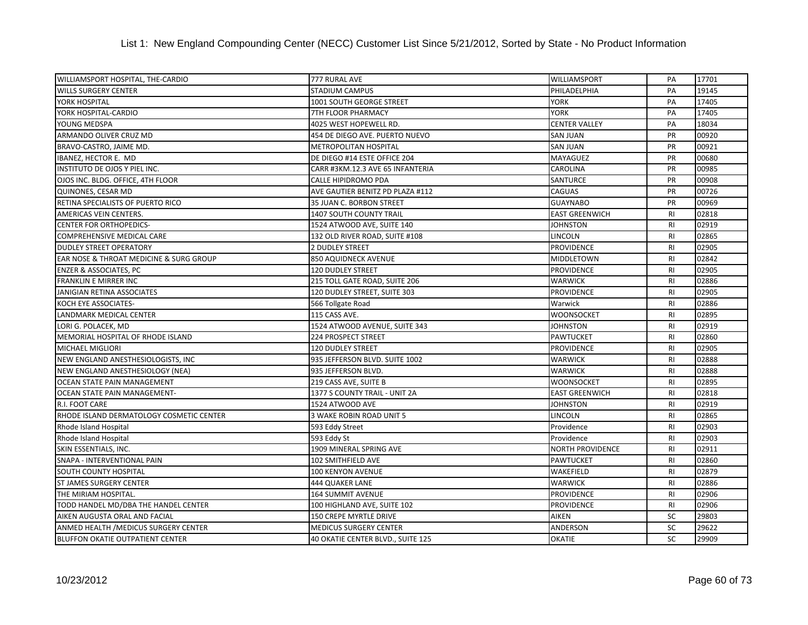| WILLIAMSPORT HOSPITAL, THE-CARDIO        | 777 RURAL AVE                     | <b>WILLIAMSPORT</b>     | PA             | 17701 |
|------------------------------------------|-----------------------------------|-------------------------|----------------|-------|
| <b>WILLS SURGERY CENTER</b>              | STADIUM CAMPUS                    | PHILADELPHIA            | PA             | 19145 |
| YORK HOSPITAL                            | <b>1001 SOUTH GEORGE STREET</b>   | <b>YORK</b>             | PA             | 17405 |
| YORK HOSPITAL-CARDIO                     | 7TH FLOOR PHARMACY                | YORK                    | PA             | 17405 |
| YOUNG MEDSPA                             | 4025 WEST HOPEWELL RD.            | <b>CENTER VALLEY</b>    | PA             | 18034 |
| ARMANDO OLIVER CRUZ MD                   | 454 DE DIEGO AVE. PUERTO NUEVO    | <b>SAN JUAN</b>         | PR             | 00920 |
| BRAVO-CASTRO, JAIME MD.                  | <b>METROPOLITAN HOSPITAL</b>      | <b>SAN JUAN</b>         | PR             | 00921 |
| IBANEZ, HECTOR E. MD                     | DE DIEGO #14 ESTE OFFICE 204      | <b>MAYAGUEZ</b>         | <b>PR</b>      | 00680 |
| INSTITUTO DE OJOS Y PIEL INC.            | CARR #3KM.12.3 AVE 65 INFANTERIA  | CAROLINA                | PR             | 00985 |
| OJOS INC. BLDG. OFFICE, 4TH FLOOR        | CALLE HIPIDROMO PDA               | <b>SANTURCE</b>         | PR             | 00908 |
| QUINONES, CESAR MD                       | AVE GAUTIER BENITZ PD PLAZA #112  | <b>CAGUAS</b>           | PR             | 00726 |
| RETINA SPECIALISTS OF PUERTO RICO        | 35 JUAN C. BORBON STREET          | <b>GUAYNABO</b>         | PR             | 00969 |
| AMERICAS VEIN CENTERS.                   | 1407 SOUTH COUNTY TRAIL           | <b>EAST GREENWICH</b>   | <b>RI</b>      | 02818 |
| <b>CENTER FOR ORTHOPEDICS-</b>           | 1524 ATWOOD AVE, SUITE 140        | JOHNSTON                | R <sub>l</sub> | 02919 |
| <b>COMPREHENSIVE MEDICAL CARE</b>        | 132 OLD RIVER ROAD, SUITE #108    | <b>LINCOLN</b>          | R <sub>l</sub> | 02865 |
| <b>DUDLEY STREET OPERATORY</b>           | 2 DUDLEY STREET                   | <b>PROVIDENCE</b>       | R1             | 02905 |
| EAR NOSE & THROAT MEDICINE & SURG GROUP  | 850 AQUIDNECK AVENUE              | <b>MIDDLETOWN</b>       | R1             | 02842 |
| <b>ENZER &amp; ASSOCIATES, PC</b>        | <b>120 DUDLEY STREET</b>          | <b>PROVIDENCE</b>       | R <sub>l</sub> | 02905 |
| FRANKLIN E MIRRER INC                    | 215 TOLL GATE ROAD, SUITE 206     | <b>WARWICK</b>          | <b>RI</b>      | 02886 |
| JANIGIAN RETINA ASSOCIATES               | 120 DUDLEY STREET, SUITE 303      | <b>PROVIDENCE</b>       | R1             | 02905 |
| KOCH EYE ASSOCIATES-                     | 566 Tollgate Road                 | Warwick                 | R <sub>l</sub> | 02886 |
| LANDMARK MEDICAL CENTER                  | 115 CASS AVE.                     | <b>WOONSOCKET</b>       | R <sub>l</sub> | 02895 |
| LORI G. POLACEK, MD                      | 1524 ATWOOD AVENUE, SUITE 343     | JOHNSTON                | R1             | 02919 |
| MEMORIAL HOSPITAL OF RHODE ISLAND        | <b>224 PROSPECT STREET</b>        | PAWTUCKET               | R1             | 02860 |
| <b>MICHAEL MIGLIORI</b>                  | <b>120 DUDLEY STREET</b>          | <b>PROVIDENCE</b>       | R1             | 02905 |
| NEW ENGLAND ANESTHESIOLOGISTS, INC       | 935 JEFFERSON BLVD. SUITE 1002    | <b>WARWICK</b>          | <b>RI</b>      | 02888 |
| NEW ENGLAND ANESTHESIOLOGY (NEA)         | 935 JEFFERSON BLVD.               | <b>WARWICK</b>          | <b>RI</b>      | 02888 |
| OCEAN STATE PAIN MANAGEMENT              | 219 CASS AVE, SUITE B             | <b>WOONSOCKET</b>       | R1             | 02895 |
| OCEAN STATE PAIN MANAGEMENT-             | 1377 S COUNTY TRAIL - UNIT 2A     | <b>EAST GREENWICH</b>   | R <sub>l</sub> | 02818 |
| R.I. FOOT CARE                           | 1524 ATWOOD AVE                   | <b>JOHNSTON</b>         | R1             | 02919 |
| RHODE ISLAND DERMATOLOGY COSMETIC CENTER | 3 WAKE ROBIN ROAD UNIT 5          | LINCOLN                 | R1             | 02865 |
| Rhode Island Hospital                    | 593 Eddy Street                   | Providence              | R <sub>l</sub> | 02903 |
| Rhode Island Hospital                    | 593 Eddy St                       | Providence              | <b>RI</b>      | 02903 |
| SKIN ESSENTIALS, INC.                    | 1909 MINERAL SPRING AVE           | <b>NORTH PROVIDENCE</b> | R1             | 02911 |
| <b>SNAPA - INTERVENTIONAL PAIN</b>       | 102 SMITHFIELD AVE                | <b>PAWTUCKET</b>        | R <sub>l</sub> | 02860 |
| <b>SOUTH COUNTY HOSPITAL</b>             | 100 KENYON AVENUE                 | WAKEFIELD               | R <sub>l</sub> | 02879 |
| <b>ST JAMES SURGERY CENTER</b>           | 444 QUAKER LANE                   | <b>WARWICK</b>          | R1             | 02886 |
| THE MIRIAM HOSPITAL.                     | <b>164 SUMMIT AVENUE</b>          | <b>PROVIDENCE</b>       | R1             | 02906 |
| TODD HANDEL MD/DBA THE HANDEL CENTER     | 100 HIGHLAND AVE, SUITE 102       | <b>PROVIDENCE</b>       | R1             | 02906 |
| AIKEN AUGUSTA ORAL AND FACIAL            | 150 CREPE MYRTLE DRIVE            | <b>AIKEN</b>            | SC             | 29803 |
| ANMED HEALTH / MEDICUS SURGERY CENTER    | <b>MEDICUS SURGERY CENTER</b>     | ANDERSON                | SC             | 29622 |
| <b>BLUFFON OKATIE OUTPATIENT CENTER</b>  | 40 OKATIE CENTER BLVD., SUITE 125 | <b>OKATIE</b>           | SC             | 29909 |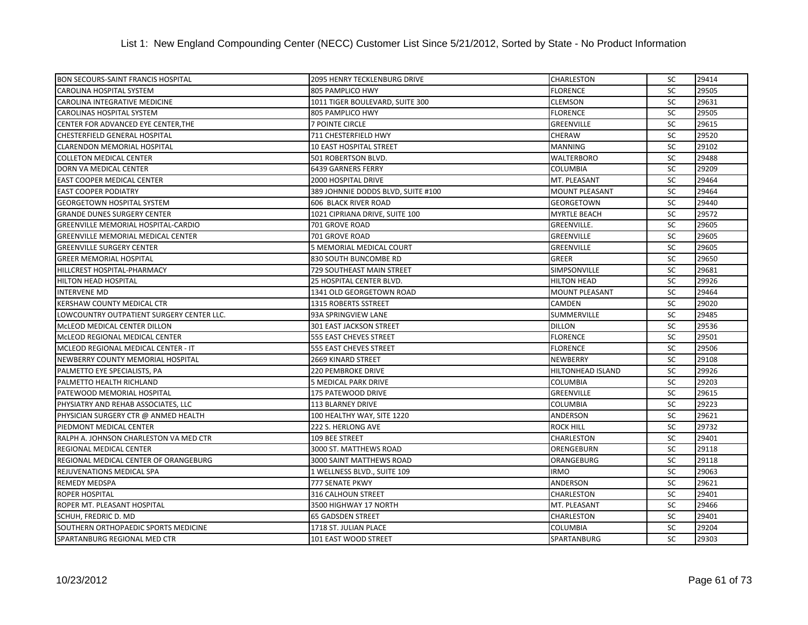| <b>BON SECOURS-SAINT FRANCIS HOSPITAL</b>  | <b>2095 HENRY TECKLENBURG DRIVE</b> | CHARLESTON               | SC        | 29414 |
|--------------------------------------------|-------------------------------------|--------------------------|-----------|-------|
| CAROLINA HOSPITAL SYSTEM                   | 805 PAMPLICO HWY                    | <b>FLORENCE</b>          | SC        | 29505 |
| CAROLINA INTEGRATIVE MEDICINE              | 1011 TIGER BOULEVARD, SUITE 300     | <b>CLEMSON</b>           | SC        | 29631 |
| CAROLINAS HOSPITAL SYSTEM                  | 805 PAMPLICO HWY                    | <b>FLORENCE</b>          | <b>SC</b> | 29505 |
| CENTER FOR ADVANCED EYE CENTER, THE        | 7 POINTE CIRCLE                     | <b>GREENVILLE</b>        | <b>SC</b> | 29615 |
| CHESTERFIELD GENERAL HOSPITAL              | 711 CHESTERFIELD HWY                | <b>CHERAW</b>            | <b>SC</b> | 29520 |
| <b>CLARENDON MEMORIAL HOSPITAL</b>         | 10 EAST HOSPITAL STREET             | <b>MANNING</b>           | <b>SC</b> | 29102 |
| <b>COLLETON MEDICAL CENTER</b>             | 501 ROBERTSON BLVD.                 | <b>WALTERBORO</b>        | SC        | 29488 |
| DORN VA MEDICAL CENTER                     | 6439 GARNERS FERRY                  | COLUMBIA                 | SC        | 29209 |
| <b>EAST COOPER MEDICAL CENTER</b>          | 2000 HOSPITAL DRIVE                 | MT. PLEASANT             | SC        | 29464 |
| <b>EAST COOPER PODIATRY</b>                | 389 JOHNNIE DODDS BLVD, SUITE #100  | <b>MOUNT PLEASANT</b>    | SC        | 29464 |
| <b>GEORGETOWN HOSPITAL SYSTEM</b>          | 606 BLACK RIVER ROAD                | <b>GEORGETOWN</b>        | SC        | 29440 |
| <b>GRANDE DUNES SURGERY CENTER</b>         | 1021 CIPRIANA DRIVE, SUITE 100      | <b>MYRTLE BEACH</b>      | SC        | 29572 |
| <b>GREENVILLE MEMORIAL HOSPITAL-CARDIO</b> | 701 GROVE ROAD                      | <b>GREENVILLE.</b>       | <b>SC</b> | 29605 |
| <b>GREENVILLE MEMORIAL MEDICAL CENTER</b>  | 701 GROVE ROAD                      | <b>GREENVILLE</b>        | <b>SC</b> | 29605 |
| <b>GREENVILLE SURGERY CENTER</b>           | 5 MEMORIAL MEDICAL COURT            | <b>GREENVILLE</b>        | SC        | 29605 |
| <b>GREER MEMORIAL HOSPITAL</b>             | 830 SOUTH BUNCOMBE RD               | <b>GREER</b>             | SC        | 29650 |
| HILLCREST HOSPITAL-PHARMACY                | 729 SOUTHEAST MAIN STREET           | SIMPSONVILLE             | <b>SC</b> | 29681 |
| <b>HILTON HEAD HOSPITAL</b>                | 25 HOSPITAL CENTER BLVD.            | <b>HILTON HEAD</b>       | SC        | 29926 |
| <b>INTERVENE MD</b>                        | 1341 OLD GEORGETOWN ROAD            | <b>MOUNT PLEASANT</b>    | SC        | 29464 |
| KERSHAW COUNTY MEDICAL CTR                 | 1315 ROBERTS SSTREET                | CAMDEN                   | SC        | 29020 |
| LOWCOUNTRY OUTPATIENT SURGERY CENTER LLC.  | 93A SPRINGVIEW LANE                 | SUMMERVILLE              | SC        | 29485 |
| MCLEOD MEDICAL CENTER DILLON               | 301 EAST JACKSON STREET             | <b>DILLON</b>            | <b>SC</b> | 29536 |
| MCLEOD REGIONAL MEDICAL CENTER             | 555 EAST CHEVES STREET              | <b>FLORENCE</b>          | <b>SC</b> | 29501 |
| MCLEOD REGIONAL MEDICAL CENTER - IT        | 555 EAST CHEVES STREET              | <b>FLORENCE</b>          | SC        | 29506 |
| NEWBERRY COUNTY MEMORIAL HOSPITAL          | <b>2669 KINARD STREET</b>           | <b>NEWBERRY</b>          | SC        | 29108 |
| PALMETTO EYE SPECIALISTS, PA               | 220 PEMBROKE DRIVE                  | <b>HILTONHEAD ISLAND</b> | SC        | 29926 |
| PALMETTO HEALTH RICHLAND                   | 5 MEDICAL PARK DRIVE                | <b>COLUMBIA</b>          | <b>SC</b> | 29203 |
| PATEWOOD MEMORIAL HOSPITAL                 | 175 PATEWOOD DRIVE                  | <b>GREENVILLE</b>        | <b>SC</b> | 29615 |
| PHYSIATRY AND REHAB ASSOCIATES, LLC        | 113 BLARNEY DRIVE                   | <b>COLUMBIA</b>          | SC        | 29223 |
| PHYSICIAN SURGERY CTR @ ANMED HEALTH       | 100 HEALTHY WAY, SITE 1220          | ANDERSON                 | SC        | 29621 |
| PIEDMONT MEDICAL CENTER                    | 222 S. HERLONG AVE                  | <b>ROCK HILL</b>         | <b>SC</b> | 29732 |
| RALPH A. JOHNSON CHARLESTON VA MED CTR     | 109 BEE STREET                      | <b>CHARLESTON</b>        | SC        | 29401 |
| REGIONAL MEDICAL CENTER                    | 3000 ST. MATTHEWS ROAD              | ORENGEBURN               | <b>SC</b> | 29118 |
| REGIONAL MEDICAL CENTER OF ORANGEBURG      | 3000 SAINT MATTHEWS ROAD            | ORANGEBURG               | SC        | 29118 |
| REJUVENATIONS MEDICAL SPA                  | 1 WELLNESS BLVD., SUITE 109         | <b>IRMO</b>              | SC        | 29063 |
| <b>REMEDY MEDSPA</b>                       | 777 SENATE PKWY                     | ANDERSON                 | <b>SC</b> | 29621 |
| <b>ROPER HOSPITAL</b>                      | 316 CALHOUN STREET                  | CHARLESTON               | <b>SC</b> | 29401 |
| ROPER MT. PLEASANT HOSPITAL                | 3500 HIGHWAY 17 NORTH               | MT. PLEASANT             | <b>SC</b> | 29466 |
| SCHUH, FREDRIC D. MD                       | <b>65 GADSDEN STREET</b>            | <b>CHARLESTON</b>        | SC        | 29401 |
| SOUTHERN ORTHOPAEDIC SPORTS MEDICINE       | 1718 ST. JULIAN PLACE               | <b>COLUMBIA</b>          | <b>SC</b> | 29204 |
| SPARTANBURG REGIONAL MED CTR               | 101 EAST WOOD STREET                | <b>SPARTANBURG</b>       | <b>SC</b> | 29303 |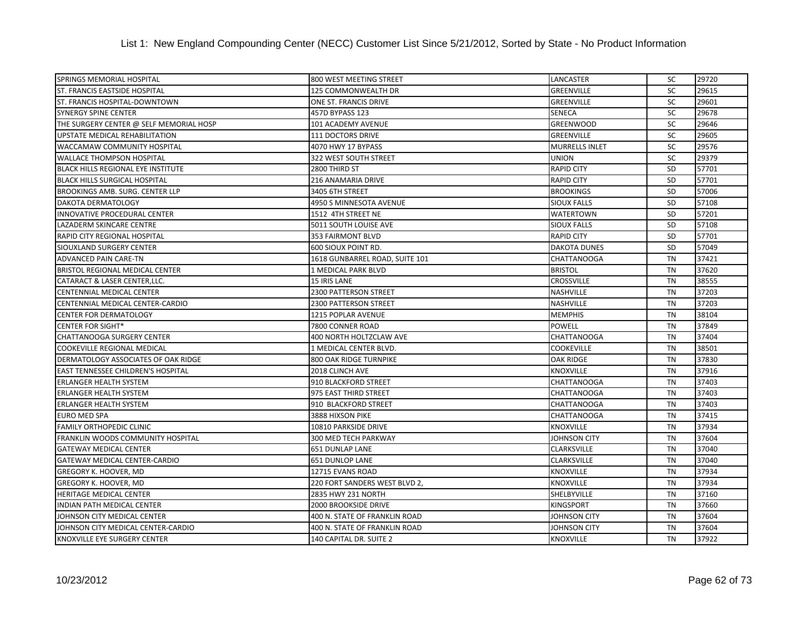| SPRINGS MEMORIAL HOSPITAL                 | 800 WEST MEETING STREET        | <b>LANCASTER</b>      | SC        | 29720 |
|-------------------------------------------|--------------------------------|-----------------------|-----------|-------|
| ST. FRANCIS EASTSIDE HOSPITAL             | 125 COMMONWEALTH DR            | <b>GREENVILLE</b>     | SC        | 29615 |
| ST. FRANCIS HOSPITAL-DOWNTOWN             | ONE ST. FRANCIS DRIVE          | GREENVILLE            | SC        | 29601 |
| SYNERGY SPINE CENTER                      | 457D BYPASS 123                | SENECA                | SC        | 29678 |
| THE SURGERY CENTER @ SELF MEMORIAL HOSP   | 101 ACADEMY AVENUE             | <b>GREENWOOD</b>      | SC        | 29646 |
| UPSTATE MEDICAL REHABILITATION            | 111 DOCTORS DRIVE              | <b>GREENVILLE</b>     | <b>SC</b> | 29605 |
| WACCAMAW COMMUNITY HOSPITAL               | 4070 HWY 17 BYPASS             | <b>MURRELLS INLET</b> | <b>SC</b> | 29576 |
| <b>WALLACE THOMPSON HOSPITAL</b>          | 322 WEST SOUTH STREET          | <b>UNION</b>          | SC        | 29379 |
| BLACK HILLS REGIONAL EYE INSTITUTE        | 2800 THIRD ST                  | <b>RAPID CITY</b>     | <b>SD</b> | 57701 |
| <b>BLACK HILLS SURGICAL HOSPITAL</b>      | 216 ANAMARIA DRIVE             | <b>RAPID CITY</b>     | SD        | 57701 |
| <b>BROOKINGS AMB. SURG. CENTER LLP</b>    | 3405 6TH STREET                | <b>BROOKINGS</b>      | <b>SD</b> | 57006 |
| <b>DAKOTA DERMATOLOGY</b>                 | 4950 S MINNESOTA AVENUE        | <b>SIOUX FALLS</b>    | <b>SD</b> | 57108 |
| INNOVATIVE PROCEDURAL CENTER              | 1512 4TH STREET NE             | <b>WATERTOWN</b>      | <b>SD</b> | 57201 |
| LAZADERM SKINCARE CENTRE                  | 5011 SOUTH LOUISE AVE          | <b>SIOUX FALLS</b>    | <b>SD</b> | 57108 |
| <b>RAPID CITY REGIONAL HOSPITAL</b>       | <b>353 FAIRMONT BLVD</b>       | <b>RAPID CITY</b>     | <b>SD</b> | 57701 |
| SIOUXLAND SURGERY CENTER                  | 600 SIOUX POINT RD.            | <b>DAKOTA DUNES</b>   | <b>SD</b> | 57049 |
| <b>ADVANCED PAIN CARE-TN</b>              | 1618 GUNBARREL ROAD, SUITE 101 | <b>CHATTANOOGA</b>    | <b>TN</b> | 37421 |
| BRISTOL REGIONAL MEDICAL CENTER           | 1 MEDICAL PARK BLVD            | <b>BRISTOL</b>        | <b>TN</b> | 37620 |
| CATARACT & LASER CENTER, LLC.             | 15 IRIS LANE                   | <b>CROSSVILLE</b>     | <b>TN</b> | 38555 |
| <b>CENTENNIAL MEDICAL CENTER</b>          | 2300 PATTERSON STREET          | <b>NASHVILLE</b>      | <b>TN</b> | 37203 |
| CENTENNIAL MEDICAL CENTER-CARDIO          | 2300 PATTERSON STREET          | <b>NASHVILLE</b>      | <b>TN</b> | 37203 |
| <b>CENTER FOR DERMATOLOGY</b>             | 1215 POPLAR AVENUE             | <b>MEMPHIS</b>        | <b>TN</b> | 38104 |
| <b>CENTER FOR SIGHT*</b>                  | 7800 CONNER ROAD               | <b>POWELL</b>         | <b>TN</b> | 37849 |
| <b>CHATTANOOGA SURGERY CENTER</b>         | 400 NORTH HOLTZCLAW AVE        | <b>CHATTANOOGA</b>    | TN        | 37404 |
| COOKEVILLE REGIONAL MEDICAL               | 1 MEDICAL CENTER BLVD.         | <b>COOKEVILLE</b>     | TN        | 38501 |
| DERMATOLOGY ASSOCIATES OF OAK RIDGE       | <b>800 OAK RIDGE TURNPIKE</b>  | <b>OAK RIDGE</b>      | <b>TN</b> | 37830 |
| <b>EAST TENNESSEE CHILDREN'S HOSPITAL</b> | 2018 CLINCH AVE                | <b>KNOXVILLE</b>      | <b>TN</b> | 37916 |
| <b>ERLANGER HEALTH SYSTEM</b>             | 910 BLACKFORD STREET           | <b>CHATTANOOGA</b>    | <b>TN</b> | 37403 |
| <b>ERLANGER HEALTH SYSTEM</b>             | 975 EAST THIRD STREET          | <b>CHATTANOOGA</b>    | TN        | 37403 |
| <b>ERLANGER HEALTH SYSTEM</b>             | 910 BLACKFORD STREET           | <b>CHATTANOOGA</b>    | TN        | 37403 |
| <b>EURO MED SPA</b>                       | 3888 HIXSON PIKE               | <b>CHATTANOOGA</b>    | <b>TN</b> | 37415 |
| <b>FAMILY ORTHOPEDIC CLINIC</b>           | 10810 PARKSIDE DRIVE           | <b>KNOXVILLE</b>      | <b>TN</b> | 37934 |
| FRANKLIN WOODS COMMUNITY HOSPITAL         | 300 MED TECH PARKWAY           | <b>JOHNSON CITY</b>   | <b>TN</b> | 37604 |
| <b>GATEWAY MEDICAL CENTER</b>             | 651 DUNLAP LANE                | <b>CLARKSVILLE</b>    | <b>TN</b> | 37040 |
| <b>GATEWAY MEDICAL CENTER-CARDIO</b>      | 651 DUNLOP LANE                | <b>CLARKSVILLE</b>    | <b>TN</b> | 37040 |
| <b>GREGORY K. HOOVER, MD</b>              | 12715 EVANS ROAD               | <b>KNOXVILLE</b>      | <b>TN</b> | 37934 |
| <b>GREGORY K. HOOVER, MD</b>              | 220 FORT SANDERS WEST BLVD 2,  | <b>KNOXVILLE</b>      | <b>TN</b> | 37934 |
| <b>HERITAGE MEDICAL CENTER</b>            | 2835 HWY 231 NORTH             | SHELBYVILLE           | <b>TN</b> | 37160 |
| <b>INDIAN PATH MEDICAL CENTER</b>         | 2000 BROOKSIDE DRIVE           | <b>KINGSPORT</b>      | <b>TN</b> | 37660 |
| JOHNSON CITY MEDICAL CENTER               | 400 N. STATE OF FRANKLIN ROAD  | JOHNSON CITY          | TN        | 37604 |
| JOHNSON CITY MEDICAL CENTER-CARDIO        | 400 N. STATE OF FRANKLIN ROAD  | JOHNSON CITY          | <b>TN</b> | 37604 |
| KNOXVILLE EYE SURGERY CENTER              | 140 CAPITAL DR. SUITE 2        | <b>KNOXVILLE</b>      | <b>TN</b> | 37922 |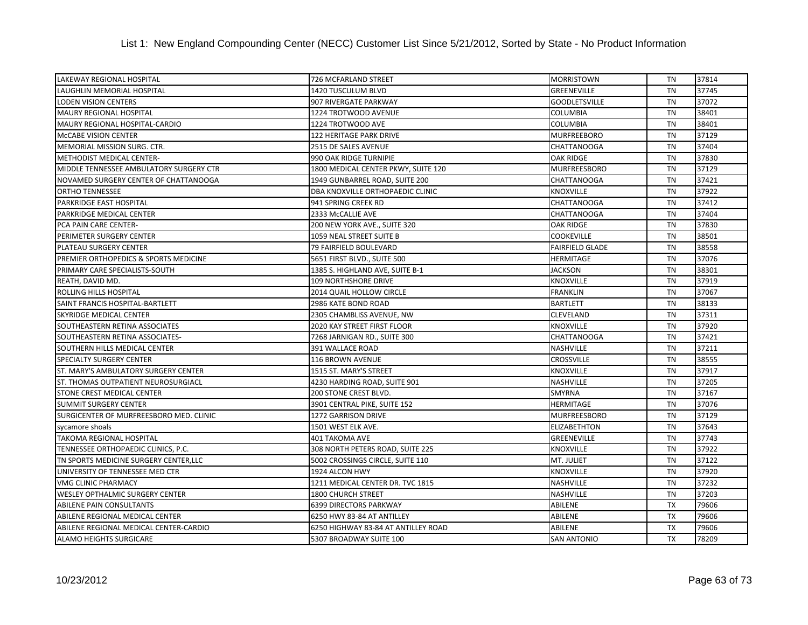| <b>LAKEWAY REGIONAL HOSPITAL</b>        | 726 MCFARLAND STREET                | <b>MORRISTOWN</b>      | TN        | 37814 |
|-----------------------------------------|-------------------------------------|------------------------|-----------|-------|
| LAUGHLIN MEMORIAL HOSPITAL              | 1420 TUSCULUM BLVD                  | GREENEVILLE            | <b>TN</b> | 37745 |
| <b>LODEN VISION CENTERS</b>             | 907 RIVERGATE PARKWAY               | <b>GOODLETSVILLE</b>   | <b>TN</b> | 37072 |
| MAURY REGIONAL HOSPITAL                 | 1224 TROTWOOD AVENUE                | <b>COLUMBIA</b>        | <b>TN</b> | 38401 |
| MAURY REGIONAL HOSPITAL-CARDIO          | 1224 TROTWOOD AVE                   | <b>COLUMBIA</b>        | <b>TN</b> | 38401 |
| McCABE VISION CENTER                    | 122 HERITAGE PARK DRIVE             | <b>MURFREEBORO</b>     | <b>TN</b> | 37129 |
| MEMORIAL MISSION SURG. CTR.             | 2515 DE SALES AVENUE                | <b>CHATTANOOGA</b>     | <b>TN</b> | 37404 |
| METHODIST MEDICAL CENTER-               | 990 OAK RIDGE TURNIPIE              | <b>OAK RIDGE</b>       | <b>TN</b> | 37830 |
| MIDDLE TENNESSEE AMBULATORY SURGERY CTR | 1800 MEDICAL CENTER PKWY, SUITE 120 | <b>MURFREESBORO</b>    | <b>TN</b> | 37129 |
| NOVAMED SURGERY CENTER OF CHATTANOOGA   | 1949 GUNBARREL ROAD, SUITE 200      | <b>CHATTANOOGA</b>     | <b>TN</b> | 37421 |
| <b>ORTHO TENNESSEE</b>                  | DBA KNOXVILLE ORTHOPAEDIC CLINIC    | <b>KNOXVILLE</b>       | <b>TN</b> | 37922 |
| PARKRIDGE EAST HOSPITAL                 | 941 SPRING CREEK RD                 | <b>CHATTANOOGA</b>     | <b>TN</b> | 37412 |
| PARKRIDGE MEDICAL CENTER                | 2333 McCALLIE AVE                   | <b>CHATTANOOGA</b>     | <b>TN</b> | 37404 |
| PCA PAIN CARE CENTER-                   | 200 NEW YORK AVE., SUITE 320        | <b>OAK RIDGE</b>       | <b>TN</b> | 37830 |
| PERIMETER SURGERY CENTER                | 1059 NEAL STREET SUITE B            | <b>COOKEVILLE</b>      | <b>TN</b> | 38501 |
| PLATEAU SURGERY CENTER                  | 79 FAIRFIELD BOULEVARD              | <b>FAIRFIELD GLADE</b> | TN        | 38558 |
| PREMIER ORTHOPEDICS & SPORTS MEDICINE   | 5651 FIRST BLVD., SUITE 500         | <b>HERMITAGE</b>       | <b>TN</b> | 37076 |
| PRIMARY CARE SPECIALISTS-SOUTH          | 1385 S. HIGHLAND AVE, SUITE B-1     | <b>JACKSON</b>         | <b>TN</b> | 38301 |
| REATH, DAVID MD.                        | 109 NORTHSHORE DRIVE                | <b>KNOXVILLE</b>       | <b>TN</b> | 37919 |
| ROLLING HILLS HOSPITAL                  | 2014 QUAIL HOLLOW CIRCLE            | <b>FRANKLIN</b>        | <b>TN</b> | 37067 |
| SAINT FRANCIS HOSPITAL-BARTLETT         | 2986 KATE BOND ROAD                 | <b>BARTLETT</b>        | <b>TN</b> | 38133 |
| SKYRIDGE MEDICAL CENTER                 | 2305 CHAMBLISS AVENUE, NW           | <b>CLEVELAND</b>       | <b>TN</b> | 37311 |
| SOUTHEASTERN RETINA ASSOCIATES          | 2020 KAY STREET FIRST FLOOR         | <b>KNOXVILLE</b>       | <b>TN</b> | 37920 |
| SOUTHEASTERN RETINA ASSOCIATES-         | 7268 JARNIGAN RD., SUITE 300        | <b>CHATTANOOGA</b>     | <b>TN</b> | 37421 |
| SOUTHERN HILLS MEDICAL CENTER           | 391 WALLACE ROAD                    | <b>NASHVILLE</b>       | <b>TN</b> | 37211 |
| <b>SPECIALTY SURGERY CENTER</b>         | <b>116 BROWN AVENUE</b>             | <b>CROSSVILLE</b>      | <b>TN</b> | 38555 |
| ST. MARY'S AMBULATORY SURGERY CENTER    | 1515 ST. MARY'S STREET              | <b>KNOXVILLE</b>       | <b>TN</b> | 37917 |
| ST. THOMAS OUTPATIENT NEUROSURGIACL     | 4230 HARDING ROAD, SUITE 901        | <b>NASHVILLE</b>       | <b>TN</b> | 37205 |
| STONE CREST MEDICAL CENTER              | <b>200 STONE CREST BLVD.</b>        | <b>SMYRNA</b>          | <b>TN</b> | 37167 |
| <b>SUMMIT SURGERY CENTER</b>            | 3901 CENTRAL PIKE, SUITE 152        | <b>HERMITAGE</b>       | <b>TN</b> | 37076 |
| SURGICENTER OF MURFREESBORO MED. CLINIC | 1272 GARRISON DRIVE                 | <b>MURFREESBORO</b>    | <b>TN</b> | 37129 |
| sycamore shoals                         | 1501 WEST ELK AVE.                  | <b>ELIZABETHTON</b>    | <b>TN</b> | 37643 |
| <b>TAKOMA REGIONAL HOSPITAL</b>         | <b>401 TAKOMA AVE</b>               | <b>GREENEVILLE</b>     | <b>TN</b> | 37743 |
| TENNESSEE ORTHOPAEDIC CLINICS, P.C.     | 308 NORTH PETERS ROAD, SUITE 225    | <b>KNOXVILLE</b>       | <b>TN</b> | 37922 |
| TN SPORTS MEDICINE SURGERY CENTER, LLC  | 5002 CROSSINGS CIRCLE, SUITE 110    | MT. JULIET             | <b>TN</b> | 37122 |
| UNIVERSITY OF TENNESSEE MED CTR         | 1924 ALCON HWY                      | <b>KNOXVILLE</b>       | TN        | 37920 |
| VMG CLINIC PHARMACY                     | 1211 MEDICAL CENTER DR. TVC 1815    | <b>NASHVILLE</b>       | <b>TN</b> | 37232 |
| WESLEY OPTHALMIC SURGERY CENTER         | <b>1800 CHURCH STREET</b>           | <b>NASHVILLE</b>       | <b>TN</b> | 37203 |
| <b>ABILENE PAIN CONSULTANTS</b>         | <b>6399 DIRECTORS PARKWAY</b>       | <b>ABILENE</b>         | <b>TX</b> | 79606 |
| ABILENE REGIONAL MEDICAL CENTER         | 6250 HWY 83-84 AT ANTILLEY          | ABILENE                | <b>TX</b> | 79606 |
| ABILENE REGIONAL MEDICAL CENTER-CARDIO  | 6250 HIGHWAY 83-84 AT ANTILLEY ROAD | ABILENE                | <b>TX</b> | 79606 |
| <b>ALAMO HEIGHTS SURGICARE</b>          | 5307 BROADWAY SUITE 100             | <b>SAN ANTONIO</b>     | <b>TX</b> | 78209 |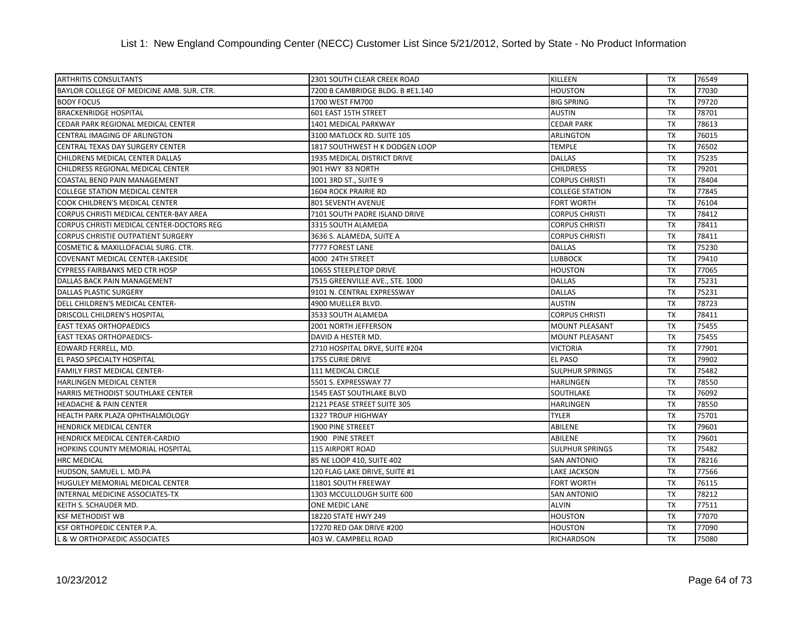## List 1: New England Compounding Center (NECC) Customer List Since 5/21/2012, Sorted by State - No Product Information

| <b>ARTHRITIS CONSULTANTS</b>              | 2301 SOUTH CLEAR CREEK ROAD      | KILLEEN                | TX        | 76549 |
|-------------------------------------------|----------------------------------|------------------------|-----------|-------|
| BAYLOR COLLEGE OF MEDICINE AMB. SUR. CTR. | 7200 B CAMBRIDGE BLDG. B #E1.140 | <b>HOUSTON</b>         | <b>TX</b> | 77030 |
| <b>BODY FOCUS</b>                         | 1700 WEST FM700                  | <b>BIG SPRING</b>      | TX        | 79720 |
| <b>BRACKENRIDGE HOSPITAL</b>              | 601 EAST 15TH STREET             | <b>AUSTIN</b>          | <b>TX</b> | 78701 |
| CEDAR PARK REGIONAL MEDICAL CENTER        | 1401 MEDICAL PARKWAY             | <b>CEDAR PARK</b>      | <b>TX</b> | 78613 |
| CENTRAL IMAGING OF ARLINGTON              | 3100 MATLOCK RD. SUITE 105       | <b>ARLINGTON</b>       | <b>TX</b> | 76015 |
| CENTRAL TEXAS DAY SURGERY CENTER          | 1817 SOUTHWEST H K DODGEN LOOP   | <b>TEMPLE</b>          | <b>TX</b> | 76502 |
| CHILDRENS MEDICAL CENTER DALLAS           | 1935 MEDICAL DISTRICT DRIVE      | <b>DALLAS</b>          | TX        | 75235 |
| CHILDRESS REGIONAL MEDICAL CENTER         | 901 HWY 83 NORTH                 | <b>CHILDRESS</b>       | TX        | 79201 |
| COASTAL BEND PAIN MANAGEMENT              | 1001 3RD ST., SUITE 9            | <b>CORPUS CHRISTI</b>  | <b>TX</b> | 78404 |
| <b>COLLEGE STATION MEDICAL CENTER</b>     | 1604 ROCK PRAIRIE RD             | <b>COLLEGE STATION</b> | <b>TX</b> | 77845 |
| COOK CHILDREN'S MEDICAL CENTER            | 801 SEVENTH AVENUE               | <b>FORT WORTH</b>      | <b>TX</b> | 76104 |
| CORPUS CHRISTI MEDICAL CENTER-BAY AREA    | 7101 SOUTH PADRE ISLAND DRIVE    | <b>CORPUS CHRISTI</b>  | TX        | 78412 |
| CORPUS CHRISTI MEDICAL CENTER-DOCTORS REG | 3315 SOUTH ALAMEDA               | <b>CORPUS CHRISTI</b>  | <b>TX</b> | 78411 |
| <b>CORPUS CHRISTIE OUTPATIENT SURGERY</b> | 3636 S. ALAMEDA, SUITE A         | <b>CORPUS CHRISTI</b>  | <b>TX</b> | 78411 |
| COSMETIC & MAXILLOFACIAL SURG. CTR.       | 7777 FOREST LANE                 | <b>DALLAS</b>          | <b>TX</b> | 75230 |
| <b>COVENANT MEDICAL CENTER-LAKESIDE</b>   | 4000 24TH STREET                 | <b>LUBBOCK</b>         | <b>TX</b> | 79410 |
| <b>CYPRESS FAIRBANKS MED CTR HOSP</b>     | 10655 STEEPLETOP DRIVE           | <b>HOUSTON</b>         | <b>TX</b> | 77065 |
| DALLAS BACK PAIN MANAGEMENT               | 7515 GREENVILLE AVE., STE. 1000  | <b>DALLAS</b>          | <b>TX</b> | 75231 |
| <b>DALLAS PLASTIC SURGERY</b>             | 9101 N. CENTRAL EXPRESSWAY       | <b>DALLAS</b>          | <b>TX</b> | 75231 |
| DELL CHILDREN'S MEDICAL CENTER-           | 4900 MUELLER BLVD.               | <b>AUSTIN</b>          | <b>TX</b> | 78723 |
| <b>DRISCOLL CHILDREN'S HOSPITAL</b>       | 3533 SOUTH ALAMEDA               | <b>CORPUS CHRISTI</b>  | TX        | 78411 |
| <b>EAST TEXAS ORTHOPAEDICS</b>            | 2001 NORTH JEFFERSON             | <b>MOUNT PLEASANT</b>  | <b>TX</b> | 75455 |
| <b>EAST TEXAS ORTHOPAEDICS-</b>           | DAVID A HESTER MD.               | <b>MOUNT PLEASANT</b>  | <b>TX</b> | 75455 |
| EDWARD FERRELL, MD.                       | 2710 HOSPITAL DRVE, SUITE #204   | <b>VICTORIA</b>        | <b>TX</b> | 77901 |
| EL PASO SPECIALTY HOSPITAL                | 1755 CURIE DRIVE                 | <b>EL PASO</b>         | <b>TX</b> | 79902 |
| <b>FAMILY FIRST MEDICAL CENTER-</b>       | 111 MEDICAL CIRCLE               | <b>SULPHUR SPRINGS</b> | <b>TX</b> | 75482 |
| HARLINGEN MEDICAL CENTER                  | 5501 S. EXPRESSWAY 77            | HARLINGEN              | <b>TX</b> | 78550 |
| HARRIS METHODIST SOUTHLAKE CENTER         | 1545 EAST SOUTHLAKE BLVD         | SOUTHLAKE              | <b>TX</b> | 76092 |
| <b>HEADACHE &amp; PAIN CENTER</b>         | 2121 PEASE STREET SUITE 305      | <b>HARLINGEN</b>       | TX        | 78550 |
| HEALTH PARK PLAZA OPHTHALMOLOGY           | 1327 TROUP HIGHWAY               | <b>TYLER</b>           | <b>TX</b> | 75701 |
| HENDRICK MEDICAL CENTER                   | 1900 PINE STREEET                | ABILENE                | <b>TX</b> | 79601 |
| HENDRICK MEDICAL CENTER-CARDIO            | 1900 PINE STREET                 | ABILENE                | <b>TX</b> | 79601 |
| <b>HOPKINS COUNTY MEMORIAL HOSPITAL</b>   | <b>115 AIRPORT ROAD</b>          | <b>SULPHUR SPRINGS</b> | <b>TX</b> | 75482 |
| <b>HRC MEDICAL</b>                        | 85 NE LOOP 410, SUITE 402        | <b>SAN ANTONIO</b>     | <b>TX</b> | 78216 |
| HUDSON, SAMUEL L. MD.PA                   | 120 FLAG LAKE DRIVE, SUITE #1    | LAKE JACKSON           | TX        | 77566 |
| HUGULEY MEMORIAL MEDICAL CENTER           | 11801 SOUTH FREEWAY              | FORT WORTH             | <b>TX</b> | 76115 |
| INTERNAL MEDICINE ASSOCIATES-TX           | 1303 MCCULLOUGH SUITE 600        | <b>SAN ANTONIO</b>     | <b>TX</b> | 78212 |
| KEITH S. SCHAUDER MD.                     | ONE MEDIC LANE                   | <b>ALVIN</b>           | <b>TX</b> | 77511 |
| <b>KSF METHODIST WB</b>                   | 18220 STATE HWY 249              | <b>HOUSTON</b>         | <b>TX</b> | 77070 |
| KSF ORTHOPEDIC CENTER P.A.                | 17270 RED OAK DRIVE #200         | <b>HOUSTON</b>         | TX        | 77090 |
| <b>L &amp; W ORTHOPAEDIC ASSOCIATES</b>   | 403 W. CAMPBELL ROAD             | <b>RICHARDSON</b>      | TX        | 75080 |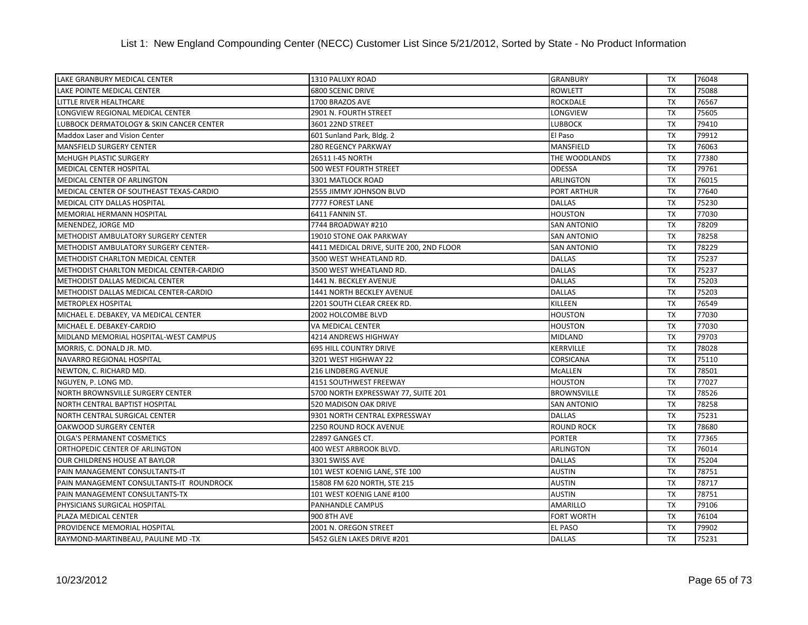| LAKE GRANBURY MEDICAL CENTER             | 1310 PALUXY ROAD                         | <b>GRANBURY</b>    | <b>TX</b> | 76048 |
|------------------------------------------|------------------------------------------|--------------------|-----------|-------|
| LAKE POINTE MEDICAL CENTER               | 6800 SCENIC DRIVE                        | <b>ROWLETT</b>     | <b>TX</b> | 75088 |
| LITTLE RIVER HEALTHCARE                  | 1700 BRAZOS AVE                          | <b>ROCKDALE</b>    | <b>TX</b> | 76567 |
| LONGVIEW REGIONAL MEDICAL CENTER         | 2901 N. FOURTH STREET                    | <b>LONGVIEW</b>    | <b>TX</b> | 75605 |
| LUBBOCK DERMATOLOGY & SKIN CANCER CENTER | 3601 22ND STREET                         | <b>LUBBOCK</b>     | <b>TX</b> | 79410 |
| Maddox Laser and Vision Center           | 601 Sunland Park, Bldg. 2                | El Paso            | <b>TX</b> | 79912 |
| MANSFIELD SURGERY CENTER                 | 280 REGENCY PARKWAY                      | <b>MANSFIELD</b>   | <b>TX</b> | 76063 |
| MCHUGH PLASTIC SURGERY                   | 26511 I-45 NORTH                         | THE WOODLANDS      | <b>TX</b> | 77380 |
| MEDICAL CENTER HOSPITAL                  | 500 WEST FOURTH STREET                   | <b>ODESSA</b>      | <b>TX</b> | 79761 |
| <b>MEDICAL CENTER OF ARLINGTON</b>       | 3301 MATLOCK ROAD                        | <b>ARLINGTON</b>   | <b>TX</b> | 76015 |
| MEDICAL CENTER OF SOUTHEAST TEXAS-CARDIO | 2555 JIMMY JOHNSON BLVD                  | <b>PORT ARTHUR</b> | <b>TX</b> | 77640 |
| <b>MEDICAL CITY DALLAS HOSPITAL</b>      | 7777 FOREST LANE                         | <b>DALLAS</b>      | <b>TX</b> | 75230 |
| MEMORIAL HERMANN HOSPITAL                | 6411 FANNIN ST.                          | <b>HOUSTON</b>     | <b>TX</b> | 77030 |
| MENENDEZ, JORGE MD                       | 7744 BROADWAY #210                       | <b>SAN ANTONIO</b> | <b>TX</b> | 78209 |
| METHODIST AMBULATORY SURGERY CENTER      | 19010 STONE OAK PARKWAY                  | <b>SAN ANTONIO</b> | <b>TX</b> | 78258 |
| METHODIST AMBULATORY SURGERY CENTER-     | 4411 MEDICAL DRIVE, SUITE 200, 2ND FLOOR | <b>SAN ANTONIO</b> | <b>TX</b> | 78229 |
| <b>METHODIST CHARLTON MEDICAL CENTER</b> | 3500 WEST WHEATLAND RD.                  | <b>DALLAS</b>      | <b>TX</b> | 75237 |
| METHODIST CHARLTON MEDICAL CENTER-CARDIO | 3500 WEST WHEATLAND RD.                  | <b>DALLAS</b>      | <b>TX</b> | 75237 |
| METHODIST DALLAS MEDICAL CENTER          | 1441 N. BECKLEY AVENUE                   | <b>DALLAS</b>      | <b>TX</b> | 75203 |
| METHODIST DALLAS MEDICAL CENTER-CARDIO   | 1441 NORTH BECKLEY AVENUE                | <b>DALLAS</b>      | <b>TX</b> | 75203 |
| <b>METROPLEX HOSPITAL</b>                | 2201 SOUTH CLEAR CREEK RD.               | <b>KILLEEN</b>     | <b>TX</b> | 76549 |
| MICHAEL E. DEBAKEY, VA MEDICAL CENTER    | 2002 HOLCOMBE BLVD                       | <b>HOUSTON</b>     | <b>TX</b> | 77030 |
| MICHAEL E. DEBAKEY-CARDIO                | VA MEDICAL CENTER                        | <b>HOUSTON</b>     | <b>TX</b> | 77030 |
| MIDLAND MEMORIAL HOSPITAL-WEST CAMPUS    | 4214 ANDREWS HIGHWAY                     | <b>MIDLAND</b>     | <b>TX</b> | 79703 |
| MORRIS, C. DONALD JR. MD.                | <b>695 HILL COUNTRY DRIVE</b>            | <b>KERRVILLE</b>   | <b>TX</b> | 78028 |
| NAVARRO REGIONAL HOSPITAL                | 3201 WEST HIGHWAY 22                     | <b>CORSICANA</b>   | <b>TX</b> | 75110 |
| NEWTON, C. RICHARD MD.                   | 216 LINDBERG AVENUE                      | MCALLEN            | <b>TX</b> | 78501 |
| NGUYEN, P. LONG MD.                      | 4151 SOUTHWEST FREEWAY                   | <b>HOUSTON</b>     | <b>TX</b> | 77027 |
| NORTH BROWNSVILLE SURGERY CENTER         | 5700 NORTH EXPRESSWAY 77, SUITE 201      | <b>BROWNSVILLE</b> | <b>TX</b> | 78526 |
| NORTH CENTRAL BAPTIST HOSPITAL           | <b>520 MADISON OAK DRIVE</b>             | <b>SAN ANTONIO</b> | <b>TX</b> | 78258 |
| NORTH CENTRAL SURGICAL CENTER            | 9301 NORTH CENTRAL EXPRESSWAY            | <b>DALLAS</b>      | <b>TX</b> | 75231 |
| OAKWOOD SURGERY CENTER                   | 2250 ROUND ROCK AVENUE                   | ROUND ROCK         | <b>TX</b> | 78680 |
| <b>OLGA'S PERMANENT COSMETICS</b>        | 22897 GANGES CT.                         | <b>PORTER</b>      | <b>TX</b> | 77365 |
| ORTHOPEDIC CENTER OF ARLINGTON           | 400 WEST ARBROOK BLVD.                   | <b>ARLINGTON</b>   | <b>TX</b> | 76014 |
| OUR CHILDRENS HOUSE AT BAYLOR            | 3301 SWISS AVE                           | <b>DALLAS</b>      | <b>TX</b> | 75204 |
| PAIN MANAGEMENT CONSULTANTS-IT           | 101 WEST KOENIG LANE, STE 100            | <b>AUSTIN</b>      | <b>TX</b> | 78751 |
| PAIN MANAGEMENT CONSULTANTS-IT ROUNDROCK | 15808 FM 620 NORTH, STE 215              | <b>AUSTIN</b>      | <b>TX</b> | 78717 |
| PAIN MANAGEMENT CONSULTANTS-TX           | 101 WEST KOENIG LANE #100                | <b>AUSTIN</b>      | <b>TX</b> | 78751 |
| PHYSICIANS SURGICAL HOSPITAL             | PANHANDLE CAMPUS                         | <b>AMARILLO</b>    | <b>TX</b> | 79106 |
| PLAZA MEDICAL CENTER                     | <b>900 8TH AVE</b>                       | <b>FORT WORTH</b>  | <b>TX</b> | 76104 |
| PROVIDENCE MEMORIAL HOSPITAL             | 2001 N. OREGON STREET                    | <b>EL PASO</b>     | TX        | 79902 |
| RAYMOND-MARTINBEAU, PAULINE MD -TX       | 5452 GLEN LAKES DRIVE #201               | <b>DALLAS</b>      | <b>TX</b> | 75231 |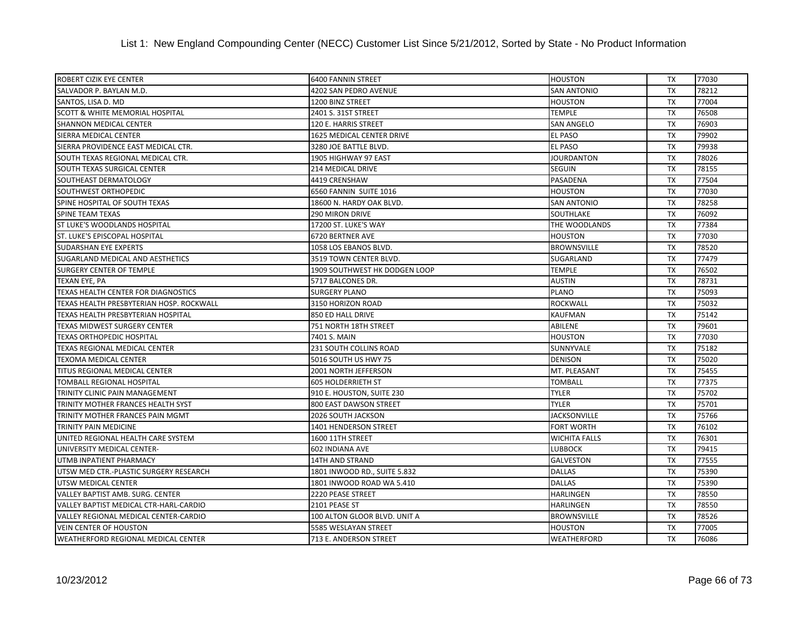| ROBERT CIZIK EYE CENTER                    | <b>6400 FANNIN STREET</b>     | <b>HOUSTON</b>       | TX        | 77030 |
|--------------------------------------------|-------------------------------|----------------------|-----------|-------|
| SALVADOR P. BAYLAN M.D.                    | 4202 SAN PEDRO AVENUE         | <b>SAN ANTONIO</b>   | <b>TX</b> | 78212 |
| SANTOS, LISA D. MD                         | 1200 BINZ STREET              | <b>HOUSTON</b>       | <b>TX</b> | 77004 |
| <b>SCOTT &amp; WHITE MEMORIAL HOSPITAL</b> | 2401 S. 31ST STREET           | <b>TEMPLE</b>        | TX        | 76508 |
| <b>SHANNON MEDICAL CENTER</b>              | 120 E. HARRIS STREET          | <b>SAN ANGELO</b>    | <b>TX</b> | 76903 |
| SIERRA MEDICAL CENTER                      | 1625 MEDICAL CENTER DRIVE     | <b>EL PASO</b>       | <b>TX</b> | 79902 |
| SIERRA PROVIDENCE EAST MEDICAL CTR.        | 3280 JOE BATTLE BLVD.         | <b>EL PASO</b>       | <b>TX</b> | 79938 |
| SOUTH TEXAS REGIONAL MEDICAL CTR.          | 1905 HIGHWAY 97 EAST          | <b>JOURDANTON</b>    | <b>TX</b> | 78026 |
| SOUTH TEXAS SURGICAL CENTER                | 214 MEDICAL DRIVE             | <b>SEGUIN</b>        | <b>TX</b> | 78155 |
| SOUTHEAST DERMATOLOGY                      | 4419 CRENSHAW                 | PASADENA             | <b>TX</b> | 77504 |
| SOUTHWEST ORTHOPEDIC                       | 6560 FANNIN SUITE 1016        | <b>HOUSTON</b>       | TX        | 77030 |
| SPINE HOSPITAL OF SOUTH TEXAS              | 18600 N. HARDY OAK BLVD.      | <b>SAN ANTONIO</b>   | <b>TX</b> | 78258 |
| SPINE TEAM TEXAS                           | 290 MIRON DRIVE               | SOUTHLAKE            | TX        | 76092 |
| ST LUKE'S WOODLANDS HOSPITAL               | 17200 ST. LUKE'S WAY          | THE WOODLANDS        | <b>TX</b> | 77384 |
| ST. LUKE'S EPISCOPAL HOSPITAL              | 6720 BERTNER AVE              | <b>HOUSTON</b>       | TX        | 77030 |
| <b>SUDARSHAN EYE EXPERTS</b>               | 1058 LOS EBANOS BLVD.         | <b>BROWNSVILLE</b>   | <b>TX</b> | 78520 |
| SUGARLAND MEDICAL AND AESTHETICS           | 3519 TOWN CENTER BLVD.        | SUGARLAND            | <b>TX</b> | 77479 |
| <b>SURGERY CENTER OF TEMPLE</b>            | 1909 SOUTHWEST HK DODGEN LOOP | TEMPLE               | TX        | 76502 |
| TEXAN EYE, PA                              | 5717 BALCONES DR.             | <b>AUSTIN</b>        | <b>TX</b> | 78731 |
| TEXAS HEALTH CENTER FOR DIAGNOSTICS        | <b>SURGERY PLANO</b>          | <b>PLANO</b>         | TX        | 75093 |
| TEXAS HEALTH PRESBYTERIAN HOSP. ROCKWALL   | 3150 HORIZON ROAD             | <b>ROCKWALL</b>      | <b>TX</b> | 75032 |
| TEXAS HEALTH PRESBYTERIAN HOSPITAL         | 850 ED HALL DRIVE             | <b>KAUFMAN</b>       | TX        | 75142 |
| TEXAS MIDWEST SURGERY CENTER               | 751 NORTH 18TH STREET         | ABILENE              | <b>TX</b> | 79601 |
| <b>TEXAS ORTHOPEDIC HOSPITAL</b>           | 7401 S. MAIN                  | <b>HOUSTON</b>       | <b>TX</b> | 77030 |
| TEXAS REGIONAL MEDICAL CENTER              | <b>231 SOUTH COLLINS ROAD</b> | SUNNYVALE            | <b>TX</b> | 75182 |
| TEXOMA MEDICAL CENTER                      | 5016 SOUTH US HWY 75          | <b>DENISON</b>       | <b>TX</b> | 75020 |
| TITUS REGIONAL MEDICAL CENTER              | 2001 NORTH JEFFERSON          | MT. PLEASANT         | TX        | 75455 |
| <b>TOMBALL REGIONAL HOSPITAL</b>           | <b>605 HOLDERRIETH ST</b>     | <b>TOMBALL</b>       | <b>TX</b> | 77375 |
| TRINITY CLINIC PAIN MANAGEMENT             | 910 E. HOUSTON, SUITE 230     | <b>TYLER</b>         | TX        | 75702 |
| TRINITY MOTHER FRANCES HEALTH SYST         | 800 EAST DAWSON STREET        | <b>TYLER</b>         | <b>TX</b> | 75701 |
| TRINITY MOTHER FRANCES PAIN MGMT           | 2026 SOUTH JACKSON            | <b>JACKSONVILLE</b>  | <b>TX</b> | 75766 |
| TRINITY PAIN MEDICINE                      | 1401 HENDERSON STREET         | <b>FORT WORTH</b>    | <b>TX</b> | 76102 |
| UNITED REGIONAL HEALTH CARE SYSTEM         | 1600 11TH STREET              | <b>WICHITA FALLS</b> | <b>TX</b> | 76301 |
| UNIVERSITY MEDICAL CENTER-                 | 602 INDIANA AVE               | <b>LUBBOCK</b>       | <b>TX</b> | 79415 |
| UTMB INPATIENT PHARMACY                    | <b>14TH AND STRAND</b>        | <b>GALVESTON</b>     | <b>TX</b> | 77555 |
| UTSW MED CTR.-PLASTIC SURGERY RESEARCH     | 1801 INWOOD RD., SUITE 5.832  | <b>DALLAS</b>        | TX        | 75390 |
| UTSW MEDICAL CENTER                        | 1801 INWOOD ROAD WA 5.410     | <b>DALLAS</b>        | <b>TX</b> | 75390 |
| VALLEY BAPTIST AMB. SURG. CENTER           | 2220 PEASE STREET             | <b>HARLINGEN</b>     | TX        | 78550 |
| VALLEY BAPTIST MEDICAL CTR-HARL-CARDIO     | 2101 PEASE ST                 | <b>HARLINGEN</b>     | TX        | 78550 |
| VALLEY REGIONAL MEDICAL CENTER-CARDIO      | 100 ALTON GLOOR BLVD. UNIT A  | <b>BROWNSVILLE</b>   | <b>TX</b> | 78526 |
| <b>VEIN CENTER OF HOUSTON</b>              | 5585 WESLAYAN STREET          | <b>HOUSTON</b>       | <b>TX</b> | 77005 |
| WEATHERFORD REGIONAL MEDICAL CENTER        | 713 E. ANDERSON STREET        | <b>WEATHERFORD</b>   | <b>TX</b> | 76086 |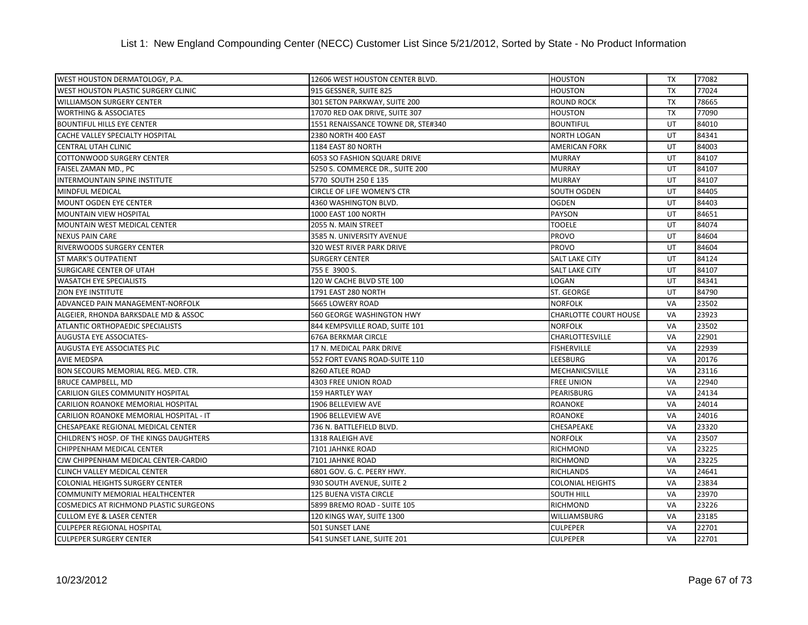| WEST HOUSTON DERMATOLOGY, P.A.          | 12606 WEST HOUSTON CENTER BLVD.     | <b>HOUSTON</b>               | TX        | 77082 |
|-----------------------------------------|-------------------------------------|------------------------------|-----------|-------|
| WEST HOUSTON PLASTIC SURGERY CLINIC     | 915 GESSNER, SUITE 825              | <b>HOUSTON</b>               | <b>TX</b> | 77024 |
| <b>WILLIAMSON SURGERY CENTER</b>        | 301 SETON PARKWAY, SUITE 200        | <b>ROUND ROCK</b>            | <b>TX</b> | 78665 |
| <b>WORTHING &amp; ASSOCIATES</b>        | 17070 RED OAK DRIVE, SUITE 307      | <b>HOUSTON</b>               | <b>TX</b> | 77090 |
| <b>BOUNTIFUL HILLS EYE CENTER</b>       | 1551 RENAISSANCE TOWNE DR, STE#340  | <b>BOUNTIFUL</b>             | UT        | 84010 |
| CACHE VALLEY SPECIALTY HOSPITAL         | 2380 NORTH 400 EAST                 | <b>NORTH LOGAN</b>           | UT        | 84341 |
| CENTRAL UTAH CLINIC                     | 1184 EAST 80 NORTH                  | <b>AMERICAN FORK</b>         | UT        | 84003 |
| <b>COTTONWOOD SURGERY CENTER</b>        | <b>6053 SO FASHION SQUARE DRIVE</b> | <b>MURRAY</b>                | UT        | 84107 |
| FAISEL ZAMAN MD., PC                    | 5250 S. COMMERCE DR., SUITE 200     | <b>MURRAY</b>                | UT        | 84107 |
| <b>INTERMOUNTAIN SPINE INSTITUTE</b>    | 5770 SOUTH 250 E 135                | <b>MURRAY</b>                | UT        | 84107 |
| MINDFUL MEDICAL                         | <b>CIRCLE OF LIFE WOMEN'S CTR</b>   | SOUTH OGDEN                  | UT        | 84405 |
| <b>MOUNT OGDEN EYE CENTER</b>           | 4360 WASHINGTON BLVD.               | <b>OGDEN</b>                 | UT        | 84403 |
| MOUNTAIN VIEW HOSPITAL                  | 1000 EAST 100 NORTH                 | <b>PAYSON</b>                | UT        | 84651 |
| MOUNTAIN WEST MEDICAL CENTER            | 2055 N. MAIN STREET                 | <b>TOOELE</b>                | UT        | 84074 |
| <b>NEXUS PAIN CARE</b>                  | 3585 N. UNIVERSITY AVENUE           | <b>PROVO</b>                 | UT        | 84604 |
| RIVERWOODS SURGERY CENTER               | 320 WEST RIVER PARK DRIVE           | <b>PROVO</b>                 | UT        | 84604 |
| ST MARK'S OUTPATIENT                    | <b>SURGERY CENTER</b>               | <b>SALT LAKE CITY</b>        | UT        | 84124 |
| SURGICARE CENTER OF UTAH                | 755 E 3900 S.                       | <b>SALT LAKE CITY</b>        | UT        | 84107 |
| <b>WASATCH EYE SPECIALISTS</b>          | 120 W CACHE BLVD STE 100            | LOGAN                        | UT        | 84341 |
| ZION EYE INSTITUTE                      | 1791 EAST 280 NORTH                 | <b>ST. GEORGE</b>            | UT        | 84790 |
| ADVANCED PAIN MANAGEMENT-NORFOLK        | 5665 LOWERY ROAD                    | <b>NORFOLK</b>               | VA        | 23502 |
| ALGEIER, RHONDA BARKSDALE MD & ASSOC    | 560 GEORGE WASHINGTON HWY           | <b>CHARLOTTE COURT HOUSE</b> | VA        | 23923 |
| ATLANTIC ORTHOPAEDIC SPECIALISTS        | 844 KEMPSVILLE ROAD, SUITE 101      | <b>NORFOLK</b>               | <b>VA</b> | 23502 |
| <b>AUGUSTA EYE ASSOCIATES-</b>          | <b>676A BERKMAR CIRCLE</b>          | <b>CHARLOTTESVILLE</b>       | VA        | 22901 |
| <b>AUGUSTA EYE ASSOCIATES PLC</b>       | 17 N. MEDICAL PARK DRIVE            | <b>FISHERVILLE</b>           | VA        | 22939 |
| <b>AVIE MEDSPA</b>                      | 552 FORT EVANS ROAD-SUITE 110       | <b>LEESBURG</b>              | VA        | 20176 |
| BON SECOURS MEMORIAL REG. MED. CTR.     | 8260 ATLEE ROAD                     | MECHANICSVILLE               | VA        | 23116 |
| BRUCE CAMPBELL, MD                      | 4303 FREE UNION ROAD                | <b>FREE UNION</b>            | VA        | 22940 |
| CARILION GILES COMMUNITY HOSPITAL       | <b>159 HARTLEY WAY</b>              | PEARISBURG                   | VA        | 24134 |
| CARILION ROANOKE MEMORIAL HOSPITAL      | 1906 BELLEVIEW AVE                  | <b>ROANOKE</b>               | <b>VA</b> | 24014 |
| CARILION ROANOKE MEMORIAL HOSPITAL - IT | 1906 BELLEVIEW AVE                  | <b>ROANOKE</b>               | VA        | 24016 |
| CHESAPEAKE REGIONAL MEDICAL CENTER      | 736 N. BATTLEFIELD BLVD.            | CHESAPEAKE                   | <b>VA</b> | 23320 |
| CHILDREN'S HOSP. OF THE KINGS DAUGHTERS | 1318 RALEIGH AVE                    | <b>NORFOLK</b>               | VA        | 23507 |
| CHIPPENHAM MEDICAL CENTER               | 7101 JAHNKE ROAD                    | <b>RICHMOND</b>              | VA        | 23225 |
| CJW CHIPPENHAM MEDICAL CENTER-CARDIO    | 7101 JAHNKE ROAD                    | <b>RICHMOND</b>              | VA        | 23225 |
| CLINCH VALLEY MEDICAL CENTER            | 6801 GOV. G. C. PEERY HWY.          | <b>RICHLANDS</b>             | VA        | 24641 |
| COLONIAL HEIGHTS SURGERY CENTER         | 930 SOUTH AVENUE, SUITE 2           | <b>COLONIAL HEIGHTS</b>      | <b>VA</b> | 23834 |
| COMMUNITY MEMORIAL HEALTHCENTER         | <b>125 BUENA VISTA CIRCLE</b>       | <b>SOUTH HILL</b>            | <b>VA</b> | 23970 |
| COSMEDICS AT RICHMOND PLASTIC SURGEONS  | 5899 BREMO ROAD - SUITE 105         | <b>RICHMOND</b>              | <b>VA</b> | 23226 |
| <b>CULLOM EYE &amp; LASER CENTER</b>    | 120 KINGS WAY, SUITE 1300           | WILLIAMSBURG                 | VA        | 23185 |
| <b>CULPEPER REGIONAL HOSPITAL</b>       | 501 SUNSET LANE                     | <b>CULPEPER</b>              | VA        | 22701 |
| <b>CULPEPER SURGERY CENTER</b>          | 541 SUNSET LANE, SUITE 201          | <b>CULPEPER</b>              | VA        | 22701 |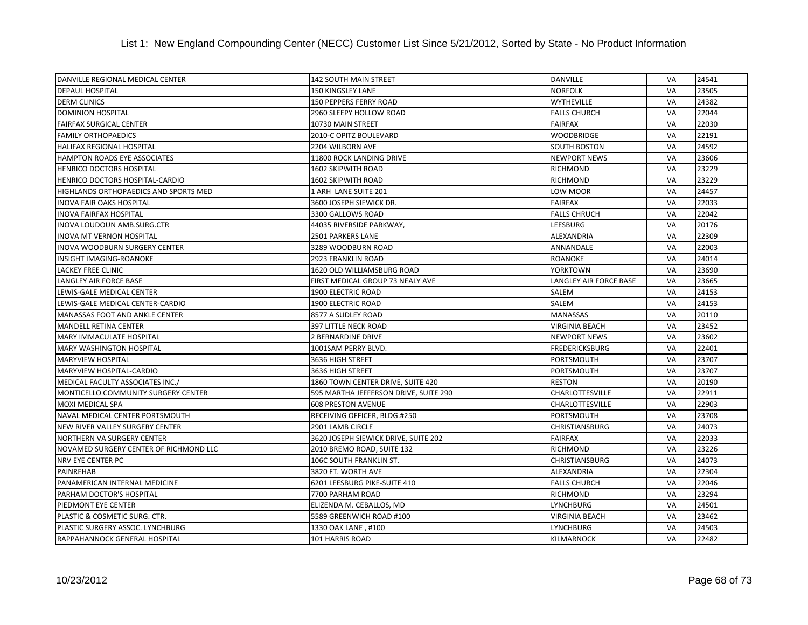| DANVILLE REGIONAL MEDICAL CENTER       | <b>142 SOUTH MAIN STREET</b>          | <b>DANVILLE</b>        | VA        | 24541 |
|----------------------------------------|---------------------------------------|------------------------|-----------|-------|
| <b>DEPAUL HOSPITAL</b>                 | 150 KINGSLEY LANE                     | <b>NORFOLK</b>         | <b>VA</b> | 23505 |
| <b>DERM CLINICS</b>                    | 150 PEPPERS FERRY ROAD                | <b>WYTHEVILLE</b>      | VA        | 24382 |
| <b>DOMINION HOSPITAL</b>               | 2960 SLEEPY HOLLOW ROAD               | <b>FALLS CHURCH</b>    | VA        | 22044 |
| <b>FAIRFAX SURGICAL CENTER</b>         | 10730 MAIN STREET                     | <b>FAIRFAX</b>         | <b>VA</b> | 22030 |
| <b>FAMILY ORTHOPAEDICS</b>             | 2010-C OPITZ BOULEVARD                | <b>WOODBRIDGE</b>      | VA        | 22191 |
| HALIFAX REGIONAL HOSPITAL              | 2204 WILBORN AVE                      | <b>SOUTH BOSTON</b>    | VA        | 24592 |
| <b>HAMPTON ROADS EYE ASSOCIATES</b>    | 11800 ROCK LANDING DRIVE              | <b>NEWPORT NEWS</b>    | VA        | 23606 |
| <b>HENRICO DOCTORS HOSPITAL</b>        | <b>1602 SKIPWITH ROAD</b>             | <b>RICHMOND</b>        | <b>VA</b> | 23229 |
| <b>HENRICO DOCTORS HOSPITAL-CARDIO</b> | 1602 SKIPWITH ROAD                    | <b>RICHMOND</b>        | VA        | 23229 |
| HIGHLANDS ORTHOPAEDICS AND SPORTS MED  | 1 ARH LANE SUITE 201                  | LOW MOOR               | VA        | 24457 |
| <b>INOVA FAIR OAKS HOSPITAL</b>        | 3600 JOSEPH SIEWICK DR.               | <b>FAIRFAX</b>         | <b>VA</b> | 22033 |
| <b>INOVA FAIRFAX HOSPITAL</b>          | 3300 GALLOWS ROAD                     | <b>FALLS CHRUCH</b>    | <b>VA</b> | 22042 |
| INOVA LOUDOUN AMB.SURG.CTR             | 44035 RIVERSIDE PARKWAY,              | <b>LEESBURG</b>        | <b>VA</b> | 20176 |
| <b>INOVA MT VERNON HOSPITAL</b>        | 2501 PARKERS LANE                     | <b>ALEXANDRIA</b>      | VA        | 22309 |
| <b>INOVA WOODBURN SURGERY CENTER</b>   | 3289 WOODBURN ROAD                    | ANNANDALE              | VA        | 22003 |
| INSIGHT IMAGING-ROANOKE                | 2923 FRANKLIN ROAD                    | <b>ROANOKE</b>         | VA        | 24014 |
| LACKEY FREE CLINIC                     | 1620 OLD WILLIAMSBURG ROAD            | <b>YORKTOWN</b>        | VA        | 23690 |
| LANGLEY AIR FORCE BASE                 | FIRST MEDICAL GROUP 73 NEALY AVE      | LANGLEY AIR FORCE BASE | <b>VA</b> | 23665 |
| LEWIS-GALE MEDICAL CENTER              | 1900 ELECTRIC ROAD                    | <b>SALEM</b>           | VA        | 24153 |
| LEWIS-GALE MEDICAL CENTER-CARDIO       | 1900 ELECTRIC ROAD                    | <b>SALEM</b>           | <b>VA</b> | 24153 |
| MANASSAS FOOT AND ANKLE CENTER         | 8577 A SUDLEY ROAD                    | <b>MANASSAS</b>        | VA        | 20110 |
| <b>MANDELL RETINA CENTER</b>           | 397 LITTLE NECK ROAD                  | <b>VIRGINIA BEACH</b>  | <b>VA</b> | 23452 |
| MARY IMMACULATE HOSPITAL               | 2 BERNARDINE DRIVE                    | <b>NEWPORT NEWS</b>    | VA        | 23602 |
| <b>MARY WASHINGTON HOSPITAL</b>        | 1001SAM PERRY BLVD.                   | <b>FREDERICKSBURG</b>  | <b>VA</b> | 22401 |
| <b>MARYVIEW HOSPITAL</b>               | 3636 HIGH STREET                      | PORTSMOUTH             | VA        | 23707 |
| MARYVIEW HOSPITAL-CARDIO               | 3636 HIGH STREET                      | PORTSMOUTH             | VA        | 23707 |
| MEDICAL FACULTY ASSOCIATES INC./       | 1860 TOWN CENTER DRIVE, SUITE 420     | <b>RESTON</b>          | VA        | 20190 |
| MONTICELLO COMMUNITY SURGERY CENTER    | 595 MARTHA JEFFERSON DRIVE, SUITE 290 | CHARLOTTESVILLE        | VA        | 22911 |
| <b>MOXI MEDICAL SPA</b>                | <b>608 PRESTON AVENUE</b>             | <b>CHARLOTTESVILLE</b> | VA        | 22903 |
| NAVAL MEDICAL CENTER PORTSMOUTH        | RECEIVING OFFICER, BLDG.#250          | PORTSMOUTH             | VA        | 23708 |
| NEW RIVER VALLEY SURGERY CENTER        | 2901 LAMB CIRCLE                      | <b>CHRISTIANSBURG</b>  | <b>VA</b> | 24073 |
| <b>NORTHERN VA SURGERY CENTER</b>      | 3620 JOSEPH SIEWICK DRIVE, SUITE 202  | <b>FAIRFAX</b>         | VA        | 22033 |
| NOVAMED SURGERY CENTER OF RICHMOND LLC | 2010 BREMO ROAD, SUITE 132            | <b>RICHMOND</b>        | VA        | 23226 |
| NRV EYE CENTER PC                      | 106C SOUTH FRANKLIN ST.               | <b>CHRISTIANSBURG</b>  | VA        | 24073 |
| PAINREHAB                              | 3820 FT. WORTH AVE                    | ALEXANDRIA             | VA        | 22304 |
| PANAMERICAN INTERNAL MEDICINE          | 6201 LEESBURG PIKE-SUITE 410          | <b>FALLS CHURCH</b>    | <b>VA</b> | 22046 |
| PARHAM DOCTOR'S HOSPITAL               | 7700 PARHAM ROAD                      | <b>RICHMOND</b>        | <b>VA</b> | 23294 |
| PIEDMONT EYE CENTER                    | ELIZENDA M. CEBALLOS, MD              | <b>LYNCHBURG</b>       | <b>VA</b> | 24501 |
| PLASTIC & COSMETIC SURG. CTR.          | 5589 GREENWICH ROAD #100              | VIRGINIA BEACH         | VA        | 23462 |
| PLASTIC SURGERY ASSOC. LYNCHBURG       | 1330 OAK LANE, #100                   | <b>LYNCHBURG</b>       | VA        | 24503 |
| RAPPAHANNOCK GENERAL HOSPITAL          | 101 HARRIS ROAD                       | <b>KILMARNOCK</b>      | VA        | 22482 |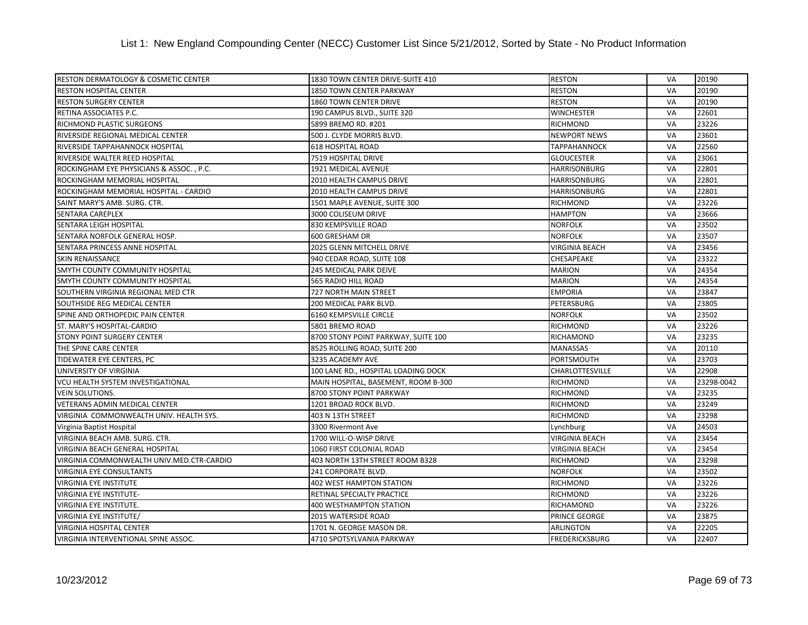| RESTON DERMATOLOGY & COSMETIC CENTER      | 1830 TOWN CENTER DRIVE-SUITE 410    | <b>RESTON</b>          | VA        | 20190      |
|-------------------------------------------|-------------------------------------|------------------------|-----------|------------|
| <b>RESTON HOSPITAL CENTER</b>             | 1850 TOWN CENTER PARKWAY            | <b>RESTON</b>          | <b>VA</b> | 20190      |
| <b>RESTON SURGERY CENTER</b>              | <b>1860 TOWN CENTER DRIVE</b>       | <b>RESTON</b>          | VA        | 20190      |
| RETINA ASSOCIATES P.C.                    | 190 CAMPUS BLVD., SUITE 320         | <b>WINCHESTER</b>      | <b>VA</b> | 22601      |
| RICHMOND PLASTIC SURGEONS                 | 5899 BREMO RD. #201                 | <b>RICHMOND</b>        | VA        | 23226      |
| RIVERSIDE REGIONAL MEDICAL CENTER         | 500 J. CLYDE MORRIS BLVD.           | <b>NEWPORT NEWS</b>    | <b>VA</b> | 23601      |
| RIVERSIDE TAPPAHANNOCK HOSPITAL           | <b>618 HOSPITAL ROAD</b>            | <b>TAPPAHANNOCK</b>    | <b>VA</b> | 22560      |
| RIVERSIDE WALTER REED HOSPITAL            | 7519 HOSPITAL DRIVE                 | <b>GLOUCESTER</b>      | VA        | 23061      |
| ROCKINGHAM EYE PHYSICIANS & ASSOC., P.C.  | 1921 MEDICAL AVENUE                 | <b>HARRISONBURG</b>    | VA        | 22801      |
| ROCKINGHAM MEMORIAL HOSPITAL              | 2010 HEALTH CAMPUS DRIVE            | <b>HARRISONBURG</b>    | VA        | 22801      |
| ROCKINGHAM MEMORIAL HOSPITAL - CARDIO     | 2010 HEALTH CAMPUS DRIVE            | <b>HARRISONBURG</b>    | VA        | 22801      |
| SAINT MARY'S AMB. SURG. CTR.              | 1501 MAPLE AVENUE, SUITE 300        | <b>RICHMOND</b>        | VA        | 23226      |
| <b>SENTARA CAREPLEX</b>                   | 3000 COLISEUM DRIVE                 | <b>HAMPTON</b>         | <b>VA</b> | 23666      |
| SENTARA LEIGH HOSPITAL                    | 830 KEMPSVILLE ROAD                 | <b>NORFOLK</b>         | <b>VA</b> | 23502      |
| SENTARA NORFOLK GENERAL HOSP.             | 600 GRESHAM DR                      | <b>NORFOLK</b>         | VA        | 23507      |
| SENTARA PRINCESS ANNE HOSPITAL            | 2025 GLENN MITCHELL DRIVE           | <b>VIRGINIA BEACH</b>  | VA        | 23456      |
| <b>SKIN RENAISSANCE</b>                   | 940 CEDAR ROAD, SUITE 108           | <b>CHESAPEAKE</b>      | VA        | 23322      |
| SMYTH COUNTY COMMUNITY HOSPITAL           | 245 MEDICAL PARK DEIVE              | <b>MARION</b>          | VA        | 24354      |
| SMYTH COUNTY COMMUNITY HOSPITAL           | 565 RADIO HILL ROAD                 | <b>MARION</b>          | <b>VA</b> | 24354      |
| SOUTHERN VIRGINIA REGIONAL MED CTR        | 727 NORTH MAIN STREET               | <b>EMPORIA</b>         | VA        | 23847      |
| SOUTHSIDE REG MEDICAL CENTER              | 200 MEDICAL PARK BLVD.              | <b>PETERSBURG</b>      | <b>VA</b> | 23805      |
| SPINE AND ORTHOPEDIC PAIN CENTER          | 6160 KEMPSVILLE CIRCLE              | <b>NORFOLK</b>         | VA        | 23502      |
| <b>ST. MARY'S HOSPITAL-CARDIO</b>         | 5801 BREMO ROAD                     | <b>RICHMOND</b>        | VA        | 23226      |
| <b>STONY POINT SURGERY CENTER</b>         | 8700 STONY POINT PARKWAY, SUITE 100 | <b>RICHAMOND</b>       | VA        | 23235      |
| THE SPINE CARE CENTER                     | 8525 ROLLING ROAD, SUITE 200        | <b>MANASSAS</b>        | VA        | 20110      |
| TIDEWATER EYE CENTERS, PC                 | 3235 ACADEMY AVE                    | <b>PORTSMOUTH</b>      | <b>VA</b> | 23703      |
| UNIVERSITY OF VIRGINIA                    | 100 LANE RD., HOSPITAL LOADING DOCK | <b>CHARLOTTESVILLE</b> | VA        | 22908      |
| VCU HEALTH SYSTEM INVESTIGATIONAL         | MAIN HOSPITAL, BASEMENT, ROOM B-300 | <b>RICHMOND</b>        | <b>VA</b> | 23298-0042 |
| <b>VEIN SOLUTIONS.</b>                    | 8700 STONY POINT PARKWAY            | <b>RICHMOND</b>        | VA        | 23235      |
| <b>VETERANS ADMIN MEDICAL CENTER</b>      | 1201 BROAD ROCK BLVD.               | <b>RICHMOND</b>        | VA        | 23249      |
| VIRGINIA COMMONWEALTH UNIV. HEALTH SYS.   | 403 N 13TH STREET                   | <b>RICHMOND</b>        | VA        | 23298      |
| Virginia Baptist Hospital                 | 3300 Rivermont Ave                  | Lynchburg              | VA        | 24503      |
| VIRGINIA BEACH AMB. SURG. CTR.            | 1700 WILL-O-WISP DRIVE              | <b>VIRGINIA BEACH</b>  | <b>VA</b> | 23454      |
| VIRGINIA BEACH GENERAL HOSPITAL           | 1060 FIRST COLONIAL ROAD            | <b>VIRGINIA BEACH</b>  | VA        | 23454      |
| VIRGINIA COMMONWEALTH UNIV.MED.CTR-CARDIO | 403 NORTH 13TH STREET ROOM B328     | <b>RICHMOND</b>        | VA        | 23298      |
| <b>VIRGINIA EYE CONSULTANTS</b>           | 241 CORPORATE BLVD.                 | <b>NORFOLK</b>         | VA        | 23502      |
| VIRGINIA EYE INSTITUTE                    | 402 WEST HAMPTON STATION            | <b>RICHMOND</b>        | VA        | 23226      |
| <b>VIRGINIA EYE INSTITUTE-</b>            | RETINAL SPECIALTY PRACTICE          | <b>RICHMOND</b>        | VA        | 23226      |
| VIRGINIA EYE INSTITUTE.                   | 400 WESTHAMPTON STATION             | <b>RICHAMOND</b>       | VA        | 23226      |
| <b>VIRGINIA EYE INSTITUTE/</b>            | 2015 WATERSIDE ROAD                 | PRINCE GEORGE          | <b>VA</b> | 23875      |
| <b>VIRGINIA HOSPITAL CENTER</b>           | 1701 N. GEORGE MASON DR.            | <b>ARLINGTON</b>       | VA        | 22205      |
| VIRGINIA INTERVENTIONAL SPINE ASSOC.      | 4710 SPOTSYLVANIA PARKWAY           | <b>FREDERICKSBURG</b>  | VA        | 22407      |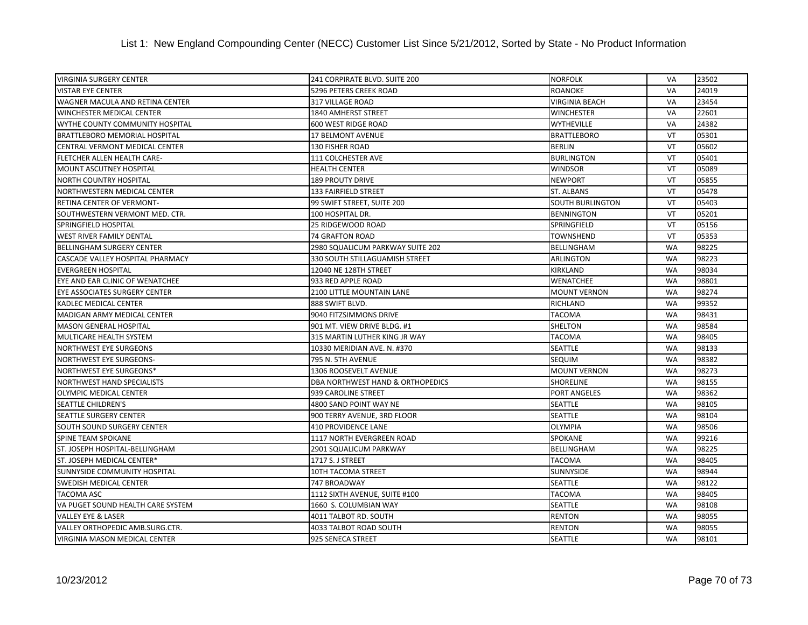| <b>VIRGINIA SURGERY CENTER</b>         | 241 CORPIRATE BLVD. SUITE 200    | <b>NORFOLK</b>          | VA        | 23502 |
|----------------------------------------|----------------------------------|-------------------------|-----------|-------|
| <b>VISTAR EYE CENTER</b>               | <b>5296 PETERS CREEK ROAD</b>    | <b>ROANOKE</b>          | VA        | 24019 |
| WAGNER MACULA AND RETINA CENTER        | 317 VILLAGE ROAD                 | <b>VIRGINIA BEACH</b>   | VA        | 23454 |
| <b>WINCHESTER MEDICAL CENTER</b>       | 1840 AMHERST STREET              | <b>WINCHESTER</b>       | VA        | 22601 |
| WYTHE COUNTY COMMUNITY HOSPITAL        | <b>600 WEST RIDGE ROAD</b>       | <b>WYTHEVILLE</b>       | <b>VA</b> | 24382 |
| <b>BRATTLEBORO MEMORIAL HOSPITAL</b>   | 17 BELMONT AVENUE                | <b>BRATTLEBORO</b>      | VT        | 05301 |
| CENTRAL VERMONT MEDICAL CENTER         | <b>130 FISHER ROAD</b>           | <b>BERLIN</b>           | VT        | 05602 |
| FLETCHER ALLEN HEALTH CARE-            | 111 COLCHESTER AVE               | <b>BURLINGTON</b>       | VT        | 05401 |
| <b>MOUNT ASCUTNEY HOSPITAL</b>         | <b>HEALTH CENTER</b>             | <b>WINDSOR</b>          | VT        | 05089 |
| <b>NORTH COUNTRY HOSPITAL</b>          | <b>189 PROUTY DRIVE</b>          | <b>NEWPORT</b>          | VT        | 05855 |
| NORTHWESTERN MEDICAL CENTER            | 133 FAIRFIELD STREET             | <b>ST. ALBANS</b>       | VT        | 05478 |
| RETINA CENTER OF VERMONT-              | 99 SWIFT STREET, SUITE 200       | <b>SOUTH BURLINGTON</b> | VT        | 05403 |
| SOUTHWESTERN VERMONT MED. CTR.         | 100 HOSPITAL DR.                 | <b>BENNINGTON</b>       | VT        | 05201 |
| SPRINGFIELD HOSPITAL                   | 25 RIDGEWOOD ROAD                | SPRINGFIELD             | VT        | 05156 |
| WEST RIVER FAMILY DENTAL               | 74 GRAFTON ROAD                  | <b>TOWNSHEND</b>        | VT        | 05353 |
| BELLINGHAM SURGERY CENTER              | 2980 SQUALICUM PARKWAY SUITE 202 | BELLINGHAM              | <b>WA</b> | 98225 |
| CASCADE VALLEY HOSPITAL PHARMACY       | 330 SOUTH STILLAGUAMISH STREET   | <b>ARLINGTON</b>        | <b>WA</b> | 98223 |
| <b>EVERGREEN HOSPITAL</b>              | 12040 NE 128TH STREET            | <b>KIRKLAND</b>         | <b>WA</b> | 98034 |
| EYE AND EAR CLINIC OF WENATCHEE        | 933 RED APPLE ROAD               | <b>WENATCHEE</b>        | <b>WA</b> | 98801 |
| EYE ASSOCIATES SURGERY CENTER          | <b>2100 LITTLE MOUNTAIN LANE</b> | <b>MOUNT VERNON</b>     | <b>WA</b> | 98274 |
| KADLEC MEDICAL CENTER                  | 888 SWIFT BLVD.                  | <b>RICHLAND</b>         | WA        | 99352 |
| MADIGAN ARMY MEDICAL CENTER            | 9040 FITZSIMMONS DRIVE           | <b>TACOMA</b>           | <b>WA</b> | 98431 |
| <b>MASON GENERAL HOSPITAL</b>          | 901 MT. VIEW DRIVE BLDG. #1      | <b>SHELTON</b>          | <b>WA</b> | 98584 |
| MULTICARE HEALTH SYSTEM                | 315 MARTIN LUTHER KING JR WAY    | <b>TACOMA</b>           | <b>WA</b> | 98405 |
| <b>NORTHWEST EYE SURGEONS</b>          | 10330 MERIDIAN AVE. N. #370      | <b>SEATTLE</b>          | <b>WA</b> | 98133 |
| NORTHWEST EYE SURGEONS-                | 795 N. 5TH AVENUE                | <b>SEQUIM</b>           | <b>WA</b> | 98382 |
| NORTHWEST EYE SURGEONS*                | 1306 ROOSEVELT AVENUE            | <b>MOUNT VERNON</b>     | <b>WA</b> | 98273 |
| <b>NORTHWEST HAND SPECIALISTS</b>      | DBA NORTHWEST HAND & ORTHOPEDICS | <b>SHORELINE</b>        | <b>WA</b> | 98155 |
| <b>OLYMPIC MEDICAL CENTER</b>          | 939 CAROLINE STREET              | <b>PORT ANGELES</b>     | <b>WA</b> | 98362 |
| <b>SEATTLE CHILDREN'S</b>              | 4800 SAND POINT WAY NE           | SEATTLE                 | <b>WA</b> | 98105 |
| <b>SEATTLE SURGERY CENTER</b>          | 900 TERRY AVENUE, 3RD FLOOR      | <b>SEATTLE</b>          | <b>WA</b> | 98104 |
| SOUTH SOUND SURGERY CENTER             | 410 PROVIDENCE LANE              | <b>OLYMPIA</b>          | <b>WA</b> | 98506 |
| <b>SPINE TEAM SPOKANE</b>              | 1117 NORTH EVERGREEN ROAD        | <b>SPOKANE</b>          | <b>WA</b> | 99216 |
| ST. JOSEPH HOSPITAL-BELLINGHAM         | 2901 SQUALICUM PARKWAY           | <b>BELLINGHAM</b>       | <b>WA</b> | 98225 |
| ST. JOSEPH MEDICAL CENTER*             | 1717 S. J STREET                 | <b>TACOMA</b>           | <b>WA</b> | 98405 |
| SUNNYSIDE COMMUNITY HOSPITAL           | 10TH TACOMA STREET               | SUNNYSIDE               | WA        | 98944 |
| SWEDISH MEDICAL CENTER                 | 747 BROADWAY                     | <b>SEATTLE</b>          | <b>WA</b> | 98122 |
| <b>TACOMA ASC</b>                      | 1112 SIXTH AVENUE, SUITE #100    | <b>TACOMA</b>           | <b>WA</b> | 98405 |
| VA PUGET SOUND HEALTH CARE SYSTEM      | 1660 S. COLUMBIAN WAY            | <b>SEATTLE</b>          | <b>WA</b> | 98108 |
| <b>VALLEY EYE &amp; LASER</b>          | 4011 TALBOT RD. SOUTH            | <b>RENTON</b>           | <b>WA</b> | 98055 |
| <b>VALLEY ORTHOPEDIC AMB.SURG.CTR.</b> | 4033 TALBOT ROAD SOUTH           | <b>RENTON</b>           | <b>WA</b> | 98055 |
| <b>VIRGINIA MASON MEDICAL CENTER</b>   | 925 SENECA STREET                | <b>SEATTLE</b>          | <b>WA</b> | 98101 |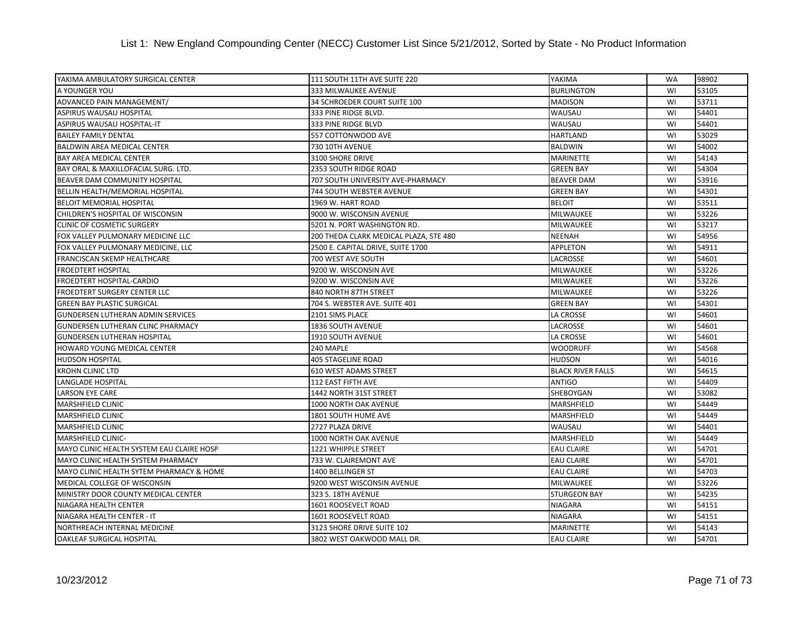| YAKIMA AMBULATORY SURGICAL CENTER         | 111 SOUTH 11TH AVE SUITE 220           | YAKIMA                   | <b>WA</b> | 98902 |
|-------------------------------------------|----------------------------------------|--------------------------|-----------|-------|
| A YOUNGER YOU                             | 333 MILWAUKEE AVENUE                   | <b>BURLINGTON</b>        | WI        | 53105 |
| ADVANCED PAIN MANAGEMENT/                 | 34 SCHROEDER COURT SUITE 100           | <b>MADISON</b>           | WI        | 53711 |
| <b>ASPIRUS WAUSAU HOSPITAL</b>            | 333 PINE RIDGE BLVD.                   | WAUSAU                   | WI        | 54401 |
| ASPIRUS WAUSAU HOSPITAL-IT                | 333 PINE RIDGE BLVD                    | WAUSAU                   | WI        | 54401 |
| <b>BAILEY FAMILY DENTAL</b>               | 557 COTTONWOOD AVE                     | <b>HARTLAND</b>          | WI        | 53029 |
| <b>BALDWIN AREA MEDICAL CENTER</b>        | 730 10TH AVENUE                        | <b>BALDWIN</b>           | WI        | 54002 |
| <b>BAY AREA MEDICAL CENTER</b>            | 3100 SHORE DRIVE                       | <b>MARINETTE</b>         | WI        | 54143 |
| BAY ORAL & MAXILLOFACIAL SURG. LTD.       | 2353 SOUTH RIDGE ROAD                  | <b>GREEN BAY</b>         | WI        | 54304 |
| BEAVER DAM COMMUNITY HOSPITAL             | 707 SOUTH UNIVERSITY AVE-PHARMACY      | <b>BEAVER DAM</b>        | WI        | 53916 |
| BELLIN HEALTH/MEMORIAL HOSPITAL           | 744 SOUTH WEBSTER AVENUE               | <b>GREEN BAY</b>         | WI        | 54301 |
| <b>BELOIT MEMORIAL HOSPITAL</b>           | 1969 W. HART ROAD                      | <b>BELOIT</b>            | WI        | 53511 |
| CHILDREN'S HOSPITAL OF WISCONSIN          | 9000 W. WISCONSIN AVENUE               | <b>MILWAUKEE</b>         | WI        | 53226 |
| <b>CLINIC OF COSMETIC SURGERY</b>         | 5201 N. PORT WASHINGTON RD.            | <b>MILWAUKEE</b>         | WI        | 53217 |
| FOX VALLEY PULMONARY MEDICINE LLC         | 200 THEDA CLARK MEDICAL PLAZA, STE 480 | <b>NEENAH</b>            | WI        | 54956 |
| FOX VALLEY PULMONARY MEDICINE, LLC        | 2500 E. CAPITAL DRIVE, SUITE 1700      | <b>APPLETON</b>          | WI        | 54911 |
| FRANCISCAN SKEMP HEALTHCARE               | 700 WEST AVE SOUTH                     | LACROSSE                 | WI        | 54601 |
| <b>FROEDTERT HOSPITAL</b>                 | 9200 W. WISCONSIN AVE                  | <b>MILWAUKEE</b>         | WI        | 53226 |
| FROEDTERT HOSPITAL-CARDIO                 | 9200 W. WISCONSIN AVE                  | MILWAUKEE                | WI        | 53226 |
| FROEDTERT SURGERY CENTER LLC              | 840 NORTH 87TH STREET                  | MILWAUKEE                | WI        | 53226 |
| <b>GREEN BAY PLASTIC SURGICAL</b>         | 704 S. WEBSTER AVE. SUITE 401          | <b>GREEN BAY</b>         | WI        | 54301 |
| <b>GUNDERSEN LUTHERAN ADMIN SERVICES</b>  | 2101 SIMS PLACE                        | LA CROSSE                | WI        | 54601 |
| GUNDERSEN LUTHERAN CLINC PHARMACY         | 1836 SOUTH AVENUE                      | <b>LACROSSE</b>          | WI        | 54601 |
| <b>GUNDERSEN LUTHERAN HOSPITAL</b>        | 1910 SOUTH AVENUE                      | <b>LA CROSSE</b>         | WI        | 54601 |
| <b>HOWARD YOUNG MEDICAL CENTER</b>        | 240 MAPLE                              | <b>WOODRUFF</b>          | WI        | 54568 |
| <b>HUDSON HOSPITAL</b>                    | <b>405 STAGELINE ROAD</b>              | <b>HUDSON</b>            | WI        | 54016 |
| <b>KROHN CLINIC LTD</b>                   | <b>610 WEST ADAMS STREET</b>           | <b>BLACK RIVER FALLS</b> | WI        | 54615 |
| LANGLADE HOSPITAL                         | 112 EAST FIFTH AVE                     | <b>ANTIGO</b>            | WI        | 54409 |
| <b>LARSON EYE CARE</b>                    | 1442 NORTH 31ST STREET                 | SHEBOYGAN                | WI        | 53082 |
| MARSHFIELD CLINIC                         | 1000 NORTH OAK AVENUE                  | <b>MARSHFIELD</b>        | WI        | 54449 |
| MARSHFIELD CLINIC                         | 1801 SOUTH HUME AVE                    | <b>MARSHFIELD</b>        | WI        | 54449 |
| MARSHFIELD CLINIC                         | 2727 PLAZA DRIVE                       | WAUSAU                   | WI        | 54401 |
| MARSHFIELD CLINIC-                        | 1000 NORTH OAK AVENUE                  | <b>MARSHFIELD</b>        | WI        | 54449 |
| MAYO CLINIC HEALTH SYSTEM EAU CLAIRE HOSP | <b>1221 WHIPPLE STREET</b>             | <b>EAU CLAIRE</b>        | WI        | 54701 |
| MAYO CLINIC HEALTH SYSTEM PHARMACY        | 733 W. CLAIREMONT AVE                  | <b>EAU CLAIRE</b>        | WI        | 54701 |
| MAYO CLINIC HEALTH SYTEM PHARMACY & HOME  | 1400 BELLINGER ST                      | <b>EAU CLAIRE</b>        | WI        | 54703 |
| MEDICAL COLLEGE OF WISCONSIN              | 9200 WEST WISCONSIN AVENUE             | MILWAUKEE                | WI        | 53226 |
| MINISTRY DOOR COUNTY MEDICAL CENTER       | 323 S. 18TH AVENUE                     | <b>STURGEON BAY</b>      | WI        | 54235 |
| NIAGARA HEALTH CENTER                     | 1601 ROOSEVELT ROAD                    | <b>NIAGARA</b>           | WI        | 54151 |
| NIAGARA HEALTH CENTER - IT                | 1601 ROOSEVELT ROAD                    | <b>NIAGARA</b>           | WI        | 54151 |
| NORTHREACH INTERNAL MEDICINE              | 3123 SHORE DRIVE SUITE 102             | <b>MARINETTE</b>         | WI        | 54143 |
| <b>OAKLEAF SURGICAL HOSPITAL</b>          | 3802 WEST OAKWOOD MALL DR.             | <b>EAU CLAIRE</b>        | WI        | 54701 |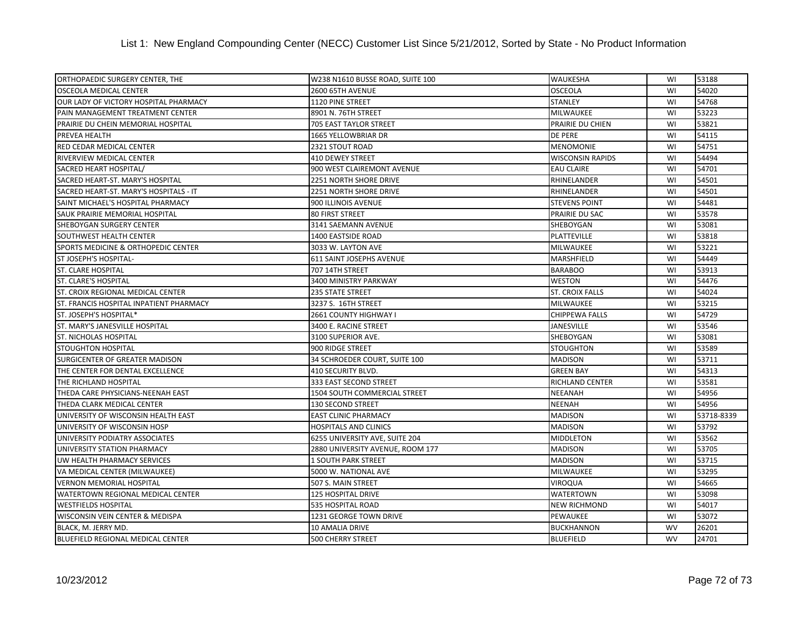| ORTHOPAEDIC SURGERY CENTER, THE                | W238 N1610 BUSSE ROAD, SUITE 100 | <b>WAUKESHA</b>         | WI        | 53188      |
|------------------------------------------------|----------------------------------|-------------------------|-----------|------------|
| <b>OSCEOLA MEDICAL CENTER</b>                  | 2600 65TH AVENUE                 | <b>OSCEOLA</b>          | WI        | 54020      |
| OUR LADY OF VICTORY HOSPITAL PHARMACY          | 1120 PINE STREET                 | <b>STANLEY</b>          | WI        | 54768      |
| PAIN MANAGEMENT TREATMENT CENTER               | 8901 N. 76TH STREET              | <b>MILWAUKEE</b>        | WI        | 53223      |
| PRAIRIE DU CHEIN MEMORIAL HOSPITAL             | 705 EAST TAYLOR STREET           | PRAIRIE DU CHIEN        | WI        | 53821      |
| PREVEA HEALTH                                  | 1665 YELLOWBRIAR DR              | <b>DE PERE</b>          | WI        | 54115      |
| RED CEDAR MEDICAL CENTER                       | 2321 STOUT ROAD                  | <b>MENOMONIE</b>        | WI        | 54751      |
| RIVERVIEW MEDICAL CENTER                       | <b>410 DEWEY STREET</b>          | <b>WISCONSIN RAPIDS</b> | WI        | 54494      |
| SACRED HEART HOSPITAL/                         | 900 WEST CLAIREMONT AVENUE       | <b>EAU CLAIRE</b>       | WI        | 54701      |
| SACRED HEART-ST. MARY'S HOSPITAL               | 2251 NORTH SHORE DRIVE           | RHINELANDER             | WI        | 54501      |
| SACRED HEART-ST. MARY'S HOSPITALS - IT         | <b>2251 NORTH SHORE DRIVE</b>    | RHINELANDER             | WI        | 54501      |
| SAINT MICHAEL'S HOSPITAL PHARMACY              | 900 ILLINOIS AVENUE              | <b>STEVENS POINT</b>    | WI        | 54481      |
| SAUK PRAIRIE MEMORIAL HOSPITAL                 | <b>80 FIRST STREET</b>           | PRAIRIE DU SAC          | WI        | 53578      |
| SHEBOYGAN SURGERY CENTER                       | 3141 SAEMANN AVENUE              | SHEBOYGAN               | WI        | 53081      |
| <b>SOUTHWEST HEALTH CENTER</b>                 | <b>1400 EASTSIDE ROAD</b>        | PLATTEVILLE             | WI        | 53818      |
| <b>SPORTS MEDICINE &amp; ORTHOPEDIC CENTER</b> | 3033 W. LAYTON AVE               | MILWAUKEE               | WI        | 53221      |
| ST JOSEPH'S HOSPITAL-                          | 611 SAINT JOSEPHS AVENUE         | <b>MARSHFIELD</b>       | WI        | 54449      |
| <b>ST. CLARE HOSPITAL</b>                      | 707 14TH STREET                  | <b>BARABOO</b>          | WI        | 53913      |
| <b>ST. CLARE'S HOSPITAL</b>                    | 3400 MINISTRY PARKWAY            | <b>WESTON</b>           | WI        | 54476      |
| ST. CROIX REGIONAL MEDICAL CENTER              | <b>235 STATE STREET</b>          | <b>ST. CROIX FALLS</b>  | WI        | 54024      |
| ST. FRANCIS HOSPITAL INPATIENT PHARMACY        | 3237 S. 16TH STREET              | MILWAUKEE               | WI        | 53215      |
| ST. JOSEPH'S HOSPITAL*                         | 2661 COUNTY HIGHWAY I            | <b>CHIPPEWA FALLS</b>   | WI        | 54729      |
| <b>ST. MARY'S JANESVILLE HOSPITAL</b>          | 3400 E. RACINE STREET            | <b>JANESVILLE</b>       | WI        | 53546      |
| <b>ST. NICHOLAS HOSPITAL</b>                   | 3100 SUPERIOR AVE.               | <b>SHEBOYGAN</b>        | WI        | 53081      |
| <b>STOUGHTON HOSPITAL</b>                      | 900 RIDGE STREET                 | <b>STOUGHTON</b>        | WI        | 53589      |
| SURGICENTER OF GREATER MADISON                 | 34 SCHROEDER COURT, SUITE 100    | <b>MADISON</b>          | WI        | 53711      |
| THE CENTER FOR DENTAL EXCELLENCE               | 410 SECURITY BLVD.               | <b>GREEN BAY</b>        | WI        | 54313      |
| THE RICHLAND HOSPITAL                          | 333 EAST SECOND STREET           | <b>RICHLAND CENTER</b>  | WI        | 53581      |
| THEDA CARE PHYSICIANS-NEENAH EAST              | 1504 SOUTH COMMERCIAL STREET     | <b>NEEANAH</b>          | WI        | 54956      |
| THEDA CLARK MEDICAL CENTER                     | 130 SECOND STREET                | <b>NEENAH</b>           | WI        | 54956      |
| UNIVERSITY OF WISCONSIN HEALTH EAST            | <b>EAST CLINIC PHARMACY</b>      | <b>MADISON</b>          | WI        | 53718-8339 |
| UNIVERSITY OF WISCONSIN HOSP                   | <b>HOSPITALS AND CLINICS</b>     | <b>MADISON</b>          | WI        | 53792      |
| UNIVERSITY PODIATRY ASSOCIATES                 | 6255 UNIVERSITY AVE, SUITE 204   | <b>MIDDLETON</b>        | WI        | 53562      |
| UNIVERSITY STATION PHARMACY                    | 2880 UNIVERSITY AVENUE, ROOM 177 | <b>MADISON</b>          | WI        | 53705      |
| UW HEALTH PHARMACY SERVICES                    | 1 SOUTH PARK STREET              | <b>MADISON</b>          | WI        | 53715      |
| VA MEDICAL CENTER (MILWAUKEE)                  | 5000 W. NATIONAL AVE             | MILWAUKEE               | WI        | 53295      |
| <b>VERNON MEMORIAL HOSPITAL</b>                | 507 S. MAIN STREET               | <b>VIROQUA</b>          | WI        | 54665      |
| WATERTOWN REGIONAL MEDICAL CENTER              | <b>125 HOSPITAL DRIVE</b>        | <b>WATERTOWN</b>        | WI        | 53098      |
| <b>WESTFIELDS HOSPITAL</b>                     | 535 HOSPITAL ROAD                | <b>NEW RICHMOND</b>     | WI        | 54017      |
| WISCONSIN VEIN CENTER & MEDISPA                | 1231 GEORGE TOWN DRIVE           | PEWAUKEE                | WI        | 53072      |
| BLACK, M. JERRY MD.                            | 10 AMALIA DRIVE                  | <b>BUCKHANNON</b>       | WV        | 26201      |
| <b>BLUEFIELD REGIONAL MEDICAL CENTER</b>       | <b>500 CHERRY STREET</b>         | <b>BLUEFIELD</b>        | <b>WV</b> | 24701      |